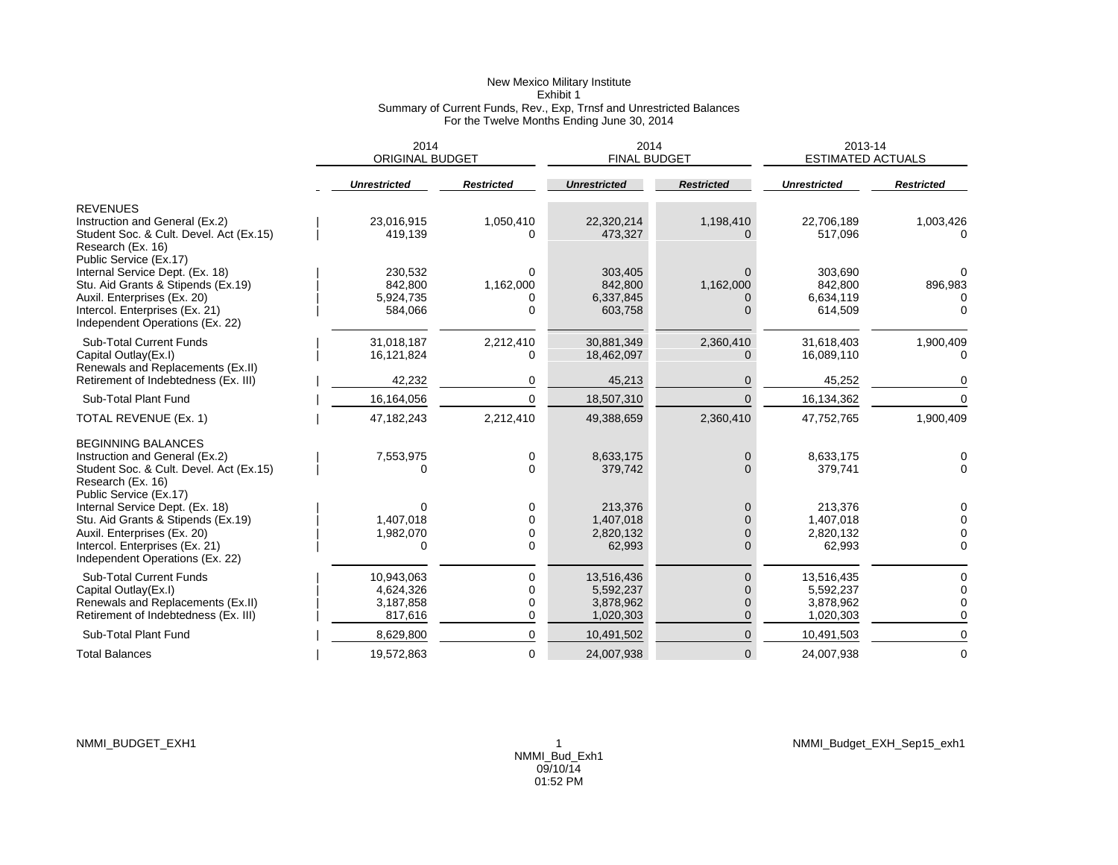## New Mexico Military Institute Exhibit 1 Summary of Current Funds, Rev., Exp, Trnsf and Unrestricted Balances For the Twelve Months Ending June 30, 2014

|                                                                                                                                                                                                                                | 2014<br><b>ORIGINAL BUDGET</b>                  |                                        | 2014<br><b>FINAL BUDGET</b>                       |                                                          | 2013-14<br><b>ESTIMATED ACTUALS</b>               |                                         |
|--------------------------------------------------------------------------------------------------------------------------------------------------------------------------------------------------------------------------------|-------------------------------------------------|----------------------------------------|---------------------------------------------------|----------------------------------------------------------|---------------------------------------------------|-----------------------------------------|
|                                                                                                                                                                                                                                | <b>Unrestricted</b>                             | <b>Restricted</b>                      | <b>Unrestricted</b>                               | <b>Restricted</b>                                        | <b>Unrestricted</b>                               | <b>Restricted</b>                       |
| <b>REVENUES</b><br>Instruction and General (Ex.2)<br>Student Soc. & Cult. Devel. Act (Ex.15)<br>Research (Ex. 16)                                                                                                              | 23,016,915<br>419,139                           | 1,050,410<br>O                         | 22,320,214<br>473,327                             | 1,198,410                                                | 22,706,189<br>517,096                             | 1,003,426                               |
| Public Service (Ex.17)<br>Internal Service Dept. (Ex. 18)<br>Stu. Aid Grants & Stipends (Ex.19)<br>Auxil. Enterprises (Ex. 20)<br>Intercol. Enterprises (Ex. 21)<br>Independent Operations (Ex. 22)                            | 230,532<br>842,800<br>5,924,735<br>584,066      | $\Omega$<br>1,162,000<br>0<br>$\Omega$ | 303,405<br>842,800<br>6,337,845<br>603,758        | $\Omega$<br>1,162,000                                    | 303,690<br>842,800<br>6,634,119<br>614,509        | 896,983                                 |
| <b>Sub-Total Current Funds</b><br>Capital Outlay(Ex.I)<br>Renewals and Replacements (Ex.II)                                                                                                                                    | 31,018,187<br>16,121,824                        | 2,212,410<br>$\Omega$                  | 30,881,349<br>18,462,097                          | 2,360,410                                                | 31,618,403<br>16,089,110                          | 1,900,409                               |
| Retirement of Indebtedness (Ex. III)                                                                                                                                                                                           | 42,232                                          | 0                                      | 45,213                                            | $\Omega$                                                 | 45,252                                            | 0                                       |
| Sub-Total Plant Fund                                                                                                                                                                                                           | 16,164,056                                      | $\Omega$                               | 18,507,310                                        |                                                          | 16,134,362                                        |                                         |
| TOTAL REVENUE (Ex. 1)                                                                                                                                                                                                          | 47, 182, 243                                    | 2,212,410                              | 49,388,659                                        | 2,360,410                                                | 47,752,765                                        | 1,900,409                               |
| <b>BEGINNING BALANCES</b><br>Instruction and General (Ex.2)<br>Student Soc. & Cult. Devel. Act (Ex.15)<br>Research (Ex. 16)<br>Public Service (Ex.17)<br>Internal Service Dept. (Ex. 18)<br>Stu. Aid Grants & Stipends (Ex.19) | 7,553,975<br>0<br>$\Omega$<br>1,407,018         | 0<br>0<br>0<br>$\mathbf 0$             | 8,633,175<br>379,742<br>213,376<br>1,407,018      | $\mathbf{0}$<br>$\Omega$<br>$\mathbf{0}$<br>$\Omega$     | 8,633,175<br>379,741<br>213,376<br>1,407,018      | 0<br>$\Omega$<br>0<br>$\Omega$          |
| Auxil. Enterprises (Ex. 20)<br>Intercol. Enterprises (Ex. 21)<br>Independent Operations (Ex. 22)                                                                                                                               | 1,982,070<br>0                                  | 0<br>0                                 | 2,820,132<br>62,993                               | $\mathbf 0$<br>$\Omega$                                  | 2,820,132<br>62,993                               | $\Omega$                                |
| <b>Sub-Total Current Funds</b><br>Capital Outlay(Ex.I)<br>Renewals and Replacements (Ex.II)<br>Retirement of Indebtedness (Ex. III)                                                                                            | 10,943,063<br>4,624,326<br>3,187,858<br>817,616 | 0<br>0<br>0<br>0                       | 13,516,436<br>5,592,237<br>3,878,962<br>1,020,303 | $\mathbf{0}$<br>$\Omega$<br>$\mathbf{0}$<br>$\mathbf{0}$ | 13,516,435<br>5,592,237<br>3,878,962<br>1,020,303 | O<br>$\Omega$<br>$\sqrt{ }$<br>$\Omega$ |
| Sub-Total Plant Fund                                                                                                                                                                                                           | 8,629,800                                       | 0                                      | 10,491,502                                        | $\Omega$                                                 | 10,491,503                                        | $\Omega$                                |
| <b>Total Balances</b>                                                                                                                                                                                                          | 19,572,863                                      | 0                                      | 24,007,938                                        | $\overline{0}$                                           | 24,007,938                                        | $\mathbf 0$                             |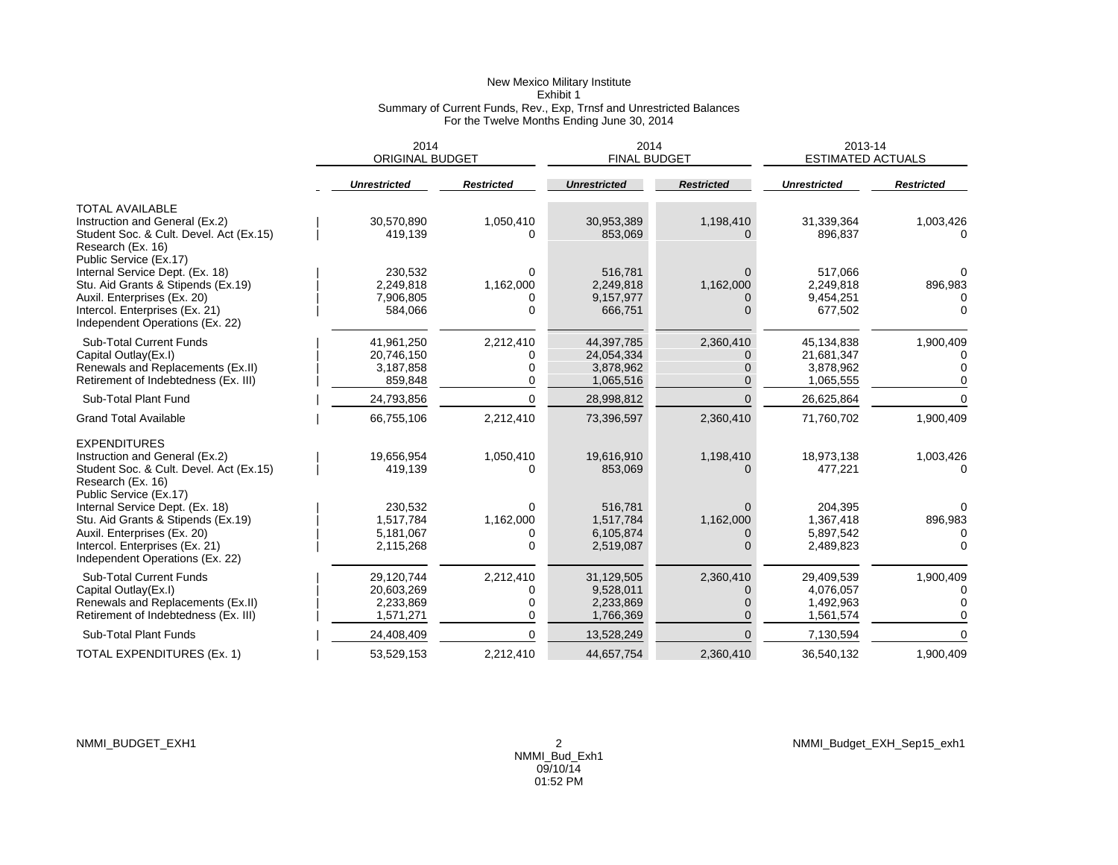## New Mexico Military Institute Exhibit 1 Summary of Current Funds, Rev., Exp, Trnsf and Unrestricted Balances For the Twelve Months Ending June 30, 2014

|                                                                                                                                                                                                                          | 2014<br><b>ORIGINAL BUDGET</b>                     |                                         | 2014<br><b>FINAL BUDGET</b>                        |                                    | 2013-14<br><b>ESTIMATED ACTUALS</b>                |                      |
|--------------------------------------------------------------------------------------------------------------------------------------------------------------------------------------------------------------------------|----------------------------------------------------|-----------------------------------------|----------------------------------------------------|------------------------------------|----------------------------------------------------|----------------------|
|                                                                                                                                                                                                                          | <b>Unrestricted</b>                                | <b>Restricted</b>                       | <b>Unrestricted</b>                                | <b>Restricted</b>                  | <b>Unrestricted</b>                                | <b>Restricted</b>    |
| <b>TOTAL AVAILABLE</b><br>Instruction and General (Ex.2)<br>Student Soc. & Cult. Devel. Act (Ex.15)<br>Research (Ex. 16)<br>Public Service (Ex.17)                                                                       | 30,570,890<br>419,139                              | 1,050,410<br>O                          | 30,953,389<br>853,069                              | 1,198,410                          | 31,339,364<br>896,837                              | 1,003,426            |
| Internal Service Dept. (Ex. 18)<br>Stu. Aid Grants & Stipends (Ex.19)<br>Auxil. Enterprises (Ex. 20)<br>Intercol. Enterprises (Ex. 21)<br>Independent Operations (Ex. 22)                                                | 230,532<br>2,249,818<br>7,906,805<br>584,066       | $\Omega$<br>1,162,000<br>0<br>$\Omega$  | 516,781<br>2,249,818<br>9,157,977<br>666,751       | $\Omega$<br>1,162,000              | 517,066<br>2,249,818<br>9,454,251<br>677,502       | 896,983              |
| <b>Sub-Total Current Funds</b><br>Capital Outlay(Ex.I)<br>Renewals and Replacements (Ex.II)<br>Retirement of Indebtedness (Ex. III)                                                                                      | 41,961,250<br>20,746,150<br>3,187,858<br>859,848   | 2,212,410<br>$\Omega$<br>0<br>$\Omega$  | 44,397,785<br>24,054,334<br>3,878,962<br>1,065,516 | 2,360,410<br>$\Omega$              | 45,134,838<br>21,681,347<br>3,878,962<br>1,065,555 | 1,900,409            |
| Sub-Total Plant Fund                                                                                                                                                                                                     | 24,793,856                                         | $\Omega$                                | 28,998,812                                         | $\Omega$                           | 26,625,864                                         |                      |
| <b>Grand Total Available</b>                                                                                                                                                                                             | 66,755,106                                         | 2,212,410                               | 73,396,597                                         | 2,360,410                          | 71,760,702                                         | 1,900,409            |
| <b>EXPENDITURES</b><br>Instruction and General (Ex.2)<br>Student Soc. & Cult. Devel. Act (Ex.15)<br>Research (Ex. 16)<br>Public Service (Ex.17)<br>Internal Service Dept. (Ex. 18)<br>Stu. Aid Grants & Stipends (Ex.19) | 19,656,954<br>419,139<br>230,532<br>1,517,784      | 1,050,410<br>0<br>$\Omega$<br>1,162,000 | 19.616.910<br>853,069<br>516,781<br>1,517,784      | 1,198,410<br>$\Omega$<br>1,162,000 | 18,973,138<br>477,221<br>204,395<br>1,367,418      | 1,003,426<br>896,983 |
| Auxil. Enterprises (Ex. 20)<br>Intercol. Enterprises (Ex. 21)<br>Independent Operations (Ex. 22)                                                                                                                         | 5.181.067<br>2,115,268                             | 0<br>$\Omega$                           | 6,105,874<br>2,519,087                             | <sup>0</sup>                       | 5,897,542<br>2,489,823                             |                      |
| <b>Sub-Total Current Funds</b><br>Capital Outlay(Ex.I)<br>Renewals and Replacements (Ex.II)<br>Retirement of Indebtedness (Ex. III)                                                                                      | 29,120,744<br>20,603,269<br>2,233,869<br>1,571,271 | 2,212,410<br>0<br>0<br>0                | 31,129,505<br>9,528,011<br>2,233,869<br>1,766,369  | 2,360,410<br>$\Omega$              | 29,409,539<br>4,076,057<br>1,492,963<br>1,561,574  | 1,900,409<br>C       |
| <b>Sub-Total Plant Funds</b>                                                                                                                                                                                             | 24,408,409                                         | $\Omega$                                | 13,528,249                                         |                                    | 7,130,594                                          |                      |
| TOTAL EXPENDITURES (Ex. 1)                                                                                                                                                                                               | 53,529,153                                         | 2,212,410                               | 44,657,754                                         | 2,360,410                          | 36,540,132                                         | 1,900,409            |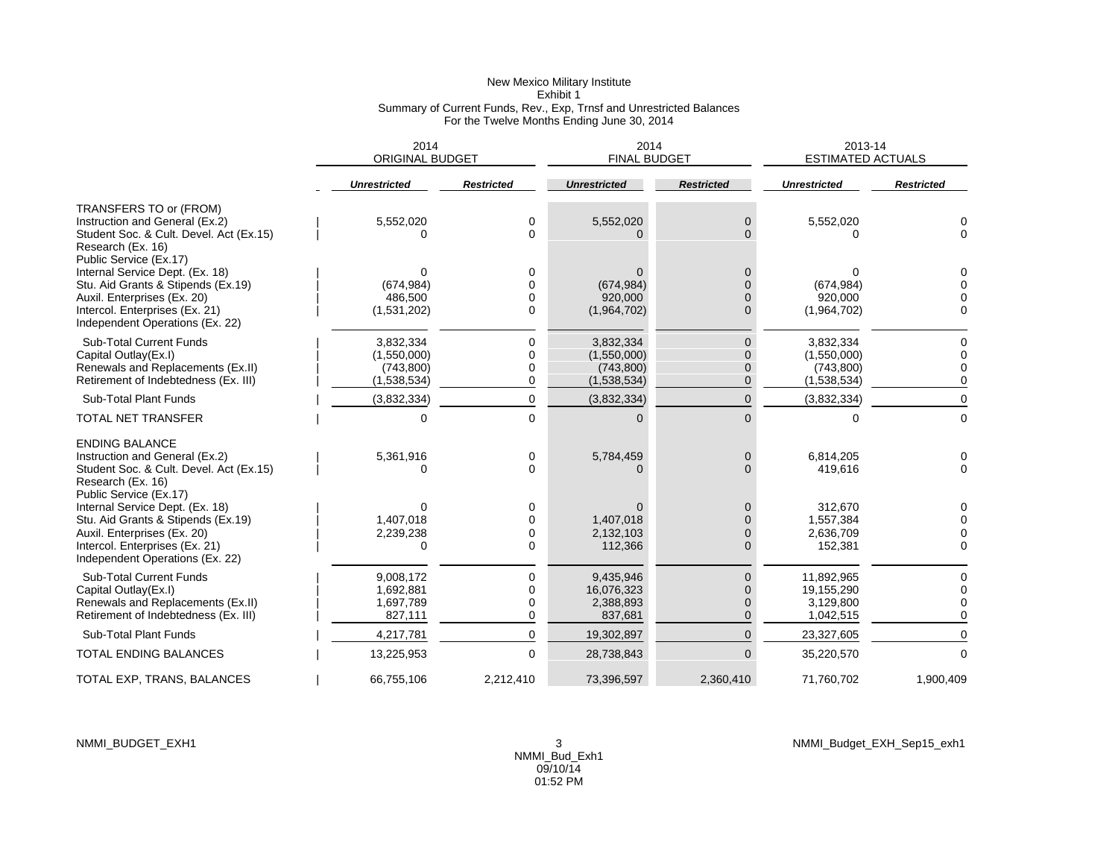## New Mexico Military Institute Exhibit 1 Summary of Current Funds, Rev., Exp, Trnsf and Unrestricted Balances For the Twelve Months Ending June 30, 2014

|                                                                                                                          | 2014<br><b>ORIGINAL BUDGET</b> |                   | 2014<br><b>FINAL BUDGET</b> |                            | 2013-14<br><b>ESTIMATED ACTUALS</b> |                   |
|--------------------------------------------------------------------------------------------------------------------------|--------------------------------|-------------------|-----------------------------|----------------------------|-------------------------------------|-------------------|
|                                                                                                                          | <b>Unrestricted</b>            | <b>Restricted</b> | <b>Unrestricted</b>         | <b>Restricted</b>          | <b>Unrestricted</b>                 | <b>Restricted</b> |
| TRANSFERS TO or (FROM)                                                                                                   |                                |                   |                             |                            |                                     |                   |
| Instruction and General (Ex.2)<br>Student Soc. & Cult. Devel. Act (Ex.15)<br>Research (Ex. 16)<br>Public Service (Ex.17) | 5,552,020<br>∩                 | 0<br>0            | 5,552,020                   | $\overline{0}$<br>$\Omega$ | 5,552,020<br>0                      | $\Omega$          |
| Internal Service Dept. (Ex. 18)                                                                                          | ∩                              | 0                 |                             | $\Omega$                   |                                     |                   |
| Stu. Aid Grants & Stipends (Ex.19)                                                                                       | (674, 984)                     | 0                 | (674, 984)                  | $\Omega$                   | (674, 984)                          |                   |
| Auxil. Enterprises (Ex. 20)                                                                                              | 486,500                        | 0                 | 920,000                     | $\Omega$                   | 920.000                             |                   |
| Intercol. Enterprises (Ex. 21)<br>Independent Operations (Ex. 22)                                                        | (1,531,202)                    | 0                 | (1,964,702)                 | $\Omega$                   | (1,964,702)                         | $\Omega$          |
| Sub-Total Current Funds                                                                                                  | 3.832.334                      | 0                 | 3,832,334                   | $\mathbf{0}$               | 3,832,334                           | C                 |
| Capital Outlay(Ex.I)                                                                                                     | (1,550,000)                    | 0                 | (1,550,000)                 | $\Omega$                   | (1,550,000)                         |                   |
| Renewals and Replacements (Ex.II)                                                                                        | (743, 800)                     | $\mathbf 0$       | (743,800)                   | $\Omega$                   | (743, 800)                          |                   |
| Retirement of Indebtedness (Ex. III)                                                                                     | (1,538,534)                    | 0                 | (1,538,534)                 | $\Omega$                   | (1,538,534)                         | $\Omega$          |
| Sub-Total Plant Funds                                                                                                    | (3,832,334)                    | 0                 | (3,832,334)                 | $\Omega$                   | (3,832,334)                         | $\Omega$          |
| <b>TOTAL NET TRANSFER</b>                                                                                                | 0                              | $\mathbf 0$       | 0                           | $\Omega$                   | $\Omega$                            | 0                 |
| <b>ENDING BALANCE</b>                                                                                                    |                                |                   |                             |                            |                                     |                   |
| Instruction and General (Ex.2)                                                                                           | 5,361,916                      | 0                 | 5,784,459                   | $\overline{0}$             | 6,814,205                           |                   |
| Student Soc. & Cult. Devel. Act (Ex.15)                                                                                  | $\Omega$                       | $\Omega$          |                             | $\Omega$                   | 419,616                             | $\Omega$          |
| Research (Ex. 16)                                                                                                        |                                |                   |                             |                            |                                     |                   |
| Public Service (Ex.17)                                                                                                   |                                |                   |                             |                            |                                     |                   |
| Internal Service Dept. (Ex. 18)                                                                                          | O                              | 0                 |                             | $\mathbf{0}$               | 312,670                             |                   |
| Stu. Aid Grants & Stipends (Ex.19)                                                                                       | 1,407,018                      | 0                 | 1,407,018                   | $\Omega$                   | 1,557,384                           |                   |
| Auxil. Enterprises (Ex. 20)                                                                                              | 2,239,238                      | $\mathbf 0$       | 2,132,103                   | $\Omega$                   | 2,636,709                           | $\Omega$          |
| Intercol. Enterprises (Ex. 21)<br>Independent Operations (Ex. 22)                                                        |                                | 0                 | 112,366                     | $\Omega$                   | 152,381                             | $\Omega$          |
| <b>Sub-Total Current Funds</b>                                                                                           | 9.008.172                      | 0                 | 9,435,946                   | $\mathbf 0$                | 11,892,965                          |                   |
| Capital Outlay(Ex.I)                                                                                                     | 1,692,881                      | $\Omega$          | 16,076,323                  | $\Omega$                   | 19,155,290                          | 0                 |
| Renewals and Replacements (Ex.II)                                                                                        | 1,697,789                      | 0                 | 2,388,893                   | $\Omega$                   | 3,129,800                           |                   |
| Retirement of Indebtedness (Ex. III)                                                                                     | 827,111                        | 0                 | 837,681                     | $\Omega$                   | 1,042,515                           | $\Omega$          |
| Sub-Total Plant Funds                                                                                                    | 4,217,781                      | $\Omega$          | 19,302,897                  | $\Omega$                   | 23,327,605                          | $\Omega$          |
| <b>TOTAL ENDING BALANCES</b>                                                                                             | 13,225,953                     | $\Omega$          | 28,738,843                  | $\Omega$                   | 35,220,570                          | $\Omega$          |
| TOTAL EXP, TRANS, BALANCES                                                                                               | 66.755.106                     | 2,212,410         | 73,396,597                  | 2.360.410                  | 71,760,702                          | 1.900.409         |

NMMI\_BUDGET\_EXH1 3 NMMI\_Budget\_EXH\_Sep15\_exh1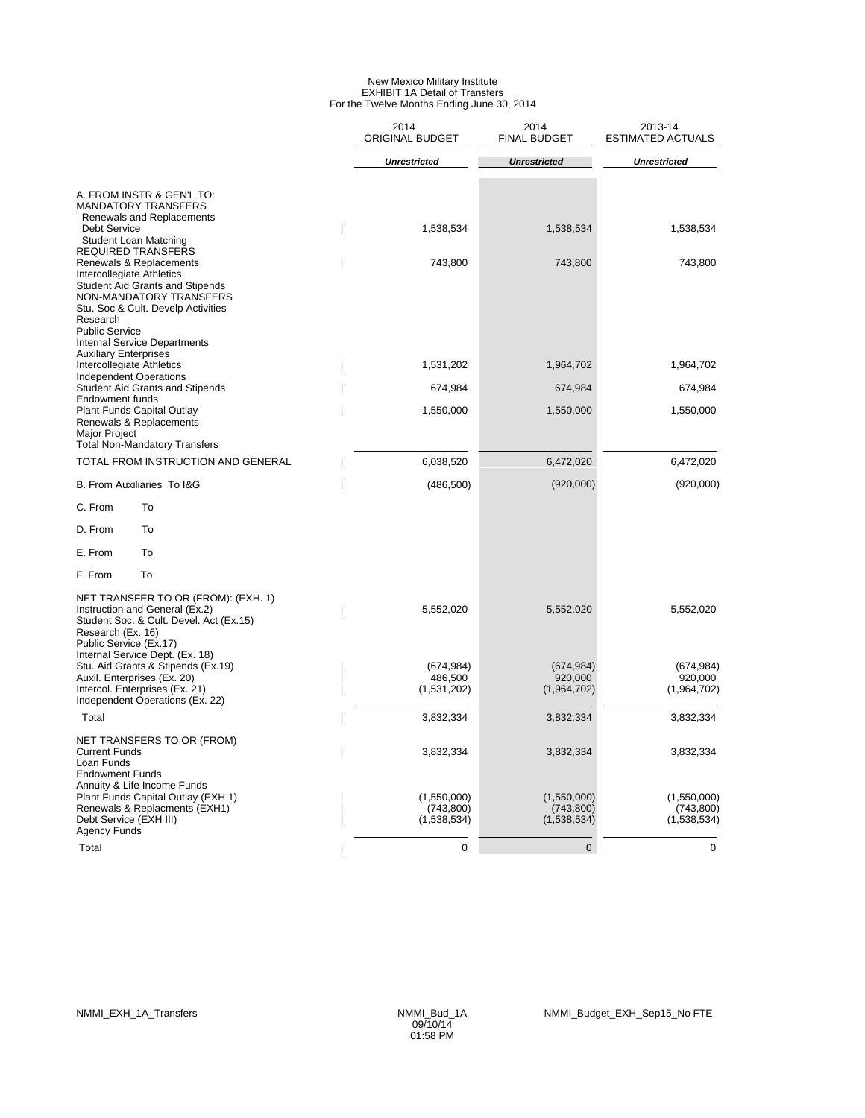#### New Mexico Military Institute EXHIBIT 1A Detail of Transfers For the Twelve Months Ending June 30, 2014

|                                                                                                                                                                                                                                      | 2014<br><b>ORIGINAL BUDGET</b>          | 2014<br><b>FINAL BUDGET</b>             | 2013-14<br><b>ESTIMATED ACTUALS</b>      |
|--------------------------------------------------------------------------------------------------------------------------------------------------------------------------------------------------------------------------------------|-----------------------------------------|-----------------------------------------|------------------------------------------|
|                                                                                                                                                                                                                                      | <b>Unrestricted</b>                     | <b>Unrestricted</b>                     | <b>Unrestricted</b>                      |
| A. FROM INSTR & GEN'L TO:<br><b>MANDATORY TRANSFERS</b><br>Renewals and Replacements                                                                                                                                                 |                                         |                                         |                                          |
| <b>Debt Service</b><br>Student Loan Matching<br>REQUIRED TRANSFERS                                                                                                                                                                   | 1,538,534                               | 1,538,534                               | 1,538,534                                |
| Renewals & Replacements<br>Intercollegiate Athletics<br>Student Aid Grants and Stipends<br>NON-MANDATORY TRANSFERS<br>Stu. Soc & Cult. Develp Activities<br>Research<br><b>Public Service</b><br><b>Internal Service Departments</b> | 743,800                                 | 743,800                                 | 743,800                                  |
| <b>Auxiliary Enterprises</b><br>Intercollegiate Athletics                                                                                                                                                                            | 1,531,202                               | 1,964,702                               | 1,964,702                                |
| <b>Independent Operations</b><br><b>Student Aid Grants and Stipends</b>                                                                                                                                                              | 674,984                                 | 674,984                                 | 674,984                                  |
| <b>Endowment funds</b><br><b>Plant Funds Capital Outlay</b><br>Renewals & Replacements<br>Major Project                                                                                                                              | 1,550,000                               | 1,550,000                               | 1,550,000                                |
| <b>Total Non-Mandatory Transfers</b>                                                                                                                                                                                                 |                                         |                                         |                                          |
| TOTAL FROM INSTRUCTION AND GENERAL                                                                                                                                                                                                   | 6,038,520                               | 6,472,020                               | 6,472,020                                |
| <b>B. From Auxiliaries To I&amp;G</b>                                                                                                                                                                                                | (486, 500)                              | (920,000)                               | (920,000)                                |
| C. From<br>To                                                                                                                                                                                                                        |                                         |                                         |                                          |
| D. From<br>To                                                                                                                                                                                                                        |                                         |                                         |                                          |
| E. From<br>To                                                                                                                                                                                                                        |                                         |                                         |                                          |
| To<br>F. From                                                                                                                                                                                                                        |                                         |                                         |                                          |
| NET TRANSFER TO OR (FROM): (EXH. 1)<br>Instruction and General (Ex.2)<br>Student Soc. & Cult. Devel. Act (Ex.15)<br>Research (Ex. 16)<br>Public Service (Ex.17)                                                                      | 5,552,020                               | 5,552,020                               | 5,552,020                                |
| Internal Service Dept. (Ex. 18)<br>Stu. Aid Grants & Stipends (Ex.19)<br>Auxil. Enterprises (Ex. 20)<br>Intercol. Enterprises (Ex. 21)<br>Independent Operations (Ex. 22)                                                            | (674, 984)<br>486,500<br>(1,531,202)    | (674, 984)<br>920,000<br>(1,964,702)    | (674, 984)<br>920,000<br>(1,964,702)     |
| Total                                                                                                                                                                                                                                | 3,832,334                               | 3,832,334                               | 3,832,334                                |
| NET TRANSFERS TO OR (FROM)<br>Current Funds<br>Loan Funds<br><b>Endowment Funds</b>                                                                                                                                                  | 3,832,334                               | 3,832,334                               | 3,832,334                                |
| Annuity & Life Income Funds<br>Plant Funds Capital Outlay (EXH 1)<br>Renewals & Replacments (EXH1)<br>Debt Service (EXH III)<br><b>Agency Funds</b>                                                                                  | (1,550,000)<br>(743,800)<br>(1,538,534) | (1,550,000)<br>(743,800)<br>(1,538,534) | (1,550,000)<br>(743, 800)<br>(1,538,534) |
| Total                                                                                                                                                                                                                                | 0                                       | $\mathbf 0$                             | 0                                        |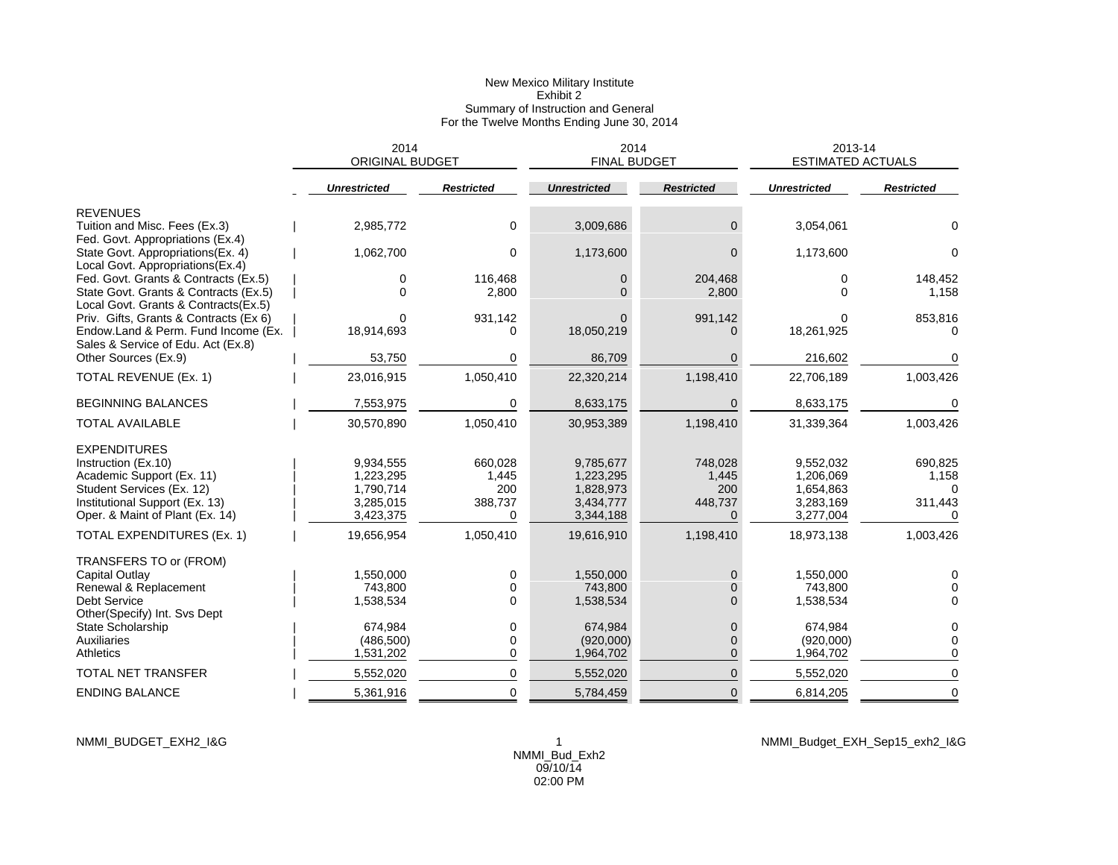## New Mexico Military Institute Exhibit 2 Summary of Instruction and General For the Twelve Months Ending June 30, 2014

|                                                                                                                     | 2014<br><b>ORIGINAL BUDGET</b> |                   | 2014<br><b>FINAL BUDGET</b> |                   | 2013-14<br><b>ESTIMATED ACTUALS</b> |                   |
|---------------------------------------------------------------------------------------------------------------------|--------------------------------|-------------------|-----------------------------|-------------------|-------------------------------------|-------------------|
|                                                                                                                     | Unrestricted                   | <b>Restricted</b> | <b>Unrestricted</b>         | <b>Restricted</b> | <b>Unrestricted</b>                 | <b>Restricted</b> |
| <b>REVENUES</b>                                                                                                     |                                |                   |                             |                   |                                     |                   |
| Tuition and Misc. Fees (Ex.3)<br>Fed. Govt. Appropriations (Ex.4)                                                   | 2,985,772                      | $\mathbf 0$       | 3,009,686                   | $\Omega$          | 3,054,061                           | $\Omega$          |
| State Govt. Appropriations(Ex. 4)<br>Local Govt. Appropriations(Ex.4)                                               | 1,062,700                      | $\Omega$          | 1,173,600                   | 0                 | 1,173,600                           | 0                 |
| Fed. Govt. Grants & Contracts (Ex.5)                                                                                | 0                              | 116,468           | 0                           | 204,468           | 0                                   | 148,452           |
| State Govt. Grants & Contracts (Ex.5)<br>Local Govt. Grants & Contracts(Ex.5)                                       | $\Omega$                       | 2,800             | $\Omega$                    | 2,800             | $\Omega$                            | 1,158             |
| Priv. Gifts, Grants & Contracts (Ex 6)<br>Endow.Land & Perm. Fund Income (Ex.<br>Sales & Service of Edu. Act (Ex.8) | O<br>18,914,693                | 931,142<br>0      | $\Omega$<br>18,050,219      | 991,142           | 18,261,925                          | 853,816<br>O      |
| Other Sources (Ex.9)                                                                                                | 53,750                         | 0                 | 86,709                      | $\Omega$          | 216,602                             | 0                 |
| TOTAL REVENUE (Ex. 1)                                                                                               | 23,016,915                     | 1,050,410         | 22,320,214                  | 1,198,410         | 22,706,189                          | 1,003,426         |
| <b>BEGINNING BALANCES</b>                                                                                           | 7,553,975                      | $\Omega$          | 8,633,175                   | $\Omega$          | 8,633,175                           | 0                 |
| <b>TOTAL AVAILABLE</b>                                                                                              | 30,570,890                     | 1,050,410         | 30,953,389                  | 1,198,410         | 31,339,364                          | 1,003,426         |
| <b>EXPENDITURES</b>                                                                                                 |                                |                   |                             |                   |                                     |                   |
| Instruction (Ex.10)                                                                                                 | 9,934,555                      | 660,028           | 9,785,677                   | 748,028           | 9,552,032                           | 690,825           |
| Academic Support (Ex. 11)                                                                                           | 1,223,295                      | 1,445             | 1,223,295                   | 1,445             | 1,206,069                           | 1,158             |
| Student Services (Ex. 12)                                                                                           | 1,790,714                      | 200               | 1,828,973                   | 200               | 1,654,863                           |                   |
| Institutional Support (Ex. 13)                                                                                      | 3,285,015                      | 388,737           | 3,434,777                   | 448,737           | 3,283,169                           | 311,443           |
| Oper. & Maint of Plant (Ex. 14)                                                                                     | 3,423,375                      | 0                 | 3,344,188                   | $\Omega$          | 3,277,004                           | $\Omega$          |
| TOTAL EXPENDITURES (Ex. 1)                                                                                          | 19,656,954                     | 1,050,410         | 19,616,910                  | 1,198,410         | 18,973,138                          | 1,003,426         |
| TRANSFERS TO or (FROM)                                                                                              |                                |                   |                             |                   |                                     |                   |
| Capital Outlay                                                                                                      | 1,550,000                      | 0                 | 1,550,000                   |                   | 1,550,000                           | 0                 |
| Renewal & Replacement                                                                                               | 743.800                        | $\Omega$          | 743,800                     |                   | 743.800                             |                   |
| <b>Debt Service</b><br>Other(Specify) Int. Svs Dept                                                                 | 1,538,534                      | $\Omega$          | 1,538,534                   | ∩                 | 1,538,534                           | 0                 |
| State Scholarship                                                                                                   | 674,984                        | $\mathbf 0$       | 674,984                     | 0                 | 674,984                             | 0                 |
| <b>Auxiliaries</b>                                                                                                  | (486, 500)                     | 0                 | (920,000)                   | 0                 | (920,000)                           | 0                 |
| <b>Athletics</b>                                                                                                    | 1,531,202                      | $\Omega$          | 1,964,702                   | $\Omega$          | 1,964,702                           | 0                 |
| <b>TOTAL NET TRANSFER</b>                                                                                           | 5,552,020                      | 0                 | 5,552,020                   | $\Omega$          | 5,552,020                           | $\mathbf 0$       |
| <b>ENDING BALANCE</b>                                                                                               | 5,361,916                      | $\Omega$          | 5,784,459                   | $\overline{0}$    | 6,814,205                           | $\mathbf 0$       |

NMMI\_BUDGET\_EXH2\_I&G 1 NMMI\_Budget\_EXH\_Sep15\_exh2\_I&G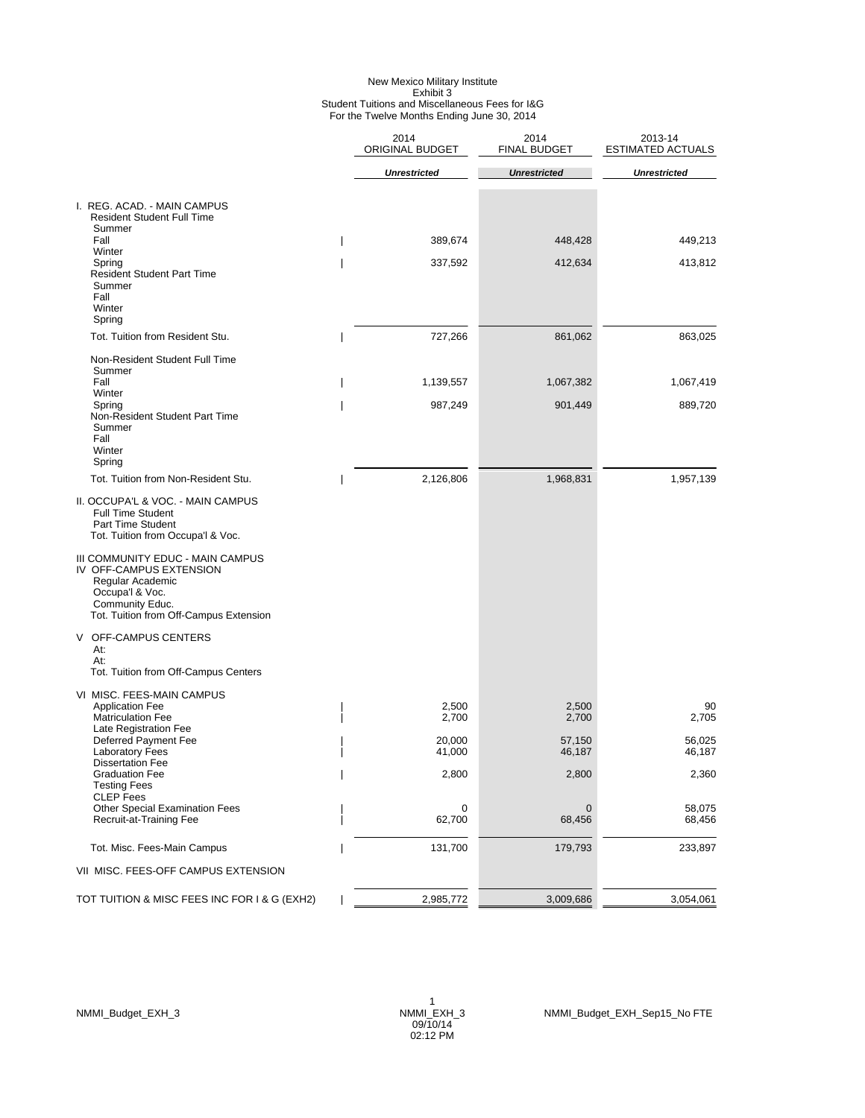#### New Mexico Military Institute Exhibit 3 Student Tuitions and Miscellaneous Fees for I&G For the Twelve Months Ending June 30, 2014

|                                                                                                                                                                                                                                                                                                                    | 2014<br>ORIGINAL BUDGET | 2014<br><b>FINAL BUDGET</b> | 2013-14<br><b>ESTIMATED ACTUALS</b> |
|--------------------------------------------------------------------------------------------------------------------------------------------------------------------------------------------------------------------------------------------------------------------------------------------------------------------|-------------------------|-----------------------------|-------------------------------------|
|                                                                                                                                                                                                                                                                                                                    | <b>Unrestricted</b>     | <b>Unrestricted</b>         | <b>Unrestricted</b>                 |
| I. REG. ACAD. - MAIN CAMPUS<br><b>Resident Student Full Time</b>                                                                                                                                                                                                                                                   |                         |                             |                                     |
| Summer<br>Fall                                                                                                                                                                                                                                                                                                     | 389,674                 | 448,428                     | 449,213                             |
| Winter<br>Spring<br><b>Resident Student Part Time</b><br>Summer<br>Fall<br>Winter<br>Spring                                                                                                                                                                                                                        | 337,592                 | 412,634                     | 413,812                             |
| Tot. Tuition from Resident Stu.                                                                                                                                                                                                                                                                                    | 727,266                 | 861,062                     | 863,025                             |
| Non-Resident Student Full Time<br>Summer                                                                                                                                                                                                                                                                           |                         |                             |                                     |
| Fall<br>Winter                                                                                                                                                                                                                                                                                                     | 1,139,557               | 1,067,382                   | 1,067,419                           |
| Spring<br>Non-Resident Student Part Time<br>Summer<br>Fall<br>Winter                                                                                                                                                                                                                                               | 987,249                 | 901,449                     | 889,720                             |
| Spring<br>Tot. Tuition from Non-Resident Stu.                                                                                                                                                                                                                                                                      | 2,126,806               | 1,968,831                   | 1,957,139                           |
| II. OCCUPA'L & VOC. - MAIN CAMPUS<br><b>Full Time Student</b><br>Part Time Student<br>Tot. Tuition from Occupa'l & Voc.<br>III COMMUNITY EDUC - MAIN CAMPUS<br>IV OFF-CAMPUS EXTENSION<br>Regular Academic<br>Occupa'l & Voc.<br>Community Educ.<br>Tot. Tuition from Off-Campus Extension<br>V OFF-CAMPUS CENTERS |                         |                             |                                     |
| At:<br>At:<br>Tot. Tuition from Off-Campus Centers                                                                                                                                                                                                                                                                 |                         |                             |                                     |
| VI MISC. FEES-MAIN CAMPUS<br><b>Application Fee</b><br><b>Matriculation Fee</b><br>Late Registration Fee                                                                                                                                                                                                           | 2,500<br>2,700          | 2,500<br>2,700              | 90<br>2,705                         |
| Deferred Payment Fee<br><b>Laboratory Fees</b><br><b>Dissertation Fee</b>                                                                                                                                                                                                                                          | 20,000<br>41,000        | 57,150<br>46,187            | 56,025<br>46,187                    |
| <b>Graduation Fee</b><br><b>Testing Fees</b><br><b>CLEP</b> Fees                                                                                                                                                                                                                                                   | 2,800                   | 2,800                       | 2,360                               |
| <b>Other Special Examination Fees</b><br>Recruit-at-Training Fee                                                                                                                                                                                                                                                   | 0<br>62,700             | 0<br>68,456                 | 58,075<br>68,456                    |
| Tot. Misc. Fees-Main Campus                                                                                                                                                                                                                                                                                        | 131,700                 | 179,793                     | 233,897                             |
| VII MISC. FEES-OFF CAMPUS EXTENSION                                                                                                                                                                                                                                                                                |                         |                             |                                     |
| TOT TUITION & MISC FEES INC FOR I & G (EXH2)                                                                                                                                                                                                                                                                       | 2,985,772               | 3,009,686                   | 3,054,061                           |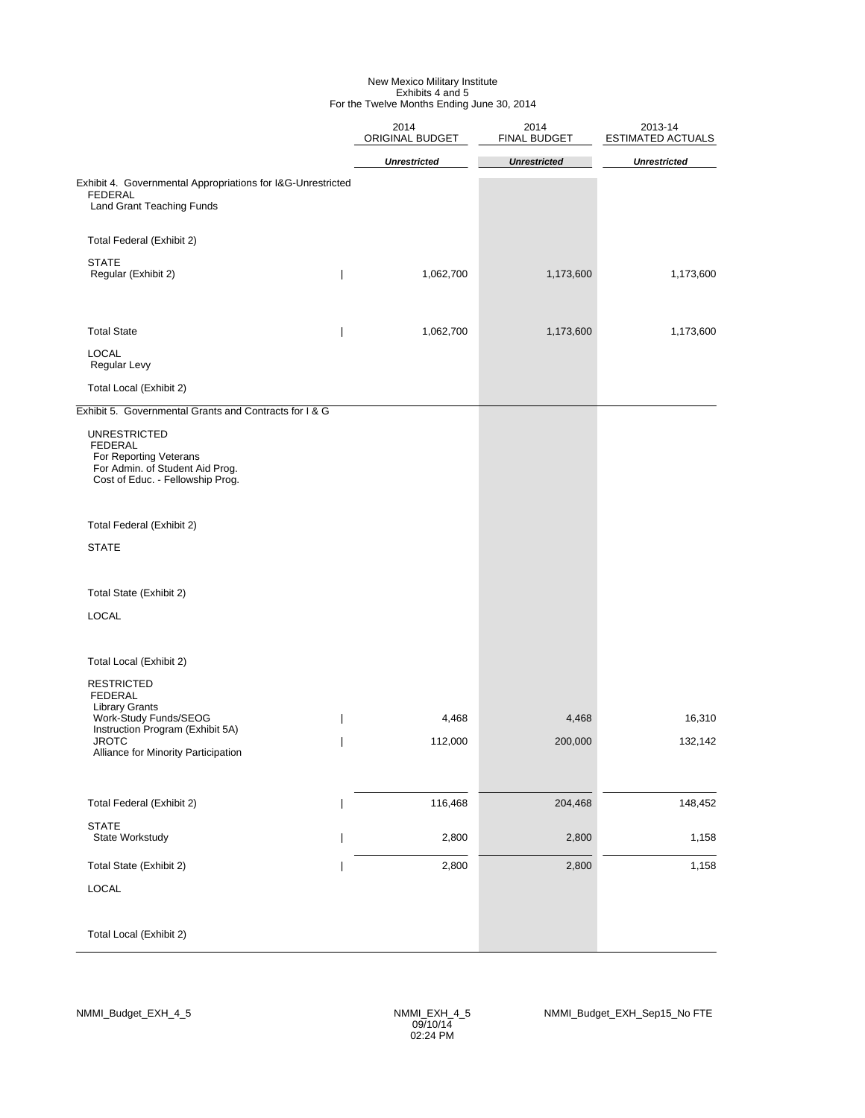#### New Mexico Military Institute Exhibits 4 and 5 For the Twelve Months Ending June 30, 2014

|                                                                                                                                        | 2014<br>ORIGINAL BUDGET | 2014<br>FINAL BUDGET | 2013-14<br><b>ESTIMATED ACTUALS</b> |
|----------------------------------------------------------------------------------------------------------------------------------------|-------------------------|----------------------|-------------------------------------|
|                                                                                                                                        | <b>Unrestricted</b>     | <b>Unrestricted</b>  | <b>Unrestricted</b>                 |
| Exhibit 4. Governmental Appropriations for I&G-Unrestricted<br><b>FEDERAL</b><br>Land Grant Teaching Funds                             |                         |                      |                                     |
| Total Federal (Exhibit 2)                                                                                                              |                         |                      |                                     |
| <b>STATE</b><br>Regular (Exhibit 2)                                                                                                    | 1,062,700               | 1,173,600            | 1,173,600                           |
| <b>Total State</b><br>$\overline{\phantom{a}}$                                                                                         | 1,062,700               | 1,173,600            | 1,173,600                           |
| <b>LOCAL</b><br>Regular Levy                                                                                                           |                         |                      |                                     |
| Total Local (Exhibit 2)                                                                                                                |                         |                      |                                     |
| Exhibit 5. Governmental Grants and Contracts for I & G                                                                                 |                         |                      |                                     |
| <b>UNRESTRICTED</b><br><b>FEDERAL</b><br>For Reporting Veterans<br>For Admin. of Student Aid Prog.<br>Cost of Educ. - Fellowship Prog. |                         |                      |                                     |
| Total Federal (Exhibit 2)                                                                                                              |                         |                      |                                     |
| <b>STATE</b>                                                                                                                           |                         |                      |                                     |
| Total State (Exhibit 2)                                                                                                                |                         |                      |                                     |
| <b>LOCAL</b>                                                                                                                           |                         |                      |                                     |
| Total Local (Exhibit 2)                                                                                                                |                         |                      |                                     |
| <b>RESTRICTED</b><br><b>FEDERAL</b><br><b>Library Grants</b>                                                                           |                         |                      |                                     |
| Work-Study Funds/SEOG<br>Instruction Program (Exhibit 5A)                                                                              | 4,468                   | 4,468                | 16,310                              |
| <b>JROTC</b><br>Alliance for Minority Participation                                                                                    | 112,000                 | 200,000              | 132,142                             |
| Total Federal (Exhibit 2)                                                                                                              | 116,468                 | 204,468              | 148,452                             |
| <b>STATE</b><br>State Workstudy                                                                                                        | 2,800                   | 2,800                | 1,158                               |
| Total State (Exhibit 2)                                                                                                                | 2,800                   | 2,800                | 1,158                               |
| LOCAL                                                                                                                                  |                         |                      |                                     |
| Total Local (Exhibit 2)                                                                                                                |                         |                      |                                     |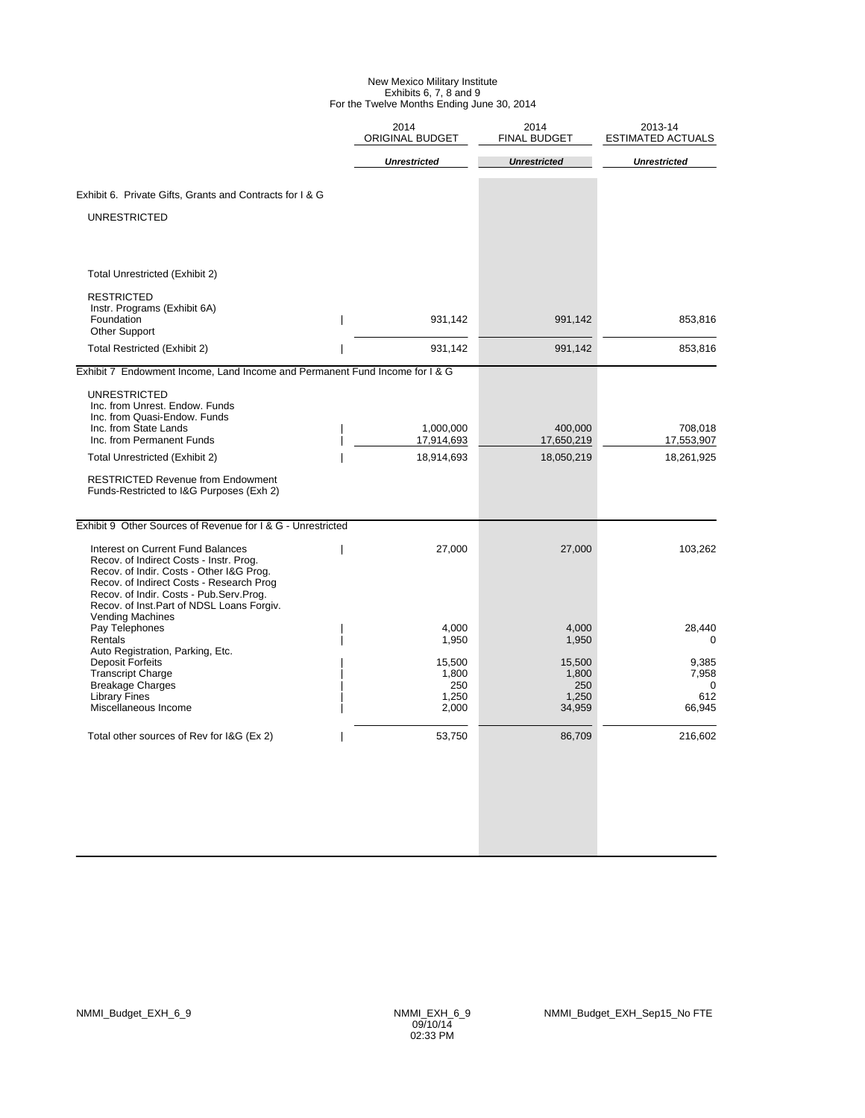#### New Mexico Military Institute Exhibits 6, 7, 8 and 9 For the Twelve Months Ending June 30, 2014

|                                                                                                                                                                                                                                                                                  | 2014<br>ORIGINAL BUDGET                  | 2014<br><b>FINAL BUDGET</b>               | 2013-14<br><b>ESTIMATED ACTUALS</b>  |
|----------------------------------------------------------------------------------------------------------------------------------------------------------------------------------------------------------------------------------------------------------------------------------|------------------------------------------|-------------------------------------------|--------------------------------------|
|                                                                                                                                                                                                                                                                                  | <b>Unrestricted</b>                      | <b>Unrestricted</b>                       | <b>Unrestricted</b>                  |
| Exhibit 6. Private Gifts, Grants and Contracts for I & G                                                                                                                                                                                                                         |                                          |                                           |                                      |
| <b>UNRESTRICTED</b>                                                                                                                                                                                                                                                              |                                          |                                           |                                      |
| Total Unrestricted (Exhibit 2)                                                                                                                                                                                                                                                   |                                          |                                           |                                      |
| <b>RESTRICTED</b><br>Instr. Programs (Exhibit 6A)<br>Foundation<br><b>Other Support</b>                                                                                                                                                                                          | 931,142<br>$\overline{1}$                | 991,142                                   | 853,816                              |
| Total Restricted (Exhibit 2)                                                                                                                                                                                                                                                     | 931,142                                  | 991,142                                   | 853,816                              |
| Exhibit 7 Endowment Income, Land Income and Permanent Fund Income for I & G                                                                                                                                                                                                      |                                          |                                           |                                      |
| <b>UNRESTRICTED</b><br>Inc. from Unrest. Endow. Funds<br>Inc. from Quasi-Endow. Funds<br>Inc. from State Lands<br>Inc. from Permanent Funds                                                                                                                                      | 1,000,000<br>17,914,693                  | 400,000<br>17,650,219                     | 708,018<br>17,553,907                |
| Total Unrestricted (Exhibit 2)                                                                                                                                                                                                                                                   | 18,914,693                               | 18,050,219                                | 18,261,925                           |
| <b>RESTRICTED Revenue from Endowment</b><br>Funds-Restricted to I&G Purposes (Exh 2)                                                                                                                                                                                             |                                          |                                           |                                      |
| Exhibit 9 Other Sources of Revenue for I & G - Unrestricted                                                                                                                                                                                                                      |                                          |                                           |                                      |
| Interest on Current Fund Balances<br>Recov. of Indirect Costs - Instr. Prog.<br>Recov. of Indir. Costs - Other I&G Prog.<br>Recov. of Indirect Costs - Research Prog<br>Recov. of Indir. Costs - Pub.Serv.Prog.<br>Recov. of Inst.Part of NDSL Loans Forgiv.<br>Vending Machines | 27,000                                   | 27,000                                    | 103,262                              |
| Pay Telephones<br>Rentals                                                                                                                                                                                                                                                        | 4.000<br>1,950                           | 4.000<br>1,950                            | 28,440<br>$\mathbf 0$                |
| Auto Registration, Parking, Etc.<br><b>Deposit Forfeits</b><br><b>Transcript Charge</b><br><b>Breakage Charges</b><br><b>Library Fines</b><br>Miscellaneous Income                                                                                                               | 15,500<br>1,800<br>250<br>1,250<br>2,000 | 15,500<br>1,800<br>250<br>1,250<br>34,959 | 9,385<br>7,958<br>0<br>612<br>66,945 |
| Total other sources of Rev for I&G (Ex 2)                                                                                                                                                                                                                                        | 53,750                                   | 86,709                                    | 216,602                              |
|                                                                                                                                                                                                                                                                                  |                                          |                                           |                                      |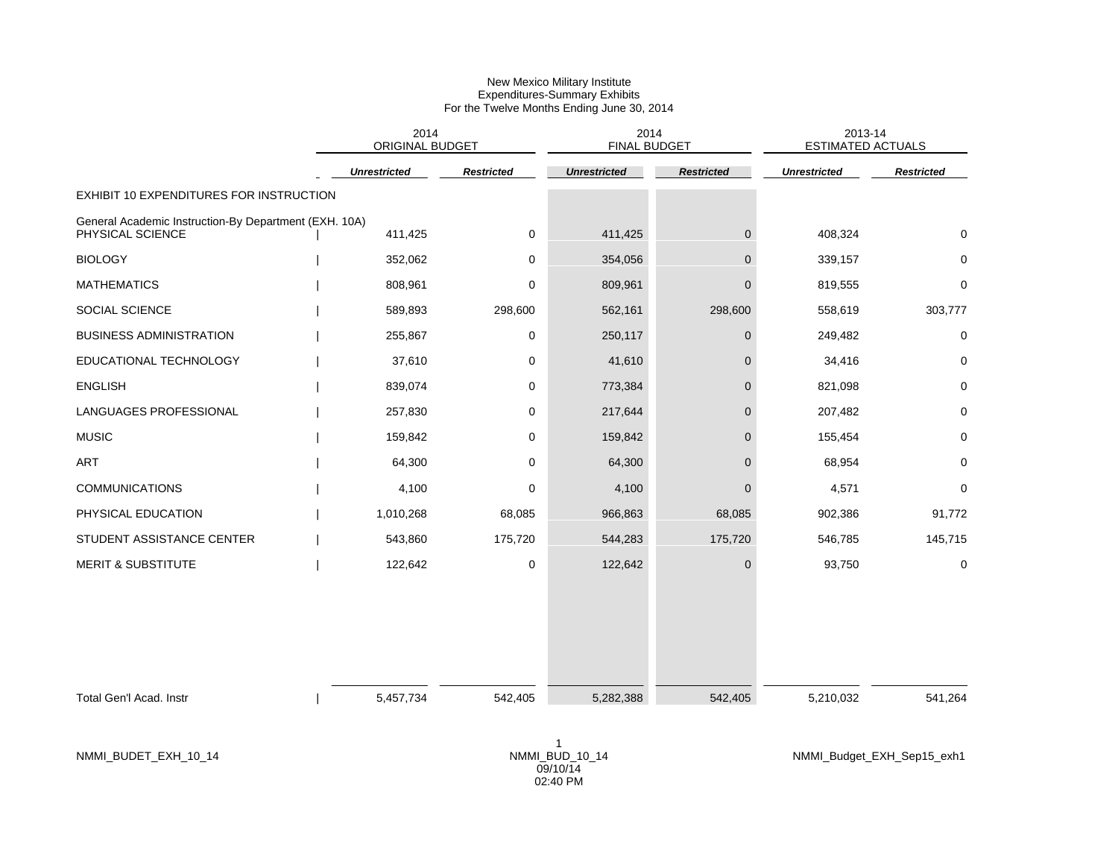|                                                                           | 2014<br>ORIGINAL BUDGET |                   | 2014<br><b>FINAL BUDGET</b> |                   | 2013-14<br><b>ESTIMATED ACTUALS</b> |                            |
|---------------------------------------------------------------------------|-------------------------|-------------------|-----------------------------|-------------------|-------------------------------------|----------------------------|
|                                                                           | <b>Unrestricted</b>     | <b>Restricted</b> | <b>Unrestricted</b>         | <b>Restricted</b> | <b>Unrestricted</b>                 | <b>Restricted</b>          |
| EXHIBIT 10 EXPENDITURES FOR INSTRUCTION                                   |                         |                   |                             |                   |                                     |                            |
| General Academic Instruction-By Department (EXH. 10A)<br>PHYSICAL SCIENCE | 411,425                 | $\mathbf 0$       | 411,425                     | $\mathbf 0$       | 408,324                             |                            |
| <b>BIOLOGY</b>                                                            | 352,062                 | 0                 | 354,056                     | $\Omega$          | 339,157                             | $\Omega$                   |
| <b>MATHEMATICS</b>                                                        | 808,961                 | 0                 | 809,961                     | $\Omega$          | 819,555                             | $\Omega$                   |
| SOCIAL SCIENCE                                                            | 589,893                 | 298,600           | 562,161                     | 298,600           | 558,619                             | 303,777                    |
| <b>BUSINESS ADMINISTRATION</b>                                            | 255,867                 | 0                 | 250,117                     | $\mathbf{0}$      | 249,482                             | $\mathbf 0$                |
| EDUCATIONAL TECHNOLOGY                                                    | 37,610                  | 0                 | 41,610                      | $\Omega$          | 34,416                              | $\Omega$                   |
| <b>ENGLISH</b>                                                            | 839,074                 | 0                 | 773,384                     | $\Omega$          | 821,098                             | $\Omega$                   |
| LANGUAGES PROFESSIONAL                                                    | 257,830                 | 0                 | 217,644                     | $\mathbf{0}$      | 207,482                             | $\Omega$                   |
| <b>MUSIC</b>                                                              | 159,842                 | 0                 | 159,842                     | $\mathbf{0}$      | 155,454                             | $\Omega$                   |
| ART                                                                       | 64,300                  | 0                 | 64,300                      | $\Omega$          | 68,954                              | $\mathbf 0$                |
| <b>COMMUNICATIONS</b>                                                     | 4,100                   | 0                 | 4,100                       | $\Omega$          | 4,571                               | $\Omega$                   |
| PHYSICAL EDUCATION                                                        | 1,010,268               | 68,085            | 966,863                     | 68,085            | 902,386                             | 91,772                     |
| STUDENT ASSISTANCE CENTER                                                 | 543,860                 | 175,720           | 544,283                     | 175,720           | 546,785                             | 145,715                    |
| <b>MERIT &amp; SUBSTITUTE</b>                                             | 122,642                 | 0                 | 122,642                     | $\mathbf{0}$      | 93,750                              | $\mathbf 0$                |
| Total Gen'l Acad. Instr                                                   | 5,457,734               | 542,405           | 5,282,388                   | 542,405           | 5,210,032                           | 541,264                    |
| NMMI_BUDET_EXH_10_14                                                      |                         |                   | NMMI_BUD_10_14<br>09/10/14  |                   |                                     | NMMI_Budget_EXH_Sep15_exh1 |

02:40 PM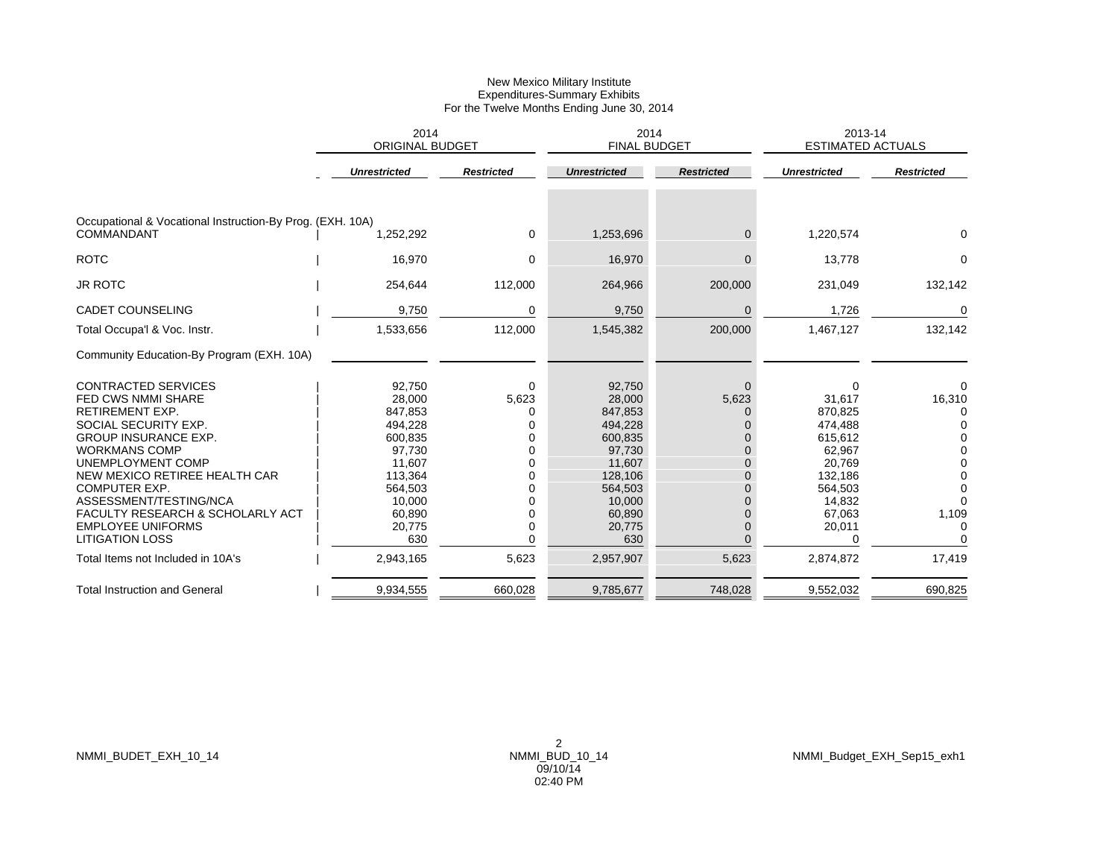|                                                                                                                                                                                                                                                                                                                                                                                                                    | 2014<br><b>ORIGINAL BUDGET</b>                                                                                                                |                                                                            | 2014<br><b>FINAL BUDGET</b>                                                                                                                   |                                                                                                            | 2013-14<br><b>ESTIMATED ACTUALS</b>                                                                                               |                                                                         |
|--------------------------------------------------------------------------------------------------------------------------------------------------------------------------------------------------------------------------------------------------------------------------------------------------------------------------------------------------------------------------------------------------------------------|-----------------------------------------------------------------------------------------------------------------------------------------------|----------------------------------------------------------------------------|-----------------------------------------------------------------------------------------------------------------------------------------------|------------------------------------------------------------------------------------------------------------|-----------------------------------------------------------------------------------------------------------------------------------|-------------------------------------------------------------------------|
|                                                                                                                                                                                                                                                                                                                                                                                                                    | <b>Unrestricted</b>                                                                                                                           | <b>Restricted</b>                                                          | <b>Unrestricted</b>                                                                                                                           | <b>Restricted</b>                                                                                          | <b>Unrestricted</b>                                                                                                               | <b>Restricted</b>                                                       |
| Occupational & Vocational Instruction-By Prog. (EXH. 10A)<br><b>COMMANDANT</b>                                                                                                                                                                                                                                                                                                                                     | 1,252,292                                                                                                                                     | 0                                                                          | 1,253,696                                                                                                                                     | 0                                                                                                          | 1,220,574                                                                                                                         | $\Omega$                                                                |
| <b>ROTC</b>                                                                                                                                                                                                                                                                                                                                                                                                        | 16,970                                                                                                                                        | 0                                                                          | 16,970                                                                                                                                        | $\overline{0}$                                                                                             | 13,778                                                                                                                            | 0                                                                       |
| <b>JR ROTC</b>                                                                                                                                                                                                                                                                                                                                                                                                     | 254,644                                                                                                                                       | 112,000                                                                    | 264,966                                                                                                                                       | 200,000                                                                                                    | 231,049                                                                                                                           | 132,142                                                                 |
| <b>CADET COUNSELING</b>                                                                                                                                                                                                                                                                                                                                                                                            | 9,750                                                                                                                                         | 0                                                                          | 9,750                                                                                                                                         | $\mathbf 0$                                                                                                | 1,726                                                                                                                             | 0                                                                       |
| Total Occupa'l & Voc. Instr.                                                                                                                                                                                                                                                                                                                                                                                       | 1,533,656                                                                                                                                     | 112,000                                                                    | 1,545,382                                                                                                                                     | 200,000                                                                                                    | 1,467,127                                                                                                                         | 132,142                                                                 |
| Community Education-By Program (EXH. 10A)                                                                                                                                                                                                                                                                                                                                                                          |                                                                                                                                               |                                                                            |                                                                                                                                               |                                                                                                            |                                                                                                                                   |                                                                         |
| <b>CONTRACTED SERVICES</b><br><b>FED CWS NMMI SHARE</b><br><b>RETIREMENT EXP.</b><br>SOCIAL SECURITY EXP.<br><b>GROUP INSURANCE EXP.</b><br><b>WORKMANS COMP</b><br>UNEMPLOYMENT COMP<br>NEW MEXICO RETIREE HEALTH CAR<br><b>COMPUTER EXP.</b><br>ASSESSMENT/TESTING/NCA<br><b>FACULTY RESEARCH &amp; SCHOLARLY ACT</b><br><b>EMPLOYEE UNIFORMS</b><br><b>LITIGATION LOSS</b><br>Total Items not Included in 10A's | 92,750<br>28,000<br>847,853<br>494,228<br>600,835<br>97,730<br>11,607<br>113,364<br>564,503<br>10,000<br>60,890<br>20,775<br>630<br>2,943,165 | 0<br>5,623<br>0<br>0<br>0<br>0<br>0<br>0<br>U<br>U<br>0<br>0<br>0<br>5,623 | 92,750<br>28,000<br>847,853<br>494,228<br>600,835<br>97,730<br>11,607<br>128,106<br>564,503<br>10,000<br>60,890<br>20,775<br>630<br>2,957,907 | $\Omega$<br>5,623<br>0<br>0<br>$\Omega$<br>$\Omega$<br>$\Omega$<br>$\Omega$<br>$\Omega$<br>0<br>0<br>5,623 | 0<br>31,617<br>870,825<br>474,488<br>615,612<br>62,967<br>20,769<br>132,186<br>564,503<br>14,832<br>67,063<br>20,011<br>2,874,872 | O<br>16,310<br>O<br>$\Omega$<br>$\Omega$<br>$\Omega$<br>1,109<br>17,419 |
|                                                                                                                                                                                                                                                                                                                                                                                                                    |                                                                                                                                               |                                                                            |                                                                                                                                               |                                                                                                            |                                                                                                                                   |                                                                         |
| <b>Total Instruction and General</b>                                                                                                                                                                                                                                                                                                                                                                               | 9,934,555                                                                                                                                     | 660,028                                                                    | 9,785,677                                                                                                                                     | 748,028                                                                                                    | 9,552,032                                                                                                                         | 690,825                                                                 |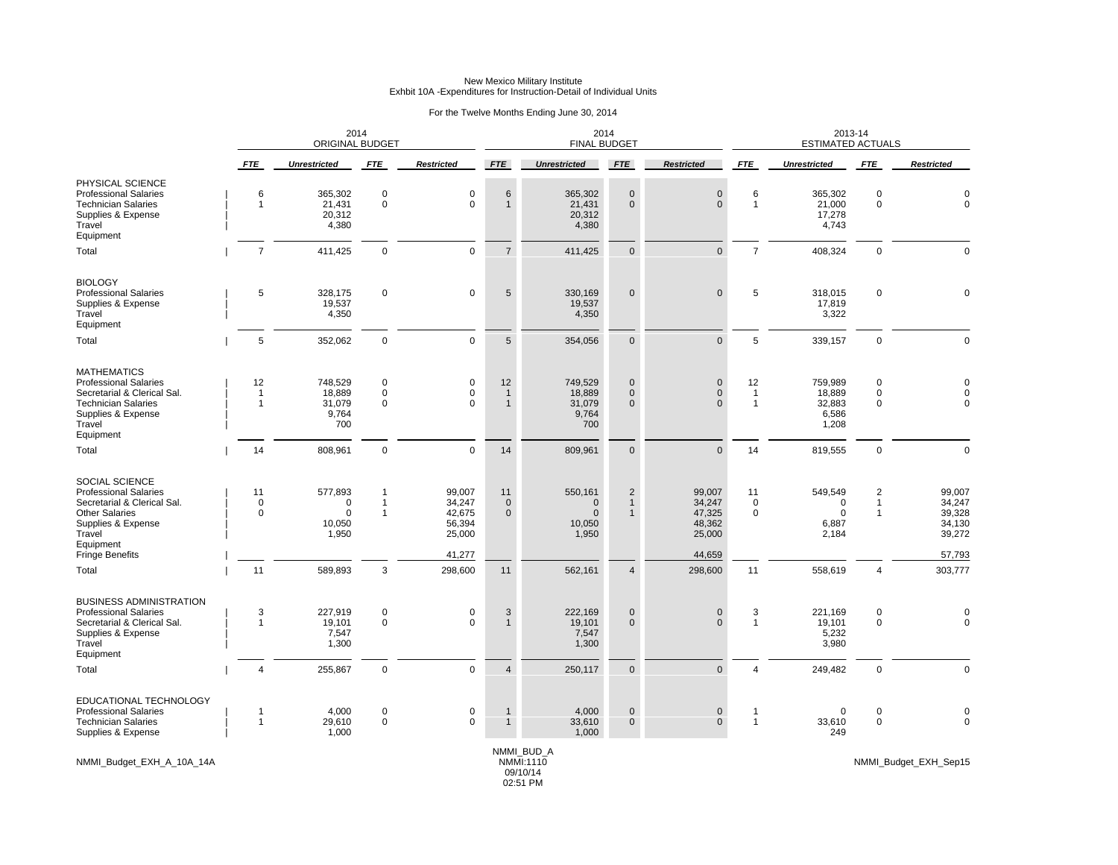### For the Twelve Months Ending June 30, 2014

|                                                                                                                                                              |                                      | ORIGINAL BUDGET                                       | 2014                                             |                                                | 2014<br><b>FINAL BUDGET</b>        |                                                           |                                                |                                                |                                      | 2013-14<br><b>ESTIMATED ACTUALS</b>           |                                                         |                                                |
|--------------------------------------------------------------------------------------------------------------------------------------------------------------|--------------------------------------|-------------------------------------------------------|--------------------------------------------------|------------------------------------------------|------------------------------------|-----------------------------------------------------------|------------------------------------------------|------------------------------------------------|--------------------------------------|-----------------------------------------------|---------------------------------------------------------|------------------------------------------------|
|                                                                                                                                                              | <b>FTE</b>                           | <b>Unrestricted</b>                                   | <b>FTE</b>                                       | <b>Restricted</b>                              | <b>FTE</b>                         | <b>Unrestricted</b>                                       | FTE                                            | <b>Restricted</b>                              | <b>FTE</b>                           | <b>Unrestricted</b>                           | <b>FTE</b>                                              | <b>Restricted</b>                              |
| PHYSICAL SCIENCE<br><b>Professional Salaries</b><br><b>Technician Salaries</b><br>Supplies & Expense<br>Travel<br>Equipment                                  | 6<br>$\mathbf{1}$                    | 365,302<br>21,431<br>20,312<br>4,380                  | $\mathsf 0$<br>$\mathbf 0$                       | 0<br>$\mathbf{0}$                              | 6<br>$\mathbf{1}$                  | 365,302<br>21,431<br>20,312<br>4,380                      | $\mathbf 0$<br>$\mathbf{0}$                    | $\mathsf{O}\xspace$<br>$\mathbf{0}$            | 6<br>1                               | 365,302<br>21,000<br>17,278<br>4,743          | $\pmb{0}$<br>$\mathbf 0$                                | 0<br>$\Omega$                                  |
| Total                                                                                                                                                        | $\overline{7}$                       | 411,425                                               | $\mathbf 0$                                      | $\Omega$                                       | $\overline{7}$                     | 411,425                                                   | $\mathbf{0}$                                   | $\mathbf 0$                                    | $\overline{7}$                       | 408,324                                       | $\mathbf 0$                                             | $\Omega$                                       |
| <b>BIOLOGY</b><br><b>Professional Salaries</b><br>Supplies & Expense<br>Travel<br>Equipment                                                                  | 5                                    | 328,175<br>19,537<br>4,350                            | $\mathbf 0$                                      | $\mathbf{0}$                                   | 5                                  | 330,169<br>19,537<br>4,350                                | $\mathbf{0}$                                   | $\mathbf{0}$                                   | 5                                    | 318,015<br>17,819<br>3,322                    | $\mathbf 0$                                             | $\Omega$                                       |
| Total                                                                                                                                                        | 5                                    | 352,062                                               | $\mathbf 0$                                      | 0                                              | 5                                  | 354,056                                                   | $\mathbf 0$                                    | $\pmb{0}$                                      | 5                                    | 339,157                                       | $\pmb{0}$                                               | $\mathbf 0$                                    |
| <b>MATHEMATICS</b><br><b>Professional Salaries</b><br>Secretarial & Clerical Sal.<br><b>Technician Salaries</b><br>Supplies & Expense<br>Travel<br>Equipment | 12<br>$\mathbf{1}$<br>$\overline{1}$ | 748,529<br>18,889<br>31,079<br>9,764<br>700           | $\mathbf 0$<br>$\mathbf 0$<br>$\mathbf 0$        | 0<br>0<br>$\Omega$                             | 12<br>$\mathbf{1}$<br>$\mathbf{1}$ | 749,529<br>18,889<br>31,079<br>9,764<br>700               | $\mathbf 0$<br>$\mathbf 0$<br>$\Omega$         | $\pmb{0}$<br>$\mathbf 0$<br>$\Omega$           | 12<br>$\overline{1}$<br>$\mathbf{1}$ | 759,989<br>18,889<br>32,883<br>6,586<br>1,208 | $\mathbf 0$<br>0<br>$\Omega$                            | $\Omega$<br>$\Omega$<br>$\Omega$               |
| Total                                                                                                                                                        | 14                                   | 808,961                                               | $\mathbf 0$                                      | $\mathbf 0$                                    | 14                                 | 809,961                                                   | $\mathbf 0$                                    | $\mathbf 0$                                    | 14                                   | 819,555                                       | $\mathsf 0$                                             | $\mathbf 0$                                    |
| SOCIAL SCIENCE<br><b>Professional Salaries</b><br>Secretarial & Clerical Sal.<br><b>Other Salaries</b><br>Supplies & Expense<br>Travel<br>Equipment          | 11<br>$\mathbf 0$<br>$\mathsf 0$     | 577,893<br>$\mathbf 0$<br>$\Omega$<br>10,050<br>1,950 | $\mathbf{1}$<br>$\overline{1}$<br>$\overline{1}$ | 99,007<br>34,247<br>42,675<br>56,394<br>25,000 | 11<br>$\mathbf 0$<br>$\mathbf 0$   | 550,161<br>$\mathbf{0}$<br>$\mathbf 0$<br>10,050<br>1,950 | $\overline{c}$<br>$\mathbf{1}$<br>$\mathbf{1}$ | 99,007<br>34,247<br>47,325<br>48,362<br>25,000 | 11<br>$\mathbf 0$<br>$\pmb{0}$       | 549,549<br>$\Omega$<br>0<br>6,887<br>2,184    | $\overline{\mathbf{c}}$<br>$\mathbf{1}$<br>$\mathbf{1}$ | 99,007<br>34,247<br>39,328<br>34,130<br>39,272 |
| <b>Fringe Benefits</b>                                                                                                                                       |                                      |                                                       |                                                  | 41,277                                         |                                    |                                                           |                                                | 44,659                                         |                                      |                                               |                                                         | 57,793                                         |
| Total                                                                                                                                                        | 11                                   | 589,893                                               | $\mathbf{3}$                                     | 298,600                                        | 11                                 | 562,161                                                   | $\overline{4}$                                 | 298,600                                        | 11                                   | 558,619                                       | $\overline{4}$                                          | 303,777                                        |
| <b>BUSINESS ADMINISTRATION</b><br><b>Professional Salaries</b><br>Secretarial & Clerical Sal.<br>Supplies & Expense<br>Travel<br>Equipment                   | 3<br>1                               | 227,919<br>19,101<br>7,547<br>1,300                   | $\mathbf 0$<br>$\mathbf 0$                       | 0<br>0                                         | 3<br>$\mathbf{1}$                  | 222,169<br>19,101<br>7,547<br>1,300                       | $\mathbf 0$<br>$\mathbf{0}$                    | $\mathsf{O}\xspace$<br>$\mathbf{0}$            | 3<br>1                               | 221,169<br>19,101<br>5,232<br>3,980           | $\pmb{0}$<br>$\mathbf 0$                                | 0                                              |
| Total                                                                                                                                                        | $\overline{4}$                       | 255,867                                               | $\mathbf 0$                                      | $\mathbf{0}$                                   | $\overline{4}$                     | 250,117                                                   | $\mathbf 0$                                    | $\mathbf{0}$                                   | $\overline{4}$                       | 249,482                                       | $\mathbf 0$                                             | $\mathbf 0$                                    |
| EDUCATIONAL TECHNOLOGY<br><b>Professional Salaries</b><br><b>Technician Salaries</b><br>Supplies & Expense                                                   | 1<br>$\mathbf{1}$                    | 4,000<br>29,610<br>1,000                              | $\mathbf 0$<br>$\mathbf 0$                       | 0<br>0                                         | $\mathbf 1$<br>$\mathbf{1}$        | 4,000<br>33,610<br>1,000                                  | $\pmb{0}$<br>$\mathbf 0$                       | $\pmb{0}$<br>$\pmb{0}$                         | $\mathbf{1}$<br>$\mathbf{1}$         | 0<br>33,610<br>249                            | $\pmb{0}$<br>$\mathbf 0$                                | $\mathbf 0$<br>$\mathbf 0$                     |
| NMMI_Budget_EXH_A_10A_14A                                                                                                                                    |                                      |                                                       |                                                  |                                                |                                    | NMMI_BUD_A<br>NMMI:1110<br>09/10/14                       |                                                |                                                |                                      |                                               |                                                         | NMMI_Budget_EXH_Sep15                          |

02:51 PM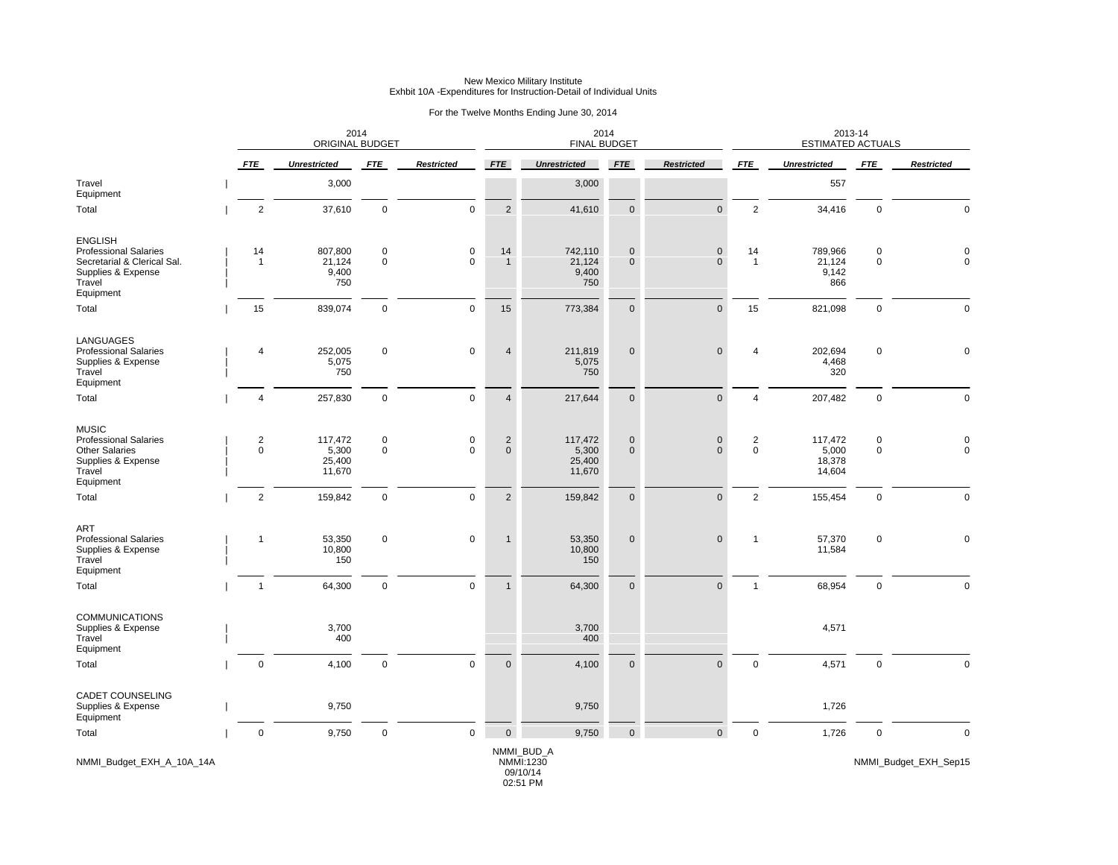|                                                                                                                            |                | 2014<br>ORIGINAL BUDGET              |                            |                   |                               | 2014<br><b>FINAL BUDGET</b>                     |                   |                             |                      | 2013-14<br><b>ESTIMATED ACTUALS</b>  |                            |                                      |
|----------------------------------------------------------------------------------------------------------------------------|----------------|--------------------------------------|----------------------------|-------------------|-------------------------------|-------------------------------------------------|-------------------|-----------------------------|----------------------|--------------------------------------|----------------------------|--------------------------------------|
|                                                                                                                            | <b>FTE</b>     | <b>Unrestricted</b>                  | <b>FTE</b>                 | <b>Restricted</b> | <b>FTE</b>                    | <b>Unrestricted</b>                             | <b>FTE</b>        | <b>Restricted</b>           | <b>FTE</b>           | <b>Unrestricted</b>                  | <b>FTE</b>                 | <b>Restricted</b>                    |
| Travel<br>Equipment                                                                                                        |                | 3,000                                |                            |                   |                               | 3,000                                           |                   |                             |                      | 557                                  |                            |                                      |
| Total                                                                                                                      | $\overline{2}$ | 37,610                               | $\mathbf 0$                | $\mathbf 0$       | 2                             | 41,610                                          | $\mathbf{0}$      | $\mathbf{0}$                | $\overline{2}$       | 34,416                               | $\mathbf 0$                | $\mathbf 0$                          |
| <b>ENGLISH</b><br><b>Professional Salaries</b><br>Secretarial & Clerical Sal.<br>Supplies & Expense<br>Travel<br>Equipment | 14<br>-1       | 807,800<br>21,124<br>9,400<br>750    | $\pmb{0}$<br>$\mathsf 0$   | 0<br>$\mathbf 0$  | 14<br>$\overline{1}$          | 742,110<br>21,124<br>9,400<br>750               | 0<br>$\mathbf{0}$ | $\pmb{0}$<br>$\mathbf{0}$   | 14<br>$\overline{1}$ | 789,966<br>21,124<br>9,142<br>866    | $\pmb{0}$<br>$\pmb{0}$     | $\Omega$                             |
| Total                                                                                                                      | 15             | 839,074                              | $\mathbf 0$                | $\mathbf 0$       | 15                            | 773,384                                         | $\mathbf 0$       | $\pmb{0}$                   | 15                   | 821,098                              | $\mathbf 0$                | $\mathbf{0}$                         |
| LANGUAGES<br><b>Professional Salaries</b><br>Supplies & Expense<br>Travel<br>Equipment                                     | $\overline{4}$ | 252,005<br>5,075<br>750              | $\mathbf 0$                | 0                 | $\overline{4}$                | 211,819<br>5,075<br>750                         | $\mathbf 0$       | $\mathsf{O}\xspace$         | 4                    | 202,694<br>4,468<br>320              | $\mathbf 0$                | 0                                    |
| Total                                                                                                                      | $\overline{4}$ | 257,830                              | $\mathbf 0$                | $\mathbf{0}$      | $\overline{4}$                | 217,644                                         | $\mathbf 0$       | $\mathsf{O}\xspace$         | $\overline{4}$       | 207,482                              | $\mathbf 0$                | $\mathbf 0$                          |
| <b>MUSIC</b><br><b>Professional Salaries</b><br><b>Other Salaries</b><br>Supplies & Expense<br>Travel<br>Equipment         | 2<br>$\pmb{0}$ | 117,472<br>5,300<br>25,400<br>11,670 | $\mathbf 0$<br>$\mathbf 0$ | 0<br>$\mathbf 0$  | $\overline{2}$<br>$\mathbf 0$ | 117,472<br>5,300<br>25,400<br>11,670            | 0<br>$\mathbf 0$  | $\mathbf 0$<br>$\mathbf{0}$ | $\overline{2}$<br>0  | 117,472<br>5,000<br>18,378<br>14,604 | $\mathbf 0$<br>$\mathbf 0$ | $\begin{matrix} 0 \\ 0 \end{matrix}$ |
| Total                                                                                                                      | $\overline{2}$ | 159,842                              | $\mathbf 0$                | $\mathbf 0$       | $\overline{2}$                | 159,842                                         | $\mathbf 0$       | $\pmb{0}$                   | $\overline{2}$       | 155,454                              | $\pmb{0}$                  | $\mathbf 0$                          |
| ART<br><b>Professional Salaries</b><br>Supplies & Expense<br>Travel<br>Equipment                                           | $\overline{1}$ | 53,350<br>10,800<br>150              | $\mathbf 0$                | $\mathbf 0$       | $\mathbf{1}$                  | 53,350<br>10,800<br>150                         | $\mathbf 0$       | $\pmb{0}$                   | $\mathbf{1}$         | 57,370<br>11,584                     | $\pmb{0}$                  | $\Omega$                             |
| Total                                                                                                                      | $\mathbf{1}$   | 64,300                               | $\mathbf 0$                | $\mathbf 0$       | $\overline{1}$                | 64,300                                          | $\mathbf 0$       | $\pmb{0}$                   | $\mathbf{1}$         | 68,954                               | $\pmb{0}$                  | $\mathbf 0$                          |
| <b>COMMUNICATIONS</b><br>Supplies & Expense<br>Travel<br>Equipment                                                         |                | 3,700<br>400                         |                            |                   |                               | 3,700<br>400                                    |                   |                             |                      | 4,571                                |                            |                                      |
| Total                                                                                                                      | $\mathbf 0$    | 4,100                                | $\mathbf 0$                | $\mathbf 0$       | $\overline{0}$                | 4,100                                           | $\mathbf{0}$      | $\mathbf{0}$                | $\mathbf 0$          | 4,571                                | $\mathbf 0$                | $\Omega$                             |
| CADET COUNSELING<br>Supplies & Expense<br>Equipment                                                                        |                | 9,750                                |                            |                   |                               | 9,750                                           |                   |                             |                      | 1,726                                |                            |                                      |
| Total                                                                                                                      | $\mathbf 0$    | 9,750                                | $\mathsf 0$                | $\mathbf 0$       | $\overline{0}$                | 9,750                                           | $\mathbf 0$       | $\mathbf 0$                 | $\mathbf 0$          | 1,726                                | $\mathbf 0$                | $\mathbf 0$                          |
| NMMI_Budget_EXH_A_10A_14A                                                                                                  |                |                                      |                            |                   |                               | NMMI_BUD_A<br>NMMI:1230<br>09/10/14<br>02:51 PM |                   |                             |                      |                                      |                            | NMMI_Budget_EXH_Sep15                |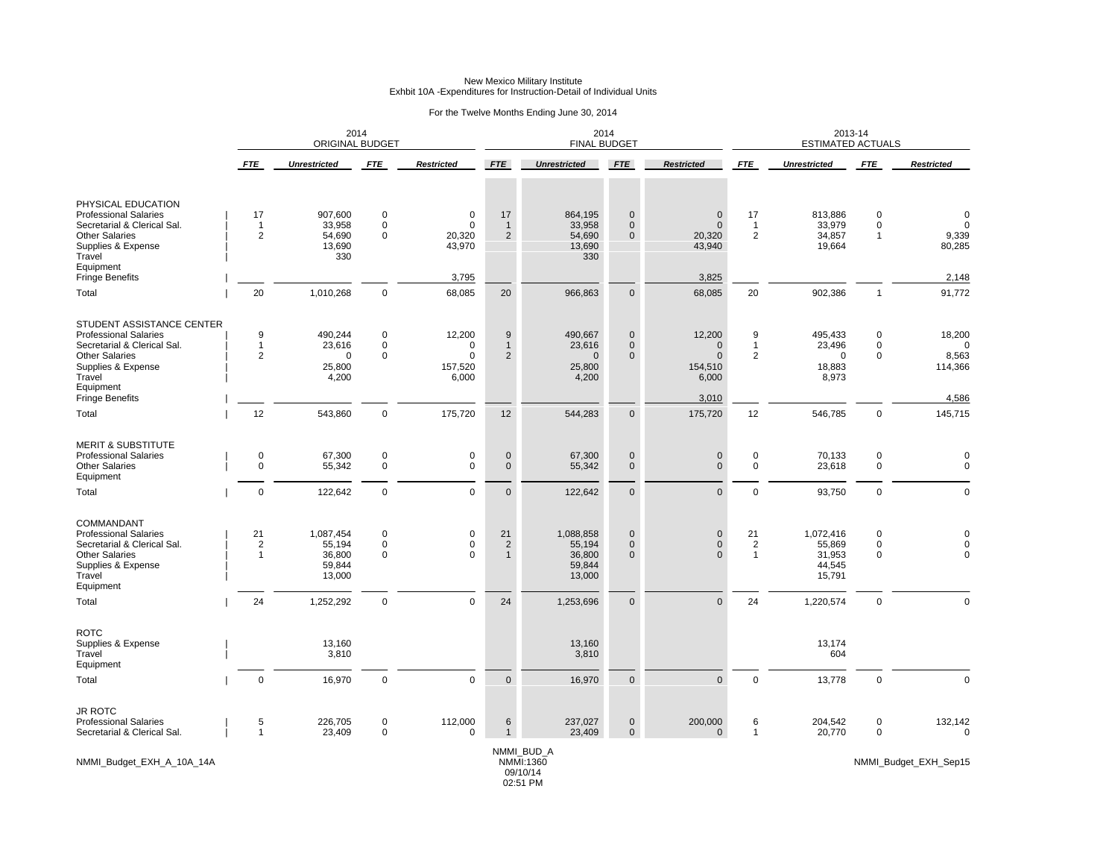|  | For the Twelve Months Ending June 30, 2014 |  |  |
|--|--------------------------------------------|--|--|
|  |                                            |  |  |

|                                                                                                                                                                                          |                                    | 2014<br><b>ORIGINAL BUDGET</b>                                 |                                                      |                                                        |                                            | 2014<br><b>FINAL BUDGET</b>                                    |                                                          |                                                                  | 2013-14<br><b>ESTIMATED ACTUALS</b>          |                                                                |                                              |                                                 |
|------------------------------------------------------------------------------------------------------------------------------------------------------------------------------------------|------------------------------------|----------------------------------------------------------------|------------------------------------------------------|--------------------------------------------------------|--------------------------------------------|----------------------------------------------------------------|----------------------------------------------------------|------------------------------------------------------------------|----------------------------------------------|----------------------------------------------------------------|----------------------------------------------|-------------------------------------------------|
|                                                                                                                                                                                          | FTE                                | <b>Unrestricted</b>                                            | <b>FTE</b>                                           | <b>Restricted</b>                                      | <b>FTE</b>                                 | <b>Unrestricted</b>                                            | FTE                                                      | <b>Restricted</b>                                                | <b>FTE</b>                                   | <b>Unrestricted</b>                                            | <b>FTE</b>                                   | <b>Restricted</b>                               |
| PHYSICAL EDUCATION<br><b>Professional Salaries</b><br>Secretarial & Clerical Sal.<br><b>Other Salaries</b><br>Supplies & Expense<br>Travel<br>Equipment                                  | 17<br>$\mathbf 1$<br>2             | 907,600<br>33,958<br>54,690<br>13,690<br>330                   | $\pmb{0}$<br>$\mathbf 0$<br>$\mathbf 0$              | $\mathbf 0$<br>0<br>20,320<br>43,970                   | 17<br>$\overline{1}$<br>2                  | 864,195<br>33,958<br>54,690<br>13,690<br>330                   | $\mathbf 0$<br>$\mathbf{0}$<br>$\mathbf{0}$              | $\pmb{0}$<br>$\mathbf{0}$<br>20,320<br>43,940                    | 17<br>$\overline{1}$<br>$\overline{2}$       | 813,886<br>33,979<br>34,857<br>19,664                          | $\pmb{0}$<br>$\mathbf 0$<br>$\mathbf{1}$     | $\Omega$<br>$\Omega$<br>9,339<br>80,285         |
| <b>Fringe Benefits</b><br>Total                                                                                                                                                          | 20                                 | 1,010,268                                                      | $\mathbf 0$                                          | 3,795<br>68,085                                        | 20                                         | 966,863                                                        | $\mathbf 0$                                              | 3,825<br>68,085                                                  | 20                                           | 902,386                                                        | $\mathbf{1}$                                 | 2,148<br>91,772                                 |
| STUDENT ASSISTANCE CENTER<br><b>Professional Salaries</b><br>Secretarial & Clerical Sal.<br><b>Other Salaries</b><br>Supplies & Expense<br>Travel<br>Equipment<br><b>Fringe Benefits</b> | 9<br>$\mathbf 1$<br>$\overline{2}$ | 490,244<br>23,616<br>$\Omega$<br>25,800<br>4,200               | $\mathbf 0$<br>$\mathbf 0$<br>$\mathbf 0$            | 12,200<br>0<br>$\Omega$<br>157,520<br>6,000            | 9<br>$\mathbf{1}$<br>$\overline{2}$        | 490,667<br>23,616<br>$\mathbf 0$<br>25,800<br>4,200            | $\mathbf 0$<br>$\mathbf{0}$<br>$\mathbf 0$               | 12,200<br>$\mathbf{0}$<br>$\pmb{0}$<br>154,510<br>6,000<br>3,010 | 9<br>$\mathbf{1}$<br>$\overline{\mathbf{c}}$ | 495,433<br>23,496<br>$\mathbf 0$<br>18,883<br>8,973            | $\pmb{0}$<br>$\mathbf 0$<br>$\mathbf 0$      | 18,200<br>$\Omega$<br>8,563<br>114,366<br>4,586 |
| Total                                                                                                                                                                                    | 12                                 | 543,860                                                        | $\mathbf 0$                                          | 175,720                                                | 12                                         | 544,283                                                        | $\mathbf 0$                                              | 175,720                                                          | 12                                           | 546,785                                                        | $\mathbf 0$                                  | 145,715                                         |
| <b>MERIT &amp; SUBSTITUTE</b><br><b>Professional Salaries</b><br><b>Other Salaries</b><br>Equipment<br>Total                                                                             | 0<br>$\Omega$<br>$\mathbf 0$       | 67,300<br>55,342<br>122,642                                    | 0<br>$\mathbf 0$<br>$\mathbf 0$                      | 0<br>$\mathbf{0}$<br>$\mathbf 0$                       | $\mathbf 0$<br>$\mathbf{0}$<br>$\mathbf 0$ | 67,300<br>55,342<br>122,642                                    | $\mathbf 0$<br>$\mathbf{0}$<br>$\mathbf 0$               | $\pmb{0}$<br>$\mathbf{0}$<br>$\mathbf 0$                         | 0<br>$\mathsf 0$<br>$\pmb{0}$                | 70,133<br>23,618<br>93,750                                     | 0<br>$\mathbf 0$<br>$\mathbf 0$              | 0<br>$\Omega$<br>$\mathbf 0$                    |
| COMMANDANT<br><b>Professional Salaries</b><br>Secretarial & Clerical Sal.<br><b>Other Salaries</b><br>Supplies & Expense<br>Travel<br>Equipment<br>Total                                 | 21<br>$\overline{c}$<br>1<br>24    | 1,087,454<br>55,194<br>36,800<br>59,844<br>13,000<br>1,252,292 | $\pmb{0}$<br>$\pmb{0}$<br>$\mathbf 0$<br>$\mathbf 0$ | $\mathbf 0$<br>$\mathbf 0$<br>$\Omega$<br>$\mathbf{0}$ | 21<br>$\overline{2}$<br>$\mathbf{1}$<br>24 | 1,088,858<br>55,194<br>36,800<br>59,844<br>13,000<br>1,253,696 | $\mathbf 0$<br>$\pmb{0}$<br>$\mathbf{0}$<br>$\mathbf{0}$ | $\pmb{0}$<br>$\mathbf 0$<br>$\Omega$<br>$\mathbf{0}$             | 21<br>$\overline{2}$<br>$\overline{1}$<br>24 | 1,072,416<br>55,869<br>31,953<br>44,545<br>15,791<br>1,220,574 | 0<br>$\pmb{0}$<br>$\mathbf 0$<br>$\mathbf 0$ | $\Omega$<br>$\Omega$<br>$\mathbf 0$             |
| ROTC<br>Supplies & Expense<br>Travel<br>Equipment                                                                                                                                        |                                    | 13,160<br>3,810                                                |                                                      |                                                        |                                            | 13,160<br>3,810                                                |                                                          |                                                                  |                                              | 13,174<br>604                                                  |                                              |                                                 |
| Total                                                                                                                                                                                    | $\mathbf 0$                        | 16,970                                                         | $\mathbf 0$                                          | $\mathsf 0$                                            | $\pmb{0}$                                  | 16,970                                                         | $\pmb{0}$                                                | $\mathbf 0$                                                      | $\mathbf 0$                                  | 13,778                                                         | $\pmb{0}$                                    | $\overline{0}$                                  |
| <b>JR ROTC</b><br><b>Professional Salaries</b><br>Secretarial & Clerical Sal.                                                                                                            | 5<br>$\mathbf{1}$                  | 226,705<br>23,409                                              | $\mathbf 0$<br>$\mathbf 0$                           | 112,000<br>$\mathbf 0$                                 | 6                                          | 237,027<br>23,409                                              | $\mathbf 0$<br>$\mathbf 0$                               | 200,000<br>$\mathbf 0$                                           | 6<br>$\mathbf{1}$                            | 204,542<br>20,770                                              | $\mathbf 0$<br>$\mathbf 0$                   | 132,142<br>$\mathbf 0$                          |
| NMMI_Budget_EXH_A_10A_14A                                                                                                                                                                |                                    |                                                                |                                                      |                                                        |                                            | NMMI_BUD_A<br>NMMI:1360<br>09/10/14                            |                                                          |                                                                  |                                              |                                                                |                                              | NMMI_Budget_EXH_Sep15                           |

02:51 PM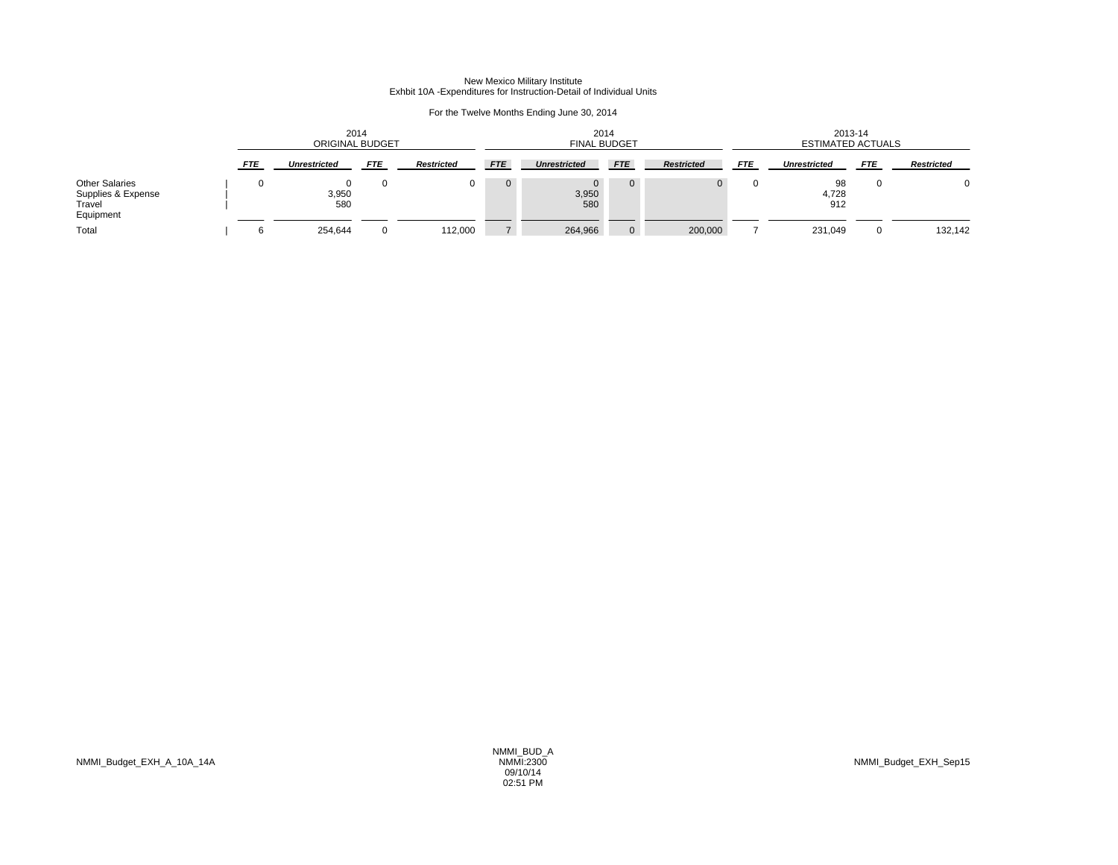|                                                                    | 2014<br>ORIGINAL BUDGET |                     |            |                   |                | 2014<br><b>FINAL BUDGET</b>  |                |                   |            | 2013-14<br><b>ESTIMATED ACTUALS</b> |            |                   |  |
|--------------------------------------------------------------------|-------------------------|---------------------|------------|-------------------|----------------|------------------------------|----------------|-------------------|------------|-------------------------------------|------------|-------------------|--|
|                                                                    | <b>FTE</b>              | <b>Unrestricted</b> | <b>FTE</b> | <b>Restricted</b> | <b>FTE</b>     | <b>Unrestricted</b>          | <b>FTE</b>     | <b>Restricted</b> | <b>FTE</b> | <b>Unrestricted</b>                 | <b>FTE</b> | <b>Restricted</b> |  |
| <b>Other Salaries</b><br>Supplies & Expense<br>Travel<br>Equipment |                         | 3,950<br>580        |            |                   | $\overline{0}$ | $\mathbf{0}$<br>3,950<br>580 | $\mathbf{0}$   | $^{\circ}$        |            | 98<br>4,728<br>912                  |            | $\Omega$          |  |
| Total                                                              |                         | 254,644             |            | 112,000           | $7^{\circ}$    | 264,966                      | $\overline{0}$ | 200,000           |            | 231,049                             |            | 132,142           |  |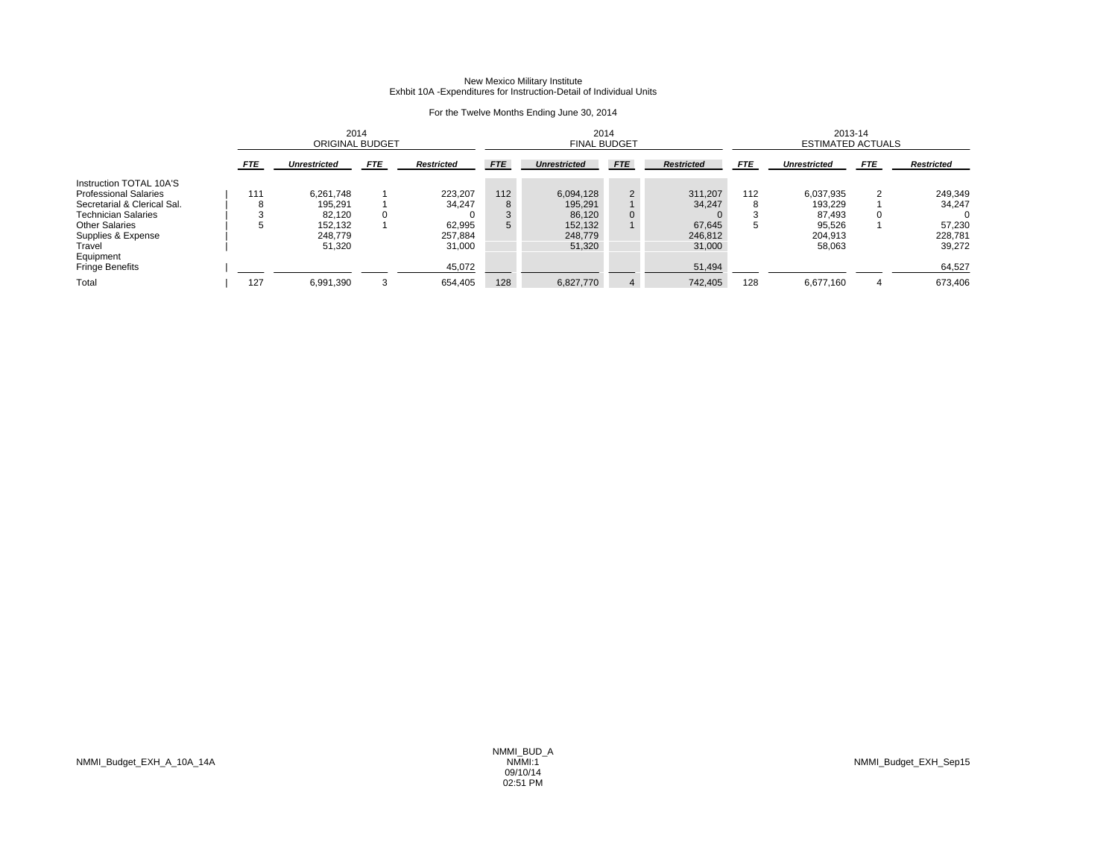|                              |            | 2014<br><b>ORIGINAL BUDGET</b> |            |                   |            | 2014<br><b>FINAL BUDGET</b> |                |                   |            | 2013-14<br><b>ESTIMATED ACTUALS</b> |            |                   |  |
|------------------------------|------------|--------------------------------|------------|-------------------|------------|-----------------------------|----------------|-------------------|------------|-------------------------------------|------------|-------------------|--|
|                              | <b>FTE</b> | <b>Unrestricted</b>            | <b>FTE</b> | <b>Restricted</b> | <b>FTE</b> | <b>Unrestricted</b>         | <b>FTE</b>     | <b>Restricted</b> | <b>FTE</b> | <b>Unrestricted</b>                 | <b>FTE</b> | <b>Restricted</b> |  |
| Instruction TOTAL 10A'S      |            |                                |            |                   |            |                             |                |                   |            |                                     |            |                   |  |
| <b>Professional Salaries</b> | 111        | 6.261.748                      |            | 223.207           | 112        | 6,094,128                   | $\overline{2}$ | 311.207           | 112        | 6.037.935                           | ົ          | 249,349           |  |
| Secretarial & Clerical Sal.  | 8          | 195,291                        |            | 34.247            | 8          | 195,291                     |                | 34,247            |            | 193,229                             |            | 34,247            |  |
| <b>Technician Salaries</b>   |            | 82,120                         |            |                   | 3          | 86.120                      | 0              |                   |            | 87.493                              | 0          |                   |  |
| <b>Other Salaries</b>        | 5.         | 152,132                        |            | 62,995            | 5          | 152,132                     |                | 67,645            | .5         | 95,526                              |            | 57,230            |  |
| Supplies & Expense           |            | 248.779                        |            | 257.884           |            | 248,779                     |                | 246.812           |            | 204.913                             |            | 228,781           |  |
| Travel                       |            | 51,320                         |            | 31,000            |            | 51,320                      |                | 31,000            |            | 58,063                              |            | 39,272            |  |
| Equipment                    |            |                                |            |                   |            |                             |                |                   |            |                                     |            |                   |  |
| <b>Fringe Benefits</b>       |            |                                |            | 45,072            |            |                             |                | 51,494            |            |                                     |            | 64,527            |  |
| Total                        | 127        | 6,991,390                      |            | 654,405           | 128        | 6,827,770                   | 4              | 742.405           | 128        | 6.677.160                           |            | 673.406           |  |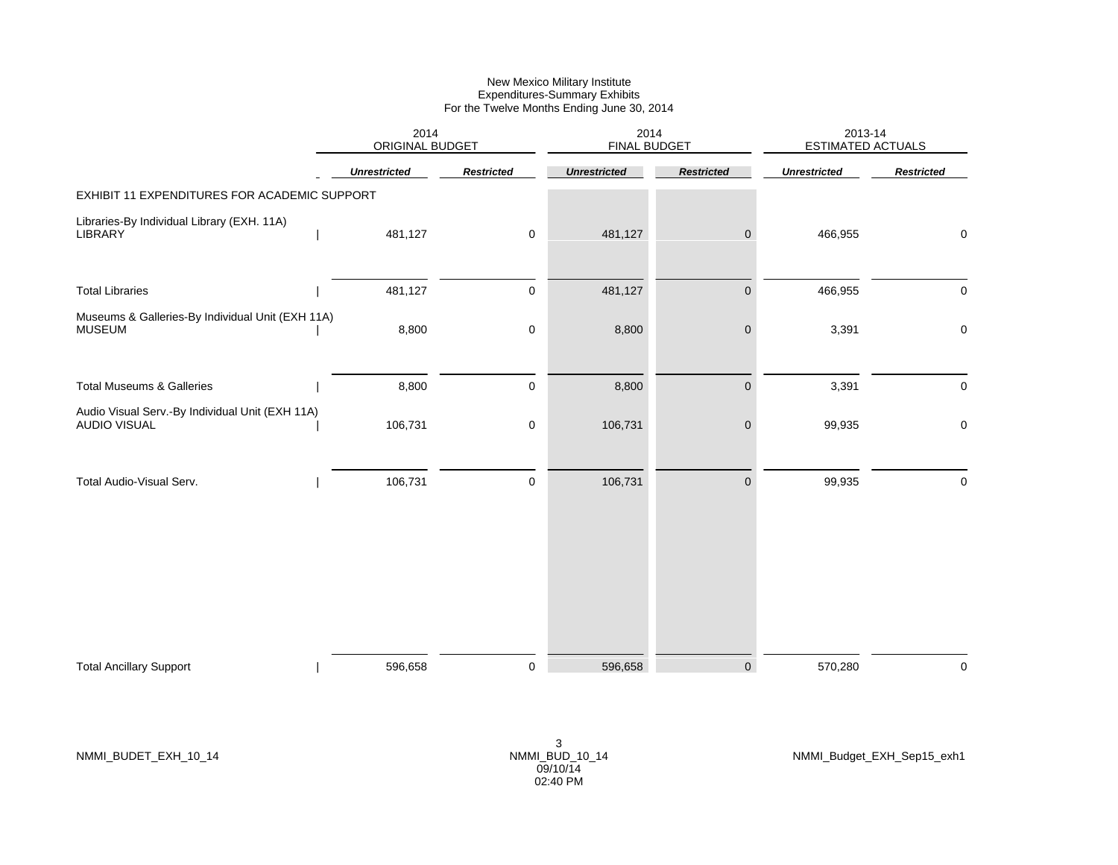|                                                                        | 2014<br>ORIGINAL BUDGET |                   | 2014<br><b>FINAL BUDGET</b> |                     | 2013-14<br><b>ESTIMATED ACTUALS</b> |                   |
|------------------------------------------------------------------------|-------------------------|-------------------|-----------------------------|---------------------|-------------------------------------|-------------------|
|                                                                        | <b>Unrestricted</b>     | <b>Restricted</b> | <b>Unrestricted</b>         | <b>Restricted</b>   | <b>Unrestricted</b>                 | <b>Restricted</b> |
| EXHIBIT 11 EXPENDITURES FOR ACADEMIC SUPPORT                           |                         |                   |                             |                     |                                     |                   |
| Libraries-By Individual Library (EXH. 11A)<br>LIBRARY                  | 481,127                 | 0                 | 481,127                     | $\mathbf 0$         | 466,955                             | $\mathbf 0$       |
| <b>Total Libraries</b>                                                 | 481,127                 | 0                 | 481,127                     | $\mathbf 0$         | 466,955                             | 0                 |
| Museums & Galleries-By Individual Unit (EXH 11A)<br><b>MUSEUM</b>      | 8,800                   | 0                 | 8,800                       | $\pmb{0}$           | 3,391                               | 0                 |
| <b>Total Museums &amp; Galleries</b>                                   | 8,800                   | $\pmb{0}$         | 8,800                       | $\pmb{0}$           | 3,391                               | 0                 |
| Audio Visual Serv.-By Individual Unit (EXH 11A)<br><b>AUDIO VISUAL</b> | 106,731                 | 0                 | 106,731                     | $\pmb{0}$           | 99,935                              | 0                 |
| Total Audio-Visual Serv.                                               | 106,731                 | $\pmb{0}$         | 106,731                     | $\mathsf{O}\xspace$ | 99,935                              | 0                 |
|                                                                        |                         |                   |                             |                     |                                     |                   |
| <b>Total Ancillary Support</b>                                         | 596,658                 | $\mathbf 0$       | 596,658                     | $\mathbf 0$         | 570,280                             | $\mathbf 0$       |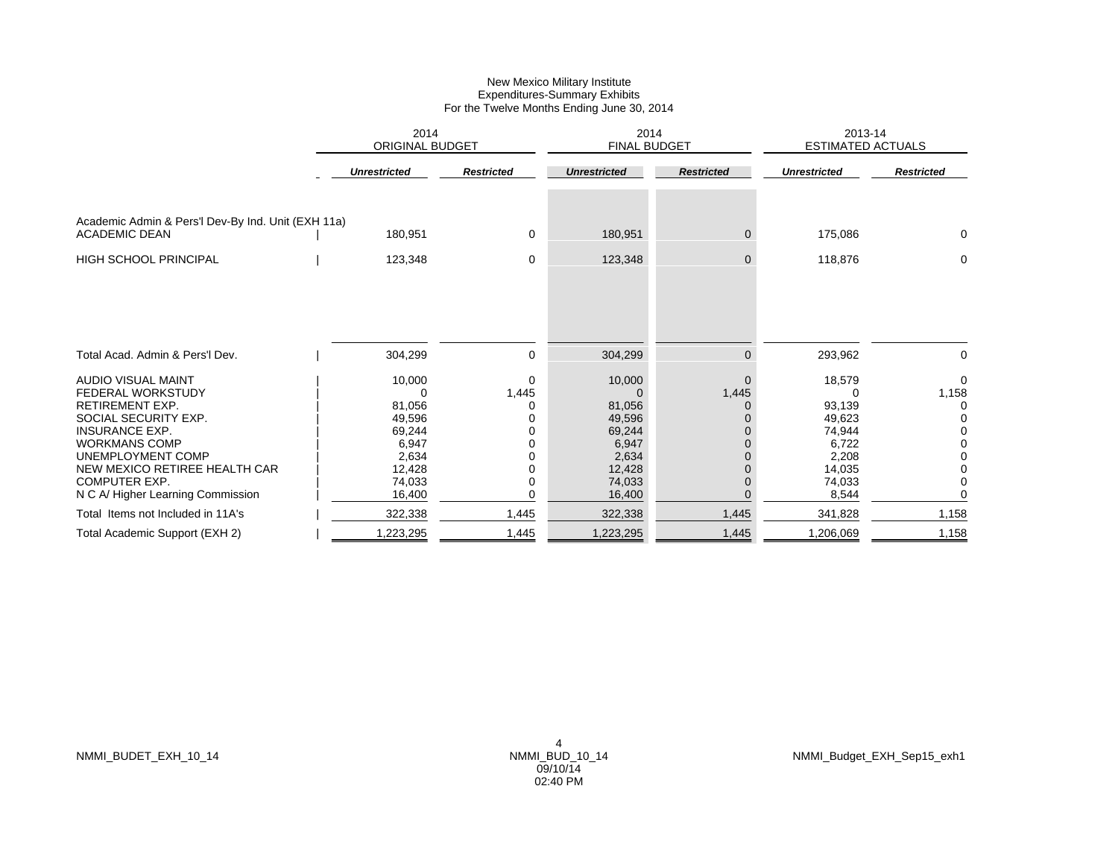|                                                                            | 2014<br><b>ORIGINAL BUDGET</b> |                      | 2014<br><b>FINAL BUDGET</b> |                   | 2013-14<br><b>ESTIMATED ACTUALS</b> |                   |  |
|----------------------------------------------------------------------------|--------------------------------|----------------------|-----------------------------|-------------------|-------------------------------------|-------------------|--|
|                                                                            | <b>Unrestricted</b>            | <b>Restricted</b>    | <b>Unrestricted</b>         | <b>Restricted</b> | <b>Unrestricted</b>                 | <b>Restricted</b> |  |
| Academic Admin & Pers'l Dev-By Ind. Unit (EXH 11a)<br><b>ACADEMIC DEAN</b> | 180,951                        | 0                    | 180,951                     | $\overline{0}$    | 175,086                             | 0                 |  |
| <b>HIGH SCHOOL PRINCIPAL</b>                                               | 123,348                        | 0                    | 123,348                     | $\mathbf 0$       | 118,876                             | 0                 |  |
| Total Acad. Admin & Pers'l Dev.                                            | 304,299                        | 0                    | 304,299                     | $\Omega$          | 293,962                             | $\mathbf 0$       |  |
| <b>AUDIO VISUAL MAINT</b><br>FEDERAL WORKSTUDY                             | 10,000<br>0                    | $\mathbf 0$<br>1,445 | 10,000<br>$\Omega$          | $\Omega$<br>1,445 | 18,579<br>0                         | $\Omega$<br>1,158 |  |
| <b>RETIREMENT EXP.</b><br>SOCIAL SECURITY EXP.                             | 81,056                         | 0                    | 81,056                      | $\Omega$          | 93,139                              | 0                 |  |
| <b>INSURANCE EXP.</b>                                                      | 49,596<br>69,244               | 0<br>0               | 49,596<br>69,244            |                   | 49,623<br>74,944                    |                   |  |
| <b>WORKMANS COMP</b>                                                       | 6,947                          | 0                    | 6,947                       |                   | 6,722                               |                   |  |
| UNEMPLOYMENT COMP                                                          | 2,634                          | 0                    | 2,634                       |                   | 2,208                               |                   |  |
| NEW MEXICO RETIREE HEALTH CAR                                              | 12,428                         | 0                    | 12,428                      |                   | 14,035                              |                   |  |
| <b>COMPUTER EXP.</b><br>N C A/ Higher Learning Commission                  | 74,033<br>16,400               | 0<br>$\Omega$        | 74,033<br>16,400            |                   | 74,033<br>8,544                     |                   |  |
|                                                                            |                                |                      |                             |                   |                                     |                   |  |
| Total Items not Included in 11A's                                          | 322,338                        | 1,445                | 322,338                     | 1,445             | 341,828                             | 1,158             |  |
| Total Academic Support (EXH 2)                                             | ,223,295                       | 1,445                | 1,223,295                   | 1,445             | 1,206,069                           | 1,158             |  |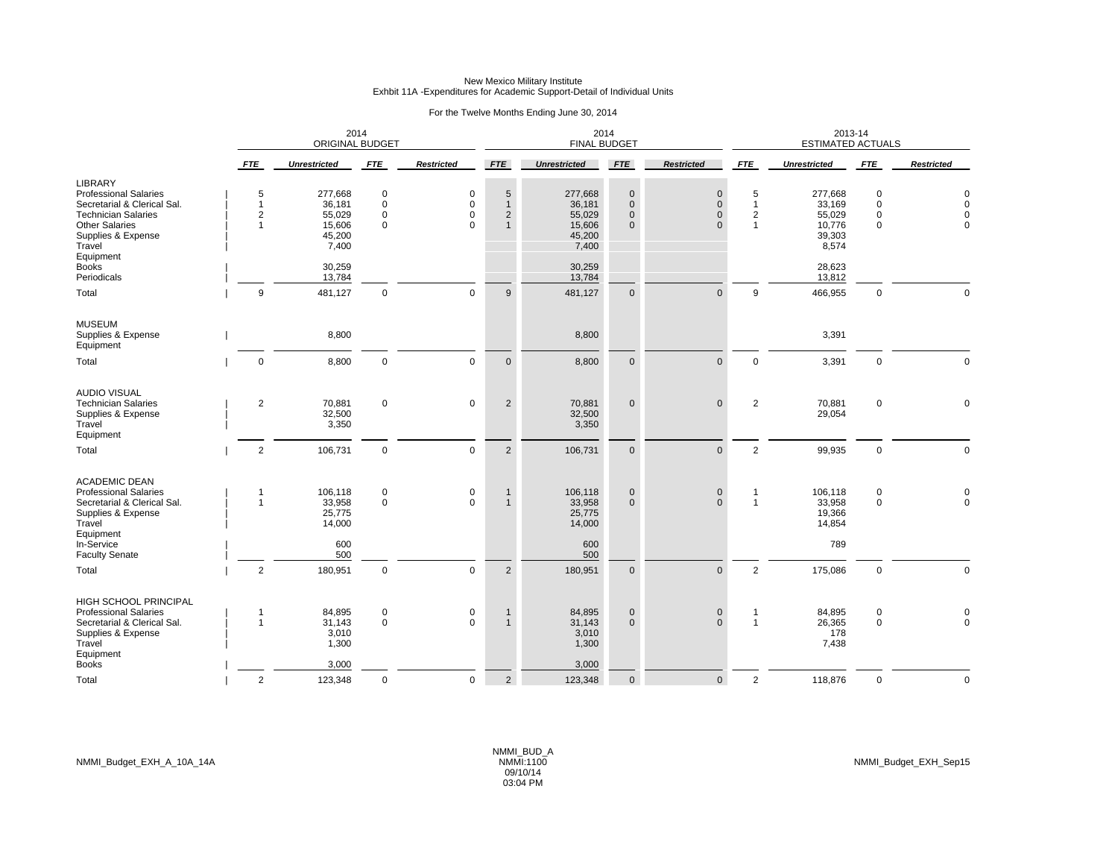## New Mexico Military Institute Exhbit 11A -Expenditures for Academic Support-Detail of Individual Units

|                                                                                                                                                                                   |                               | 2014<br><b>ORIGINAL BUDGET</b>                           |                                   |                                   |                                                                   | 2014<br><b>FINAL BUDGET</b>                              |                                                    |                                                        |                                                              | 2013-14<br><b>ESTIMATED ACTUALS</b>                      |                                             |                                                 |
|-----------------------------------------------------------------------------------------------------------------------------------------------------------------------------------|-------------------------------|----------------------------------------------------------|-----------------------------------|-----------------------------------|-------------------------------------------------------------------|----------------------------------------------------------|----------------------------------------------------|--------------------------------------------------------|--------------------------------------------------------------|----------------------------------------------------------|---------------------------------------------|-------------------------------------------------|
|                                                                                                                                                                                   | <b>FTE</b>                    | <b>Unrestricted</b>                                      | <b>FTE</b>                        | <b>Restricted</b>                 | <b>FTE</b>                                                        | <b>Unrestricted</b>                                      | <b>FTE</b>                                         | <b>Restricted</b>                                      | <b>FTE</b>                                                   | <b>Unrestricted</b>                                      | <b>FTE</b>                                  | <b>Restricted</b>                               |
| <b>LIBRARY</b><br><b>Professional Salaries</b><br>Secretarial & Clerical Sal.<br><b>Technician Salaries</b><br><b>Other Salaries</b><br>Supplies & Expense<br>Travel<br>Equipment | 5<br>$\overline{1}$<br>2<br>1 | 277,668<br>36,181<br>55,029<br>15,606<br>45,200<br>7,400 | 0<br>$\mathbf 0$<br>0<br>$\Omega$ | 0<br>$\mathbf 0$<br>0<br>$\Omega$ | $5\phantom{.0}$<br>$\mathbf{1}$<br>$\overline{2}$<br>$\mathbf{1}$ | 277,668<br>36,181<br>55,029<br>15,606<br>45,200<br>7,400 | $\mathbf 0$<br>$\Omega$<br>$\mathbf 0$<br>$\Omega$ | $\mathbf 0$<br>$\mathbf{0}$<br>$\mathbf 0$<br>$\Omega$ | 5<br>$\mathbf{1}$<br>$\overline{\mathbf{c}}$<br>$\mathbf{1}$ | 277,668<br>33,169<br>55,029<br>10,776<br>39,303<br>8,574 | $\mathbf 0$<br>$\mathbf 0$<br>0<br>$\Omega$ | $\Omega$<br>$\Omega$<br>$\mathbf 0$<br>$\Omega$ |
| <b>Books</b><br>Periodicals                                                                                                                                                       |                               | 30,259<br>13,784                                         |                                   |                                   |                                                                   | 30,259<br>13,784                                         |                                                    |                                                        |                                                              | 28,623<br>13,812                                         |                                             |                                                 |
| Total                                                                                                                                                                             | 9                             | 481,127                                                  | $\mathbf 0$                       | $\mathbf 0$                       | 9                                                                 | 481,127                                                  | $\mathbf 0$                                        | $\mathsf{O}\xspace$                                    | 9                                                            | 466,955                                                  | $\mathsf 0$                                 | $\mathbf 0$                                     |
| <b>MUSEUM</b><br>Supplies & Expense<br>Equipment                                                                                                                                  |                               | 8,800                                                    |                                   |                                   |                                                                   | 8,800                                                    |                                                    |                                                        |                                                              | 3,391                                                    |                                             |                                                 |
| Total                                                                                                                                                                             | 0                             | 8,800                                                    | $\mathbf 0$                       | $\mathbf 0$                       | $\mathbf 0$                                                       | 8,800                                                    | $\mathbf{0}$                                       | $\mathbf{0}$                                           | $\mathbf 0$                                                  | 3,391                                                    | $\mathbf 0$                                 | $\Omega$                                        |
| <b>AUDIO VISUAL</b><br><b>Technician Salaries</b><br>Supplies & Expense<br>Travel<br>Equipment                                                                                    | $\overline{2}$                | 70,881<br>32,500<br>3,350                                | $\mathbf 0$                       | $\mathsf 0$                       | 2                                                                 | 70,881<br>32,500<br>3,350                                | $\mathbf 0$                                        | $\mathsf{O}\xspace$                                    | $\overline{2}$                                               | 70,881<br>29,054                                         | $\mathsf 0$                                 | $\Omega$                                        |
| Total                                                                                                                                                                             | $\overline{2}$                | 106,731                                                  | $\mathbf 0$                       | $\Omega$                          | $\overline{2}$                                                    | 106,731                                                  | $\mathbf{0}$                                       | $\mathbf{0}$                                           | $\overline{2}$                                               | 99,935                                                   | $\mathbf 0$                                 | $\mathbf 0$                                     |
| <b>ACADEMIC DEAN</b><br><b>Professional Salaries</b><br>Secretarial & Clerical Sal.<br>Supplies & Expense<br>Travel<br>Equipment<br>In-Service                                    | 1<br>$\overline{1}$           | 106,118<br>33,958<br>25,775<br>14,000<br>600             | 0<br>$\mathbf 0$                  | 0<br>$\Omega$                     | $\mathbf{1}$<br>$\mathbf{1}$                                      | 106,118<br>33,958<br>25,775<br>14,000<br>600             | $\mathbf 0$<br>$\Omega$                            | $\pmb{0}$<br>$\Omega$                                  | $\mathbf{1}$<br>$\mathbf{1}$                                 | 106,118<br>33,958<br>19,366<br>14,854<br>789             | $\mathbf 0$<br>$\mathbf 0$                  | $_{\rm 0}^{\rm 0}$                              |
| <b>Faculty Senate</b><br>Total                                                                                                                                                    | $\overline{2}$                | 500<br>180,951                                           | $\mathbf 0$                       | $\mathbf 0$                       | 2                                                                 | 500<br>180,951                                           | $\mathbf{0}$                                       | $\mathbf{0}$                                           | $\overline{2}$                                               | 175,086                                                  | $\mathbf 0$                                 | $\Omega$                                        |
| HIGH SCHOOL PRINCIPAL<br><b>Professional Salaries</b><br>Secretarial & Clerical Sal.<br>Supplies & Expense<br>Travel<br>Equipment                                                 | 1<br>$\overline{1}$           | 84,895<br>31,143<br>3,010<br>1,300                       | $\mathbf 0$<br>$\mathbf 0$        | 0<br>$\Omega$                     | $\mathbf{1}$<br>$\mathbf{1}$                                      | 84,895<br>31,143<br>3,010<br>1,300                       | $\mathbf{0}$<br>$\mathbf{0}$                       | $\pmb{0}$<br>$\Omega$                                  | $\mathbf{1}$<br>$\mathbf{1}$                                 | 84,895<br>26,365<br>178<br>7,438                         | $\mathbf 0$<br>$\mathbf 0$                  | 0<br>$\pmb{0}$                                  |
| <b>Books</b><br>Total                                                                                                                                                             | $\overline{2}$                | 3,000<br>123,348                                         | $\pmb{0}$                         | $\mathsf 0$                       | 2                                                                 | 3,000<br>123,348                                         | $\mathbf 0$                                        | $\mathsf{O}\xspace$                                    | $\overline{2}$                                               | 118,876                                                  | $\mathsf 0$                                 | $\mathbf 0$                                     |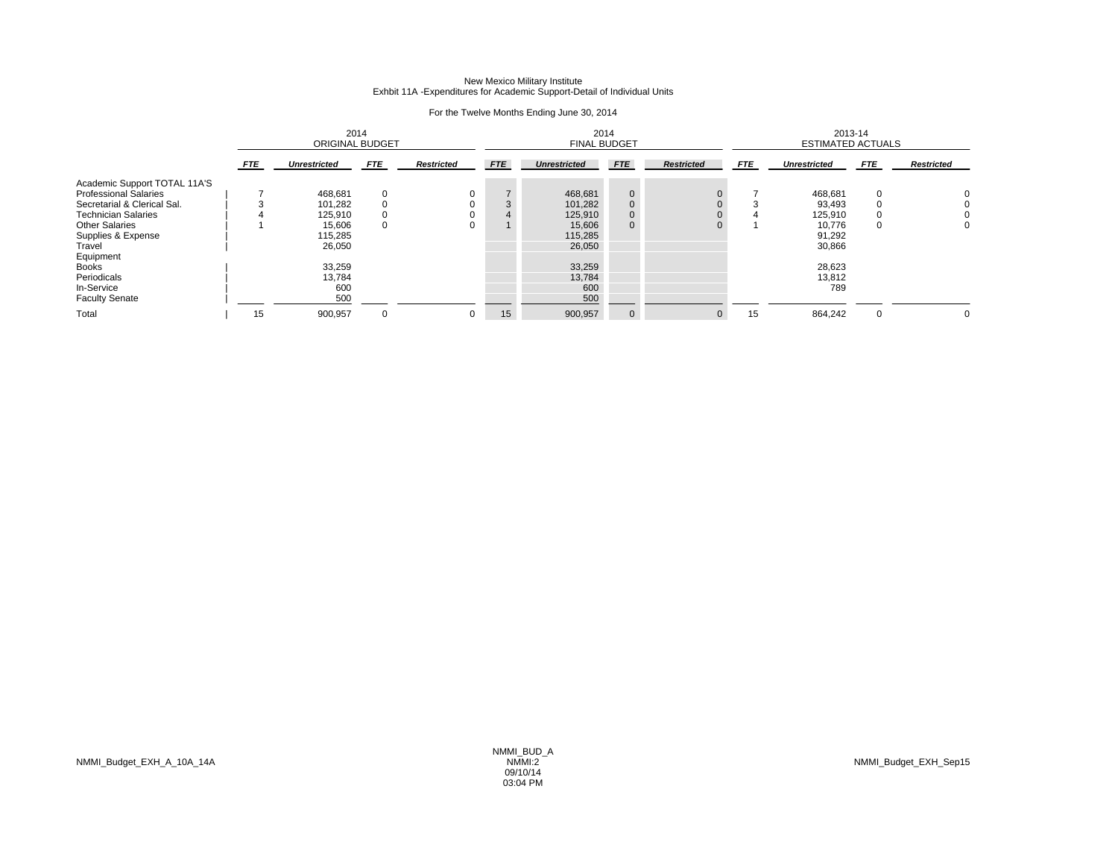## New Mexico Military Institute Exhbit 11A -Expenditures for Academic Support-Detail of Individual Units

|                              |            | 2014<br><b>ORIGINAL BUDGET</b> |            | 2014<br><b>FINAL BUDGET</b> |            |                     |                | 2013-14<br><b>ESTIMATED ACTUALS</b> |            |                     |            |                   |
|------------------------------|------------|--------------------------------|------------|-----------------------------|------------|---------------------|----------------|-------------------------------------|------------|---------------------|------------|-------------------|
|                              | <b>FTE</b> | <b>Unrestricted</b>            | <b>FTE</b> | <b>Restricted</b>           | <b>FTE</b> | <b>Unrestricted</b> | <b>FTE</b>     | <b>Restricted</b>                   | <b>FTE</b> | <b>Unrestricted</b> | <b>FTE</b> | <b>Restricted</b> |
| Academic Support TOTAL 11A'S |            |                                |            |                             |            |                     |                |                                     |            |                     |            |                   |
| <b>Professional Salaries</b> |            | 468,681                        | 0          | 0                           |            | 468,681             | $\mathbf{0}$   |                                     |            | 468,681             | $\Omega$   | O                 |
| Secretarial & Clerical Sal.  |            | 101,282                        |            |                             | 3          | 101,282             | $\mathbf{0}$   |                                     |            | 93,493              |            |                   |
| <b>Technician Salaries</b>   |            | 125,910                        |            | $\Omega$                    | 4          | 125,910             | $\mathbf{0}$   |                                     |            | 125,910             |            |                   |
| <b>Other Salaries</b>        |            | 15,606                         | $\Omega$   | 0                           |            | 15,606              | $\overline{0}$ |                                     |            | 10,776              | 0          | 0                 |
| Supplies & Expense           |            | 115,285                        |            |                             |            | 115,285             |                |                                     |            | 91,292              |            |                   |
| Travel                       |            | 26,050                         |            |                             |            | 26,050              |                |                                     |            | 30,866              |            |                   |
| Equipment                    |            |                                |            |                             |            |                     |                |                                     |            |                     |            |                   |
| <b>Books</b>                 |            | 33,259                         |            |                             |            | 33,259              |                |                                     |            | 28,623              |            |                   |
| Periodicals                  |            | 13,784                         |            |                             |            | 13,784              |                |                                     |            | 13,812              |            |                   |
| In-Service                   |            | 600                            |            |                             |            | 600                 |                |                                     |            | 789                 |            |                   |
| <b>Faculty Senate</b>        |            | 500                            |            |                             |            | 500                 |                |                                     |            |                     |            |                   |
| Total                        | 15         | 900,957                        | $\Omega$   | 0                           | 15         | 900,957             | $\mathbf{0}$   | $\overline{0}$                      | 15         | 864,242             | $\Omega$   | 0                 |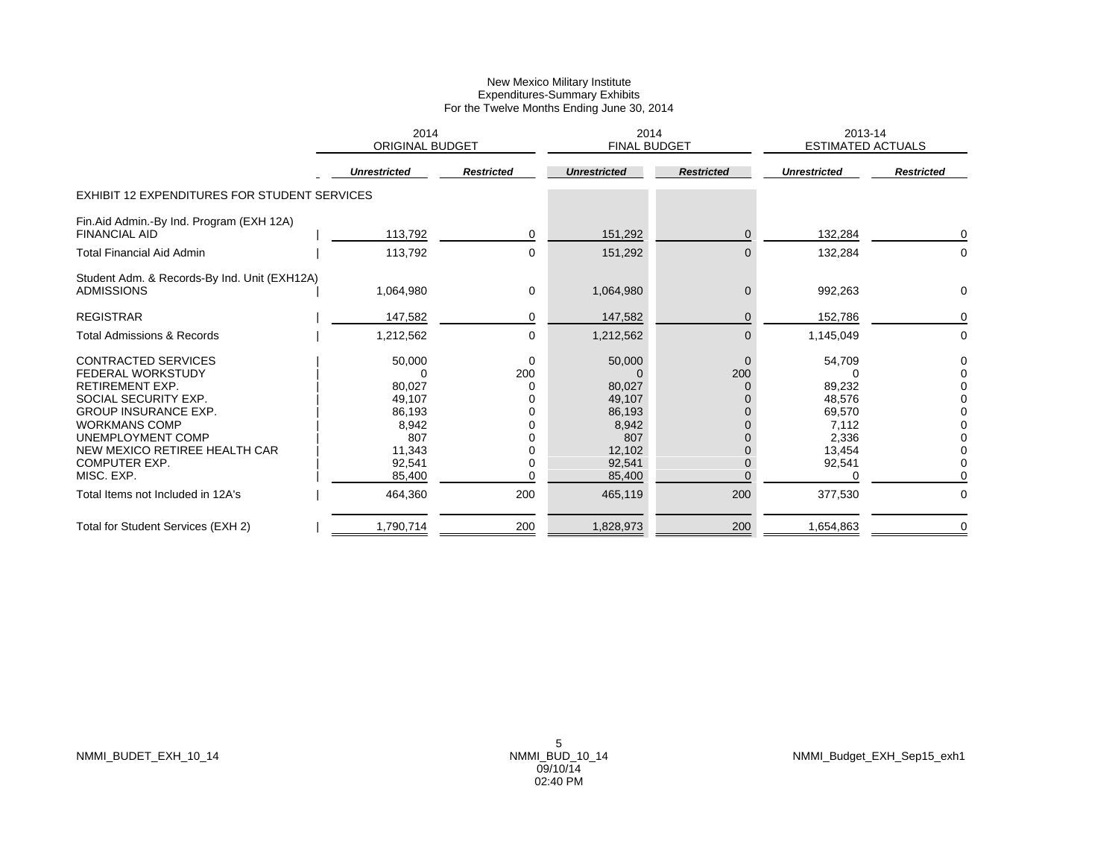|                                                                                                                                                                                                                                                                                                  | 2014<br><b>ORIGINAL BUDGET</b>                                                                |                                     | 2014<br><b>FINAL BUDGET</b>                                                                   |                                  | 2013-14<br><b>ESTIMATED ACTUALS</b>                                                   |                              |
|--------------------------------------------------------------------------------------------------------------------------------------------------------------------------------------------------------------------------------------------------------------------------------------------------|-----------------------------------------------------------------------------------------------|-------------------------------------|-----------------------------------------------------------------------------------------------|----------------------------------|---------------------------------------------------------------------------------------|------------------------------|
|                                                                                                                                                                                                                                                                                                  | <b>Unrestricted</b>                                                                           | <b>Restricted</b>                   | <b>Unrestricted</b>                                                                           | <b>Restricted</b>                | <b>Unrestricted</b>                                                                   | <b>Restricted</b>            |
| <b>EXHIBIT 12 EXPENDITURES FOR STUDENT SERVICES</b>                                                                                                                                                                                                                                              |                                                                                               |                                     |                                                                                               |                                  |                                                                                       |                              |
| Fin.Aid Admin.-By Ind. Program (EXH 12A)<br><b>FINANCIAL AID</b>                                                                                                                                                                                                                                 | 113,792                                                                                       | 0                                   | 151,292                                                                                       | $\mathbf{0}$                     | 132,284                                                                               | 0                            |
| <b>Total Financial Aid Admin</b>                                                                                                                                                                                                                                                                 | 113,792                                                                                       | 0                                   | 151,292                                                                                       | $\overline{0}$                   | 132,284                                                                               | 0                            |
| Student Adm. & Records-By Ind. Unit (EXH12A)<br><b>ADMISSIONS</b>                                                                                                                                                                                                                                | 1,064,980                                                                                     | 0                                   | 1,064,980                                                                                     | $\mathbf 0$                      | 992,263                                                                               | 0                            |
| <b>REGISTRAR</b>                                                                                                                                                                                                                                                                                 | 147,582                                                                                       | 0                                   | 147,582                                                                                       | $\Omega$                         | 152,786                                                                               | 0                            |
| <b>Total Admissions &amp; Records</b>                                                                                                                                                                                                                                                            | 1,212,562                                                                                     | 0                                   | 1,212,562                                                                                     | $\overline{0}$                   | 1,145,049                                                                             | 0                            |
| <b>CONTRACTED SERVICES</b><br><b>FEDERAL WORKSTUDY</b><br><b>RETIREMENT EXP.</b><br>SOCIAL SECURITY EXP.<br><b>GROUP INSURANCE EXP.</b><br><b>WORKMANS COMP</b><br>UNEMPLOYMENT COMP<br>NEW MEXICO RETIREE HEALTH CAR<br><b>COMPUTER EXP.</b><br>MISC. EXP.<br>Total Items not Included in 12A's | 50,000<br>80,027<br>49,107<br>86,193<br>8,942<br>807<br>11,343<br>92,541<br>85,400<br>464,360 | 0<br>200<br>0<br>0<br>U<br>U<br>200 | 50,000<br>80,027<br>49,107<br>86,193<br>8,942<br>807<br>12,102<br>92,541<br>85,400<br>465,119 | $\Omega$<br>200<br>0<br>0<br>200 | 54,709<br>89,232<br>48,576<br>69,570<br>7,112<br>2,336<br>13,454<br>92,541<br>377,530 | 0<br>$\Omega$<br>$\mathbf 0$ |
| Total for Student Services (EXH 2)                                                                                                                                                                                                                                                               |                                                                                               |                                     | 1,828,973                                                                                     |                                  |                                                                                       | 0                            |
|                                                                                                                                                                                                                                                                                                  | 1,790,714                                                                                     | 200                                 |                                                                                               | 200                              | 1,654,863                                                                             |                              |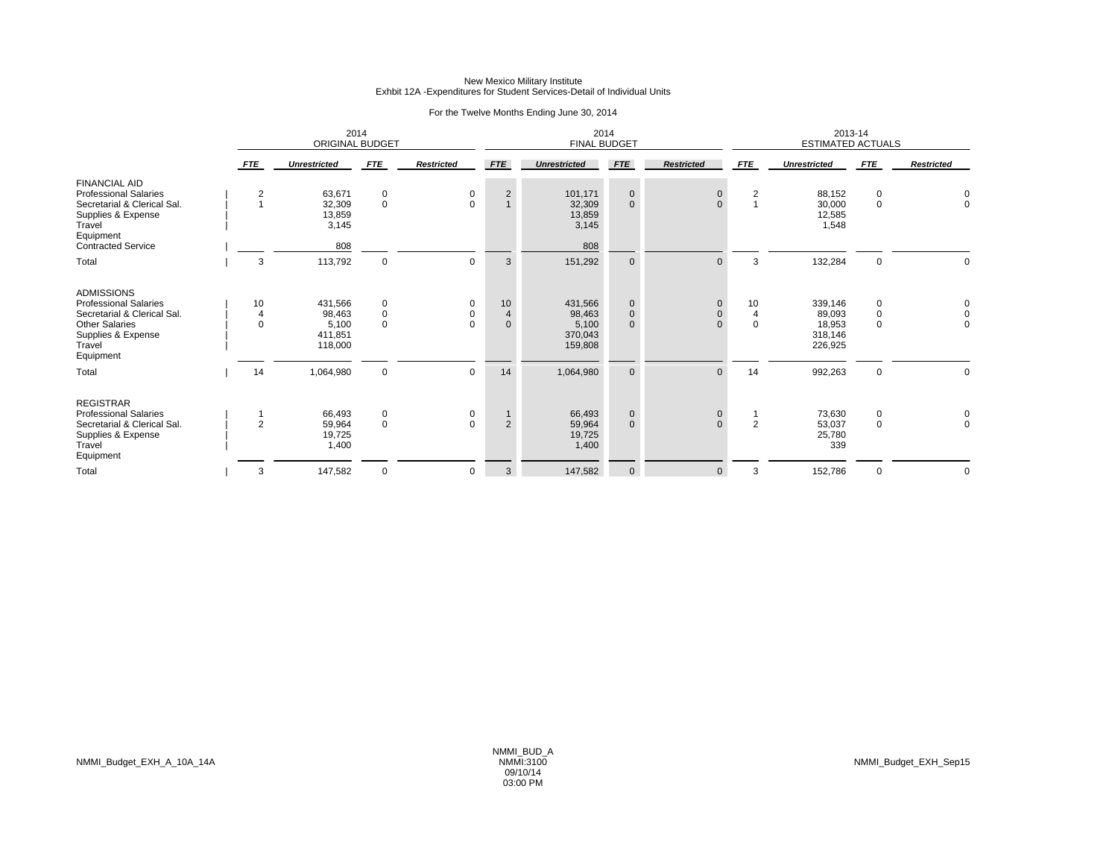## New Mexico Military Institute Exhbit 12A -Expenditures for Student Services-Detail of Individual Units

|                                                                                                                                                        |                     | <b>ORIGINAL BUDGET</b>                           | 2014                         |                    |                                      | 2014<br><b>FINAL BUDGET</b>                      |                                            |                                        | 2013-14<br><b>ESTIMATED ACTUALS</b> |                                                   |                                        |                                           |
|--------------------------------------------------------------------------------------------------------------------------------------------------------|---------------------|--------------------------------------------------|------------------------------|--------------------|--------------------------------------|--------------------------------------------------|--------------------------------------------|----------------------------------------|-------------------------------------|---------------------------------------------------|----------------------------------------|-------------------------------------------|
|                                                                                                                                                        | <b>FTE</b>          | <b>Unrestricted</b>                              | <b>FTE</b>                   | <b>Restricted</b>  | <b>FTE</b>                           | <b>Unrestricted</b>                              | <b>FTE</b>                                 | <b>Restricted</b>                      | <b>FTE</b>                          | <b>Unrestricted</b>                               | <b>FTE</b>                             | <b>Restricted</b>                         |
| <b>FINANCIAL AID</b><br><b>Professional Salaries</b><br>Secretarial & Clerical Sal.<br>Supplies & Expense<br>Travel<br>Equipment                       | 2<br>$\overline{1}$ | 63,671<br>32,309<br>13,859<br>3,145              | 0<br>$\mathbf 0$             | 0<br>$\Omega$      | $\overline{c}$<br>$\overline{1}$     | 101,171<br>32,309<br>13,859<br>3,145             | $\mathbf 0$<br>$\mathbf{0}$                | $\mathbf 0$<br>$\Omega$                | 2<br>$\overline{A}$                 | 88,152<br>30,000<br>12,585<br>1,548               | 0<br>$\mathbf 0$                       | 0<br>$\mathbf 0$                          |
| <b>Contracted Service</b>                                                                                                                              |                     | 808                                              |                              |                    |                                      | 808                                              |                                            |                                        |                                     |                                                   |                                        |                                           |
| Total                                                                                                                                                  | 3                   | 113,792                                          | $\mathbf 0$                  | $\Omega$           | 3                                    | 151,292                                          | $\mathbf{0}$                               | $\Omega$                               | 3                                   | 132,284                                           | $\mathbf 0$                            | $\Omega$                                  |
| <b>ADMISSIONS</b><br><b>Professional Salaries</b><br>Secretarial & Clerical Sal.<br><b>Other Salaries</b><br>Supplies & Expense<br>Travel<br>Equipment | 10<br>4<br>$\Omega$ | 431.566<br>98,463<br>5,100<br>411,851<br>118,000 | 0<br>$\mathbf 0$<br>$\Omega$ | 0<br>0<br>$\Omega$ | 10<br>$\overline{4}$<br>$\mathbf{0}$ | 431.566<br>98,463<br>5,100<br>370,043<br>159,808 | $\mathbf 0$<br>$\mathbf 0$<br>$\mathbf{0}$ | $\mathbf 0$<br>$\mathbf 0$<br>$\Omega$ | 10<br>$\overline{4}$<br>$\Omega$    | 339,146<br>89,093<br>18,953<br>318,146<br>226,925 | $\mathbf 0$<br>$\mathbf 0$<br>$\Omega$ | $\mathbf 0$<br>$\mathbf 0$<br>$\mathbf 0$ |
| Total                                                                                                                                                  | 14                  | 1,064,980                                        | $\mathbf 0$                  | $\mathbf 0$        | 14                                   | 1,064,980                                        | $\mathbf{0}$                               | $\Omega$                               | 14                                  | 992,263                                           | $\mathbf 0$                            | $\mathbf 0$                               |
| <b>REGISTRAR</b><br><b>Professional Salaries</b><br>Secretarial & Clerical Sal.<br>Supplies & Expense<br>Travel<br>Equipment                           | $\overline{2}$      | 66,493<br>59,964<br>19,725<br>1,400              | 0<br>$\mathbf 0$             | 0<br>0             | $\overline{2}$                       | 66,493<br>59,964<br>19,725<br>1,400              | $\mathbf 0$<br>$\mathbf{0}$                | $\mathbf 0$<br>$\Omega$                | $\overline{2}$                      | 73,630<br>53,037<br>25,780<br>339                 | 0<br>$\mathbf 0$                       | $\mathbf 0$<br>$\mathbf 0$                |
| Total                                                                                                                                                  | 3                   | 147,582                                          | $\mathbf 0$                  | 0                  | 3                                    | 147,582                                          | $\mathbf 0$                                | $\mathbf 0$                            | 3                                   | 152,786                                           | $\Omega$                               | 0                                         |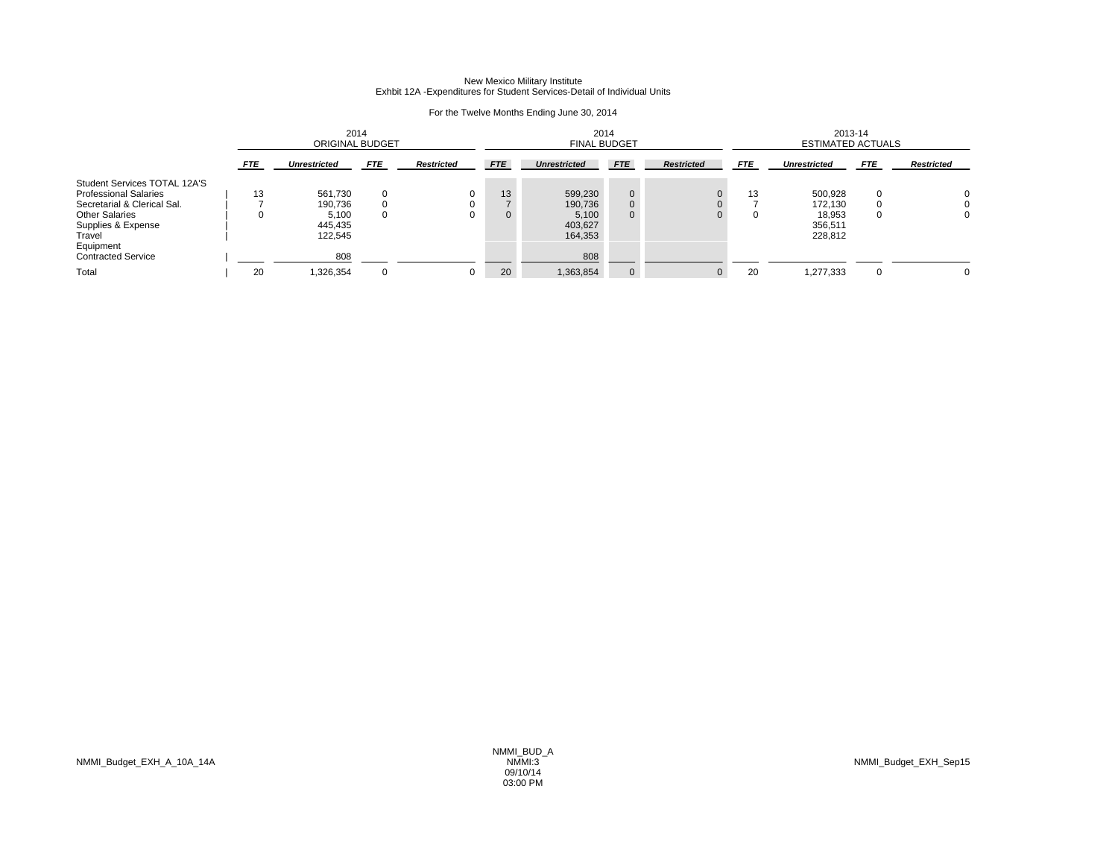## New Mexico Military Institute Exhbit 12A -Expenditures for Student Services-Detail of Individual Units

| 2014<br><b>ORIGINAL BUDGET</b> |                                                   |                  |                   |                    | 2014<br><b>FINAL BUDGET</b>                       |                                   |                   |                | 2013-14<br><b>ESTIMATED ACTUALS</b>                |                      |                   |  |
|--------------------------------|---------------------------------------------------|------------------|-------------------|--------------------|---------------------------------------------------|-----------------------------------|-------------------|----------------|----------------------------------------------------|----------------------|-------------------|--|
| FTE                            | <b>Unrestricted</b>                               | <b>FTE</b>       | <b>Restricted</b> | <b>FTE</b>         | <b>Unrestricted</b>                               | <b>FTE</b>                        | <b>Restricted</b> | <b>FTE</b>     | <b>Unrestricted</b>                                | <b>FTE</b>           | <b>Restricted</b> |  |
| 13<br>$\Omega$                 | 561.730<br>190.736<br>5,100<br>445.435<br>122.545 | $\mathbf 0$<br>0 | 0                 | 13<br>$\mathbf{0}$ | 599.230<br>190,736<br>5,100<br>403,627<br>164,353 | $\mathbf{0}$<br>0<br>$\mathbf{0}$ |                   | 13<br>$\Omega$ | 500.928<br>172.130<br>18,953<br>356.511<br>228.812 | $\Omega$<br>$\Omega$ | 0<br>O<br>0       |  |
|                                | 808                                               |                  |                   |                    | 808                                               |                                   |                   |                |                                                    |                      | $\Omega$          |  |
|                                | 20                                                | 1,326,354        | $\mathbf 0$       | 0                  | 20                                                | 1,363,854                         | 0                 | $\mathbf 0$    | 20                                                 | 1,277,333            | $\Omega$          |  |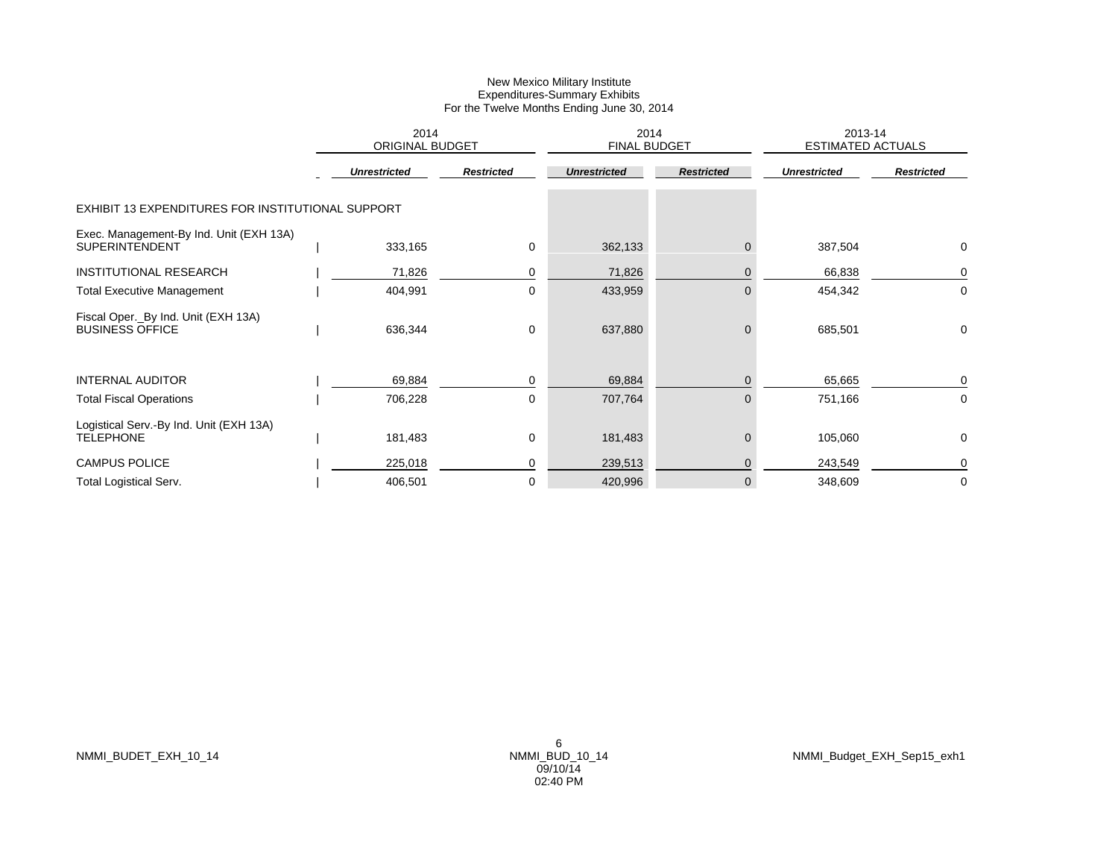|                                                                  | 2014<br><b>ORIGINAL BUDGET</b> |                     |                   | 2014<br><b>FINAL BUDGET</b> |                   | 2013-14<br><b>ESTIMATED ACTUALS</b> |                   |  |
|------------------------------------------------------------------|--------------------------------|---------------------|-------------------|-----------------------------|-------------------|-------------------------------------|-------------------|--|
|                                                                  |                                | <b>Unrestricted</b> | <b>Restricted</b> | <b>Unrestricted</b>         | <b>Restricted</b> | <b>Unrestricted</b>                 | <b>Restricted</b> |  |
| EXHIBIT 13 EXPENDITURES FOR INSTITUTIONAL SUPPORT                |                                |                     |                   |                             |                   |                                     |                   |  |
| Exec. Management-By Ind. Unit (EXH 13A)<br><b>SUPERINTENDENT</b> |                                | 333,165             | 0                 | 362,133                     | $\Omega$          | 387,504                             | 0                 |  |
| <b>INSTITUTIONAL RESEARCH</b>                                    |                                | 71,826              | 0                 | 71,826                      | $\mathbf 0$       | 66,838                              | 0                 |  |
| <b>Total Executive Management</b>                                |                                | 404,991             | 0                 | 433,959                     | $\mathbf{0}$      | 454,342                             | 0                 |  |
| Fiscal Oper._By Ind. Unit (EXH 13A)<br><b>BUSINESS OFFICE</b>    |                                | 636,344             | 0                 | 637,880                     | $\mathbf{0}$      | 685,501                             | 0                 |  |
| <b>INTERNAL AUDITOR</b>                                          |                                | 69,884              | 0                 | 69,884                      | $\mathbf{0}$      | 65,665                              | 0                 |  |
| <b>Total Fiscal Operations</b>                                   |                                | 706,228             | 0                 | 707,764                     | $\Omega$          | 751,166                             | 0                 |  |
| Logistical Serv.-By Ind. Unit (EXH 13A)<br><b>TELEPHONE</b>      |                                | 181,483             | 0                 | 181,483                     | $\mathbf 0$       | 105,060                             | 0                 |  |
| <b>CAMPUS POLICE</b>                                             |                                | 225,018             | 0                 | 239,513                     | $\overline{0}$    | 243,549                             | 0                 |  |
| <b>Total Logistical Serv.</b>                                    |                                | 406,501             | 0                 | 420,996                     | $\mathbf 0$       | 348,609                             | 0                 |  |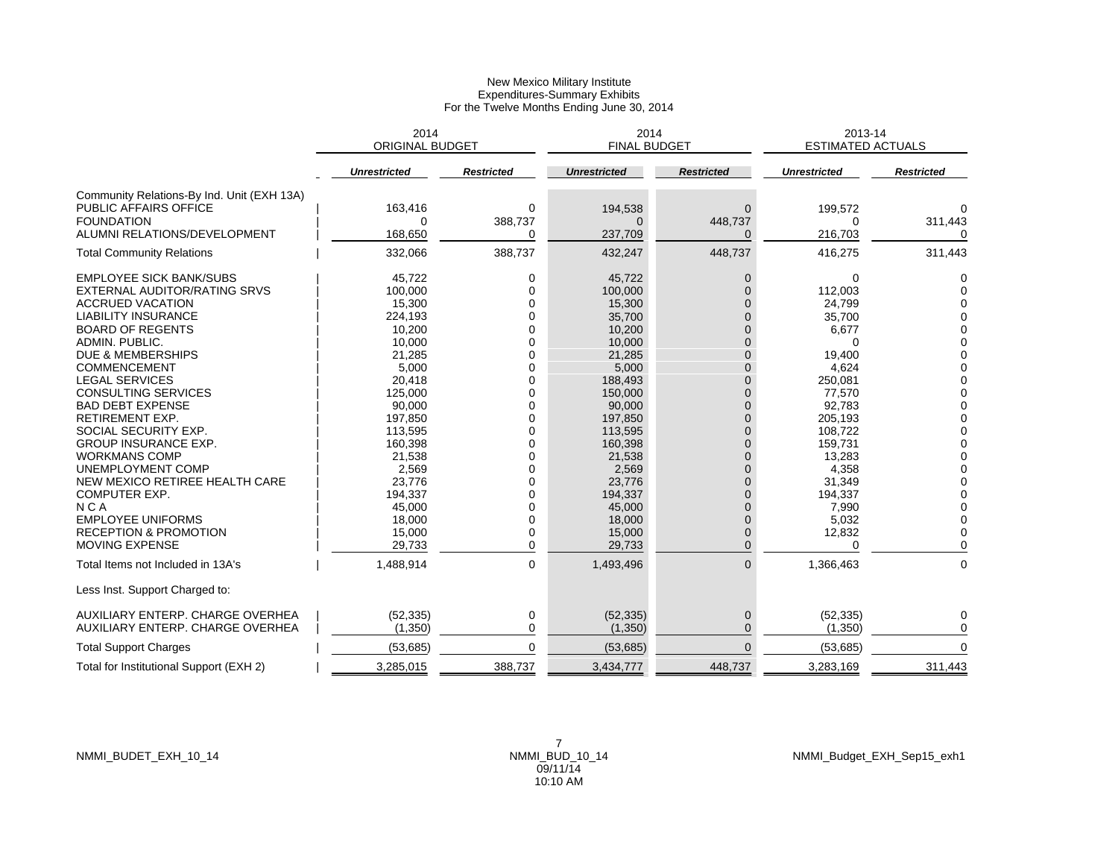|                                            | 2014<br><b>ORIGINAL BUDGET</b> |                   | 2014<br><b>FINAL BUDGET</b> |                   | 2013-14<br><b>ESTIMATED ACTUALS</b> |                   |
|--------------------------------------------|--------------------------------|-------------------|-----------------------------|-------------------|-------------------------------------|-------------------|
|                                            | <b>Unrestricted</b>            | <b>Restricted</b> | <b>Unrestricted</b>         | <b>Restricted</b> | <b>Unrestricted</b>                 | <b>Restricted</b> |
| Community Relations-By Ind. Unit (EXH 13A) |                                |                   |                             |                   |                                     |                   |
| PUBLIC AFFAIRS OFFICE                      | 163,416                        | 0                 | 194,538                     | $\Omega$          | 199,572                             | 0                 |
| <b>FOUNDATION</b>                          | 0                              | 388,737           | $\Omega$                    | 448,737           | $\Omega$                            | 311,443           |
| ALUMNI RELATIONS/DEVELOPMENT               | 168,650                        | 0                 | 237,709                     | 0                 | 216,703                             | 0                 |
| <b>Total Community Relations</b>           | 332,066                        | 388,737           | 432,247                     | 448,737           | 416,275                             | 311,443           |
| <b>EMPLOYEE SICK BANK/SUBS</b>             | 45,722                         | 0                 | 45,722                      | 0                 | 0                                   | 0                 |
| EXTERNAL AUDITOR/RATING SRVS               | 100,000                        | 0                 | 100,000                     | $\Omega$          | 112,003                             | $\Omega$          |
| <b>ACCRUED VACATION</b>                    | 15,300                         | 0                 | 15,300                      | $\mathbf{0}$      | 24,799                              | $\Omega$          |
| <b>LIABILITY INSURANCE</b>                 | 224,193                        | $\Omega$          | 35,700                      | $\overline{0}$    | 35,700                              | $\Omega$          |
| <b>BOARD OF REGENTS</b>                    | 10,200                         | $\Omega$          | 10,200                      | $\Omega$          | 6,677                               | 0                 |
| ADMIN, PUBLIC.                             | 10,000                         | $\Omega$          | 10,000                      | $\Omega$          | ∩                                   | $\Omega$          |
| <b>DUE &amp; MEMBERSHIPS</b>               | 21,285                         | 0                 | 21,285                      | $\overline{0}$    | 19,400                              | $\Omega$          |
| <b>COMMENCEMENT</b>                        | 5,000                          | $\Omega$          | 5,000                       | $\Omega$          | 4,624                               | $\Omega$          |
| <b>LEGAL SERVICES</b>                      | 20,418                         | $\Omega$          | 188,493                     | $\overline{0}$    | 250,081                             | 0                 |
| <b>CONSULTING SERVICES</b>                 | 125,000                        | $\mathbf 0$       | 150,000                     | $\mathbf 0$       | 77,570                              | $\Omega$          |
| <b>BAD DEBT EXPENSE</b>                    | 90,000                         | 0                 | 90,000                      | $\overline{0}$    | 92,783                              | $\Omega$          |
| <b>RETIREMENT EXP.</b>                     | 197,850                        | 0                 | 197,850                     | $\overline{0}$    | 205,193                             | $\Omega$          |
| SOCIAL SECURITY EXP.                       | 113,595                        | $\Omega$          | 113,595                     | $\Omega$          | 108,722                             | $\Omega$          |
| <b>GROUP INSURANCE EXP.</b>                | 160,398                        | $\Omega$          | 160,398                     | $\Omega$          | 159,731                             | $\Omega$          |
| <b>WORKMANS COMP</b>                       | 21,538                         | 0                 | 21,538                      | $\overline{0}$    | 13,283                              | $\Omega$          |
| <b>UNEMPLOYMENT COMP</b>                   | 2,569                          | $\Omega$          | 2,569                       | $\Omega$          | 4,358                               | $\Omega$          |
| NEW MEXICO RETIREE HEALTH CARE             | 23,776                         | $\Omega$          | 23,776                      | $\Omega$          | 31,349                              | $\Omega$          |
| <b>COMPUTER EXP.</b>                       | 194,337                        | $\Omega$          | 194,337                     | $\Omega$          | 194,337                             | 0                 |
| <b>NCA</b>                                 | 45,000                         | $\Omega$          | 45,000                      | $\Omega$          | 7,990                               | $\Omega$          |
| <b>EMPLOYEE UNIFORMS</b>                   | 18,000                         | $\mathbf 0$       | 18,000                      | $\overline{0}$    | 5,032                               | 0                 |
| <b>RECEPTION &amp; PROMOTION</b>           | 15,000                         | $\Omega$          | 15,000                      | $\mathbf 0$       | 12,832                              | 0                 |
| <b>MOVING EXPENSE</b>                      | 29,733                         | $\mathbf 0$       | 29,733                      | $\Omega$          | ∩                                   | $\Omega$          |
| Total Items not Included in 13A's          | 1,488,914                      | 0                 | 1,493,496                   | $\mathbf{0}$      | 1,366,463                           | 0                 |
| Less Inst. Support Charged to:             |                                |                   |                             |                   |                                     |                   |
| AUXILIARY ENTERP. CHARGE OVERHEA           | (52, 335)                      | 0                 | (52, 335)                   | 0                 | (52, 335)                           | 0                 |
| AUXILIARY ENTERP. CHARGE OVERHEA           | (1,350)                        | 0                 | (1,350)                     | $\Omega$          | (1,350)                             | 0                 |
| <b>Total Support Charges</b>               | (53, 685)                      | $\Omega$          | (53,685)                    | $\Omega$          | (53, 685)                           | $\Omega$          |
| Total for Institutional Support (EXH 2)    | 3,285,015                      | 388,737           | 3,434,777                   | 448.737           | 3,283,169                           | 311,443           |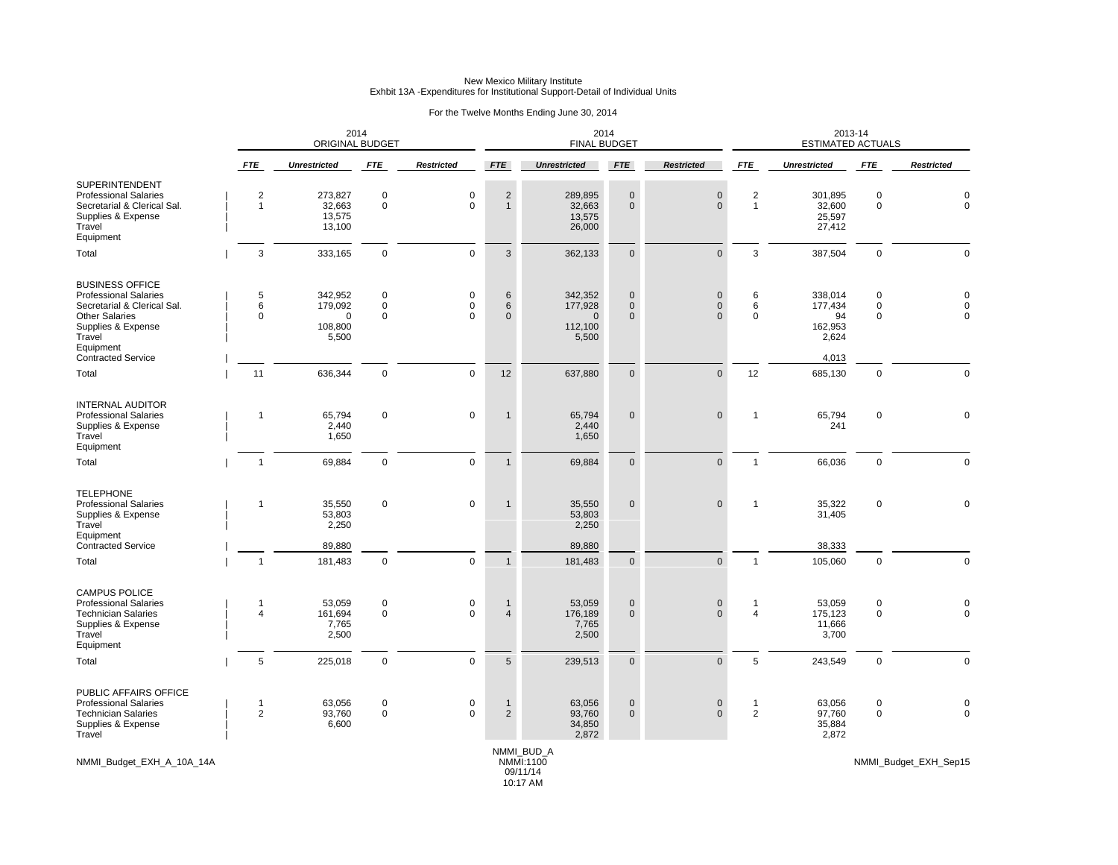### For the Twelve Months Ending June 30, 2014

|                                                                                                                                                                                          | 2014<br><b>ORIGINAL BUDGET</b> |                                                    |                                           |                              |                                     | 2014<br><b>FINAL BUDGET</b>                        |                                          |                                                |                                | 2013-14<br><b>ESTIMATED ACTUALS</b>                   |                                 |                                  |
|------------------------------------------------------------------------------------------------------------------------------------------------------------------------------------------|--------------------------------|----------------------------------------------------|-------------------------------------------|------------------------------|-------------------------------------|----------------------------------------------------|------------------------------------------|------------------------------------------------|--------------------------------|-------------------------------------------------------|---------------------------------|----------------------------------|
|                                                                                                                                                                                          | <b>FTE</b>                     | <b>Unrestricted</b>                                | <b>FTE</b>                                | <b>Restricted</b>            | <b>FTE</b>                          | <b>Unrestricted</b>                                | <b>FTE</b>                               | <b>Restricted</b>                              | <b>FTE</b>                     | <b>Unrestricted</b>                                   | <b>FTE</b>                      | <b>Restricted</b>                |
| SUPERINTENDENT<br><b>Professional Salaries</b><br>Secretarial & Clerical Sal.<br>Supplies & Expense<br>Travel<br>Equipment                                                               | $\sqrt{2}$<br>$\mathbf{1}$     | 273,827<br>32,663<br>13,575<br>13,100              | $\pmb{0}$<br>$\mathbf 0$                  | $\pmb{0}$<br>$\mathbf 0$     | $\sqrt{2}$<br>$\mathbf{1}$          | 289,895<br>32,663<br>13,575<br>26,000              | $\mathbf 0$<br>$\mathbf 0$               | $\pmb{0}$<br>$\mathbf{0}$                      | $\sqrt{2}$<br>$\mathbf{1}$     | 301,895<br>32,600<br>25,597<br>27,412                 | $\mathbf 0$<br>$\mathbf 0$      | 0<br>$\mathbf 0$                 |
| Total                                                                                                                                                                                    | 3                              | 333,165                                            | $\mathbf 0$                               | $\mathbf 0$                  | $\mathbf{3}$                        | 362,133                                            | $\mathbf{0}$                             | $\mathbf{0}$                                   | 3                              | 387,504                                               | $\mathbf 0$                     | $\Omega$                         |
| <b>BUSINESS OFFICE</b><br><b>Professional Salaries</b><br>Secretarial & Clerical Sal.<br><b>Other Salaries</b><br>Supplies & Expense<br>Travel<br>Equipment<br><b>Contracted Service</b> | 5<br>6<br>$\Omega$             | 342,952<br>179,092<br>$\Omega$<br>108,800<br>5,500 | $\mathbf 0$<br>$\mathbf 0$<br>$\mathbf 0$ | 0<br>$\mathbf 0$<br>$\Omega$ | 6<br>$6\phantom{1}$<br>$\mathbf{0}$ | 342,352<br>177,928<br>$\Omega$<br>112,100<br>5,500 | $\mathbf{0}$<br>$\mathbf{0}$<br>$\Omega$ | $\mathbf 0$<br>$\mathsf{O}\xspace$<br>$\Omega$ | 6<br>6<br>$\Omega$             | 338,014<br>177,434<br>94<br>162,953<br>2,624<br>4,013 | 0<br>$\mathbf 0$<br>$\mathbf 0$ | $\Omega$<br>$\Omega$<br>$\Omega$ |
| Total                                                                                                                                                                                    | 11                             | 636,344                                            | $\mathbf 0$                               | $\mathbf 0$                  | 12                                  | 637,880                                            | $\mathbf{0}$                             | $\mathbf{0}$                                   | 12                             | 685,130                                               | $\mathbf 0$                     | $\Omega$                         |
| <b>INTERNAL AUDITOR</b><br><b>Professional Salaries</b><br>Supplies & Expense<br>Travel<br>Equipment                                                                                     | 1                              | 65,794<br>2,440<br>1,650                           | $\mathbf 0$                               | $\mathbf 0$                  | $\mathbf 1$                         | 65,794<br>2,440<br>1,650                           | $\mathbf 0$                              | $\mathbf 0$                                    | $\mathbf{1}$                   | 65,794<br>241                                         | 0                               | $\mathbf 0$                      |
| Total                                                                                                                                                                                    | $\mathbf{1}$                   | 69,884                                             | $\mathbf 0$                               | $\mathbf 0$                  | $\overline{1}$                      | 69,884                                             | $\mathbf{0}$                             | $\mathbf{0}$                                   | $\mathbf{1}$                   | 66,036                                                | $\mathbf 0$                     | $\mathbf 0$                      |
| <b>TELEPHONE</b><br><b>Professional Salaries</b><br>Supplies & Expense<br>Travel<br>Equipment<br><b>Contracted Service</b>                                                               | $\mathbf{1}$                   | 35,550<br>53,803<br>2,250<br>89,880                | $\mathbf 0$                               | $\mathbf 0$                  | $\mathbf 1$                         | 35,550<br>53,803<br>2,250<br>89,880                | $\mathbf{0}$                             | $\mathbf 0$                                    | $\mathbf{1}$                   | 35,322<br>31,405<br>38,333                            | $\mathbf 0$                     | $\Omega$                         |
| Total                                                                                                                                                                                    | $\mathbf{1}$                   | 181,483                                            | $\mathsf 0$                               | $\mathbf 0$                  | $\mathbf{1}$                        | 181,483                                            | $\mathbf{0}$                             | $\mathbf{0}$                                   | $\mathbf{1}$                   | 105,060                                               | $\mathbf 0$                     | $\mathbf 0$                      |
| <b>CAMPUS POLICE</b><br><b>Professional Salaries</b><br><b>Technician Salaries</b><br>Supplies & Expense<br>Travel<br>Equipment                                                          | $\mathbf{1}$<br>$\overline{4}$ | 53,059<br>161,694<br>7,765<br>2,500                | $\mathbf 0$<br>$\mathbf 0$                | $\mathbf 0$<br>$\Omega$      | $\mathbf 1$<br>$\overline{4}$       | 53,059<br>176,189<br>7,765<br>2,500                | $\mathbf{0}$<br>$\mathbf{0}$             | $\mathbf 0$<br>$\Omega$                        | $\mathbf{1}$<br>$\overline{4}$ | 53,059<br>175,123<br>11,666<br>3,700                  | $\mathbf 0$<br>$\mathbf 0$      | $\mathbf 0$<br>$\Omega$          |
| Total                                                                                                                                                                                    | 5                              | 225,018                                            | $\mathbf 0$                               | $\mathbf 0$                  | $5\phantom{.0}$                     | 239,513                                            | $\mathbf{0}$                             | $\mathbf{0}$                                   | 5                              | 243,549                                               | $\mathbf 0$                     | $\mathbf 0$                      |
| PUBLIC AFFAIRS OFFICE<br><b>Professional Salaries</b><br><b>Technician Salaries</b><br>Supplies & Expense<br>Travel                                                                      | $\mathbf{1}$<br>$\overline{2}$ | 63,056<br>93,760<br>6,600                          | $\mathbf 0$<br>$\mathbf 0$                | 0<br>$\mathbf 0$             | 1<br>$\overline{2}$                 | 63,056<br>93,760<br>34,850<br>2,872                | $\mathbf 0$<br>$\mathbf{0}$              | $\mathbf 0$<br>$\mathbf{0}$                    | $\mathbf 1$<br>$\overline{2}$  | 63,056<br>97,760<br>35,884<br>2,872                   | 0<br>$\mathbf 0$                | 0<br>$\mathbf{0}$                |
| NMMI Budget EXH A 10A 14A                                                                                                                                                                |                                |                                                    |                                           |                              |                                     | NMMI BUD A<br>NMMI:1100                            |                                          |                                                |                                |                                                       |                                 | NMMI Budget EXH Sep15            |

09/11/14 10:17 AM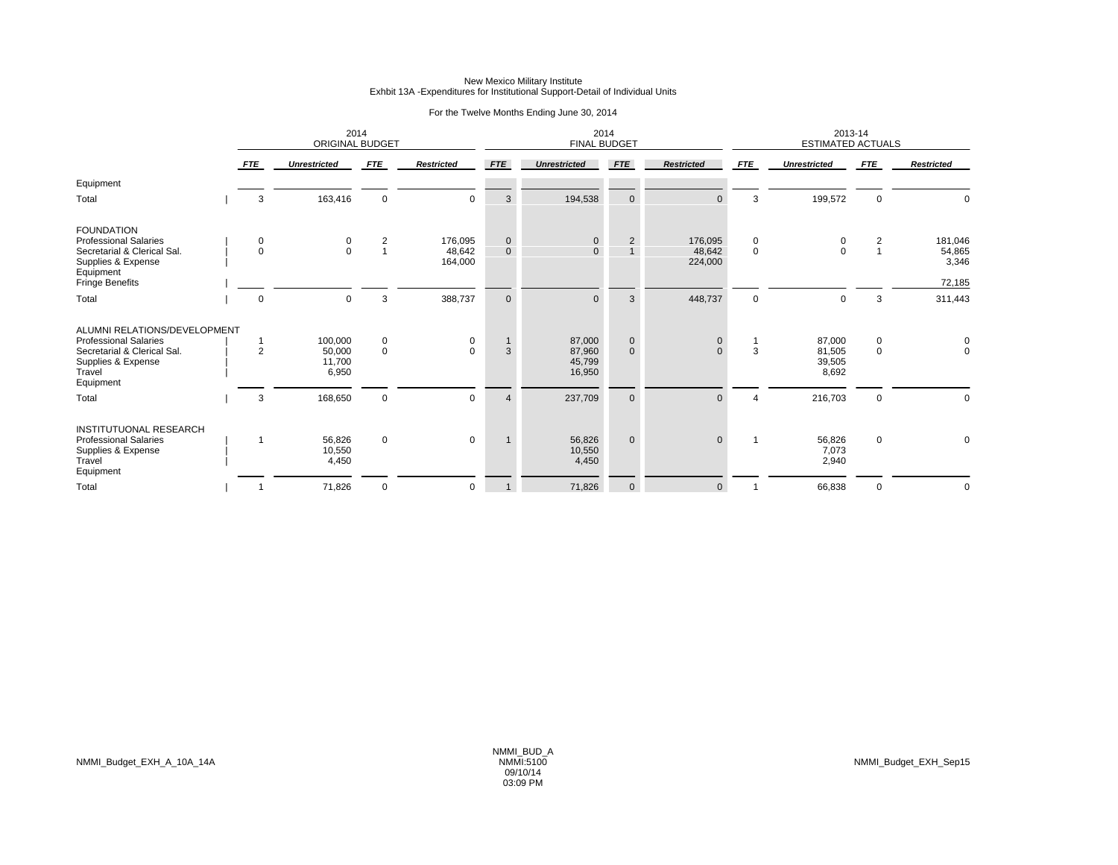### For the Twelve Months Ending June 30, 2014

|                                                                                                                                               |                | 2014<br><b>ORIGINAL BUDGET</b>       |                                  |                              |                             | 2014<br><b>FINAL BUDGET</b>          |                               |                              |                  | 2013-14<br><b>ESTIMATED ACTUALS</b> |                  |                                      |
|-----------------------------------------------------------------------------------------------------------------------------------------------|----------------|--------------------------------------|----------------------------------|------------------------------|-----------------------------|--------------------------------------|-------------------------------|------------------------------|------------------|-------------------------------------|------------------|--------------------------------------|
|                                                                                                                                               | <b>FTE</b>     | <b>Unrestricted</b>                  | <b>FTE</b>                       | <b>Restricted</b>            | <b>FTE</b>                  | <b>Unrestricted</b>                  | <b>FTE</b>                    | <b>Restricted</b>            | <b>FTE</b>       | <b>Unrestricted</b>                 | <b>FTE</b>       | <b>Restricted</b>                    |
| Equipment                                                                                                                                     |                |                                      |                                  |                              |                             |                                      |                               |                              |                  |                                     |                  |                                      |
| Total                                                                                                                                         | 3              | 163,416                              | $\mathbf 0$                      | $\mathbf 0$                  | 3                           | 194,538                              | $\mathbf{0}$                  | $\Omega$                     | 3                | 199,572                             | $\mathbf 0$      | $\mathbf 0$                          |
| <b>FOUNDATION</b><br><b>Professional Salaries</b><br>Secretarial & Clerical Sal.<br>Supplies & Expense<br>Equipment<br><b>Fringe Benefits</b> | 0<br>$\Omega$  | $\begin{matrix} 0 \\ 0 \end{matrix}$ | $\overline{2}$<br>$\overline{1}$ | 176,095<br>48,642<br>164,000 | $\mathbf 0$<br>$\mathbf{0}$ | $\mathbf{0}$                         | $\overline{2}$                | 176,095<br>48,642<br>224,000 | 0<br>$\mathbf 0$ | $\Omega$                            | $\overline{c}$   | 181,046<br>54,865<br>3,346<br>72,185 |
| Total                                                                                                                                         | $\mathbf 0$    | $\Omega$                             | 3                                | 388,737                      | $\mathbf 0$                 |                                      | 3                             | 448,737                      | $\mathbf 0$      | $\Omega$                            | 3                | 311,443                              |
| ALUMNI RELATIONS/DEVELOPMENT<br><b>Professional Salaries</b><br>Secretarial & Clerical Sal.<br>Supplies & Expense<br>Travel<br>Equipment      | $\overline{2}$ | 100,000<br>50,000<br>11,700<br>6,950 | $\mathbf 0$<br>$\mathsf 0$       | 0<br>$\Omega$                | 3                           | 87,000<br>87,960<br>45,799<br>16,950 | $\mathbf 0$<br>$\overline{0}$ | $\mathbf{0}$<br>$\Omega$     | $\mathbf 1$<br>3 | 87,000<br>81,505<br>39,505<br>8,692 | 0<br>$\mathsf 0$ | 0<br>$\mathsf 0$                     |
| Total                                                                                                                                         | 3              | 168,650                              | $\mathbf 0$                      | $\mathbf 0$                  | $\overline{4}$              | 237,709                              | $\mathbf{0}$                  | $\Omega$                     | 4                | 216,703                             | $\Omega$         | $\mathbf 0$                          |
| <b>INSTITUTUONAL RESEARCH</b><br><b>Professional Salaries</b><br>Supplies & Expense<br>Travel<br>Equipment                                    | 1              | 56,826<br>10,550<br>4,450            | $\mathbf 0$                      | $\mathbf 0$                  |                             | 56,826<br>10,550<br>4,450            | $\mathbf{0}$                  | $\mathbf{0}$                 |                  | 56,826<br>7,073<br>2,940            | $\mathbf 0$      | $\mathbf 0$                          |
| Total                                                                                                                                         |                | 71,826                               | $\mathbf 0$                      | 0                            |                             | 71,826                               | $\mathbf{0}$                  | $\mathbf{0}$                 |                  | 66,838                              | 0                | $\mathbf 0$                          |

NMMI\_Budget\_EXH\_A\_10A\_14A NMMI:5100 NMMI\_Budget\_EXH\_Sep15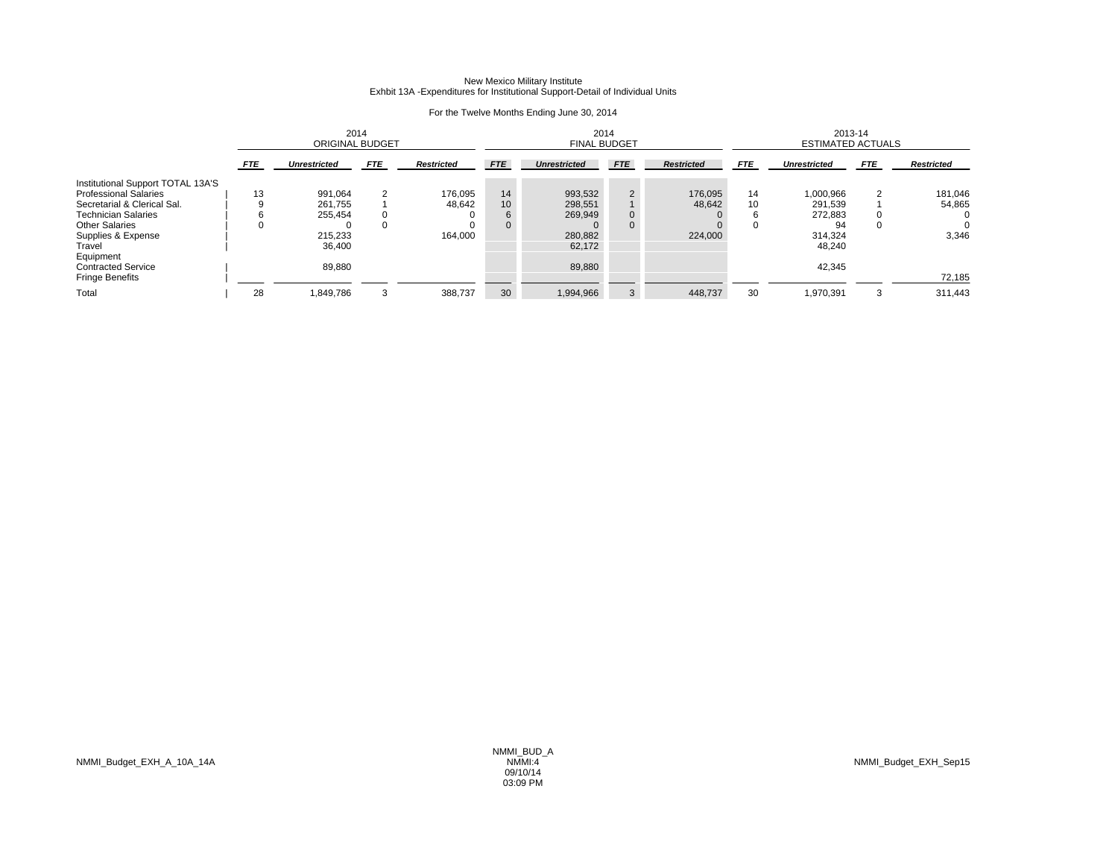|                                   | 2014<br><b>ORIGINAL BUDGET</b> |                     |            |                   |              | 2014<br><b>FINAL BUDGET</b> |                |                   |            | 2013-14<br><b>ESTIMATED ACTUALS</b> |            |                   |
|-----------------------------------|--------------------------------|---------------------|------------|-------------------|--------------|-----------------------------|----------------|-------------------|------------|-------------------------------------|------------|-------------------|
|                                   | <b>FTE</b>                     | <b>Unrestricted</b> | <b>FTE</b> | <b>Restricted</b> | <b>FTE</b>   | <b>Unrestricted</b>         | <b>FTE</b>     | <b>Restricted</b> | <b>FTE</b> | <b>Unrestricted</b>                 | <b>FTE</b> | <b>Restricted</b> |
| Institutional Support TOTAL 13A'S |                                |                     |            |                   |              |                             |                |                   |            |                                     |            |                   |
| <b>Professional Salaries</b>      | 13                             | 991,064             | 2          | 176,095           | 14           | 993,532                     | $\overline{2}$ | 176,095           | 14         | 1,000,966                           |            | 181,046           |
| Secretarial & Clerical Sal.       |                                | 261.755             |            | 48,642            | 10           | 298,551                     |                | 48,642            | 10         | 291,539                             |            | 54,865            |
| <b>Technician Salaries</b>        |                                | 255.454             |            | $\Omega$          | 6            | 269,949                     | 0              |                   |            | 272,883                             |            | $\Omega$          |
| <b>Other Salaries</b>             |                                |                     |            |                   | $\mathbf{0}$ |                             | 0              |                   | $\Omega$   | 94                                  |            | 0                 |
| Supplies & Expense                |                                | 215.233             |            | 164.000           |              | 280,882                     |                | 224.000           |            | 314,324                             |            | 3,346             |
| Travel                            |                                | 36.400              |            |                   |              | 62,172                      |                |                   |            | 48,240                              |            |                   |
| Equipment                         |                                |                     |            |                   |              |                             |                |                   |            |                                     |            |                   |
| <b>Contracted Service</b>         |                                | 89.880              |            |                   |              | 89,880                      |                |                   |            | 42,345                              |            |                   |
| <b>Fringe Benefits</b>            |                                |                     |            |                   |              |                             |                |                   |            |                                     |            | 72,185            |
| Total                             | 28                             | 1,849,786           | 3          | 388,737           | 30           | 1,994,966                   | 3              | 448,737           | 30         | 1,970,391                           | 3          | 311,443           |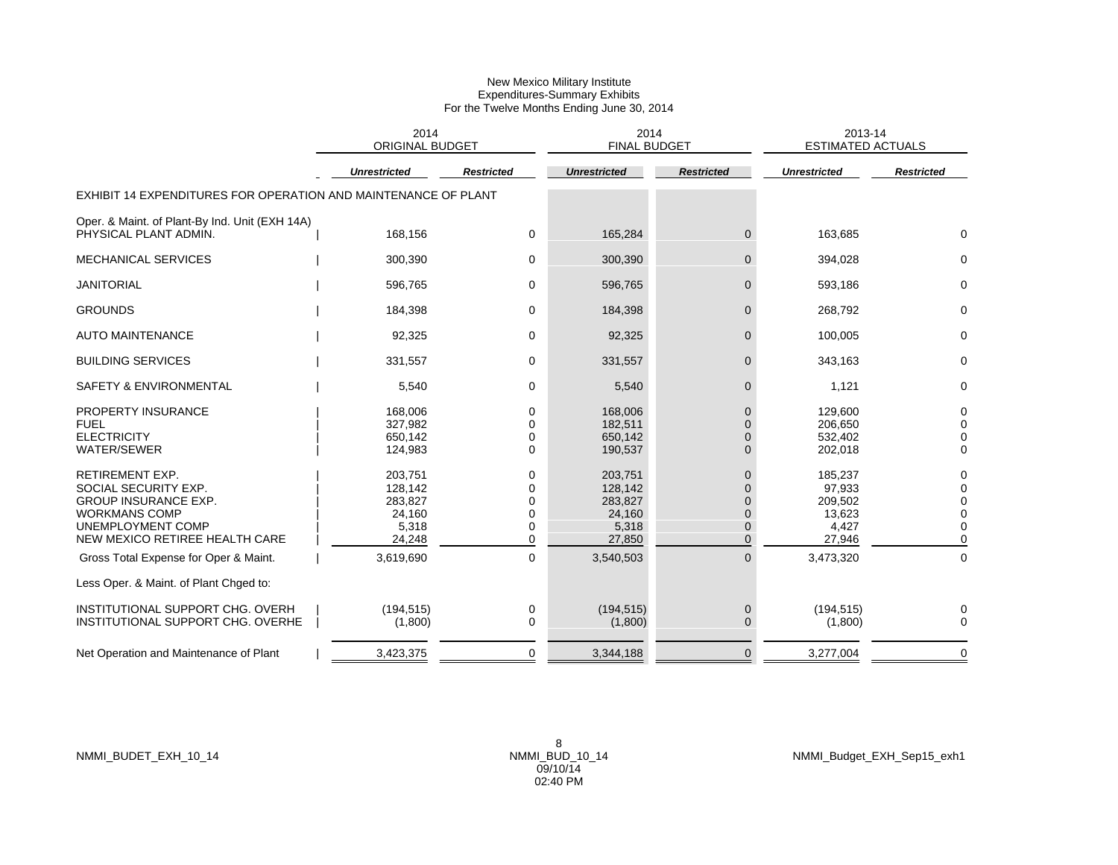|                                                                                                                                                              | 2014<br><b>ORIGINAL BUDGET</b>                             |                            | 2014<br><b>FINAL BUDGET</b>                                |                                                                                        | 2013-14<br><b>ESTIMATED ACTUALS</b>                       |                                                 |
|--------------------------------------------------------------------------------------------------------------------------------------------------------------|------------------------------------------------------------|----------------------------|------------------------------------------------------------|----------------------------------------------------------------------------------------|-----------------------------------------------------------|-------------------------------------------------|
|                                                                                                                                                              | <b>Unrestricted</b>                                        | <b>Restricted</b>          | <b>Unrestricted</b>                                        | <b>Restricted</b>                                                                      | <b>Unrestricted</b>                                       | <b>Restricted</b>                               |
| EXHIBIT 14 EXPENDITURES FOR OPERATION AND MAINTENANCE OF PLANT                                                                                               |                                                            |                            |                                                            |                                                                                        |                                                           |                                                 |
| Oper. & Maint. of Plant-By Ind. Unit (EXH 14A)<br>PHYSICAL PLANT ADMIN.                                                                                      | 168,156                                                    | 0                          | 165,284                                                    | $\overline{0}$                                                                         | 163,685                                                   | $\Omega$                                        |
| <b>MECHANICAL SERVICES</b>                                                                                                                                   | 300,390                                                    | 0                          | 300,390                                                    | $\overline{0}$                                                                         | 394,028                                                   | 0                                               |
| <b>JANITORIAL</b>                                                                                                                                            | 596,765                                                    | 0                          | 596,765                                                    | $\mathbf 0$                                                                            | 593,186                                                   | 0                                               |
| <b>GROUNDS</b>                                                                                                                                               | 184,398                                                    | 0                          | 184,398                                                    | $\mathbf 0$                                                                            | 268,792                                                   | 0                                               |
| <b>AUTO MAINTENANCE</b>                                                                                                                                      | 92,325                                                     | 0                          | 92,325                                                     | $\overline{0}$                                                                         | 100,005                                                   | 0                                               |
| <b>BUILDING SERVICES</b>                                                                                                                                     | 331,557                                                    | 0                          | 331,557                                                    | $\overline{0}$                                                                         | 343,163                                                   | 0                                               |
| SAFETY & ENVIRONMENTAL                                                                                                                                       | 5,540                                                      | 0                          | 5,540                                                      | 0                                                                                      | 1,121                                                     | 0                                               |
| PROPERTY INSURANCE<br><b>FUEL</b><br><b>ELECTRICITY</b><br><b>WATER/SEWER</b>                                                                                | 168,006<br>327.982<br>650,142<br>124,983                   | 0<br>0<br>0<br>$\Omega$    | 168,006<br>182.511<br>650,142<br>190,537                   | $\mathbf{0}$<br>$\mathbf{0}$<br>$\Omega$<br>$\Omega$                                   | 129,600<br>206.650<br>532,402<br>202,018                  | 0<br>0<br>0<br>$\Omega$                         |
| <b>RETIREMENT EXP.</b><br>SOCIAL SECURITY EXP.<br><b>GROUP INSURANCE EXP.</b><br><b>WORKMANS COMP</b><br>UNEMPLOYMENT COMP<br>NEW MEXICO RETIREE HEALTH CARE | 203,751<br>128,142<br>283,827<br>24,160<br>5,318<br>24,248 | 0<br>0<br>0<br>0<br>0<br>0 | 203,751<br>128,142<br>283,827<br>24,160<br>5,318<br>27,850 | $\mathbf{0}$<br>$\Omega$<br>$\overline{0}$<br>$\mathbf{0}$<br>$\mathbf{0}$<br>$\Omega$ | 185,237<br>97,933<br>209,502<br>13,623<br>4,427<br>27,946 | 0<br>$\Omega$<br>$\Omega$<br>0<br>0<br>$\Omega$ |
| Gross Total Expense for Oper & Maint.                                                                                                                        | 3,619,690                                                  | 0                          | 3,540,503                                                  | $\overline{0}$                                                                         | 3,473,320                                                 | 0                                               |
| Less Oper. & Maint. of Plant Chged to:                                                                                                                       |                                                            |                            |                                                            |                                                                                        |                                                           |                                                 |
| INSTITUTIONAL SUPPORT CHG. OVERH<br>INSTITUTIONAL SUPPORT CHG. OVERHE                                                                                        | (194, 515)<br>(1,800)                                      | 0<br>0                     | (194, 515)<br>(1,800)                                      | $\mathbf 0$<br>$\mathbf 0$                                                             | (194, 515)<br>(1,800)                                     | 0<br>$\Omega$                                   |
| Net Operation and Maintenance of Plant                                                                                                                       | 3,423,375                                                  | 0                          | 3,344,188                                                  | $\mathbf{0}$                                                                           | 3,277,004                                                 | 0                                               |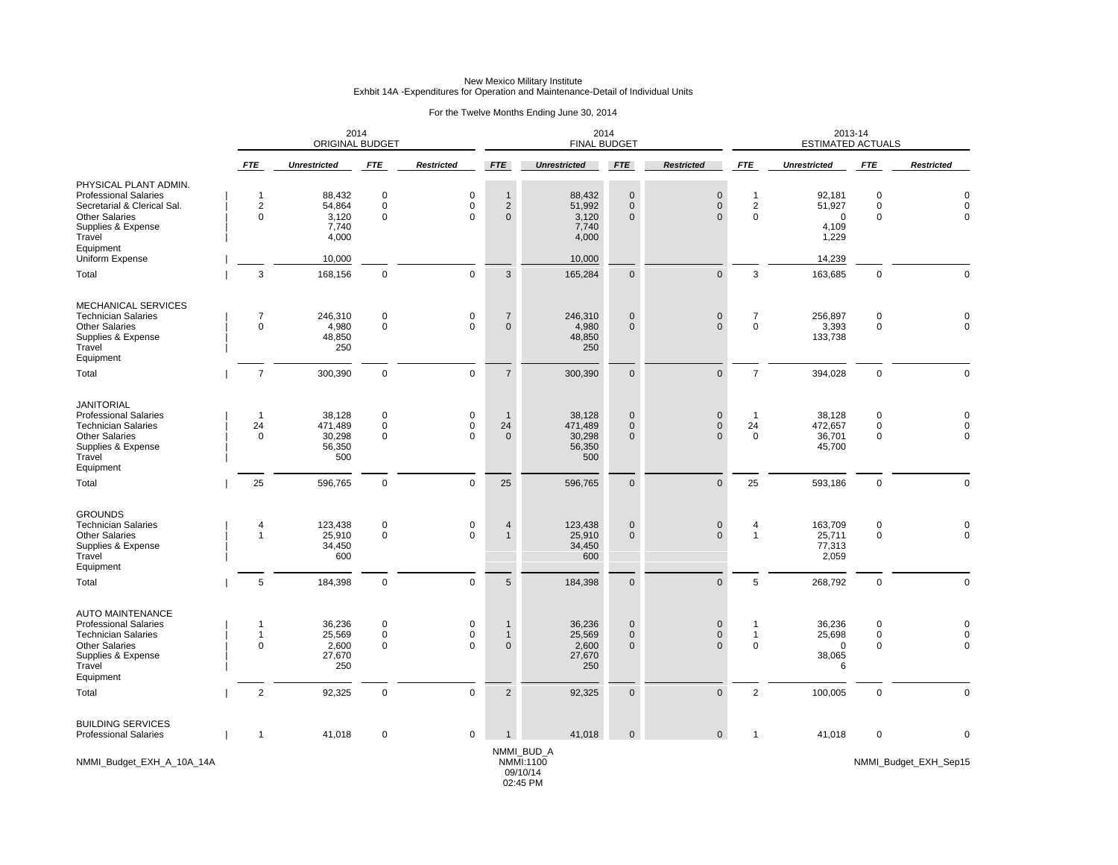## New Mexico Military Institute Exhbit 14A -Expenditures for Operation and Maintenance-Detail of Individual Units

### For the Twelve Months Ending June 30, 2014

|                                                                                                                                                             |                                               | 2014<br><b>ORIGINAL BUDGET</b>               |                                           |                                         |                                                | 2014<br><b>FINAL BUDGET</b>                  |                                              |                                                |                                            | 2013-14<br><b>ESTIMATED ACTUALS</b>               |                                           |                                        |
|-------------------------------------------------------------------------------------------------------------------------------------------------------------|-----------------------------------------------|----------------------------------------------|-------------------------------------------|-----------------------------------------|------------------------------------------------|----------------------------------------------|----------------------------------------------|------------------------------------------------|--------------------------------------------|---------------------------------------------------|-------------------------------------------|----------------------------------------|
|                                                                                                                                                             | <b>FTE</b>                                    | <b>Unrestricted</b>                          | <b>FTE</b>                                | <b>Restricted</b>                       | <b>FTE</b>                                     | <b>Unrestricted</b>                          | <b>FTE</b>                                   | <b>Restricted</b>                              | <b>FTE</b>                                 | <b>Unrestricted</b>                               | <b>FTE</b>                                | <b>Restricted</b>                      |
| PHYSICAL PLANT ADMIN.<br><b>Professional Salaries</b><br>Secretarial & Clerical Sal.<br><b>Other Salaries</b><br>Supplies & Expense<br>Travel<br>Equipment  | $\mathbf{1}$<br>$\overline{c}$<br>$\mathbf 0$ | 88,432<br>54,864<br>3,120<br>7,740<br>4,000  | $\mathbf 0$<br>$\mathbf 0$<br>$\mathbf 0$ | $\pmb{0}$<br>$\mathbf 0$<br>0           | $\mathbf{1}$<br>$\overline{2}$<br>$\mathbf{0}$ | 88,432<br>51,992<br>3,120<br>7,740<br>4,000  | $\mathbf 0$<br>$\mathbf{0}$<br>$\mathbf{0}$  | $\mathsf{O}\xspace$<br>$\mathbf 0$<br>$\Omega$ | $\mathbf{1}$<br>$\sqrt{2}$<br>$\mathbf 0$  | 92,181<br>51,927<br>$\mathbf 0$<br>4,109<br>1,229 | $\mathbf 0$<br>$\mathbf 0$<br>$\mathbf 0$ | $\Omega$<br>$\Omega$<br>$\mathbf 0$    |
| Uniform Expense<br>Total                                                                                                                                    | 3                                             | 10,000<br>168,156                            | $\mathbf 0$                               | $\mathbf 0$                             | $\mathbf{3}$                                   | 10,000<br>165,284                            | $\mathbf 0$                                  | $\mathbf{0}$                                   | 3                                          | 14,239<br>163,685                                 | $\mathbf 0$                               | $\Omega$                               |
|                                                                                                                                                             |                                               |                                              |                                           |                                         |                                                |                                              |                                              |                                                |                                            |                                                   |                                           |                                        |
| <b>MECHANICAL SERVICES</b><br><b>Technician Salaries</b><br><b>Other Salaries</b><br>Supplies & Expense<br>Travel<br>Equipment                              | 7<br>$\mathbf 0$                              | 246,310<br>4,980<br>48,850<br>250            | $\mathbf 0$<br>$\mathbf 0$                | $\pmb{0}$<br>$\Omega$                   | $\overline{7}$<br>$\mathbf{0}$                 | 246,310<br>4,980<br>48,850<br>250            | $\mathbf{0}$<br>$\Omega$                     | $\pmb{0}$<br>$\Omega$                          | $\overline{7}$<br>$\mathbf 0$              | 256,897<br>3,393<br>133,738                       | $\mathbf 0$<br>$\mathbf 0$                | $\pmb{0}$<br>$\Omega$                  |
| Total                                                                                                                                                       | $\overline{7}$                                | 300,390                                      | $\mathbf 0$                               | $\mathbf 0$                             | $\overline{7}$                                 | 300,390                                      | $\mathbf{0}$                                 | $\mathbf{0}$                                   | $\overline{7}$                             | 394,028                                           | $\mathbf 0$                               | $\mathbf 0$                            |
| <b>JANITORIAL</b><br><b>Professional Salaries</b><br><b>Technician Salaries</b><br><b>Other Salaries</b><br>Supplies & Expense<br>Travel<br>Equipment       | $\overline{1}$<br>24<br>$\mathbf 0$           | 38,128<br>471,489<br>30,298<br>56,350<br>500 | $\mathbf 0$<br>$\mathsf 0$<br>$\mathbf 0$ | $\pmb{0}$<br>$\pmb{0}$<br>0             | -1<br>24<br>$\mathbf 0$                        | 38,128<br>471,489<br>30,298<br>56,350<br>500 | $\mathbf{0}$<br>$\mathbf{0}$<br>$\mathbf{0}$ | $\mathbf 0$<br>$\mathbf 0$<br>$\Omega$         | $\mathbf{1}$<br>24<br>$\mathbf 0$          | 38,128<br>472,657<br>36,701<br>45,700             | $\mathbf 0$<br>$\pmb{0}$<br>$\mathbf 0$   | $\Omega$<br>$\mathbf 0$<br>$\mathbf 0$ |
| Total                                                                                                                                                       | 25                                            | 596,765                                      | $\mathbf 0$                               | $\pmb{0}$                               | 25                                             | 596,765                                      | $\mathbf{0}$                                 | $\mathbf{0}$                                   | 25                                         | 593,186                                           | $\mathbf 0$                               | $\Omega$                               |
| <b>GROUNDS</b><br><b>Technician Salaries</b><br><b>Other Salaries</b><br>Supplies & Expense<br>Travel<br>Equipment                                          | 4<br>$\overline{1}$                           | 123,438<br>25,910<br>34,450<br>600           | $\mathbf 0$<br>$\mathbf 0$                | $\pmb{0}$<br>$\Omega$                   | 4<br>$\mathbf{1}$                              | 123,438<br>25,910<br>34,450<br>600           | $\mathbf 0$<br>$\Omega$                      | $\mathbf 0$<br>$\Omega$                        | 4<br>$\mathbf{1}$                          | 163,709<br>25,711<br>77,313<br>2,059              | 0<br>$\mathbf 0$                          | 0<br>$\Omega$                          |
| Total                                                                                                                                                       | 5                                             | 184,398                                      | $\mathbf 0$                               | $\mathbf 0$                             | $5\phantom{.0}$                                | 184,398                                      | $\mathbf{0}$                                 | $\mathbf{0}$                                   | $\overline{5}$                             | 268,792                                           | $\mathbf 0$                               | $\mathbf{0}$                           |
| <b>AUTO MAINTENANCE</b><br><b>Professional Salaries</b><br><b>Technician Salaries</b><br><b>Other Salaries</b><br>Supplies & Expense<br>Travel<br>Equipment | -1<br>$\mathbf{1}$<br>$\mathbf 0$             | 36,236<br>25,569<br>2,600<br>27,670<br>250   | $\mathbf 0$<br>$\pmb{0}$<br>$\mathbf 0$   | $\mathbf 0$<br>$\pmb{0}$<br>$\mathbf 0$ | -1<br>$\mathbf{1}$<br>$\mathbf{0}$             | 36,236<br>25,569<br>2,600<br>27,670<br>250   | $\mathbf{0}$<br>$\mathbf{0}$<br>$\mathbf{0}$ | $\mathbf 0$<br>$\mathsf{O}\xspace$<br>$\Omega$ | $\mathbf 1$<br>$\mathbf{1}$<br>$\mathbf 0$ | 36,236<br>25,698<br>$\mathbf 0$<br>38,065<br>6    | 0<br>$\mathbf 0$<br>$\mathbf 0$           | $\Omega$<br>$\mathbf 0$<br>$\mathbf 0$ |
| Total                                                                                                                                                       | $\overline{2}$                                | 92,325                                       | $\mathbf 0$                               | $\mathbf 0$                             | $\overline{2}$                                 | 92,325                                       | $\mathbf{0}$                                 | $\mathbf{0}$                                   | $\overline{2}$                             | 100,005                                           | $\mathbf 0$                               | $\mathbf 0$                            |
| <b>BUILDING SERVICES</b><br><b>Professional Salaries</b>                                                                                                    | $\mathbf{1}$                                  | 41,018                                       | $\mathbf 0$                               | $\mathbf 0$                             |                                                | 41,018<br>NMMI_BUD_A                         | $\Omega$                                     | $\mathbf{0}$                                   | $\mathbf{1}$                               | 41,018                                            | 0                                         | $\Omega$                               |
| NMMI_Budget_EXH_A_10A_14A                                                                                                                                   |                                               |                                              |                                           |                                         |                                                | NMMI:1100<br>09/10/14                        |                                              |                                                |                                            |                                                   |                                           | NMMI_Budget_EXH_Sep15                  |

02:45 PM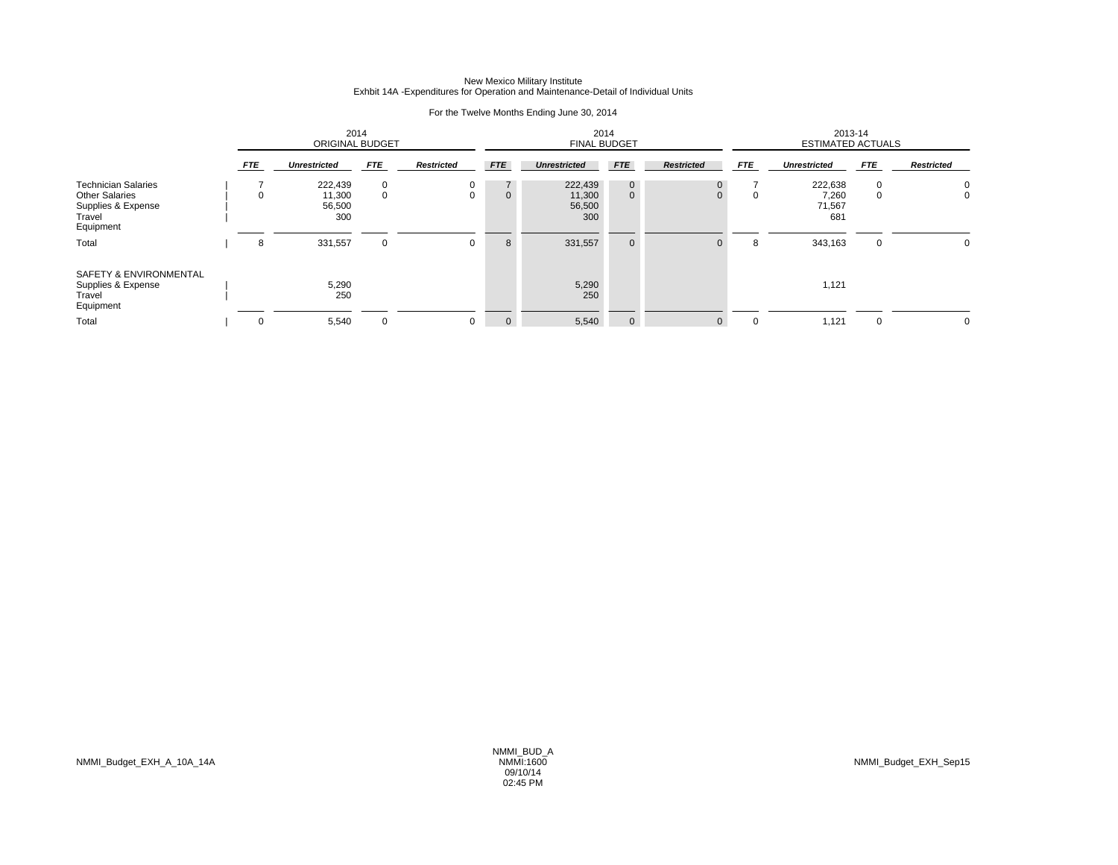## New Mexico Military Institute Exhbit 14A -Expenditures for Operation and Maintenance-Detail of Individual Units

### For the Twelve Months Ending June 30, 2014

|                                                                                                  | 2014<br><b>ORIGINAL BUDGET</b> |                                    |                  |                   |                               | <b>FINAL BUDGET</b>                | 2014                         |                   |            | 2013-14<br><b>ESTIMATED ACTUALS</b> |            |                   |
|--------------------------------------------------------------------------------------------------|--------------------------------|------------------------------------|------------------|-------------------|-------------------------------|------------------------------------|------------------------------|-------------------|------------|-------------------------------------|------------|-------------------|
|                                                                                                  | <b>FTE</b>                     | <b>Unrestricted</b>                | <b>FTE</b>       | <b>Restricted</b> | <b>FTE</b>                    | <b>Unrestricted</b>                | <b>FTE</b>                   | <b>Restricted</b> | <b>FTE</b> | <b>Unrestricted</b>                 | <b>FTE</b> | <b>Restricted</b> |
| <b>Technician Salaries</b><br><b>Other Salaries</b><br>Supplies & Expense<br>Travel<br>Equipment | $\Omega$                       | 222,439<br>11,300<br>56,500<br>300 | $\mathbf 0$<br>0 | 0<br>$\Omega$     | $7^{\circ}$<br>$\overline{0}$ | 222,439<br>11,300<br>56,500<br>300 | $\mathbf{0}$<br>$\mathbf{0}$ |                   | 0          | 222,638<br>7,260<br>71,567<br>681   | 0<br>0     | 0<br>0            |
| Total<br>SAFETY & ENVIRONMENTAL<br>Supplies & Expense<br>Travel<br>Equipment                     | 8                              | 331,557<br>5,290<br>250            | 0                | 0                 | 8                             | 331,557<br>5,290<br>250            | $\mathbf 0$                  | $\Omega$          | 8          | 343,163<br>1,121                    | 0          | 0                 |
| Total                                                                                            | $\mathbf 0$                    | 5,540                              | 0                | 0                 | $\mathbf 0$                   | 5,540                              | $\mathbf 0$                  | $\mathbf{0}$      | $\Omega$   | 1,121                               |            | 0                 |

NMMI\_Budget\_EXH\_A\_10A\_14A NMMI:1600 NMMI\_Budget\_EXH\_Sep15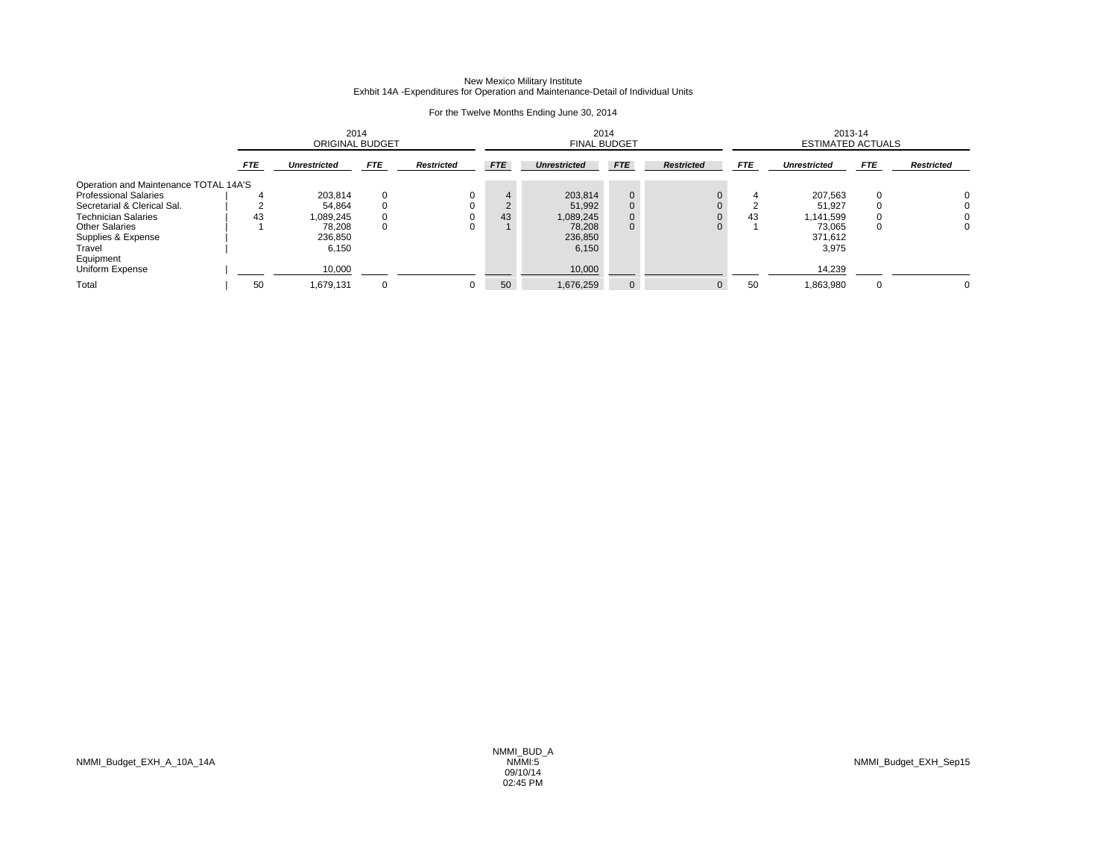## New Mexico Military Institute Exhbit 14A -Expenditures for Operation and Maintenance-Detail of Individual Units

### For the Twelve Months Ending June 30, 2014

|                                       |            | 2014<br>ORIGINAL BUDGET |            |                   | 2014<br><b>FINAL BUDGET</b> |                     |                |                   | 2013-14<br><b>ESTIMATED ACTUALS</b> |                     |            |                   |
|---------------------------------------|------------|-------------------------|------------|-------------------|-----------------------------|---------------------|----------------|-------------------|-------------------------------------|---------------------|------------|-------------------|
|                                       | <b>FTE</b> | <b>Unrestricted</b>     | <b>FTE</b> | <b>Restricted</b> | <b>FTE</b>                  | <b>Unrestricted</b> | <b>FTE</b>     | <b>Restricted</b> | <b>FTE</b>                          | <b>Unrestricted</b> | <b>FTE</b> | <b>Restricted</b> |
| Operation and Maintenance TOTAL 14A'S |            |                         |            |                   |                             |                     |                |                   |                                     |                     |            |                   |
| <b>Professional Salaries</b>          |            | 203,814                 |            |                   |                             | 203.814             | $\overline{0}$ |                   |                                     | 207,563             | $\Omega$   |                   |
| Secretarial & Clerical Sal.           |            | 54,864                  |            |                   |                             | 51.992              | 0              |                   |                                     | 51.927              |            |                   |
| <b>Technician Salaries</b>            | 43         | 1,089,245               |            |                   | 43                          | 1,089,245           | $\overline{0}$ |                   | 43                                  | 1.141.599           |            |                   |
| <b>Other Salaries</b>                 |            | 78,208                  |            |                   |                             | 78,208              | $\mathbf{0}$   | 0                 |                                     | 73,065              | 0          | 0                 |
| Supplies & Expense                    |            | 236.850                 |            |                   |                             | 236,850             |                |                   |                                     | 371.612             |            |                   |
| Travel                                |            | 6,150                   |            |                   |                             | 6,150               |                |                   |                                     | 3,975               |            |                   |
| Equipment                             |            |                         |            |                   |                             |                     |                |                   |                                     |                     |            |                   |
| Uniform Expense                       |            | 10,000                  |            |                   |                             | 10,000              |                |                   |                                     | 14,239              |            |                   |
| Total                                 | 50         | 1,679,131               |            |                   | 50                          | 1,676,259           | $\overline{0}$ |                   | 50                                  | 1,863,980           | $\Omega$   | O                 |

NMMI\_Budget\_EXH\_A\_10A\_14A NMMI:5 NMMI\_Budget\_EXH\_Sep15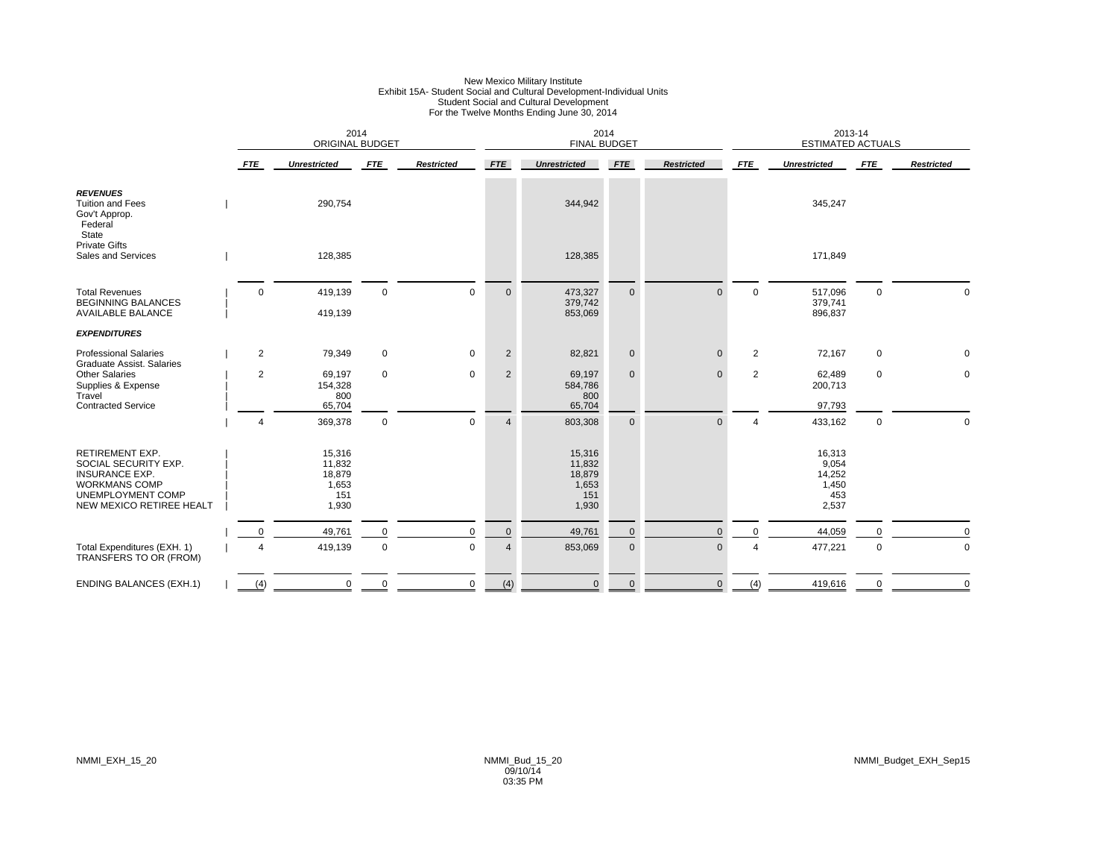|                                                                                                                                                  |                | <b>ORIGINAL BUDGET</b>                              | 2014        |                   |                | 2014<br><b>FINAL BUDGET</b>                         |              |                   |                | 2013-14<br><b>ESTIMATED ACTUALS</b>                |              |                   |
|--------------------------------------------------------------------------------------------------------------------------------------------------|----------------|-----------------------------------------------------|-------------|-------------------|----------------|-----------------------------------------------------|--------------|-------------------|----------------|----------------------------------------------------|--------------|-------------------|
|                                                                                                                                                  | <b>FTE</b>     | <b>Unrestricted</b>                                 | <b>FTE</b>  | <b>Restricted</b> | <b>FTE</b>     | <b>Unrestricted</b>                                 | <b>FTE</b>   | <b>Restricted</b> | <b>FTE</b>     | <b>Unrestricted</b>                                | <b>FTE</b>   | <b>Restricted</b> |
| <b>REVENUES</b><br><b>Tuition and Fees</b><br>Gov't Approp.<br>Federal<br>State                                                                  |                | 290,754                                             |             |                   |                | 344,942                                             |              |                   |                | 345,247                                            |              |                   |
| <b>Private Gifts</b><br>Sales and Services                                                                                                       |                | 128,385                                             |             |                   |                | 128,385                                             |              |                   |                | 171,849                                            |              |                   |
| <b>Total Revenues</b><br><b>BEGINNING BALANCES</b><br><b>AVAILABLE BALANCE</b>                                                                   | $\mathbf 0$    | 419,139<br>419,139                                  | $\mathbf 0$ | $\mathbf 0$       | $\mathbf{0}$   | 473,327<br>379,742<br>853,069                       | $\mathbf{0}$ | $\mathbf{0}$      | $\mathbf 0$    | 517,096<br>379,741<br>896,837                      | $\mathbf{0}$ | $\Omega$          |
| <b>EXPENDITURES</b>                                                                                                                              |                |                                                     |             |                   |                |                                                     |              |                   |                |                                                    |              |                   |
| <b>Professional Salaries</b><br>Graduate Assist. Salaries                                                                                        | $\overline{2}$ | 79,349                                              | $\mathbf 0$ | 0                 | $\overline{2}$ | 82,821                                              | $\pmb{0}$    | $\mathbf 0$       | $\overline{2}$ | 72,167                                             | $\mathbf 0$  | 0                 |
| <b>Other Salaries</b><br>Supplies & Expense<br>Travel                                                                                            | $\overline{2}$ | 69,197<br>154,328<br>800                            | $\mathbf 0$ | $\mathbf 0$       | $\overline{2}$ | 69,197<br>584,786<br>800                            | $\mathbf{0}$ | $\mathbf{0}$      | 2              | 62,489<br>200,713                                  | $\mathbf 0$  | $\mathbf 0$       |
| <b>Contracted Service</b>                                                                                                                        | $\overline{a}$ | 65,704<br>369,378                                   | $\mathbf 0$ | $\mathsf 0$       | $\overline{4}$ | 65,704<br>803,308                                   | $\mathbf 0$  | $\mathbf{0}$      | $\overline{4}$ | 97,793<br>433,162                                  | $\mathsf 0$  | 0                 |
| <b>RETIREMENT EXP.</b><br>SOCIAL SECURITY EXP.<br><b>INSURANCE EXP.</b><br><b>WORKMANS COMP</b><br>UNEMPLOYMENT COMP<br>NEW MEXICO RETIREE HEALT |                | 15,316<br>11,832<br>18,879<br>1,653<br>151<br>1,930 |             |                   |                | 15,316<br>11,832<br>18,879<br>1,653<br>151<br>1,930 |              |                   |                | 16,313<br>9,054<br>14,252<br>1,450<br>453<br>2,537 |              |                   |
|                                                                                                                                                  | 0              | 49,761                                              | 0           | $\mathbf 0$       | $\mathbf 0$    | 49,761                                              | $\mathbf 0$  | $\Omega$          | $\Omega$       | 44,059                                             | 0            | $\Omega$          |
| Total Expenditures (EXH. 1)<br>TRANSFERS TO OR (FROM)                                                                                            | $\overline{4}$ | 419,139                                             | 0           | $\mathbf 0$       | $\overline{4}$ | 853,069                                             | $\mathbf 0$  | $\mathbf{0}$      | $\overline{4}$ | 477,221                                            | $\mathsf 0$  | $\mathbf 0$       |
| <b>ENDING BALANCES (EXH.1)</b>                                                                                                                   | (4)            | $\mathbf 0$                                         | $\mathbf 0$ | $\mathbf 0$       | (4)            | $\mathbf 0$                                         | $\mathbf{0}$ | $\mathbf{0}$      | (4)            | 419,616                                            | $\mathbf 0$  | $\mathbf 0$       |

# New Mexico Military Institute<br>Exhibit 15A- Student Social and Cultural Development-Individual Units<br>Student Social and Cultural Development<br>For the Twelve Months Ending June 30, 2014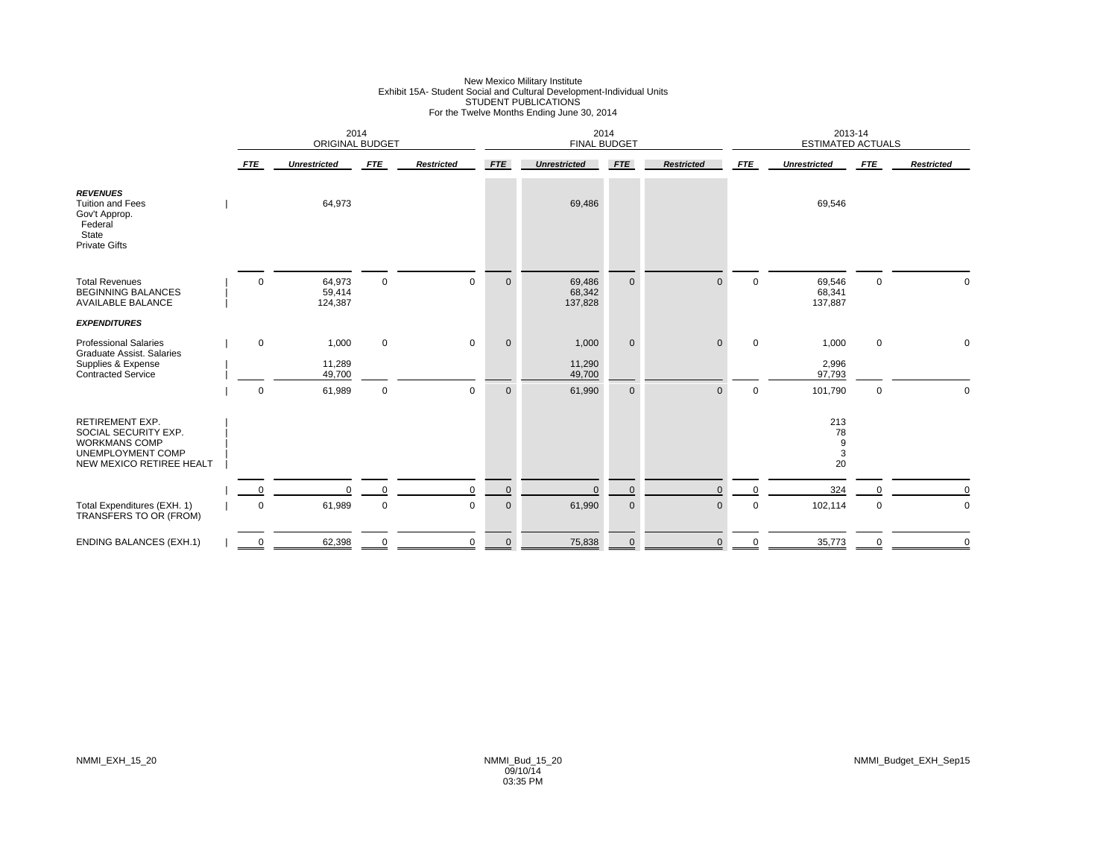# New Mexico Military Institute<br>Exhibit 15A- Student Social and Cultural Development-Individual Units<br>STUDENT PUBLICATIONS<br>For the Twelve Months Ending June 30, 2014

|                                                                                                                         |             | 2014<br>ORIGINAL BUDGET     |             |                   |             | 2014<br><b>FINAL BUDGET</b> |                     |                   |             | 2013-14<br><b>ESTIMATED ACTUALS</b> |             |                   |
|-------------------------------------------------------------------------------------------------------------------------|-------------|-----------------------------|-------------|-------------------|-------------|-----------------------------|---------------------|-------------------|-------------|-------------------------------------|-------------|-------------------|
|                                                                                                                         | FTE         | <b>Unrestricted</b>         | <b>FTE</b>  | <b>Restricted</b> | <b>FTE</b>  | <b>Unrestricted</b>         | <b>FTE</b>          | <b>Restricted</b> | <b>FTE</b>  | <b>Unrestricted</b>                 | <b>FTE</b>  | <b>Restricted</b> |
| <b>REVENUES</b><br><b>Tuition and Fees</b><br>Gov't Approp.<br>Federal<br>State<br><b>Private Gifts</b>                 |             | 64,973                      |             |                   |             | 69,486                      |                     |                   |             | 69,546                              |             |                   |
| <b>Total Revenues</b><br><b>BEGINNING BALANCES</b><br><b>AVAILABLE BALANCE</b>                                          | $\mathbf 0$ | 64,973<br>59,414<br>124,387 | $\Omega$    | $\mathbf 0$       | $\mathbf 0$ | 69,486<br>68,342<br>137,828 | $\mathbf 0$         | $\Omega$          | $\Omega$    | 69,546<br>68,341<br>137,887         | $\mathbf 0$ | $\Omega$          |
| <b>EXPENDITURES</b>                                                                                                     |             |                             |             |                   |             |                             |                     |                   |             |                                     |             |                   |
| <b>Professional Salaries</b><br><b>Graduate Assist, Salaries</b><br>Supplies & Expense<br><b>Contracted Service</b>     | $\mathbf 0$ | 1,000<br>11,289<br>49,700   | $\mathbf 0$ | $\mathbf 0$       | $\mathbf 0$ | 1,000<br>11,290<br>49,700   | $\mathbf 0$         | $\mathbf{0}$      | $\mathbf 0$ | 1,000<br>2,996<br>97,793            | $\mathbf 0$ | 0                 |
|                                                                                                                         | $\mathbf 0$ | 61,989                      | $\mathbf 0$ | $\mathbf 0$       | $\mathbf 0$ | 61,990                      | $\mathbf 0$         | $\Omega$          | $\mathbf 0$ | 101,790                             | $\mathbf 0$ | $\Omega$          |
| <b>RETIREMENT EXP.</b><br>SOCIAL SECURITY EXP.<br><b>WORKMANS COMP</b><br>UNEMPLOYMENT COMP<br>NEW MEXICO RETIREE HEALT |             |                             |             |                   |             |                             |                     |                   |             | 213<br>78<br>9<br>3<br>20           |             |                   |
|                                                                                                                         | 0           | $\Omega$                    | $\Omega$    | $\mathbf 0$       | $\mathbf 0$ | $\mathbf{0}$                | $\mathsf{O}\xspace$ | $\mathbf{0}$      | $\mathbf 0$ | 324                                 |             | $\Omega$          |
| Total Expenditures (EXH. 1)<br>TRANSFERS TO OR (FROM)                                                                   | $\mathbf 0$ | 61,989                      | $\mathbf 0$ | $\mathbf 0$       | $\mathbf 0$ | 61,990                      | $\mathbf 0$         | $\mathbf 0$       | $\mathbf 0$ | 102,114                             | 0           | $\mathbf 0$       |
| <b>ENDING BALANCES (EXH.1)</b>                                                                                          | 0           | 62,398                      | $\mathbf 0$ | 0                 | $\mathbf 0$ | 75,838                      | $\mathbf 0$         | $\mathbf{0}$      | $\mathbf 0$ | 35,773                              | $\mathbf 0$ | $\mathbf 0$       |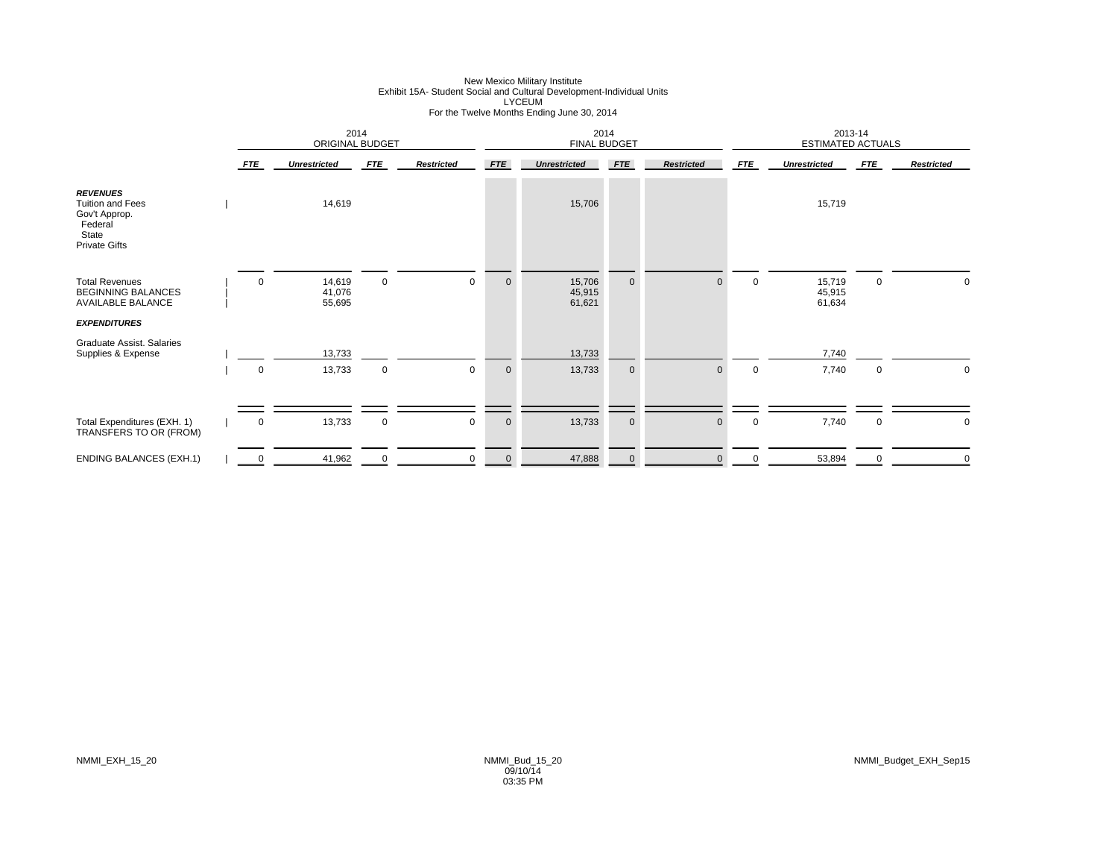|                                                                                                         |                        | 2014<br>ORIGINAL BUDGET    |             |                   |                | 2014<br><b>FINAL BUDGET</b> |             |                   |             | 2013-14<br><b>ESTIMATED ACTUALS</b> |             |                   |
|---------------------------------------------------------------------------------------------------------|------------------------|----------------------------|-------------|-------------------|----------------|-----------------------------|-------------|-------------------|-------------|-------------------------------------|-------------|-------------------|
|                                                                                                         | <b>FTE</b>             | <b>Unrestricted</b>        | <b>FTE</b>  | <b>Restricted</b> | <b>FTE</b>     | <b>Unrestricted</b>         | <b>FTE</b>  | <b>Restricted</b> | <b>FTE</b>  | <b>Unrestricted</b>                 | <b>FTE</b>  | <b>Restricted</b> |
| <b>REVENUES</b><br><b>Tuition and Fees</b><br>Gov't Approp.<br>Federal<br>State<br><b>Private Gifts</b> |                        | 14,619                     |             |                   |                | 15,706                      |             |                   |             | 15,719                              |             |                   |
| <b>Total Revenues</b><br><b>BEGINNING BALANCES</b><br><b>AVAILABLE BALANCE</b>                          | $\mathbf 0$            | 14,619<br>41,076<br>55,695 | $\mathbf 0$ | $\mathbf 0$       | $\overline{0}$ | 15,706<br>45,915<br>61,621  | $\mathbf 0$ | $\Omega$          | $\mathbf 0$ | 15,719<br>45,915<br>61,634          | $\mathsf 0$ | 0                 |
| <b>EXPENDITURES</b>                                                                                     |                        |                            |             |                   |                |                             |             |                   |             |                                     |             |                   |
| Graduate Assist. Salaries<br>Supplies & Expense                                                         |                        | 13,733                     |             |                   |                | 13,733                      |             |                   |             | 7,740                               |             |                   |
|                                                                                                         | $\mathbf 0$            | 13,733                     | $\mathbf 0$ | $\mathbf 0$       | $\mathbf 0$    | 13,733                      | $\mathbf 0$ | $\Omega$          | $\mathbf 0$ | 7,740                               | $\mathbf 0$ | 0                 |
|                                                                                                         |                        |                            |             |                   |                |                             |             |                   |             |                                     |             |                   |
| Total Expenditures (EXH. 1)<br>TRANSFERS TO OR (FROM)                                                   | $\mathbf 0$            | 13,733                     | $\mathbf 0$ | $\mathbf 0$       | $\mathbf 0$    | 13,733                      | $\mathbf 0$ | $\Omega$          | $\mathbf 0$ | 7,740                               | $\mathbf 0$ | 0                 |
| <b>ENDING BALANCES (EXH.1)</b>                                                                          | $\overset{0}{=}$<br>-- | 41,962                     |             | $\Omega$          | $\Omega$       | 47,888                      | $\mathbf 0$ |                   |             | 53,894                              | $\Omega$    |                   |

# New Mexico Military Institute<br>Exhibit 15A- Student Social and Cultural Development-Individual Units<br>For the Twelve Months Ending June 30, 2014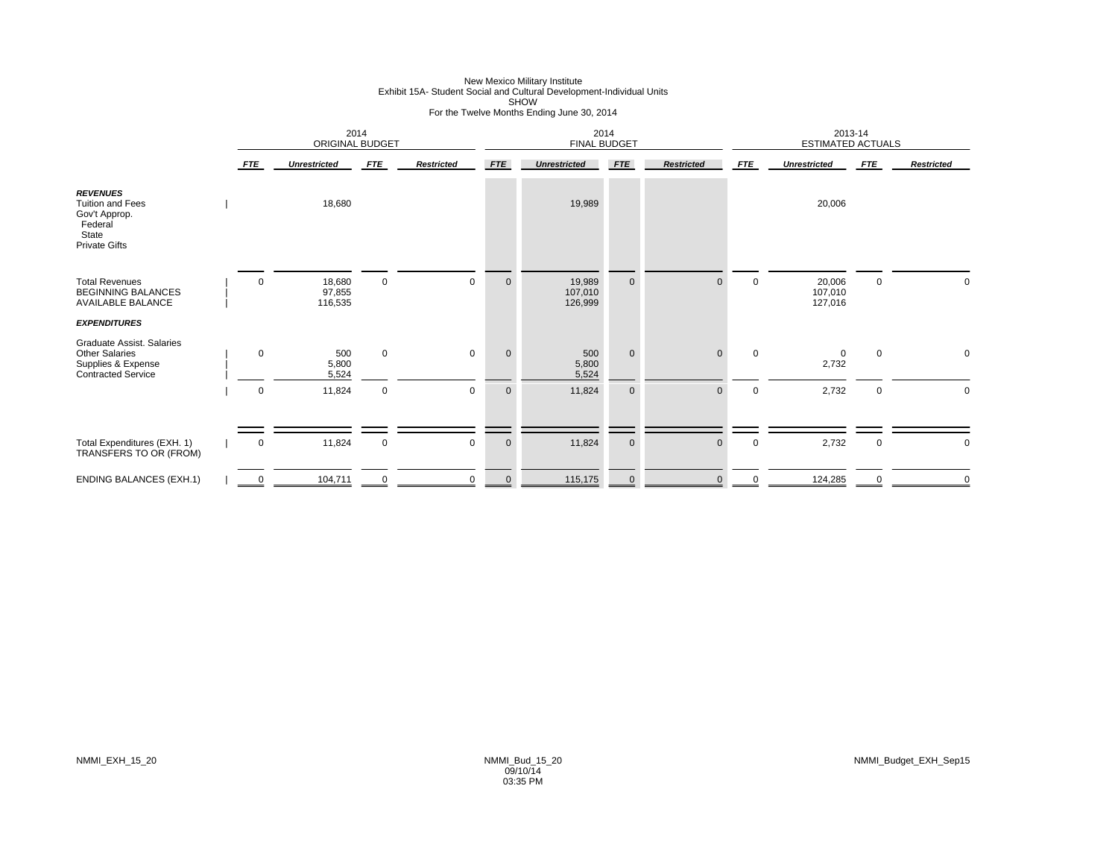## New Mexico Military Institute<br>Exhibit 15A- Student Social and Cultural Development-Individual Units<br>SHOW For the Twelve Months Ending June 30, 2014

|                                                                                                         |                            | 2014<br>ORIGINAL BUDGET         |                             |                            |                             | 2014<br><b>FINAL BUDGET</b>     |                             |                              |                            | 2013-14<br><b>ESTIMATED ACTUALS</b> |                  |                   |
|---------------------------------------------------------------------------------------------------------|----------------------------|---------------------------------|-----------------------------|----------------------------|-----------------------------|---------------------------------|-----------------------------|------------------------------|----------------------------|-------------------------------------|------------------|-------------------|
|                                                                                                         | <b>FTE</b>                 | <b>Unrestricted</b>             | <b>FTE</b>                  | <b>Restricted</b>          | <b>FTE</b>                  | <b>Unrestricted</b>             | <b>FTE</b>                  | <b>Restricted</b>            | <b>FTE</b>                 | <b>Unrestricted</b>                 | <b>FTE</b>       | <b>Restricted</b> |
| <b>REVENUES</b><br><b>Tuition and Fees</b><br>Gov't Approp.<br>Federal<br>State<br><b>Private Gifts</b> |                            | 18,680                          |                             |                            |                             | 19,989                          |                             |                              |                            | 20,006                              |                  |                   |
| <b>Total Revenues</b><br><b>BEGINNING BALANCES</b><br><b>AVAILABLE BALANCE</b><br><b>EXPENDITURES</b>   | $\mathbf 0$                | 18,680<br>97,855<br>116,535     | $\mathbf 0$                 | $\mathbf 0$                | $\mathbf 0$                 | 19,989<br>107,010<br>126,999    | $\mathbf 0$                 | $\mathbf{0}$                 | $\mathbf 0$                | 20,006<br>107,010<br>127,016        | 0                |                   |
| Graduate Assist. Salaries<br><b>Other Salaries</b><br>Supplies & Expense<br><b>Contracted Service</b>   | $\mathbf 0$<br>$\mathbf 0$ | 500<br>5,800<br>5,524<br>11,824 | $\mathbf{0}$<br>$\mathbf 0$ | $\mathbf 0$<br>$\mathbf 0$ | $\mathbf{0}$<br>$\mathbf 0$ | 500<br>5,800<br>5,524<br>11,824 | $\mathbf{0}$<br>$\mathbf 0$ | $\mathbf{0}$<br>$\mathbf{0}$ | $\mathbf 0$<br>$\mathbf 0$ | 0<br>2,732<br>2,732                 | $\mathbf 0$<br>0 | 0<br>$\mathbf 0$  |
|                                                                                                         |                            |                                 |                             |                            |                             |                                 |                             |                              |                            |                                     |                  |                   |
| Total Expenditures (EXH. 1)<br>TRANSFERS TO OR (FROM)                                                   | 0                          | 11,824                          | $\mathbf 0$                 | $\mathbf 0$                | $\mathbf 0$                 | 11,824                          | $\mathbf 0$                 | $\mathbf{0}$                 | 0                          | 2,732                               | 0                | $\mathbf 0$       |
| <b>ENDING BALANCES (EXH.1)</b>                                                                          | 0                          | 104,711                         |                             | $\mathbf 0$                | $\mathbf 0$                 | 115,175                         | $\mathbf 0$                 | $\Omega$                     | 0                          | 124,285                             | 0                |                   |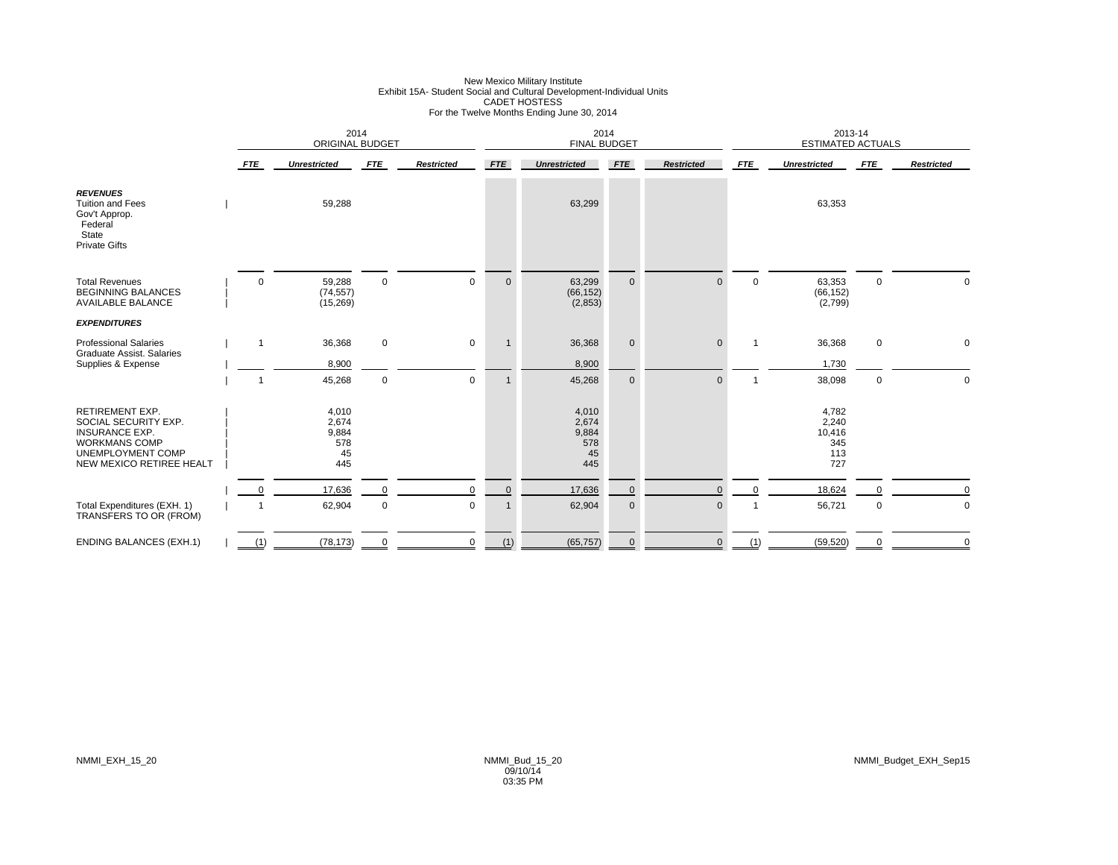# New Mexico Military Institute<br>Exhibit 15A- Student Social and Cultural Development-Individual Units<br>CADET HOSTESS<br>For the Twelve Months Ending June 30, 2014

|                                                                                                                                                  | 2014<br>ORIGINAL BUDGET |                                             |             |                   | 2014<br><b>FINAL BUDGET</b> |                                             |             |                   | 2013-14<br><b>ESTIMATED ACTUALS</b> |                                               |             |                   |
|--------------------------------------------------------------------------------------------------------------------------------------------------|-------------------------|---------------------------------------------|-------------|-------------------|-----------------------------|---------------------------------------------|-------------|-------------------|-------------------------------------|-----------------------------------------------|-------------|-------------------|
|                                                                                                                                                  | <b>FTE</b>              | <b>Unrestricted</b>                         | <b>FTE</b>  | <b>Restricted</b> | <b>FTE</b>                  | <b>Unrestricted</b>                         | <b>FTE</b>  | <b>Restricted</b> | <b>FTE</b>                          | <b>Unrestricted</b>                           | <b>FTE</b>  | <b>Restricted</b> |
| <b>REVENUES</b><br><b>Tuition and Fees</b><br>Gov't Approp.<br>Federal<br>State<br><b>Private Gifts</b>                                          |                         | 59,288                                      |             |                   |                             | 63,299                                      |             |                   |                                     | 63,353                                        |             |                   |
| <b>Total Revenues</b><br><b>BEGINNING BALANCES</b><br><b>AVAILABLE BALANCE</b>                                                                   | $\Omega$                | 59,288<br>(74, 557)<br>(15, 269)            | $\mathbf 0$ | $\Omega$          | $\mathbf 0$                 | 63,299<br>(66, 152)<br>(2, 853)             | $\mathbf 0$ | $\Omega$          | $\mathbf 0$                         | 63,353<br>(66, 152)<br>(2,799)                | $\mathbf 0$ | $\Omega$          |
| <b>EXPENDITURES</b>                                                                                                                              |                         |                                             |             |                   |                             |                                             |             |                   |                                     |                                               |             |                   |
| <b>Professional Salaries</b><br>Graduate Assist. Salaries                                                                                        | $\mathbf{1}$            | 36,368                                      | $\mathbf 0$ | $\mathbf 0$       |                             | 36,368                                      | $\mathbf 0$ | $\mathbf{0}$      | $\mathbf{1}$                        | 36,368                                        | $\mathbf 0$ | $\mathbf 0$       |
| Supplies & Expense                                                                                                                               |                         | 8,900                                       |             |                   |                             | 8,900                                       |             |                   |                                     | 1,730                                         |             |                   |
|                                                                                                                                                  | 1                       | 45,268                                      | $\mathbf 0$ | $\mathbf 0$       | -1                          | 45,268                                      | $\mathbf 0$ | $\Omega$          | 1                                   | 38,098                                        | $\mathbf 0$ | $\Omega$          |
| <b>RETIREMENT EXP.</b><br>SOCIAL SECURITY EXP.<br><b>INSURANCE EXP.</b><br><b>WORKMANS COMP</b><br>UNEMPLOYMENT COMP<br>NEW MEXICO RETIREE HEALT |                         | 4,010<br>2,674<br>9,884<br>578<br>45<br>445 |             |                   |                             | 4,010<br>2,674<br>9,884<br>578<br>45<br>445 |             |                   |                                     | 4,782<br>2,240<br>10,416<br>345<br>113<br>727 |             |                   |
|                                                                                                                                                  | $\Omega$                | 17,636                                      | $\Omega$    | $\mathbf 0$       | $\mathbf 0$                 | 17,636                                      | $\mathbf 0$ | $\Omega$          | $\Omega$                            | 18,624                                        |             | $\Omega$          |
| Total Expenditures (EXH. 1)<br>TRANSFERS TO OR (FROM)                                                                                            |                         | 62,904                                      | $\mathbf 0$ | $\mathbf 0$       |                             | 62,904                                      | $\pmb{0}$   | $\mathbf 0$       |                                     | 56,721                                        | 0           | $\pmb{0}$         |
| <b>ENDING BALANCES (EXH.1)</b>                                                                                                                   | (1)                     | (78, 173)                                   |             | 0                 | (1)                         | (65, 757)                                   | $\mathbf 0$ | $\mathbf{0}$      | (1)                                 | (59, 520)                                     | 0           | $\mathbf 0$       |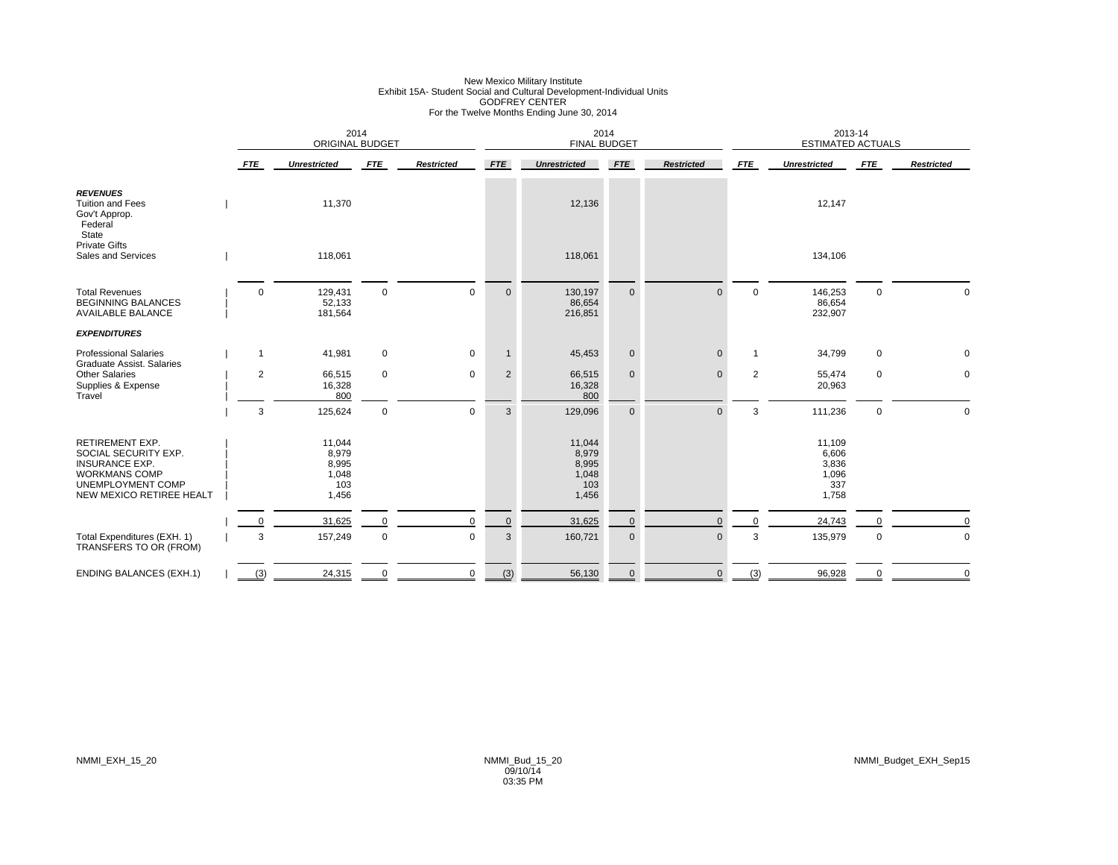### New Mexico Military Institute<br>Exhibit 15A- Student Social and Cultural Development-Individual Units<br>For the Twelve Months Ending June 30, 2014

|                                                                                                                                                  |                | 2014<br><b>ORIGINAL BUDGET</b>                    |             |                   |                | 2014<br><b>FINAL BUDGET</b>                       |              |                   |                | 2013-14<br><b>ESTIMATED ACTUALS</b>               |             |                   |
|--------------------------------------------------------------------------------------------------------------------------------------------------|----------------|---------------------------------------------------|-------------|-------------------|----------------|---------------------------------------------------|--------------|-------------------|----------------|---------------------------------------------------|-------------|-------------------|
|                                                                                                                                                  | <b>FTE</b>     | <b>Unrestricted</b>                               | <b>FTE</b>  | <b>Restricted</b> | <b>FTE</b>     | <b>Unrestricted</b>                               | <b>FTE</b>   | <b>Restricted</b> | <b>FTE</b>     | <b>Unrestricted</b>                               | <b>FTE</b>  | <b>Restricted</b> |
| <b>REVENUES</b><br><b>Tuition and Fees</b><br>Gov't Approp.<br>Federal<br>State                                                                  |                | 11,370                                            |             |                   |                | 12,136                                            |              |                   |                | 12,147                                            |             |                   |
| <b>Private Gifts</b><br>Sales and Services                                                                                                       |                | 118,061                                           |             |                   |                | 118,061                                           |              |                   |                | 134,106                                           |             |                   |
| <b>Total Revenues</b><br><b>BEGINNING BALANCES</b><br><b>AVAILABLE BALANCE</b>                                                                   | $\mathbf 0$    | 129,431<br>52,133<br>181,564                      | $\mathbf 0$ | $\mathbf 0$       | $\mathbf{0}$   | 130,197<br>86,654<br>216,851                      | $\mathbf{0}$ | $\Omega$          | $\mathbf 0$    | 146,253<br>86,654<br>232,907                      | $\mathbf 0$ | $\Omega$          |
| <b>EXPENDITURES</b>                                                                                                                              |                |                                                   |             |                   |                |                                                   |              |                   |                |                                                   |             |                   |
| <b>Professional Salaries</b><br><b>Graduate Assist, Salaries</b>                                                                                 | $\mathbf{1}$   | 41,981                                            | $\mathbf 0$ | $\mathbf 0$       | $\mathbf{1}$   | 45,453                                            | $\mathbf 0$  | $\Omega$          | $\overline{1}$ | 34,799                                            | 0           | 0                 |
| <b>Other Salaries</b><br>Supplies & Expense<br>Travel                                                                                            | $\overline{2}$ | 66,515<br>16,328<br>800                           | $\mathbf 0$ | $\mathbf 0$       | $\overline{2}$ | 66,515<br>16,328<br>800                           | $\mathbf 0$  | $\mathbf{0}$      | 2              | 55,474<br>20,963                                  | 0           | 0                 |
|                                                                                                                                                  | 3              | 125,624                                           | $\mathbf 0$ | $\mathbf 0$       | $\mathbf{3}$   | 129,096                                           | $\pmb{0}$    | $\mathbf{0}$      | 3              | 111,236                                           | $\mathsf 0$ | $\mathbf 0$       |
| <b>RETIREMENT EXP.</b><br>SOCIAL SECURITY EXP.<br><b>INSURANCE EXP.</b><br><b>WORKMANS COMP</b><br>UNEMPLOYMENT COMP<br>NEW MEXICO RETIREE HEALT |                | 11,044<br>8,979<br>8,995<br>1,048<br>103<br>1,456 |             |                   |                | 11,044<br>8,979<br>8,995<br>1,048<br>103<br>1,456 |              |                   |                | 11,109<br>6,606<br>3,836<br>1,096<br>337<br>1,758 |             |                   |
|                                                                                                                                                  | $\Omega$       | 31,625                                            | $\Omega$    | $\Omega$          | $\mathbf 0$    | 31,625                                            | $\pmb{0}$    | $\Omega$          | $\mathbf 0$    | 24,743                                            | O           | $\Omega$          |
| Total Expenditures (EXH. 1)<br>TRANSFERS TO OR (FROM)                                                                                            | 3              | 157,249                                           | $\mathbf 0$ | $\mathbf 0$       | 3              | 160,721                                           | $\mathbf 0$  | $\mathbf 0$       | 3              | 135,979                                           | $\pmb{0}$   | $\mathbf 0$       |
| <b>ENDING BALANCES (EXH.1)</b>                                                                                                                   | (3)            | 24,315                                            | $\mathbf 0$ | $\mathbf 0$       | (3)            | 56,130                                            | $\mathbf 0$  | $\mathbf 0$       | (3)            | 96,928                                            | $\pmb{0}$   | $\mathbf 0$       |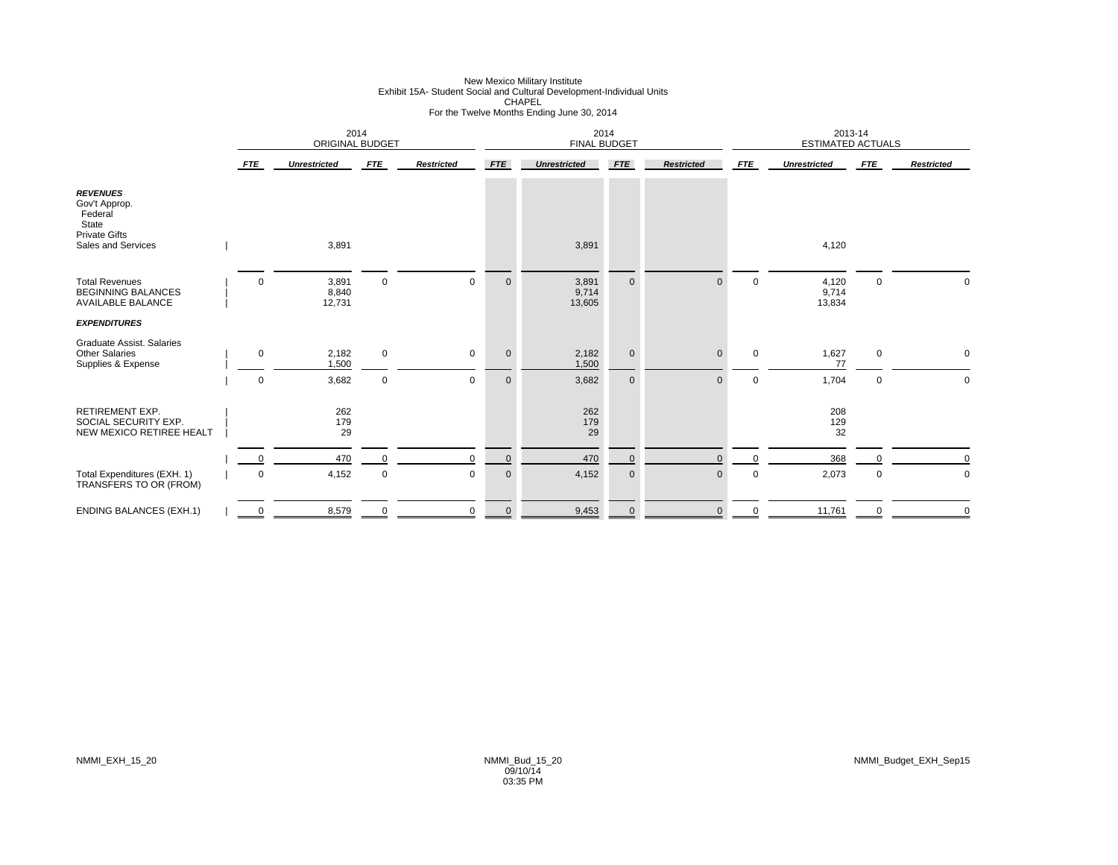### New Mexico Military Institute<br>Exhibit 15A- Student Social and Cultural Development-Individual Units<br>For the Twelve Months Ending June 30, 2014

|                                                                                                    |                     | 2014<br><b>ORIGINAL BUDGET</b> |             |                   |              | 2014<br><b>FINAL BUDGET</b> |              |                   |             | 2013-14<br><b>ESTIMATED ACTUALS</b> |             |                   |
|----------------------------------------------------------------------------------------------------|---------------------|--------------------------------|-------------|-------------------|--------------|-----------------------------|--------------|-------------------|-------------|-------------------------------------|-------------|-------------------|
|                                                                                                    | <b>FTE</b>          | <b>Unrestricted</b>            | <b>FTE</b>  | <b>Restricted</b> | <b>FTE</b>   | <b>Unrestricted</b>         | <b>FTE</b>   | <b>Restricted</b> | <b>FTE</b>  | <b>Unrestricted</b>                 | <b>FTE</b>  | <b>Restricted</b> |
| <b>REVENUES</b><br>Gov't Approp.<br>Federal<br>State<br><b>Private Gifts</b><br>Sales and Services |                     | 3,891                          |             |                   |              | 3,891                       |              |                   |             | 4,120                               |             |                   |
|                                                                                                    |                     |                                |             |                   |              |                             |              |                   |             |                                     |             |                   |
| <b>Total Revenues</b><br><b>BEGINNING BALANCES</b><br><b>AVAILABLE BALANCE</b>                     | 0                   | 3,891<br>8,840<br>12,731       | $\mathbf 0$ | $\mathbf 0$       | $\mathbf 0$  | 3,891<br>9,714<br>13,605    | $\mathbf{0}$ |                   | $\mathbf 0$ | 4,120<br>9,714<br>13,834            | $\mathbf 0$ |                   |
| <b>EXPENDITURES</b>                                                                                |                     |                                |             |                   |              |                             |              |                   |             |                                     |             |                   |
| <b>Graduate Assist, Salaries</b><br><b>Other Salaries</b><br>Supplies & Expense                    | 0                   | 2,182<br>1,500                 | $\mathbf 0$ | $\mathbf 0$       | $\mathbf 0$  | 2,182<br>1,500              | $\mathbf 0$  | $\Omega$          | $\Omega$    | 1,627<br>77                         | $\mathsf 0$ | 0                 |
|                                                                                                    | $\mathsf 0$         | 3,682                          | $\mathbf 0$ | $\mathbf 0$       | $\mathbf 0$  | 3,682                       | $\mathbf 0$  | $\Omega$          | $\mathbf 0$ | 1,704                               | $\mathsf 0$ | 0                 |
| <b>RETIREMENT EXP.</b><br>SOCIAL SECURITY EXP.<br>NEW MEXICO RETIREE HEALT                         |                     | 262<br>179<br>29               |             |                   |              | 262<br>179<br>29            |              |                   |             | 208<br>129<br>32                    |             |                   |
|                                                                                                    |                     | 470                            | $\Omega$    | $\Omega$          | $\mathbf{0}$ | 470                         | $\mathbf{0}$ |                   | $\Omega$    | 368                                 | $\Omega$    |                   |
| Total Expenditures (EXH. 1)<br>TRANSFERS TO OR (FROM)                                              | 0                   | 4,152                          | $\mathbf 0$ | $\mathbf 0$       | $\mathbf 0$  | 4,152                       | $\mathbf 0$  | $\mathbf{0}$      | $\mathbf 0$ | 2,073                               | $\mathbf 0$ | 0                 |
| <b>ENDING BALANCES (EXH.1)</b>                                                                     | $\overline{0}$<br>– | 8,579                          |             | $\Omega$          | $\mathbf 0$  | 9,453                       | $\mathbf{0}$ |                   |             | 11,761                              |             |                   |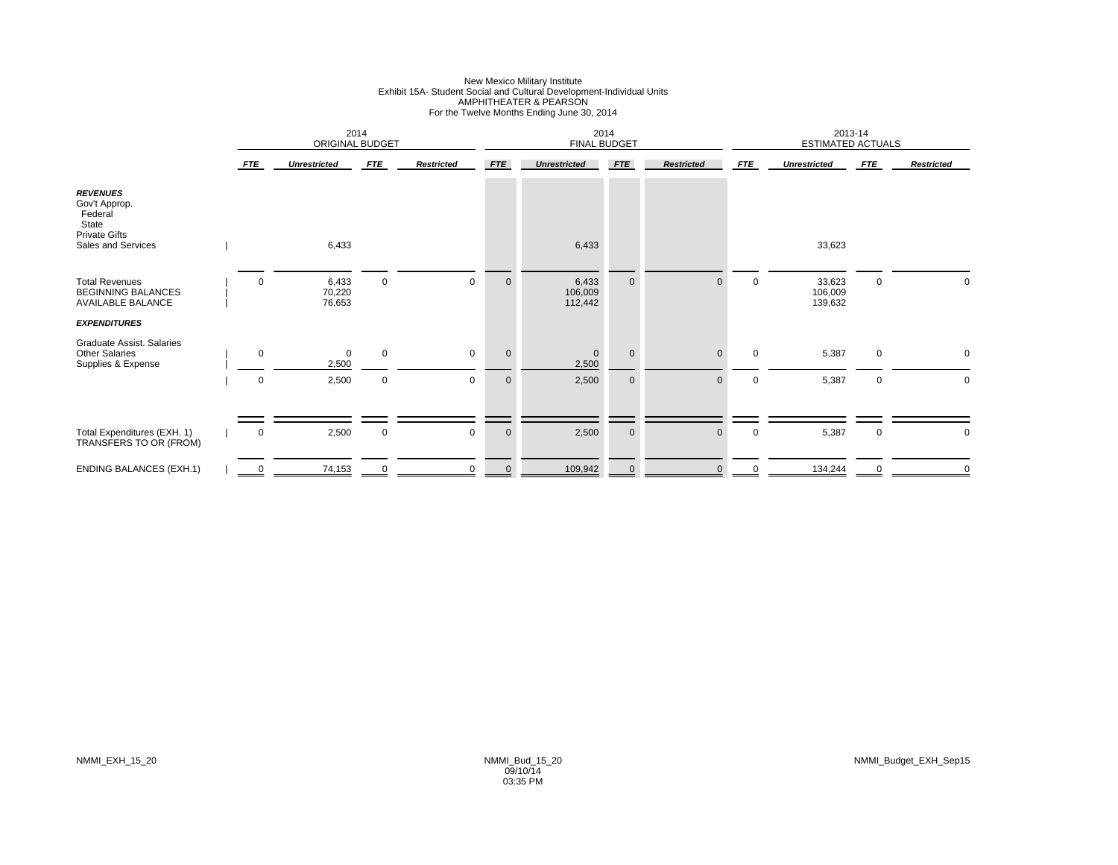### New Mexico Military Institute<br>Exhibit 15A- Student Social and Cultural Development-Individual Units<br>AMPHITHEATER & PEARSON<br>For the Twelve Months Ending June 30, 2014

|                                                                                                       |            | 2014<br>ORIGINAL BUDGET       |                            |                            |                            | 2014<br><b>FINAL BUDGET</b>    |                            |                          |                  | 2013-14<br><b>ESTIMATED ACTUALS</b> |                  |                   |
|-------------------------------------------------------------------------------------------------------|------------|-------------------------------|----------------------------|----------------------------|----------------------------|--------------------------------|----------------------------|--------------------------|------------------|-------------------------------------|------------------|-------------------|
|                                                                                                       | <b>FTE</b> | <b>Unrestricted</b>           | <b>FTE</b>                 | <b>Restricted</b>          | FTE                        | <b>Unrestricted</b>            | <b>FTE</b>                 | <b>Restricted</b>        | <b>FTE</b>       | <b>Unrestricted</b>                 | <b>FTE</b>       | <b>Restricted</b> |
| <b>REVENUES</b><br>Gov't Approp.<br>Federal<br>State<br><b>Private Gifts</b><br>Sales and Services    |            | 6,433                         |                            |                            |                            | 6,433                          |                            |                          |                  | 33,623                              |                  |                   |
| <b>Total Revenues</b><br><b>BEGINNING BALANCES</b><br><b>AVAILABLE BALANCE</b><br><b>EXPENDITURES</b> | 0          | 6,433<br>70,220<br>76,653     | $\mathsf 0$                | $\mathbf 0$                | $\mathbf 0$                | 6,433<br>106,009<br>112,442    | $\mathbf 0$                | $\Omega$                 | $\mathbf 0$      | 33,623<br>106,009<br>139,632        | $\mathsf 0$      |                   |
| <b>Graduate Assist, Salaries</b><br><b>Other Salaries</b><br>Supplies & Expense                       | 0<br>0     | $\mathbf 0$<br>2,500<br>2,500 | $\mathbf 0$<br>$\mathbf 0$ | $\mathbf 0$<br>$\mathbf 0$ | $\mathbf 0$<br>$\mathbf 0$ | $\mathbf{0}$<br>2,500<br>2,500 | $\mathbf 0$<br>$\mathbf 0$ | $\Omega$<br>$\mathbf{0}$ | $\mathbf 0$<br>0 | 5,387<br>5,387                      | $\mathbf 0$<br>0 | 0<br>$\mathbf 0$  |
| Total Expenditures (EXH. 1)<br>TRANSFERS TO OR (FROM)                                                 | 0          | 2,500                         | $\mathbf 0$                | 0                          | $\mathbf 0$                | 2,500                          | $\mathbf 0$                | $\mathbf 0$              | 0                | 5,387                               | 0                | 0                 |
| <b>ENDING BALANCES (EXH.1)</b>                                                                        | 0          | 74,153                        | $\mathbf 0$                | $\mathbf 0$                | $\mathbf{0}$               | 109,942                        | $\mathbf{0}$               | $\Omega$                 | 0                | 134,244                             | $\Omega$         | $\mathbf 0$       |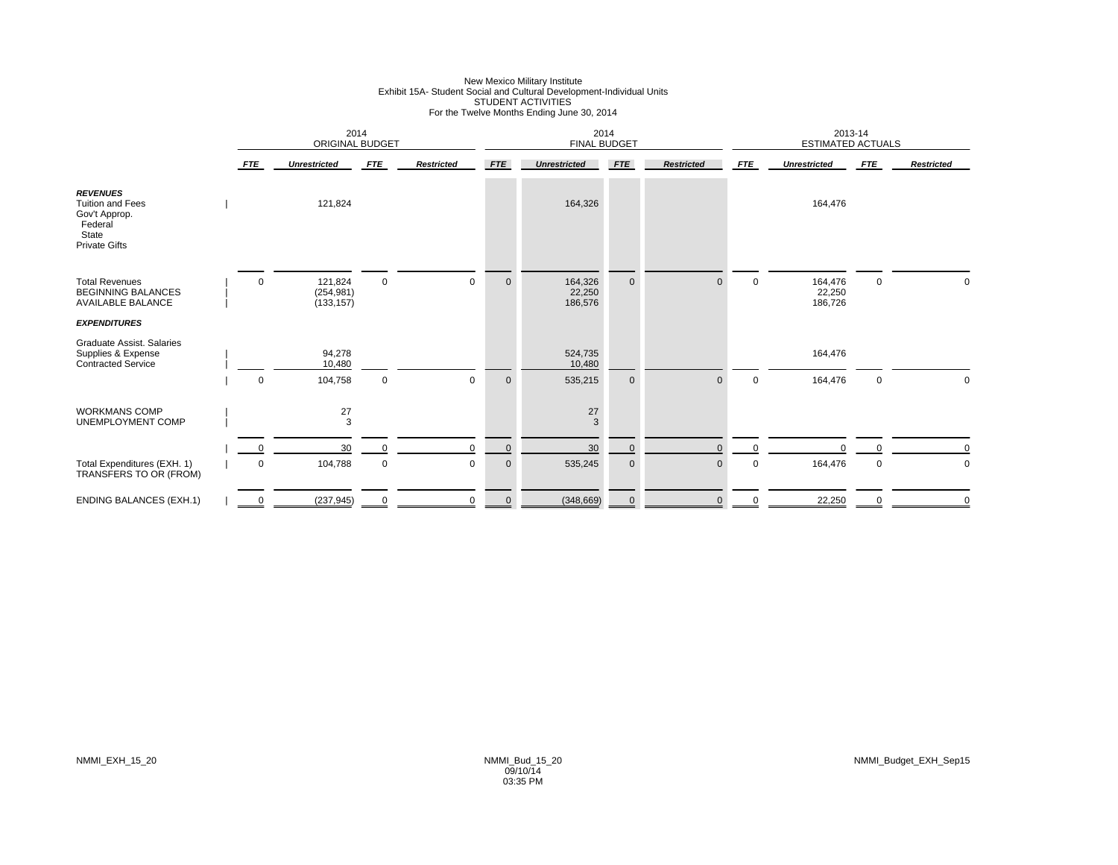### New Mexico Military Institute<br>Exhibit 15A- Student Social and Cultural Development-Individual Units<br>STUDENT ACTIVITIES<br>For the Twelve Months Ending June 30, 2014

|                                                                                                         |                | 2014<br><b>ORIGINAL BUDGET</b>      |             |                   |              | 2014<br><b>FINAL BUDGET</b>  |              |                   |             | 2013-14<br><b>ESTIMATED ACTUALS</b> |             |                   |
|---------------------------------------------------------------------------------------------------------|----------------|-------------------------------------|-------------|-------------------|--------------|------------------------------|--------------|-------------------|-------------|-------------------------------------|-------------|-------------------|
|                                                                                                         | <b>FTE</b>     | <b>Unrestricted</b>                 | <b>FTE</b>  | <b>Restricted</b> | <b>FTE</b>   | <b>Unrestricted</b>          | <b>FTE</b>   | <b>Restricted</b> | <b>FTE</b>  | <b>Unrestricted</b>                 | <b>FTE</b>  | <b>Restricted</b> |
| <b>REVENUES</b><br><b>Tuition and Fees</b><br>Gov't Approp.<br>Federal<br>State<br><b>Private Gifts</b> |                | 121,824                             |             |                   |              | 164,326                      |              |                   |             | 164,476                             |             |                   |
| <b>Total Revenues</b><br><b>BEGINNING BALANCES</b><br><b>AVAILABLE BALANCE</b>                          | $\mathbf 0$    | 121,824<br>(254, 981)<br>(133, 157) | $\mathsf 0$ | $\mathsf 0$       | $\mathbf 0$  | 164,326<br>22,250<br>186,576 | $\mathbf 0$  | $\Omega$          | $\mathbf 0$ | 164,476<br>22,250<br>186,726        | $\mathbf 0$ | 0                 |
| <b>EXPENDITURES</b>                                                                                     |                |                                     |             |                   |              |                              |              |                   |             |                                     |             |                   |
| Graduate Assist. Salaries<br>Supplies & Expense<br><b>Contracted Service</b>                            |                | 94,278<br>10,480                    |             |                   |              | 524,735<br>10,480            |              |                   |             | 164,476                             |             |                   |
|                                                                                                         | $\mathbf 0$    | 104,758                             | $\mathbf 0$ | $\mathbf 0$       | $\mathbf 0$  | 535,215                      | $\mathbf 0$  | $\Omega$          | $\mathbf 0$ | 164,476                             | 0           | $\Omega$          |
| <b>WORKMANS COMP</b><br>UNEMPLOYMENT COMP                                                               |                | 27<br>3                             |             |                   |              | 27<br>3                      |              |                   |             |                                     |             |                   |
|                                                                                                         | $\Omega$       | 30                                  | $\Omega$    | $\mathbf 0$       | $\mathbf{0}$ | 30                           | $\mathbf 0$  | $\Omega$          | $\Omega$    | $\Omega$                            | $\Omega$    | $\Omega$          |
| Total Expenditures (EXH. 1)<br>TRANSFERS TO OR (FROM)                                                   | $\mathsf 0$    | 104,788                             | $\mathbf 0$ | $\mathbf 0$       | $\mathbf 0$  | 535,245                      | $\pmb{0}$    | $\mathbf{0}$      | $\mathbf 0$ | 164,476                             | $\mathbf 0$ | 0                 |
| <b>ENDING BALANCES (EXH.1)</b>                                                                          | $\overline{0}$ | (237, 945)                          |             | $\Omega$          | $\mathbf 0$  | (348, 669)                   | $\mathbf{0}$ | $\Omega$          |             | 22,250                              |             |                   |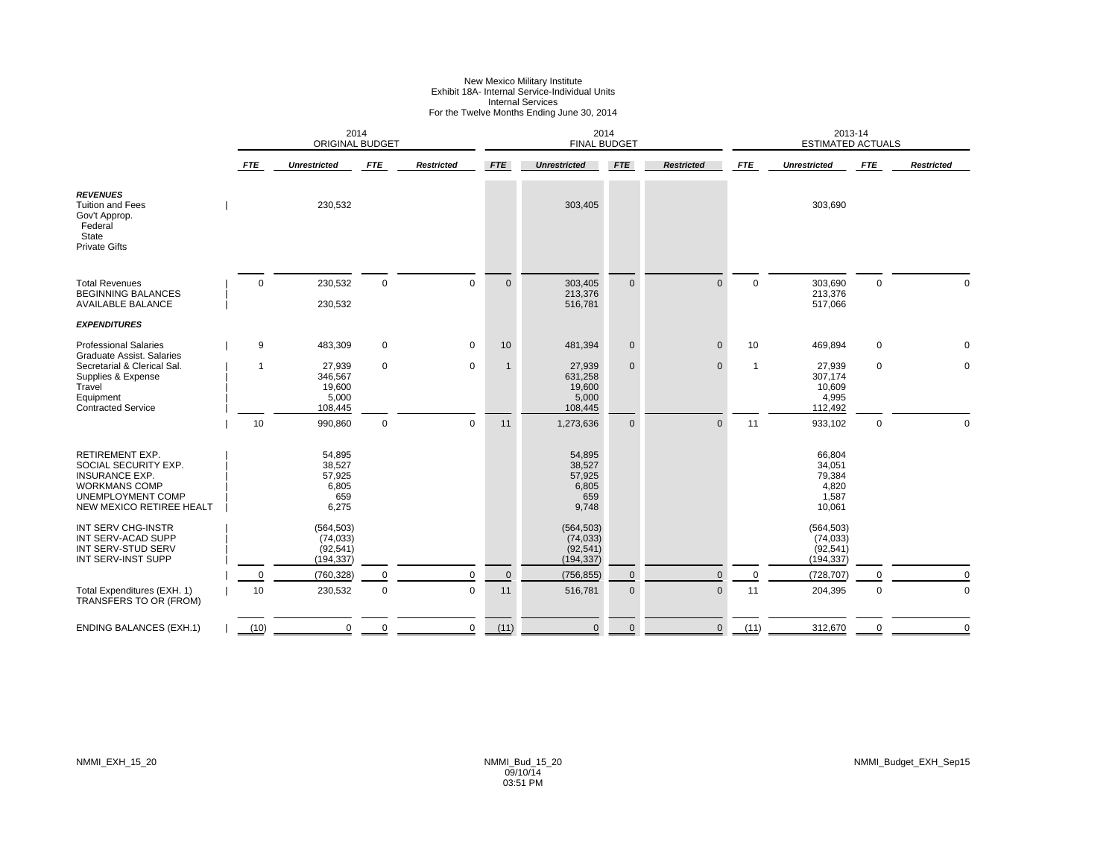#### New Mexico Military Institute Exhibit 18A- Internal Service-Individual Units Internal Services For the Twelve Months Ending June 30, 2014

|                                                                                                                                                         |             | 2014<br><b>ORIGINAL BUDGET</b>                      |             |                   |              | 2014<br><b>FINAL BUDGET</b>                         |              |                   |              | 2013-14<br><b>ESTIMATED ACTUALS</b>                    |             |                   |
|---------------------------------------------------------------------------------------------------------------------------------------------------------|-------------|-----------------------------------------------------|-------------|-------------------|--------------|-----------------------------------------------------|--------------|-------------------|--------------|--------------------------------------------------------|-------------|-------------------|
|                                                                                                                                                         | <b>FTE</b>  | <b>Unrestricted</b>                                 | <b>FTE</b>  | <b>Restricted</b> | <b>FTE</b>   | <b>Unrestricted</b>                                 | <b>FTE</b>   | <b>Restricted</b> | <b>FTE</b>   | <b>Unrestricted</b>                                    | <b>FTE</b>  | <b>Restricted</b> |
| <b>REVENUES</b><br><b>Tuition and Fees</b><br>Gov't Approp.<br>Federal<br>State<br><b>Private Gifts</b>                                                 |             | 230,532                                             |             |                   |              | 303,405                                             |              |                   |              | 303,690                                                |             |                   |
| <b>Total Revenues</b><br><b>BEGINNING BALANCES</b><br><b>AVAILABLE BALANCE</b>                                                                          | $\mathbf 0$ | 230,532<br>230,532                                  | $\mathbf 0$ | $\Omega$          | $\mathbf{0}$ | 303,405<br>213,376<br>516,781                       | $\mathbf 0$  | $\Omega$          | $\mathbf 0$  | 303,690<br>213,376<br>517,066                          | $\pmb{0}$   | $\Omega$          |
| <b>EXPENDITURES</b>                                                                                                                                     |             |                                                     |             |                   |              |                                                     |              |                   |              |                                                        |             |                   |
| <b>Professional Salaries</b><br>Graduate Assist, Salaries                                                                                               | 9           | 483,309                                             | 0           | $\mathbf 0$       | 10           | 481,394                                             | $\mathbf 0$  | $\mathbf{0}$      | 10           | 469,894                                                | $\pmb{0}$   | $\mathbf 0$       |
| Secretarial & Clerical Sal.<br>Supplies & Expense<br>Travel<br>Equipment<br><b>Contracted Service</b>                                                   |             | 27,939<br>346,567<br>19,600<br>5,000<br>108,445     | 0           | $\mathbf 0$       | $\mathbf 1$  | 27,939<br>631,258<br>19,600<br>5,000<br>108,445     | $\mathbf{0}$ | $\Omega$          | $\mathbf{1}$ | 27,939<br>307,174<br>10,609<br>4,995<br>112,492        | $\mathbf 0$ | $\mathbf 0$       |
|                                                                                                                                                         | 10          | 990,860                                             | 0           | $\mathbf 0$       | 11           | 1,273,636                                           | $\mathbf 0$  | $\mathbf{0}$      | 11           | 933,102                                                | $\pmb{0}$   | $\Omega$          |
| <b>RETIREMENT EXP.</b><br>SOCIAL SECURITY EXP.<br><b>INSURANCE EXP.</b><br><b>WORKMANS COMP</b><br><b>UNEMPLOYMENT COMP</b><br>NEW MEXICO RETIREE HEALT |             | 54,895<br>38,527<br>57,925<br>6,805<br>659<br>6,275 |             |                   |              | 54,895<br>38,527<br>57,925<br>6,805<br>659<br>9,748 |              |                   |              | 66,804<br>34,051<br>79,384<br>4,820<br>1,587<br>10,061 |             |                   |
| INT SERV CHG-INSTR<br>INT SERV-ACAD SUPP<br>INT SERV-STUD SERV<br>INT SERV-INST SUPP                                                                    |             | (564, 503)<br>(74, 033)<br>(92, 541)<br>(194, 337)  |             |                   |              | (564, 503)<br>(74, 033)<br>(92, 541)<br>(194, 337)  |              |                   |              | (564, 503)<br>(74, 033)<br>(92, 541)<br>(194, 337)     |             |                   |
|                                                                                                                                                         | $\mathbf 0$ | (760, 328)                                          | 0           | $\mathbf 0$       | $\mathbf 0$  | (756, 855)                                          | $\mathbf 0$  | $\Omega$          | $\mathbf 0$  | (728, 707)                                             |             | $\Omega$          |
| Total Expenditures (EXH. 1)<br>TRANSFERS TO OR (FROM)                                                                                                   | 10          | 230,532                                             | 0           | $\mathbf 0$       | 11           | 516,781                                             | $\pmb{0}$    | $\mathbf{0}$      | 11           | 204,395                                                | $\mathbf 0$ | $\Omega$          |
| <b>ENDING BALANCES (EXH.1)</b>                                                                                                                          | (10)        | 0                                                   | 0           | 0                 | (11)         | $\mathbf 0$                                         | $\pmb{0}$    | $\mathbf 0$       | (11)         | 312,670                                                | $\Omega$    | $\mathbf 0$       |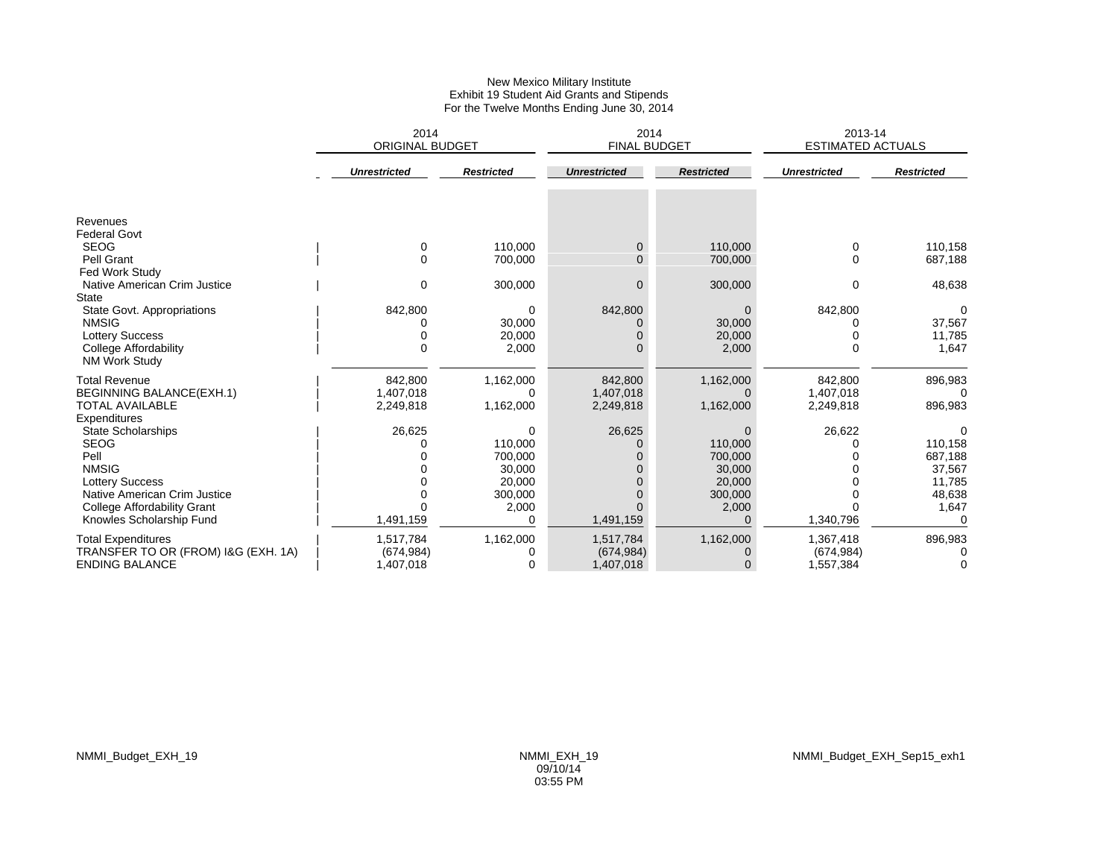#### New Mexico Military Institute Exhibit 19 Student Aid Grants and Stipends For the Twelve Months Ending June 30, 2014

|                                                        | 2014<br><b>ORIGINAL BUDGET</b> |                   | 2014<br><b>FINAL BUDGET</b> |                   | 2013-14<br><b>ESTIMATED ACTUALS</b> |                   |
|--------------------------------------------------------|--------------------------------|-------------------|-----------------------------|-------------------|-------------------------------------|-------------------|
|                                                        | <b>Unrestricted</b>            | <b>Restricted</b> | <b>Unrestricted</b>         | <b>Restricted</b> | <b>Unrestricted</b>                 | <b>Restricted</b> |
|                                                        |                                |                   |                             |                   |                                     |                   |
| Revenues<br><b>Federal Govt</b>                        |                                |                   |                             |                   |                                     |                   |
| <b>SEOG</b>                                            | 0                              | 110,000           | 0                           | 110,000           | 0                                   | 110,158           |
| Pell Grant                                             | 0                              | 700,000           | $\Omega$                    | 700,000           | $\Omega$                            | 687,188           |
| Fed Work Study                                         |                                |                   |                             |                   |                                     |                   |
| Native American Crim Justice                           | $\Omega$                       | 300,000           | $\Omega$                    | 300,000           | 0                                   | 48,638            |
| <b>State</b>                                           |                                |                   |                             |                   |                                     |                   |
| State Govt. Appropriations                             | 842,800                        | 0                 | 842,800                     | $\Omega$          | 842,800                             | $\Omega$          |
| <b>NMSIG</b>                                           |                                | 30,000<br>20,000  |                             | 30,000            |                                     | 37,567            |
| <b>Lottery Success</b><br><b>College Affordability</b> | U                              | 2,000             |                             | 20,000<br>2,000   | $\Omega$                            | 11,785<br>1,647   |
| <b>NM Work Study</b>                                   |                                |                   |                             |                   |                                     |                   |
| <b>Total Revenue</b>                                   | 842,800                        | 1,162,000         | 842,800                     | 1,162,000         | 842,800                             | 896,983           |
| <b>BEGINNING BALANCE(EXH.1)</b>                        | 1,407,018                      | $\Omega$          | 1,407,018                   | $\Omega$          | 1,407,018                           | n                 |
| <b>TOTAL AVAILABLE</b>                                 | 2,249,818                      | 1,162,000         | 2,249,818                   | 1,162,000         | 2,249,818                           | 896,983           |
| Expenditures<br><b>State Scholarships</b>              | 26,625                         | 0                 | 26,625                      | 0                 | 26,622                              |                   |
| <b>SEOG</b>                                            | O                              | 110,000           |                             | 110,000           |                                     | 110,158           |
| Pell                                                   |                                | 700,000           |                             | 700,000           |                                     | 687,188           |
| <b>NMSIG</b>                                           |                                | 30,000            |                             | 30,000            |                                     | 37,567            |
| <b>Lottery Success</b>                                 |                                | 20,000            |                             | 20,000            |                                     | 11,785            |
| Native American Crim Justice                           |                                | 300,000           |                             | 300,000           |                                     | 48,638            |
| College Affordability Grant                            |                                | 2,000             |                             | 2,000             |                                     | 1,647             |
| Knowles Scholarship Fund                               | 1,491,159                      | 0                 | 1,491,159                   | $\Omega$          | 1,340,796                           |                   |
| <b>Total Expenditures</b>                              | 1,517,784                      | 1,162,000         | 1,517,784                   | 1,162,000         | 1,367,418                           | 896,983           |
| TRANSFER TO OR (FROM) I&G (EXH. 1A)                    | (674, 984)                     | 0                 | (674, 984)                  | $\Omega$          | (674, 984)                          | 0                 |
| <b>ENDING BALANCE</b>                                  | 1,407,018                      | 0                 | 1,407,018                   | $\Omega$          | 1,557,384                           | 0                 |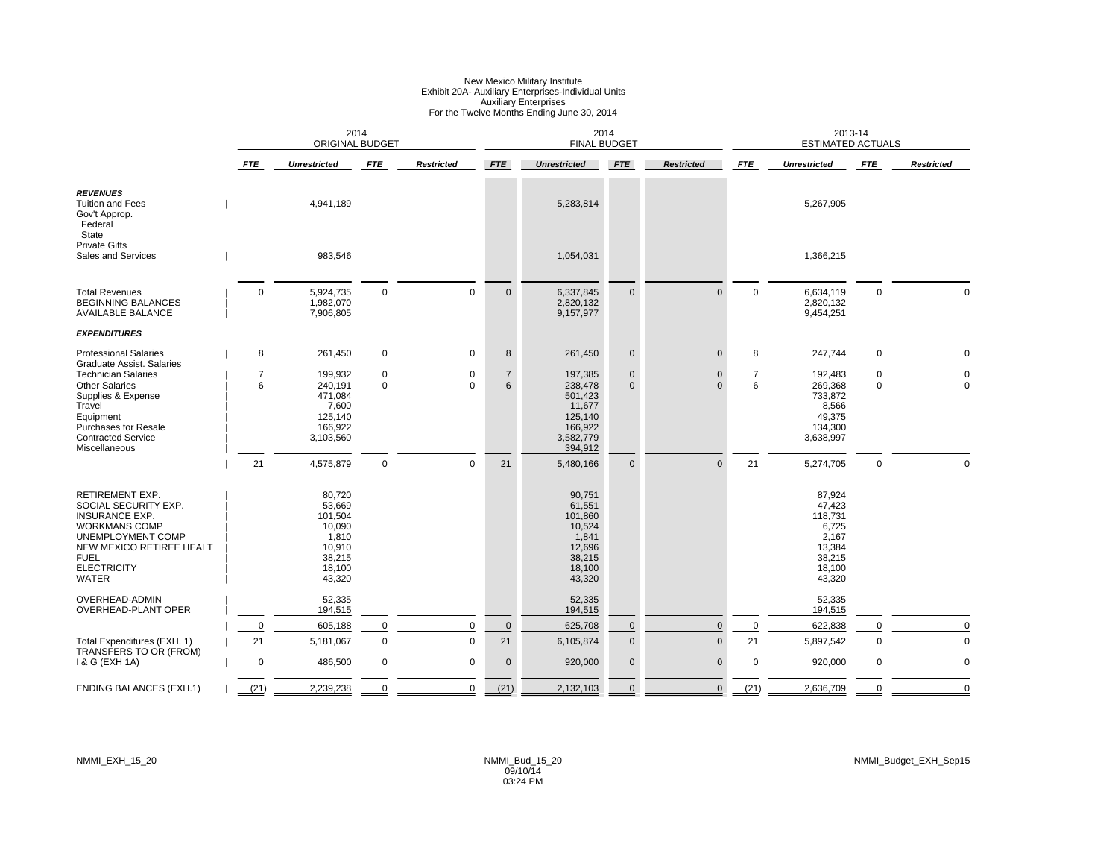### New Mexico Military Institute Exhibit 20A- Auxiliary Enterprises-Individual Units Auxiliary Enterprises For the Twelve Months Ending June 30, 2014

|                                                                                                                                                                                                       |             | 2014<br><b>ORIGINAL BUDGET</b>                                                         |                            |                   |                     | 2014<br><b>FINAL BUDGET</b>                                                            |                            |                          |             | 2013-14<br><b>ESTIMATED ACTUALS</b>                                                   |                            |                   |
|-------------------------------------------------------------------------------------------------------------------------------------------------------------------------------------------------------|-------------|----------------------------------------------------------------------------------------|----------------------------|-------------------|---------------------|----------------------------------------------------------------------------------------|----------------------------|--------------------------|-------------|---------------------------------------------------------------------------------------|----------------------------|-------------------|
|                                                                                                                                                                                                       | <b>FTE</b>  | <b>Unrestricted</b>                                                                    | <b>FTE</b>                 | <b>Restricted</b> | <b>FTE</b>          | <b>Unrestricted</b>                                                                    | <b>FTE</b>                 | <b>Restricted</b>        | <b>FTE</b>  | <b>Unrestricted</b>                                                                   | <b>FTE</b>                 | <b>Restricted</b> |
| <b>REVENUES</b><br><b>Tuition and Fees</b><br>Gov't Approp.<br>Federal<br><b>State</b>                                                                                                                |             | 4,941,189                                                                              |                            |                   |                     | 5,283,814                                                                              |                            |                          |             | 5,267,905                                                                             |                            |                   |
| <b>Private Gifts</b><br><b>Sales and Services</b>                                                                                                                                                     |             | 983,546                                                                                |                            |                   |                     | 1,054,031                                                                              |                            |                          |             | 1,366,215                                                                             |                            |                   |
| <b>Total Revenues</b><br><b>BEGINNING BALANCES</b><br><b>AVAILABLE BALANCE</b>                                                                                                                        | $\mathbf 0$ | 5,924,735<br>1,982,070<br>7,906,805                                                    | $\mathbf 0$                | $\mathbf 0$       | $\mathbf{0}$        | 6,337,845<br>2,820,132<br>9,157,977                                                    | $\mathbf{0}$               | $\Omega$                 | $\mathbf 0$ | 6,634,119<br>2,820,132<br>9,454,251                                                   | $\mathbf 0$                |                   |
| <b>EXPENDITURES</b>                                                                                                                                                                                   |             |                                                                                        |                            |                   |                     |                                                                                        |                            |                          |             |                                                                                       |                            |                   |
| <b>Professional Salaries</b><br><b>Graduate Assist. Salaries</b>                                                                                                                                      | 8           | 261,450                                                                                | 0                          | 0                 | 8                   | 261,450                                                                                | $\pmb{0}$                  | $\Omega$                 | 8           | 247,744                                                                               | $\mathbf 0$                |                   |
| <b>Technician Salaries</b><br><b>Other Salaries</b><br>Supplies & Expense<br>Travel<br>Equipment<br><b>Purchases for Resale</b><br><b>Contracted Service</b><br>Miscellaneous                         | 7<br>6      | 199,932<br>240,191<br>471,084<br>7,600<br>125,140<br>166,922<br>3,103,560              | $\mathbf 0$<br>$\mathbf 0$ | 0<br>$\Omega$     | $\overline{7}$<br>6 | 197,385<br>238,478<br>501,423<br>11,677<br>125,140<br>166,922<br>3,582,779<br>394,912  | $\mathbf 0$<br>$\mathbf 0$ | $\mathbf{0}$<br>$\Omega$ | 7<br>6      | 192,483<br>269,368<br>733,872<br>8,566<br>49,375<br>134,300<br>3,638,997              | $\mathbf 0$<br>$\mathbf 0$ |                   |
|                                                                                                                                                                                                       | 21          | 4,575,879                                                                              | $\mathbf 0$                | $\mathbf 0$       | 21                  | 5,480,166                                                                              | $\mathbf 0$                | $\Omega$                 | 21          | 5,274,705                                                                             | $\mathsf 0$                | $\Omega$          |
| <b>RETIREMENT EXP.</b><br>SOCIAL SECURITY EXP.<br><b>INSURANCE EXP.</b><br><b>WORKMANS COMP</b><br>UNEMPLOYMENT COMP<br>NEW MEXICO RETIREE HEALT<br><b>FUEL</b><br><b>ELECTRICITY</b><br><b>WATER</b> |             | 80,720<br>53,669<br>101,504<br>10,090<br>1,810<br>10,910<br>38,215<br>18,100<br>43,320 |                            |                   |                     | 90,751<br>61,551<br>101,860<br>10,524<br>1,841<br>12,696<br>38,215<br>18,100<br>43,320 |                            |                          |             | 87,924<br>47,423<br>118,731<br>6,725<br>2,167<br>13,384<br>38,215<br>18,100<br>43,320 |                            |                   |
| OVERHEAD-ADMIN<br>OVERHEAD-PLANT OPER                                                                                                                                                                 |             | 52,335<br>194,515                                                                      |                            |                   |                     | 52,335<br>194,515                                                                      |                            |                          |             | 52,335<br>194,515                                                                     |                            |                   |
|                                                                                                                                                                                                       | $\mathbf 0$ | 605,188                                                                                | $\mathbf 0$                | $\pmb{0}$         | $\pmb{0}$           | 625,708                                                                                | $\pmb{0}$                  | $\Omega$                 | $\mathbf 0$ | 622,838                                                                               | $\mathbf 0$                | $\Omega$          |
| Total Expenditures (EXH. 1)                                                                                                                                                                           | 21          | 5,181,067                                                                              | $\mathsf 0$                | $\mathsf 0$       | 21                  | 6,105,874                                                                              | $\mathbf 0$                | $\mathbf 0$              | 21          | 5,897,542                                                                             | $\mathsf 0$                | $\mathbf 0$       |
| TRANSFERS TO OR (FROM)<br>1 & G (EXH 1A)                                                                                                                                                              | $\mathbf 0$ | 486,500                                                                                | 0                          | 0                 | $\mathbf 0$         | 920,000                                                                                | $\pmb{0}$                  | $\mathbf 0$              | $\mathbf 0$ | 920,000                                                                               | $\mathbf 0$                | $\mathbf 0$       |
| <b>ENDING BALANCES (EXH.1)</b>                                                                                                                                                                        | (21)        | 2,239,238                                                                              | $\Omega$                   | 0                 | (21)                | 2,132,103                                                                              | $\mathbf{0}$               | $\mathbf{0}$             | (21)        | 2,636,709                                                                             | $\mathbf 0$                | $\Omega$          |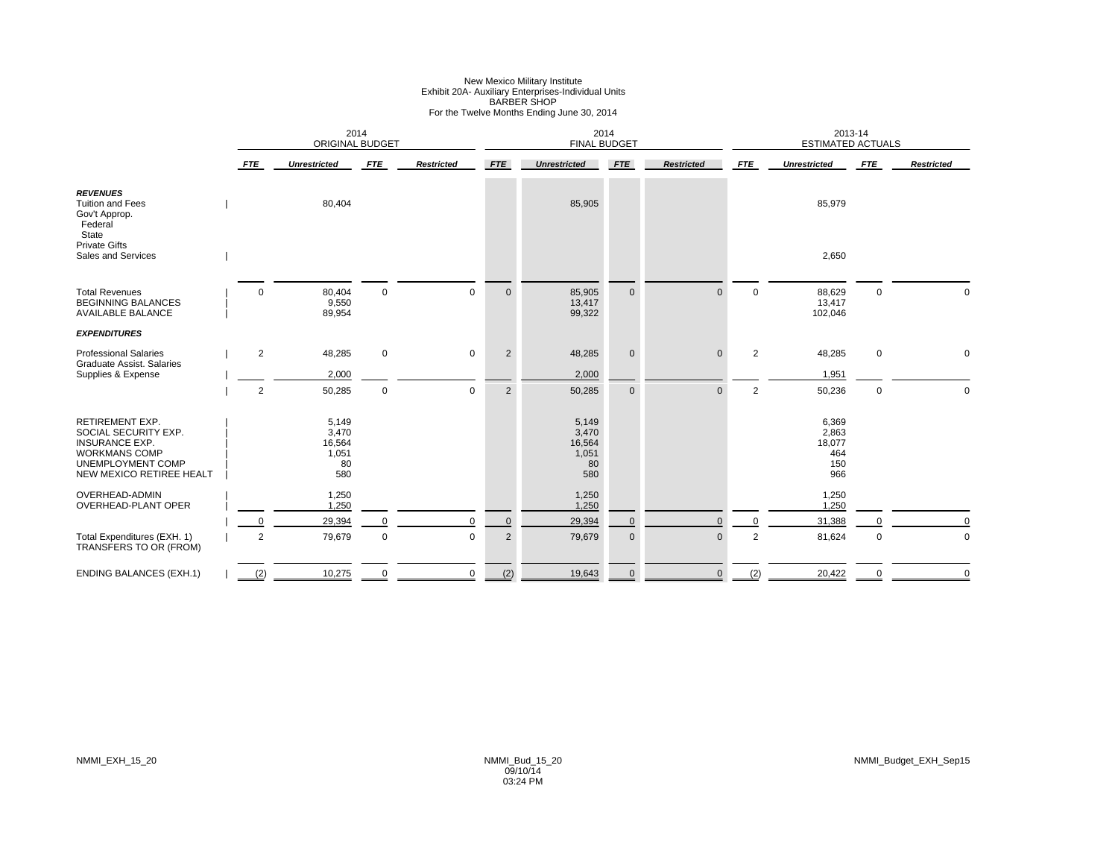# New Mexico Military Institute<br>Exhibit 20A- Auxiliary Enterprises-Individual Units<br>BARBER SHOP<br>For the Twelve Months Ending June 30, 2014

|                                                                                                                                                         |                | 2014<br><b>ORIGINAL BUDGET</b>                 |             |                   |                | 2014<br><b>FINAL BUDGET</b>                    |             |                   |                | 2013-14<br><b>ESTIMATED ACTUALS</b><br><b>FTE</b><br><b>Unrestricted</b><br>85,979<br>2,650<br>88,629<br>0<br>13,417<br>102,046<br>48,285<br>$\mathbf 0$<br>1,951<br>50,236<br>0<br>6,369<br>2,863<br>18,077<br>464<br>150<br>966<br>1,250<br>1,250<br>31,388<br>81,624<br>$\mathbf 0$ |             |                   |
|---------------------------------------------------------------------------------------------------------------------------------------------------------|----------------|------------------------------------------------|-------------|-------------------|----------------|------------------------------------------------|-------------|-------------------|----------------|----------------------------------------------------------------------------------------------------------------------------------------------------------------------------------------------------------------------------------------------------------------------------------------|-------------|-------------------|
|                                                                                                                                                         | <b>FTE</b>     | <b>Unrestricted</b>                            | <b>FTE</b>  | <b>Restricted</b> | <b>FTE</b>     | <b>Unrestricted</b>                            | <b>FTE</b>  | <b>Restricted</b> | <b>FTE</b>     |                                                                                                                                                                                                                                                                                        |             | <b>Restricted</b> |
| <b>REVENUES</b><br><b>Tuition and Fees</b><br>Gov't Approp.<br>Federal<br>State<br><b>Private Gifts</b>                                                 |                | 80,404                                         |             |                   |                | 85,905                                         |             |                   |                |                                                                                                                                                                                                                                                                                        |             |                   |
| Sales and Services                                                                                                                                      |                |                                                |             |                   |                |                                                |             |                   |                |                                                                                                                                                                                                                                                                                        |             |                   |
| <b>Total Revenues</b><br><b>BEGINNING BALANCES</b><br><b>AVAILABLE BALANCE</b>                                                                          | $\Omega$       | 80,404<br>9,550<br>89,954                      | $\mathbf 0$ | $\mathbf 0$       | $\mathbf 0$    | 85,905<br>13,417<br>99,322                     | $\mathbf 0$ | $\Omega$          | $\mathbf 0$    |                                                                                                                                                                                                                                                                                        |             | $\Omega$          |
| <b>EXPENDITURES</b>                                                                                                                                     |                |                                                |             |                   |                |                                                |             |                   |                |                                                                                                                                                                                                                                                                                        |             |                   |
| <b>Professional Salaries</b><br><b>Graduate Assist, Salaries</b>                                                                                        | $\sqrt{2}$     | 48,285                                         | $\mathbf 0$ | $\mathbf 0$       | $\overline{2}$ | 48,285                                         | $\pmb{0}$   | $\mathbf 0$       | 2              |                                                                                                                                                                                                                                                                                        |             | $\mathbf 0$       |
| Supplies & Expense                                                                                                                                      |                | 2,000                                          |             |                   |                | 2,000                                          |             |                   |                |                                                                                                                                                                                                                                                                                        |             |                   |
|                                                                                                                                                         | $\overline{2}$ | 50,285                                         | $\mathsf 0$ | $\mathbf 0$       | $\overline{2}$ | 50,285                                         | $\mathbf 0$ | $\mathbf{0}$      | $\overline{2}$ |                                                                                                                                                                                                                                                                                        |             | $\mathbf 0$       |
| <b>RETIREMENT EXP.</b><br>SOCIAL SECURITY EXP.<br><b>INSURANCE EXP.</b><br><b>WORKMANS COMP</b><br><b>UNEMPLOYMENT COMP</b><br>NEW MEXICO RETIREE HEALT |                | 5,149<br>3,470<br>16,564<br>1,051<br>80<br>580 |             |                   |                | 5,149<br>3,470<br>16,564<br>1,051<br>80<br>580 |             |                   |                |                                                                                                                                                                                                                                                                                        |             |                   |
| OVERHEAD-ADMIN<br>OVERHEAD-PLANT OPER                                                                                                                   |                | 1,250<br>1,250                                 |             |                   |                | 1,250<br>1,250                                 |             |                   |                |                                                                                                                                                                                                                                                                                        |             |                   |
|                                                                                                                                                         | $\Omega$       | 29,394                                         | $\mathbf 0$ | $\Omega$          | $\mathbf 0$    | 29,394                                         | 0           | $\Omega$          | $\mathbf 0$    |                                                                                                                                                                                                                                                                                        |             | $\Omega$          |
| Total Expenditures (EXH. 1)<br>TRANSFERS TO OR (FROM)                                                                                                   | $\overline{2}$ | 79,679                                         | $\mathsf 0$ | $\pmb{0}$         | $\overline{2}$ | 79,679                                         | $\pmb{0}$   | $\mathbf{0}$      | $\overline{2}$ |                                                                                                                                                                                                                                                                                        |             | $\mathbf 0$       |
| <b>ENDING BALANCES (EXH.1)</b>                                                                                                                          | (2)            | 10,275                                         | $\mathbf 0$ | $\pmb{0}$         | (2)            | 19,643                                         | $\pmb{0}$   | $\mathbf 0$       | (2)            | 20,422                                                                                                                                                                                                                                                                                 | $\mathbf 0$ | $\mathbf 0$       |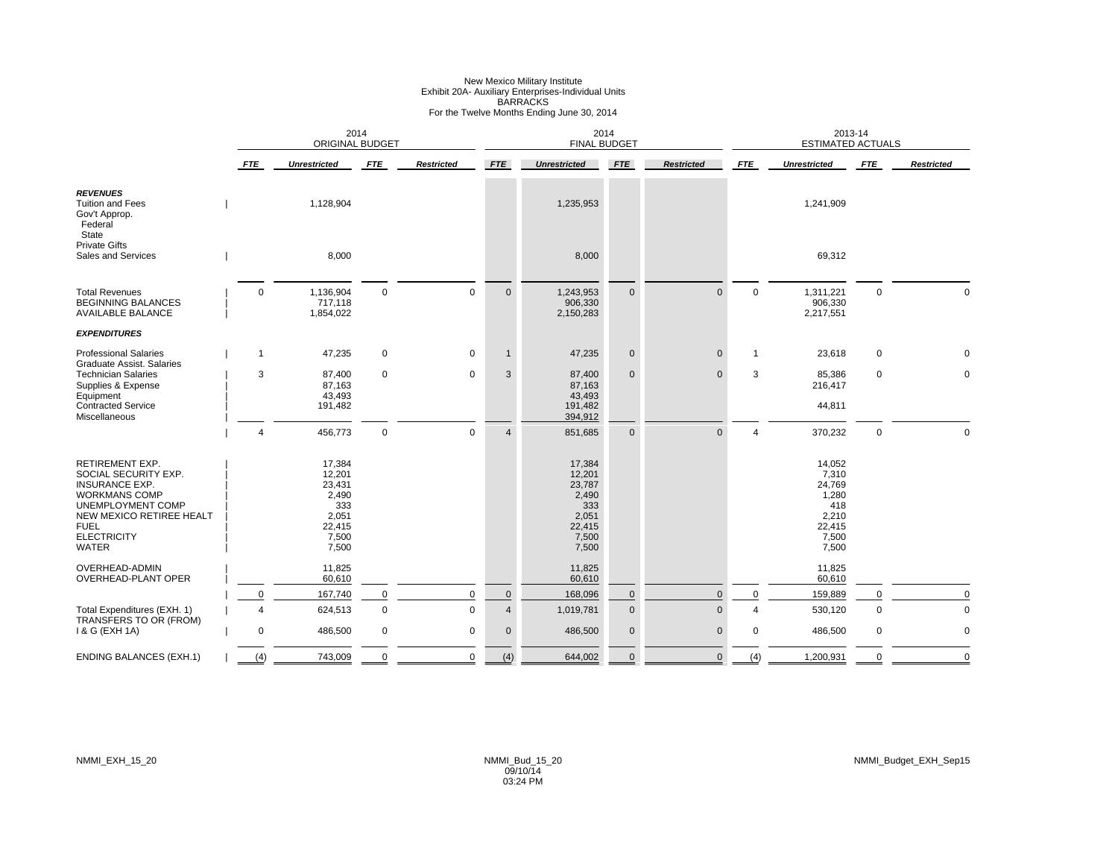### New Mexico Military Institute<br>Exhibit 20A- Auxiliary Enterprises-Individual Units<br>BARRACKS<br>For the Twelve Months Ending June 30, 2014

|                                                                                                                                                                                                       |                        | 2014<br>ORIGINAL BUDGET                                                         |             |                   |                | 2014<br><b>FINAL BUDGET</b>                                                     |             |                   |                          | 2013-14<br><b>ESTIMATED ACTUALS</b><br><b>FTE</b><br><b>Unrestricted</b><br>1,241,909<br>69,312<br>$\mathbf 0$<br>$\mathsf 0$<br>1,311,221<br>906,330 |             |                   |
|-------------------------------------------------------------------------------------------------------------------------------------------------------------------------------------------------------|------------------------|---------------------------------------------------------------------------------|-------------|-------------------|----------------|---------------------------------------------------------------------------------|-------------|-------------------|--------------------------|-------------------------------------------------------------------------------------------------------------------------------------------------------|-------------|-------------------|
|                                                                                                                                                                                                       | <b>FTE</b>             | <b>Unrestricted</b>                                                             | FTE         | <b>Restricted</b> | <b>FTE</b>     | <b>Unrestricted</b>                                                             | <b>FTE</b>  | <b>Restricted</b> | <b>FTE</b>               |                                                                                                                                                       |             | <b>Restricted</b> |
| <b>REVENUES</b><br><b>Tuition and Fees</b><br>Gov't Approp.<br>Federal<br>State                                                                                                                       |                        | 1,128,904                                                                       |             |                   |                | 1,235,953                                                                       |             |                   |                          |                                                                                                                                                       |             |                   |
| <b>Private Gifts</b><br>Sales and Services                                                                                                                                                            |                        | 8,000                                                                           |             |                   |                | 8,000                                                                           |             |                   |                          |                                                                                                                                                       |             |                   |
| <b>Total Revenues</b><br><b>BEGINNING BALANCES</b><br><b>AVAILABLE BALANCE</b>                                                                                                                        | $\mathbf 0$            | 1,136,904<br>717,118<br>1,854,022                                               | $\mathbf 0$ | $\mathbf 0$       | $\mathbf 0$    | 1,243,953<br>906,330<br>2,150,283                                               | $\mathbf 0$ | $\mathbf 0$       |                          | 2,217,551                                                                                                                                             |             | $\Omega$          |
| <b>EXPENDITURES</b>                                                                                                                                                                                   |                        |                                                                                 |             |                   |                |                                                                                 |             |                   |                          |                                                                                                                                                       |             |                   |
| <b>Professional Salaries</b><br>Graduate Assist, Salaries                                                                                                                                             | $\mathbf{1}$           | 47,235                                                                          | $\mathbf 0$ | $\mathbf 0$       |                | 47,235                                                                          | $\mathbf 0$ | $\mathbf{0}$      | $\overline{1}$           | 23,618                                                                                                                                                | 0           | $\Omega$          |
| <b>Technician Salaries</b><br>Supplies & Expense<br>Equipment<br><b>Contracted Service</b><br>Miscellaneous                                                                                           | 3                      | 87,400<br>87,163<br>43,493<br>191,482                                           | $\mathbf 0$ | $\pmb{0}$         | 3              | 87,400<br>87,163<br>43,493<br>191,482<br>394,912                                | $\mathbf 0$ | $\mathbf{0}$      | 3                        | 85,386<br>216,417<br>44,811                                                                                                                           | 0           | $\mathbf 0$       |
|                                                                                                                                                                                                       | $\overline{4}$         | 456,773                                                                         | $\mathbf 0$ | $\Omega$          | $\overline{A}$ | 851,685                                                                         | $\mathbf 0$ | $\Omega$          | $\overline{\mathcal{A}}$ | 370,232                                                                                                                                               | $\mathsf 0$ | $\Omega$          |
| <b>RETIREMENT EXP.</b><br>SOCIAL SECURITY EXP.<br><b>INSURANCE EXP.</b><br><b>WORKMANS COMP</b><br>UNEMPLOYMENT COMP<br>NEW MEXICO RETIREE HEALT<br><b>FUEL</b><br><b>ELECTRICITY</b><br><b>WATER</b> |                        | 17,384<br>12,201<br>23,431<br>2,490<br>333<br>2,051<br>22,415<br>7,500<br>7,500 |             |                   |                | 17,384<br>12,201<br>23,787<br>2,490<br>333<br>2,051<br>22,415<br>7,500<br>7,500 |             |                   |                          | 14,052<br>7,310<br>24,769<br>1,280<br>418<br>2,210<br>22,415<br>7,500<br>7,500                                                                        |             |                   |
| <b>OVERHEAD-ADMIN</b><br>OVERHEAD-PLANT OPER                                                                                                                                                          |                        | 11,825<br>60,610                                                                |             |                   |                | 11,825<br>60,610                                                                |             |                   |                          | 11,825<br>60,610                                                                                                                                      |             |                   |
|                                                                                                                                                                                                       | $\Omega$               | 167,740                                                                         | $\mathbf 0$ | $\mathbf 0$       | $\pmb{0}$      | 168,096                                                                         | $\mathbf 0$ | $\Omega$          | $\Omega$                 | 159,889                                                                                                                                               | $\Omega$    | $\Omega$          |
| Total Expenditures (EXH. 1)                                                                                                                                                                           | $\boldsymbol{\Lambda}$ | 624,513                                                                         | $\mathsf 0$ | $\mathbf 0$       | $\overline{4}$ | 1,019,781                                                                       | $\mathbf 0$ | $\mathbf{0}$      | $\Delta$                 | 530,120                                                                                                                                               | $\mathbf 0$ | $\Omega$          |
| TRANSFERS TO OR (FROM)<br>1 & G (EXH 1A)                                                                                                                                                              | $\mathbf 0$            | 486,500                                                                         | $\mathbf 0$ | 0                 | $\mathbf 0$    | 486,500                                                                         | $\mathbf 0$ | $\mathbf{0}$      | 0                        | 486,500                                                                                                                                               | 0           | $\Omega$          |
| <b>ENDING BALANCES (EXH.1)</b>                                                                                                                                                                        | (4)                    | 743,009                                                                         | $\mathbf 0$ | $\pmb{0}$         | (4)            | 644,002                                                                         | $\mathbf 0$ | $\mathbf 0$       | (4)                      | 1,200,931                                                                                                                                             | $\mathbf 0$ | $\mathbf 0$       |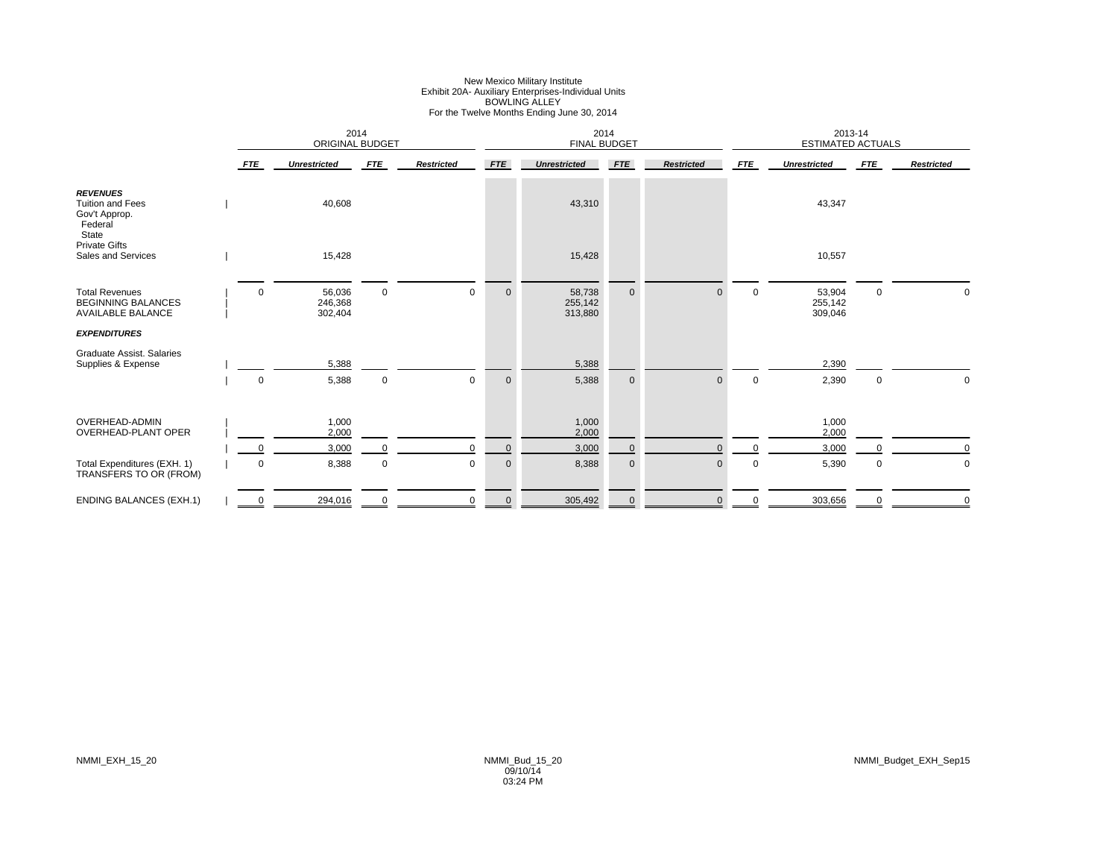# New Mexico Military Institute Exhibit 20A- Auxiliary Enterprises-Individual Units BOWLING ALLEY For the Twelve Months Ending June 30, 2014

|                                                                                 |                  | 2014<br><b>ORIGINAL BUDGET</b> |             |                   |              | 2014<br><b>FINAL BUDGET</b>  |             |                   |             | 2013-14<br><b>ESTIMATED ACTUALS</b> |             |                   |
|---------------------------------------------------------------------------------|------------------|--------------------------------|-------------|-------------------|--------------|------------------------------|-------------|-------------------|-------------|-------------------------------------|-------------|-------------------|
|                                                                                 | <b>FTE</b>       | <b>Unrestricted</b>            | <b>FTE</b>  | <b>Restricted</b> | <b>FTE</b>   | <b>Unrestricted</b>          | <b>FTE</b>  | <b>Restricted</b> | <b>FTE</b>  | <b>Unrestricted</b>                 | <b>FTE</b>  | <b>Restricted</b> |
| <b>REVENUES</b><br><b>Tuition and Fees</b><br>Gov't Approp.<br>Federal<br>State |                  | 40,608                         |             |                   |              | 43,310                       |             |                   |             | 43,347                              |             |                   |
| <b>Private Gifts</b><br>Sales and Services                                      |                  | 15,428                         |             |                   |              | 15,428                       |             |                   |             | 10,557                              |             |                   |
| <b>Total Revenues</b><br><b>BEGINNING BALANCES</b><br><b>AVAILABLE BALANCE</b>  | $\mathbf 0$      | 56,036<br>246,368<br>302,404   | $\mathbf 0$ | $\mathbf 0$       | $\mathbf{0}$ | 58,738<br>255,142<br>313,880 | $\mathbf 0$ | $\Omega$          | $\Omega$    | 53,904<br>255,142<br>309,046        | $\mathbf 0$ |                   |
| <b>EXPENDITURES</b>                                                             |                  |                                |             |                   |              |                              |             |                   |             |                                     |             |                   |
| <b>Graduate Assist. Salaries</b><br>Supplies & Expense                          |                  | 5,388                          |             |                   |              | 5,388                        |             |                   |             | 2,390                               |             |                   |
|                                                                                 | $\mathbf 0$      | 5,388                          | 0           | $\mathbf 0$       | $\mathbf 0$  | 5,388                        | $\mathbf 0$ | $\mathbf{0}$      | $\mathbf 0$ | 2,390                               | $\mathbf 0$ |                   |
| OVERHEAD-ADMIN<br><b>OVERHEAD-PLANT OPER</b>                                    |                  | 1,000<br>2,000                 |             |                   |              | 1,000<br>2,000               |             |                   |             | 1,000<br>2,000                      |             |                   |
|                                                                                 | $\mathbf 0$      | 3,000                          | 0           | $\mathbf 0$       | $\mathbf{0}$ | 3,000                        | $\mathbf 0$ | $\Omega$          | $\Omega$    | 3,000                               | $\mathbf 0$ | $\Omega$          |
| Total Expenditures (EXH. 1)<br>TRANSFERS TO OR (FROM)                           | $\mathbf 0$      | 8,388                          | 0           | 0                 | $\mathbf 0$  | 8,388                        | $\mathbf 0$ | $\mathbf{0}$      | $\mathbf 0$ | 5,390                               | $\mathbf 0$ | $\mathbf 0$       |
| <b>ENDING BALANCES (EXH.1)</b>                                                  | $\overset{0}{=}$ | 294,016                        | 0           | 0                 | $\mathbf 0$  | 305,492                      | $\mathbf 0$ |                   |             | 303,656                             | 0           |                   |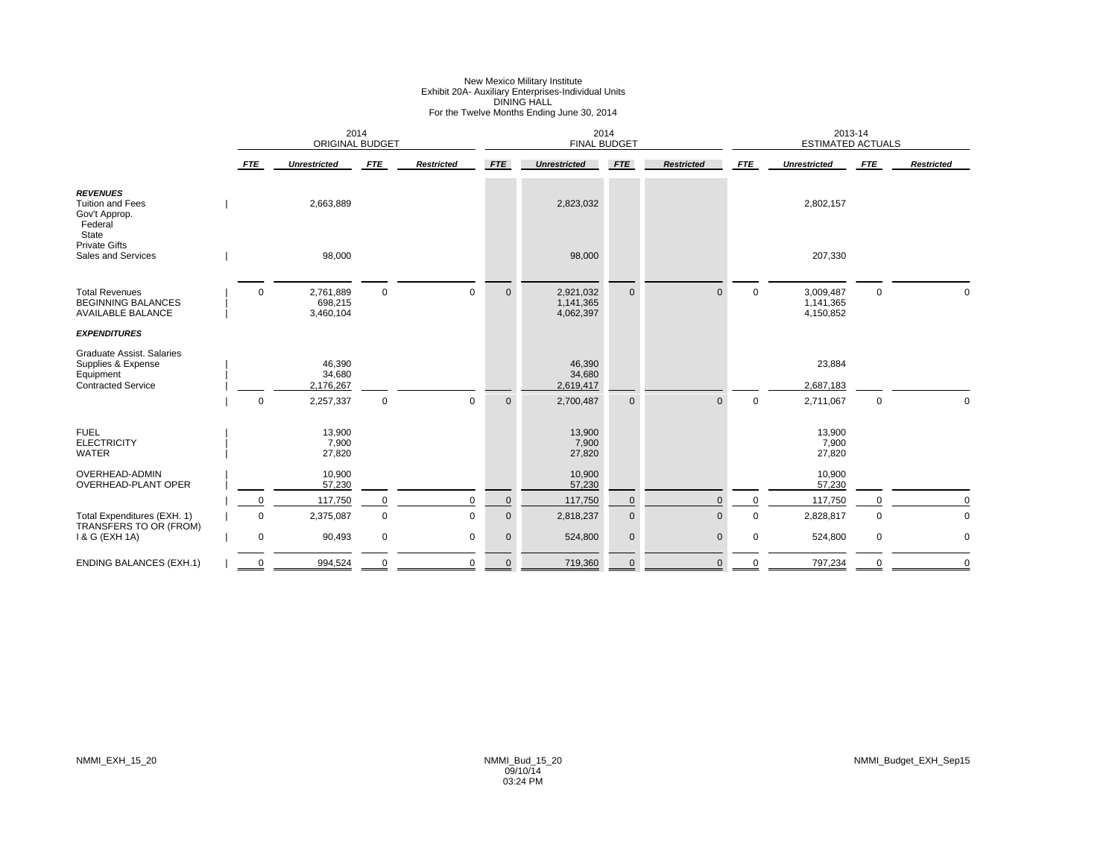### New Mexico Military Institute Exhibit 20A- Auxiliary Enterprises-Individual Units DINING HALL For the Twelve Months Ending June 30, 2014

|                                                                                                  |             | <b>ORIGINAL BUDGET</b>            | 2014        |                   |              | 2014<br><b>FINAL BUDGET</b>         |              |                   |             | 2013-14<br><b>ESTIMATED ACTUALS</b> |             |                   |
|--------------------------------------------------------------------------------------------------|-------------|-----------------------------------|-------------|-------------------|--------------|-------------------------------------|--------------|-------------------|-------------|-------------------------------------|-------------|-------------------|
|                                                                                                  | <b>FTE</b>  | <b>Unrestricted</b>               | <b>FTE</b>  | <b>Restricted</b> | <b>FTE</b>   | <b>Unrestricted</b>                 | <b>FTE</b>   | <b>Restricted</b> | FTE         | <b>Unrestricted</b>                 | <b>FTE</b>  | <b>Restricted</b> |
| <b>REVENUES</b><br><b>Tuition and Fees</b><br>Gov't Approp.<br>Federal<br>State                  |             | 2,663,889                         |             |                   |              | 2,823,032                           |              |                   |             | 2,802,157                           |             |                   |
| <b>Private Gifts</b><br>Sales and Services                                                       |             | 98,000                            |             |                   |              | 98,000                              |              |                   |             | 207,330                             |             |                   |
| <b>Total Revenues</b><br><b>BEGINNING BALANCES</b><br><b>AVAILABLE BALANCE</b>                   | $\mathbf 0$ | 2,761,889<br>698,215<br>3,460,104 | $\mathbf 0$ | $\mathbf 0$       | $\mathbf{0}$ | 2,921,032<br>1,141,365<br>4,062,397 | $\mathbf 0$  | $\mathbf{0}$      | $\mathbf 0$ | 3,009,487<br>1,141,365<br>4,150,852 | $\mathbf 0$ |                   |
| <b>EXPENDITURES</b>                                                                              |             |                                   |             |                   |              |                                     |              |                   |             |                                     |             |                   |
| <b>Graduate Assist. Salaries</b><br>Supplies & Expense<br>Equipment<br><b>Contracted Service</b> |             | 46,390<br>34,680<br>2,176,267     |             |                   |              | 46,390<br>34,680<br>2,619,417       |              |                   |             | 23,884<br>2,687,183                 |             |                   |
|                                                                                                  | $\mathbf 0$ | 2,257,337                         | $\mathbf 0$ | $\mathbf 0$       | $\mathbf 0$  | 2,700,487                           | $\mathbf 0$  | $\Omega$          | $\mathbf 0$ | 2,711,067                           | $\mathbf 0$ | $\Omega$          |
| <b>FUEL</b><br><b>ELECTRICITY</b><br><b>WATER</b>                                                |             | 13,900<br>7,900<br>27,820         |             |                   |              | 13,900<br>7,900<br>27,820           |              |                   |             | 13,900<br>7,900<br>27,820           |             |                   |
| <b>OVERHEAD-ADMIN</b><br><b>OVERHEAD-PLANT OPER</b>                                              |             | 10,900<br>57,230                  |             |                   |              | 10,900<br>57,230                    |              |                   |             | 10,900<br>57,230                    |             |                   |
|                                                                                                  | $\Omega$    | 117,750                           | $\mathbf 0$ | $\Omega$          | $\mathbf 0$  | 117,750                             | 0            | $\mathbf 0$       | $\mathbf 0$ | 117,750                             |             |                   |
| Total Expenditures (EXH. 1)                                                                      | $\Omega$    | 2,375,087                         | $\mathbf 0$ | $\mathbf 0$       | $\mathbf 0$  | 2,818,237                           | $\mathbf 0$  | $\mathbf 0$       | $\mathbf 0$ | 2,828,817                           | $\mathbf 0$ | $\mathbf 0$       |
| TRANSFERS TO OR (FROM)<br>1 & G (EXH 1A)                                                         | 0           | 90,493                            | $\mathbf 0$ | $\mathbf 0$       | $\mathbf 0$  | 524,800                             | $\mathbf 0$  | $\mathbf 0$       | 0           | 524,800                             | $\mathbf 0$ | $\mathbf 0$       |
| <b>ENDING BALANCES (EXH.1)</b>                                                                   | $\Omega$    | 994,524                           | $\mathbf 0$ | $\mathbf 0$       | $\mathbf{0}$ | 719,360                             | $\mathbf{0}$ | $\mathbf{0}$      | 0           | 797,234                             | $\Omega$    | $\mathbf 0$       |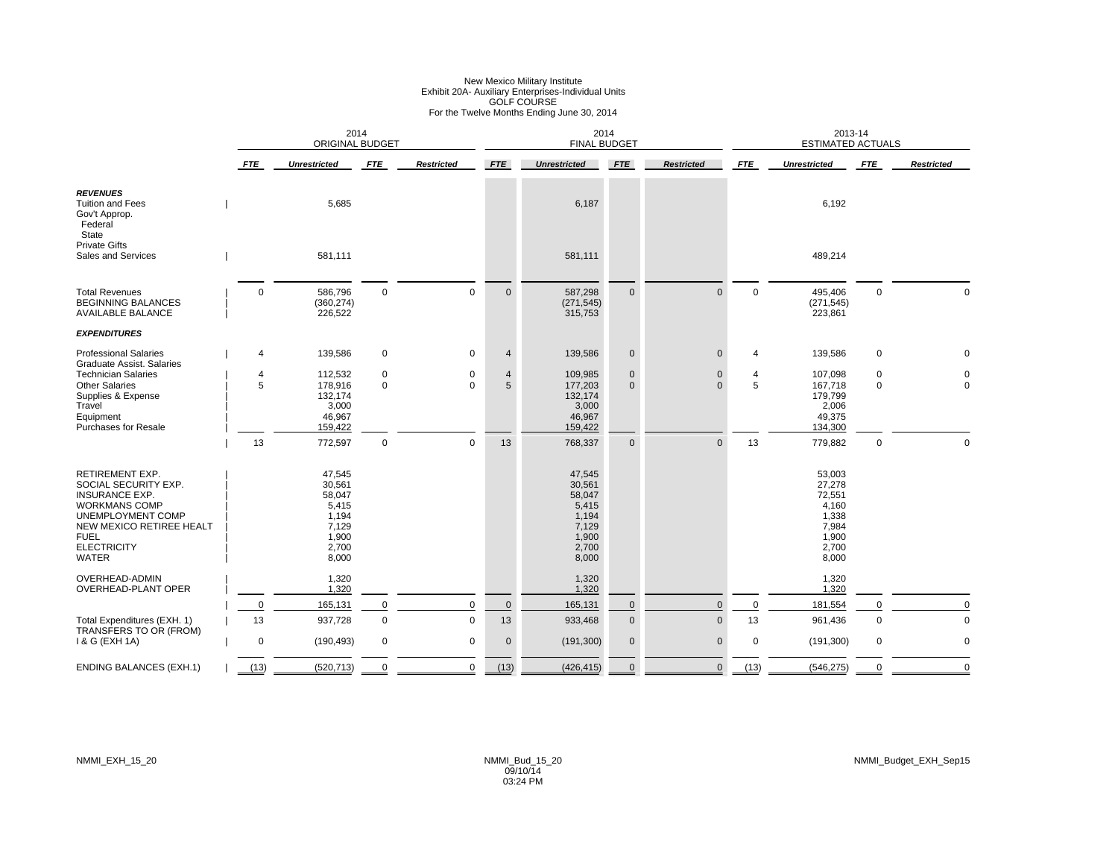### New Mexico Military Institute<br>Exhibit 20A- Auxiliary Enterprises-Individual Units<br>GOLF COURSE<br>For the Twelve Months Ending June 30, 2014

|                                                                                                                                                                                                       |                     | 2014<br><b>ORIGINAL BUDGET</b>                                                   |                            |                       |              | 2014<br><b>FINAL BUDGET</b>                                                      |                          |                      |             | 2013-14<br><b>ESTIMATED ACTUALS</b>                                              |                  |                         |
|-------------------------------------------------------------------------------------------------------------------------------------------------------------------------------------------------------|---------------------|----------------------------------------------------------------------------------|----------------------------|-----------------------|--------------|----------------------------------------------------------------------------------|--------------------------|----------------------|-------------|----------------------------------------------------------------------------------|------------------|-------------------------|
|                                                                                                                                                                                                       | <b>FTE</b>          | <b>Unrestricted</b>                                                              | <b>FTE</b>                 | <b>Restricted</b>     | <b>FTE</b>   | <b>Unrestricted</b>                                                              | <b>FTE</b>               | <b>Restricted</b>    | <b>FTE</b>  | <b>Unrestricted</b>                                                              | <b>FTE</b>       | <b>Restricted</b>       |
| <b>REVENUES</b><br><b>Tuition and Fees</b><br>Gov't Approp.<br>Federal<br><b>State</b>                                                                                                                |                     | 5,685                                                                            |                            |                       |              | 6,187                                                                            |                          |                      |             | 6,192                                                                            |                  |                         |
| <b>Private Gifts</b><br><b>Sales and Services</b>                                                                                                                                                     |                     | 581,111                                                                          |                            |                       |              | 581,111                                                                          |                          |                      |             | 489,214                                                                          |                  |                         |
| <b>Total Revenues</b><br><b>BEGINNING BALANCES</b><br><b>AVAILABLE BALANCE</b>                                                                                                                        | $\Omega$            | 586,796<br>(360, 274)<br>226,522                                                 | $\mathbf 0$                | $\mathbf 0$           | $\mathbf{0}$ | 587,298<br>(271, 545)<br>315,753                                                 | $\mathbf{0}$             | $\Omega$             | $\mathbf 0$ | 495,406<br>(271, 545)<br>223,861                                                 | $\mathbf 0$      | $\mathbf 0$             |
| <b>EXPENDITURES</b>                                                                                                                                                                                   |                     |                                                                                  |                            |                       |              |                                                                                  |                          |                      |             |                                                                                  |                  |                         |
| <b>Professional Salaries</b>                                                                                                                                                                          | 4                   | 139,586                                                                          | $\mathbf 0$                | 0                     | 4            | 139,586                                                                          | $\mathbf 0$              | $\mathbf 0$          | 4           | 139,586                                                                          | $\mathbf 0$      |                         |
| Graduate Assist, Salaries<br><b>Technician Salaries</b><br><b>Other Salaries</b><br>Supplies & Expense<br>Travel<br>Equipment<br><b>Purchases for Resale</b>                                          | $\overline{4}$<br>5 | 112,532<br>178,916<br>132,174<br>3,000<br>46,967<br>159,422                      | $\mathbf 0$<br>$\mathbf 0$ | $\pmb{0}$<br>$\Omega$ | 4<br>5       | 109,985<br>177,203<br>132,174<br>3,000<br>46,967<br>159,422                      | $\pmb{0}$<br>$\mathbf 0$ | $\Omega$<br>$\Omega$ | 4<br>5      | 107,098<br>167,718<br>179,799<br>2,006<br>49,375<br>134,300                      | 0<br>$\mathbf 0$ | $\mathbf 0$<br>$\Omega$ |
|                                                                                                                                                                                                       | 13                  | 772,597                                                                          | $\mathbf 0$                | $\mathbf 0$           | 13           | 768,337                                                                          | $\mathbf 0$              | $\Omega$             | 13          | 779,882                                                                          | $\mathbf 0$      | $\Omega$                |
| <b>RETIREMENT EXP.</b><br>SOCIAL SECURITY EXP.<br><b>INSURANCE EXP.</b><br><b>WORKMANS COMP</b><br>UNEMPLOYMENT COMP<br>NEW MEXICO RETIREE HEALT<br><b>FUEL</b><br><b>ELECTRICITY</b><br><b>WATER</b> |                     | 47,545<br>30,561<br>58,047<br>5,415<br>1,194<br>7,129<br>1,900<br>2,700<br>8,000 |                            |                       |              | 47,545<br>30,561<br>58,047<br>5,415<br>1,194<br>7,129<br>1,900<br>2,700<br>8,000 |                          |                      |             | 53,003<br>27,278<br>72,551<br>4,160<br>1,338<br>7,984<br>1,900<br>2,700<br>8,000 |                  |                         |
| OVERHEAD-ADMIN                                                                                                                                                                                        |                     | 1,320                                                                            |                            |                       |              | 1,320                                                                            |                          |                      |             | 1,320                                                                            |                  |                         |
| OVERHEAD-PLANT OPER                                                                                                                                                                                   | 0                   | 1,320<br>165,131                                                                 | $\mathbf 0$                | $\mathbf 0$           | $\mathbf 0$  | 1,320<br>165,131                                                                 | $\mathbf 0$              | $\mathbf{0}$         | $\mathbf 0$ | 1,320<br>181,554                                                                 | 0                | $\mathbf 0$             |
| Total Expenditures (EXH. 1)                                                                                                                                                                           | 13                  | 937,728                                                                          | $\mathsf 0$                | $\mathbf 0$           | 13           | 933,468                                                                          | $\pmb{0}$                | $\Omega$             | 13          | 961,436                                                                          | $\mathbf 0$      | $\mathbf 0$             |
| TRANSFERS TO OR (FROM)<br>1 & G (EXH 1A)                                                                                                                                                              | $\mathbf 0$         | (190, 493)                                                                       | $\mathbf 0$                | $\mathbf 0$           | $\mathbf 0$  | (191, 300)                                                                       | $\pmb{0}$                | $\mathbf{0}$         | 0           | (191, 300)                                                                       | $\mathbf 0$      | $\mathbf 0$             |
| <b>ENDING BALANCES (EXH.1)</b>                                                                                                                                                                        | (13)                | (520, 713)                                                                       | $\Omega$                   | $\mathbf 0$           | (13)         | (426, 415)                                                                       | $\Omega$                 | $\mathbf{0}$         | (13)        | (546, 275)                                                                       | $\Omega$         | $\Omega$                |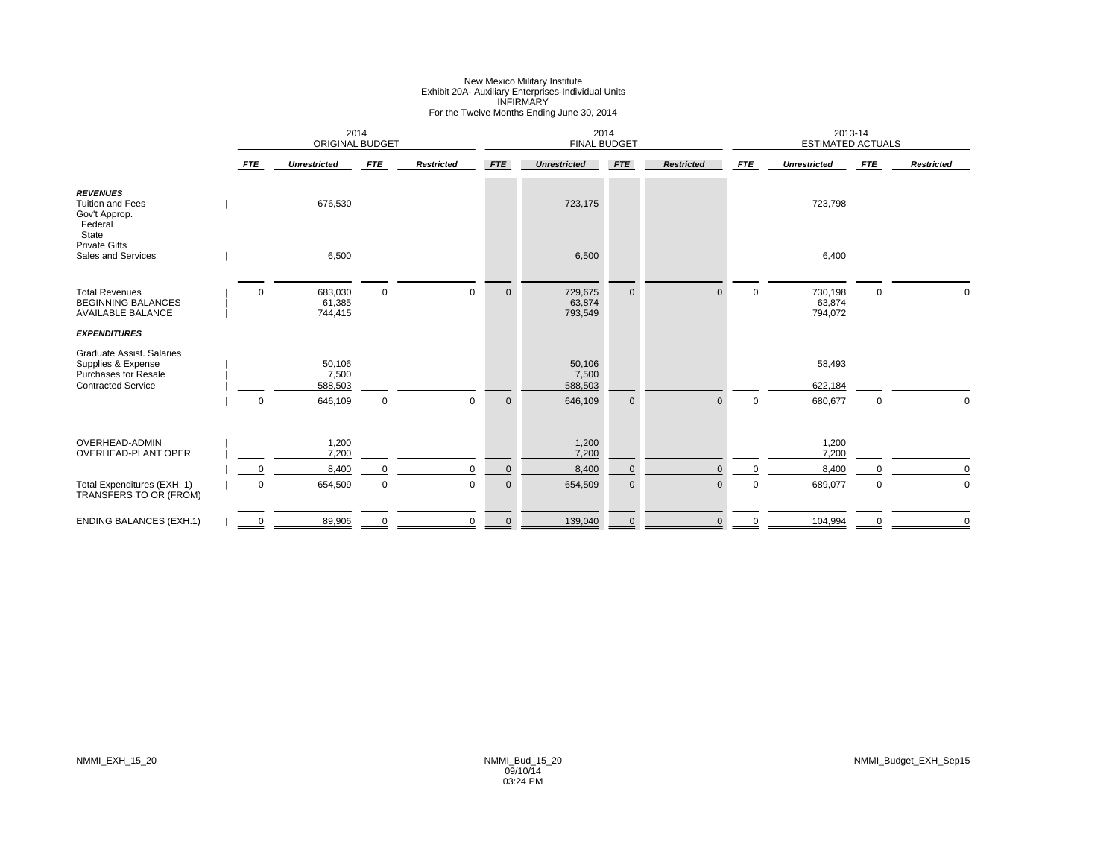### New Mexico Military Institute Exhibit 20A- Auxiliary Enterprises-Individual Units INFIRMARY For the Twelve Months Ending June 30, 2014

|                                                                                                             |             | 2014<br><b>ORIGINAL BUDGET</b> |             |                   |             | 2014<br><b>FINAL BUDGET</b>  |              |                   |             | 2013-14<br><b>ESTIMATED ACTUALS</b> |             |                   |
|-------------------------------------------------------------------------------------------------------------|-------------|--------------------------------|-------------|-------------------|-------------|------------------------------|--------------|-------------------|-------------|-------------------------------------|-------------|-------------------|
|                                                                                                             | <b>FTE</b>  | <b>Unrestricted</b>            | <b>FTE</b>  | <b>Restricted</b> | <b>FTE</b>  | <b>Unrestricted</b>          | <b>FTE</b>   | <b>Restricted</b> | <b>FTE</b>  | <b>Unrestricted</b>                 | <b>FTE</b>  | <b>Restricted</b> |
| <b>REVENUES</b><br><b>Tuition and Fees</b><br>Gov't Approp.<br>Federal<br>State                             |             | 676,530                        |             |                   |             | 723,175                      |              |                   |             | 723,798                             |             |                   |
| <b>Private Gifts</b><br>Sales and Services                                                                  |             | 6,500                          |             |                   |             | 6,500                        |              |                   |             | 6,400                               |             |                   |
| <b>Total Revenues</b><br><b>BEGINNING BALANCES</b><br><b>AVAILABLE BALANCE</b>                              | $\mathbf 0$ | 683,030<br>61,385<br>744,415   | $\mathbf 0$ | $\mathbf{0}$      | $\mathbf 0$ | 729,675<br>63,874<br>793,549 | $\mathbf{0}$ | $\Omega$          | $\mathbf 0$ | 730,198<br>63,874<br>794,072        | $\mathbf 0$ | $\Omega$          |
| <b>EXPENDITURES</b>                                                                                         |             |                                |             |                   |             |                              |              |                   |             |                                     |             |                   |
| Graduate Assist. Salaries<br>Supplies & Expense<br><b>Purchases for Resale</b><br><b>Contracted Service</b> |             | 50,106<br>7,500<br>588,503     |             |                   |             | 50,106<br>7,500<br>588,503   |              |                   |             | 58,493<br>622,184                   |             |                   |
|                                                                                                             | $\mathbf 0$ | 646,109                        | $\mathbf 0$ | $\mathbf 0$       | $\mathbf 0$ | 646,109                      | $\mathbf 0$  |                   | $\mathbf 0$ | 680,677                             | 0           | $\Omega$          |
| OVERHEAD-ADMIN<br><b>OVERHEAD-PLANT OPER</b>                                                                |             | 1,200<br>7,200                 |             |                   |             | 1,200<br>7,200               |              |                   |             | 1,200<br>7,200                      |             |                   |
|                                                                                                             | $\mathbf 0$ | 8,400                          | 0           | $\mathbf 0$       | $\mathbf 0$ | 8,400                        | $\mathbf 0$  |                   | $\Omega$    | 8,400                               |             | $\mathbf 0$       |
| Total Expenditures (EXH. 1)<br>TRANSFERS TO OR (FROM)                                                       | $\mathbf 0$ | 654,509                        | $\mathbf 0$ | 0                 | $\mathbf 0$ | 654,509                      | $\mathbf 0$  | $\overline{0}$    | $\mathbf 0$ | 689,077                             | 0           | $\mathbf 0$       |
| <b>ENDING BALANCES (EXH.1)</b>                                                                              | $\mathbf 0$ | 89,906                         | 0           | 0                 | $\mathbf 0$ | 139,040                      | $\mathbf{0}$ | $\mathbf{0}$      | 0           | 104,994                             | $\mathbf 0$ | $\mathbf 0$       |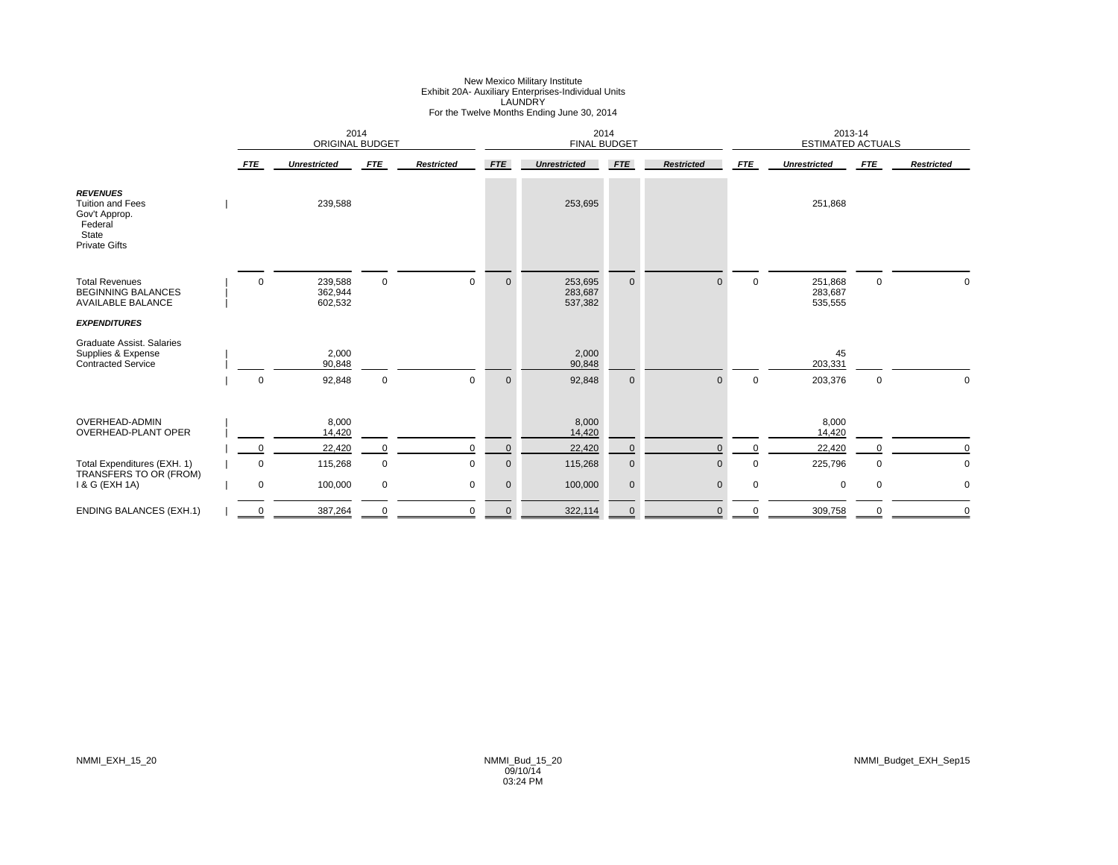### New Mexico Military Institute Exhibit 20A- Auxiliary Enterprises-Individual Units LAUNDRY For the Twelve Months Ending June 30, 2014

|                                                                                                         |                                 | 2014<br><b>ORIGINAL BUDGET</b> |             |                   |              | 2014<br><b>FINAL BUDGET</b>   |              |                   |             | 2013-14<br><b>ESTIMATED ACTUALS</b> |             |                   |
|---------------------------------------------------------------------------------------------------------|---------------------------------|--------------------------------|-------------|-------------------|--------------|-------------------------------|--------------|-------------------|-------------|-------------------------------------|-------------|-------------------|
|                                                                                                         | <b>FTE</b>                      | <b>Unrestricted</b>            | <b>FTE</b>  | <b>Restricted</b> | <b>FTE</b>   | <b>Unrestricted</b>           | <b>FTE</b>   | <b>Restricted</b> | <b>FTE</b>  | <b>Unrestricted</b>                 | <b>FTE</b>  | <b>Restricted</b> |
| <b>REVENUES</b><br><b>Tuition and Fees</b><br>Gov't Approp.<br>Federal<br>State<br><b>Private Gifts</b> |                                 | 239,588                        |             |                   |              | 253,695                       |              |                   |             | 251,868                             |             |                   |
| <b>Total Revenues</b><br><b>BEGINNING BALANCES</b><br><b>AVAILABLE BALANCE</b>                          | $\mathbf 0$                     | 239,588<br>362,944<br>602,532  | $\mathbf 0$ | 0                 | $\mathbf{0}$ | 253,695<br>283,687<br>537,382 | $\mathbf{0}$ |                   | $\mathbf 0$ | 251,868<br>283,687<br>535,555       | $\mathbf 0$ |                   |
| <b>EXPENDITURES</b>                                                                                     |                                 |                                |             |                   |              |                               |              |                   |             |                                     |             |                   |
| Graduate Assist, Salaries<br>Supplies & Expense<br><b>Contracted Service</b>                            |                                 | 2,000<br>90,848                |             |                   |              | 2,000<br>90,848               |              |                   |             | 45<br>203,331                       |             |                   |
|                                                                                                         | $\mathbf 0$                     | 92,848                         | $\mathbf 0$ | $\mathbf 0$       | $\mathbf 0$  | 92,848                        | $\mathbf{0}$ | $\Omega$          | $\mathbf 0$ | 203,376                             | $\mathbf 0$ | 0                 |
| OVERHEAD-ADMIN<br><b>OVERHEAD-PLANT OPER</b>                                                            |                                 | 8,000<br>14,420                |             |                   |              | 8.000<br>14,420               |              |                   |             | 8,000<br>14,420                     |             |                   |
|                                                                                                         | $\mathbf 0$                     | 22,420                         | 0           | $\mathbf 0$       | $\mathbf{0}$ | 22,420                        | $\mathbf 0$  | $\Omega$          |             | 22,420                              | $\Omega$    | $\Omega$          |
| Total Expenditures (EXH. 1)                                                                             | $\mathbf 0$                     | 115,268                        | 0           | $\Omega$          | $\mathbf 0$  | 115,268                       | $\pmb{0}$    | $\Omega$          | $\Omega$    | 225,796                             | $\mathbf 0$ | $\mathbf 0$       |
| TRANSFERS TO OR (FROM)<br>1 & G (EXH 1A)                                                                | $\mathbf 0$                     | 100,000                        | 0           | 0                 | $\mathbf 0$  | 100,000                       | $\mathbf 0$  | $\Omega$          | $\Omega$    | $\mathbf 0$                         | $\mathbf 0$ | 0                 |
| <b>ENDING BALANCES (EXH.1)</b>                                                                          | $\overline{\phantom{a}}^0$<br>= | 387,264                        |             | $\Omega$          | $\mathbf{0}$ | 322,114                       | $\mathbf 0$  |                   |             | 309,758                             |             | $\Omega$          |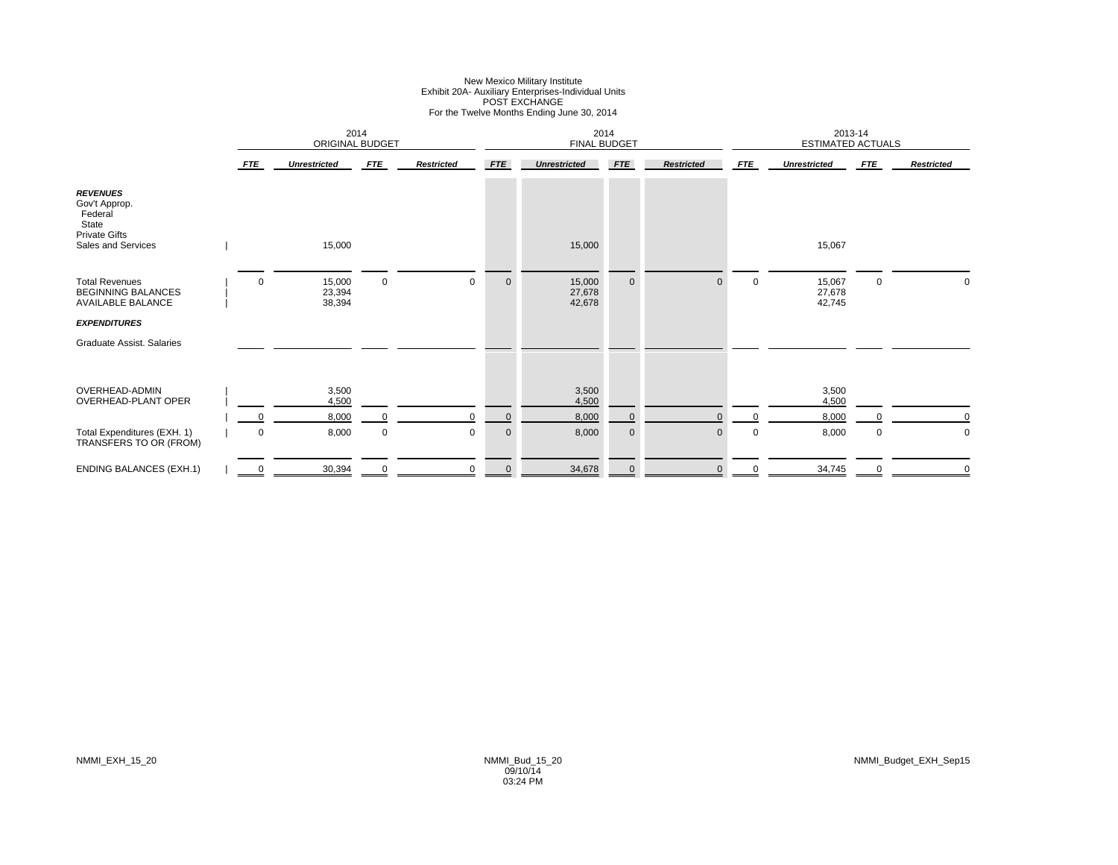# New Mexico Military Institute Exhibit 20A- Auxiliary Enterprises-Individual Units POST EXCHANGE For the Twelve Months Ending June 30, 2014

|                                                                                                    |     | 2014<br>ORIGINAL BUDGET    |             |                   |                | 2014<br><b>FINAL BUDGET</b> |              |                   |             | 2013-14<br><b>ESTIMATED ACTUALS</b> |             |                   |
|----------------------------------------------------------------------------------------------------|-----|----------------------------|-------------|-------------------|----------------|-----------------------------|--------------|-------------------|-------------|-------------------------------------|-------------|-------------------|
|                                                                                                    | FTE | <b>Unrestricted</b>        | <b>FTE</b>  | <b>Restricted</b> | <b>FTE</b>     | <b>Unrestricted</b>         | <b>FTE</b>   | <b>Restricted</b> | FTE         | <b>Unrestricted</b>                 | <b>FTE</b>  | <b>Restricted</b> |
| <b>REVENUES</b><br>Gov't Approp.<br>Federal<br>State<br><b>Private Gifts</b><br>Sales and Services |     | 15,000                     |             |                   |                | 15,000                      |              |                   |             | 15,067                              |             |                   |
| <b>Total Revenues</b><br><b>BEGINNING BALANCES</b><br>AVAILABLE BALANCE                            | 0   | 15,000<br>23,394<br>38,394 | $\mathbf 0$ | $\mathbf 0$       | $\mathbf 0$    | 15,000<br>27,678<br>42,678  | $\mathbf 0$  | $\Omega$          | $\mathbf 0$ | 15,067<br>27,678<br>42,745          | $\mathbf 0$ | 0                 |
| <b>EXPENDITURES</b>                                                                                |     |                            |             |                   |                |                             |              |                   |             |                                     |             |                   |
| Graduate Assist, Salaries                                                                          |     |                            |             |                   |                |                             |              |                   |             |                                     |             |                   |
|                                                                                                    |     |                            |             |                   |                |                             |              |                   |             |                                     |             |                   |
| OVERHEAD-ADMIN<br>OVERHEAD-PLANT OPER                                                              |     | 3,500<br>4,500             |             |                   |                | 3,500<br>4,500              |              |                   |             | 3,500<br>4,500                      |             |                   |
|                                                                                                    | 0   | 8,000                      |             | $\Omega$          | $\overline{0}$ | 8,000                       | $\mathbf 0$  | $\Omega$          | $\Omega$    | 8,000                               |             | $\mathbf 0$       |
| Total Expenditures (EXH. 1)<br>TRANSFERS TO OR (FROM)                                              | 0   | 8,000                      | 0           | 0                 | $\mathbf 0$    | 8,000                       | $\mathbf 0$  | $\mathbf{0}$      | 0           | 8,000                               | 0           | $\pmb{0}$         |
| <b>ENDING BALANCES (EXH.1)</b>                                                                     | 0   | 30,394                     | $\mathbf 0$ | 0                 | $\mathbf 0$    | 34,678                      | $\mathbf{0}$ | $\mathbf{0}$      | $\mathbf 0$ | 34,745                              | $\mathbf 0$ | $\mathbf 0$       |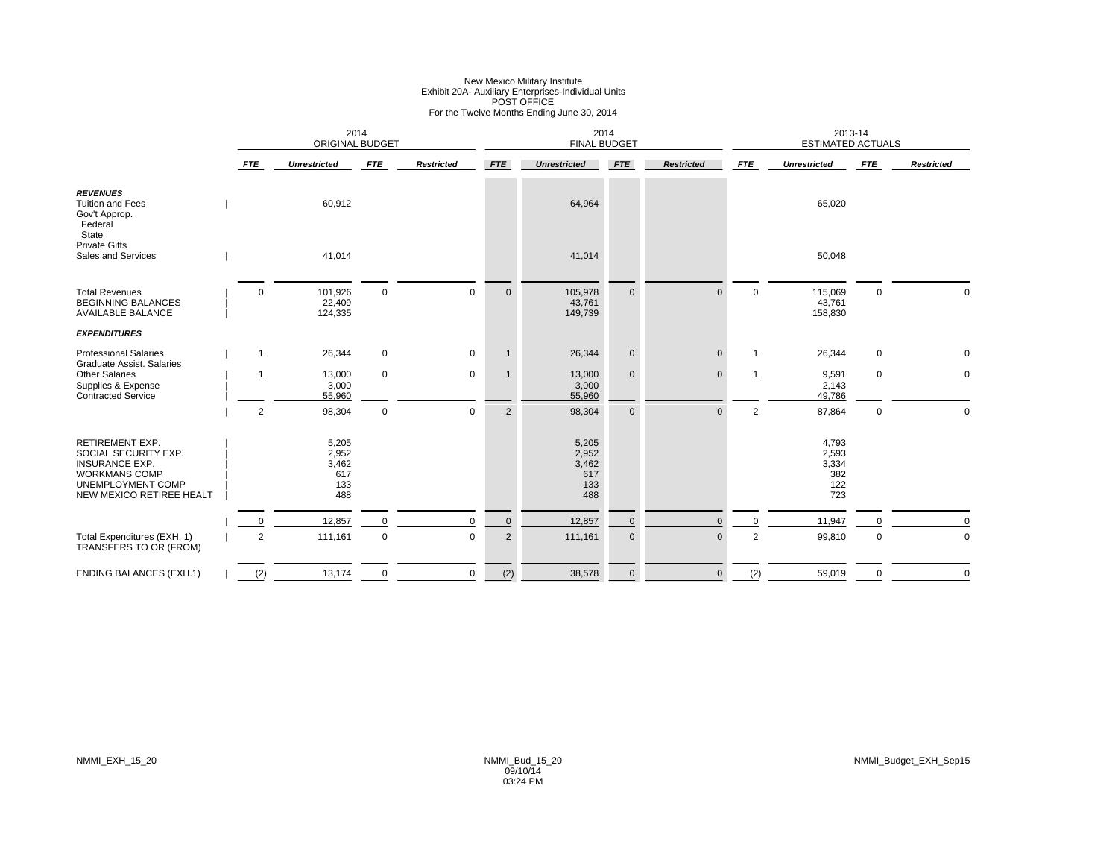# New Mexico Military Institute<br>Exhibit 20A- Auxiliary Enterprises-Individual Units<br>For the Twelve Months Ending June 30, 2014

|                                                                                                                                                         |                | <b>ORIGINAL BUDGET</b>                       | 2014        |                   |                | 2014<br><b>FINAL BUDGET</b>                  |             |                   |                | 2013-14<br><b>ESTIMATED ACTUALS</b>          |             |                   |
|---------------------------------------------------------------------------------------------------------------------------------------------------------|----------------|----------------------------------------------|-------------|-------------------|----------------|----------------------------------------------|-------------|-------------------|----------------|----------------------------------------------|-------------|-------------------|
|                                                                                                                                                         | <b>FTE</b>     | <b>Unrestricted</b>                          | <b>FTE</b>  | <b>Restricted</b> | <b>FTE</b>     | <b>Unrestricted</b>                          | <b>FTE</b>  | <b>Restricted</b> | <b>FTE</b>     | <b>Unrestricted</b>                          | <b>FTE</b>  | <b>Restricted</b> |
| <b>REVENUES</b><br><b>Tuition and Fees</b><br>Gov't Approp.<br>Federal<br>State                                                                         |                | 60,912                                       |             |                   |                | 64,964                                       |             |                   |                | 65,020                                       |             |                   |
| <b>Private Gifts</b><br>Sales and Services                                                                                                              |                | 41,014                                       |             |                   |                | 41,014                                       |             |                   |                | 50,048                                       |             |                   |
| <b>Total Revenues</b><br><b>BEGINNING BALANCES</b><br><b>AVAILABLE BALANCE</b>                                                                          | $\Omega$       | 101,926<br>22,409<br>124,335                 | $\mathbf 0$ | $\mathbf 0$       | $\mathbf{0}$   | 105,978<br>43,761<br>149,739                 | $\mathbf 0$ | $\Omega$          | $\mathbf 0$    | 115,069<br>43,761<br>158,830                 | $\mathbf 0$ | $\Omega$          |
| <b>EXPENDITURES</b>                                                                                                                                     |                |                                              |             |                   |                |                                              |             |                   |                |                                              |             |                   |
| <b>Professional Salaries</b><br><b>Graduate Assist. Salaries</b>                                                                                        | $\overline{1}$ | 26,344                                       | $\mathbf 0$ | $\mathbf{0}$      | $\mathbf{1}$   | 26,344                                       | $\mathbf 0$ | $\mathbf{0}$      | $\mathbf{1}$   | 26,344                                       | 0           | 0                 |
| <b>Other Salaries</b><br>Supplies & Expense<br><b>Contracted Service</b>                                                                                |                | 13,000<br>3,000<br>55,960                    | $\mathbf 0$ | $\mathbf 0$       | $\mathbf{1}$   | 13,000<br>3,000<br>55,960                    | $\mathbf 0$ | $\mathbf{0}$      | $\mathbf{1}$   | 9,591<br>2,143<br>49,786                     | 0           | $\mathbf 0$       |
|                                                                                                                                                         | $\overline{2}$ | 98,304                                       | $\mathbf 0$ | $\mathbf 0$       | $\overline{2}$ | 98,304                                       | $\mathbf 0$ | $\Omega$          | 2              | 87,864                                       | $\pmb{0}$   | $\mathbf 0$       |
| <b>RETIREMENT EXP.</b><br>SOCIAL SECURITY EXP.<br><b>INSURANCE EXP.</b><br><b>WORKMANS COMP</b><br><b>UNEMPLOYMENT COMP</b><br>NEW MEXICO RETIREE HEALT |                | 5,205<br>2,952<br>3,462<br>617<br>133<br>488 |             |                   |                | 5,205<br>2,952<br>3,462<br>617<br>133<br>488 |             |                   |                | 4,793<br>2,593<br>3,334<br>382<br>122<br>723 |             |                   |
|                                                                                                                                                         |                | 12,857                                       | $\mathbf 0$ | $\Omega$          | $\mathbf 0$    | 12,857                                       | 0           | $\Omega$          | $\mathbf 0$    | 11,947                                       |             |                   |
| Total Expenditures (EXH. 1)<br>TRANSFERS TO OR (FROM)                                                                                                   | $\overline{2}$ | 111,161                                      | $\mathbf 0$ | $\mathbf 0$       | 2              | 111,161                                      | $\mathbf 0$ | $\mathbf 0$       | $\overline{2}$ | 99,810                                       | $\mathbf 0$ | $\mathbf 0$       |
| <b>ENDING BALANCES (EXH.1)</b>                                                                                                                          | (2)            | 13,174                                       | $\mathbf 0$ | $\mathbf 0$       | (2)            | 38,578                                       | $\mathbf 0$ | $\mathbf{0}$      | (2)            | 59,019                                       | $\mathbf 0$ | $\mathbf 0$       |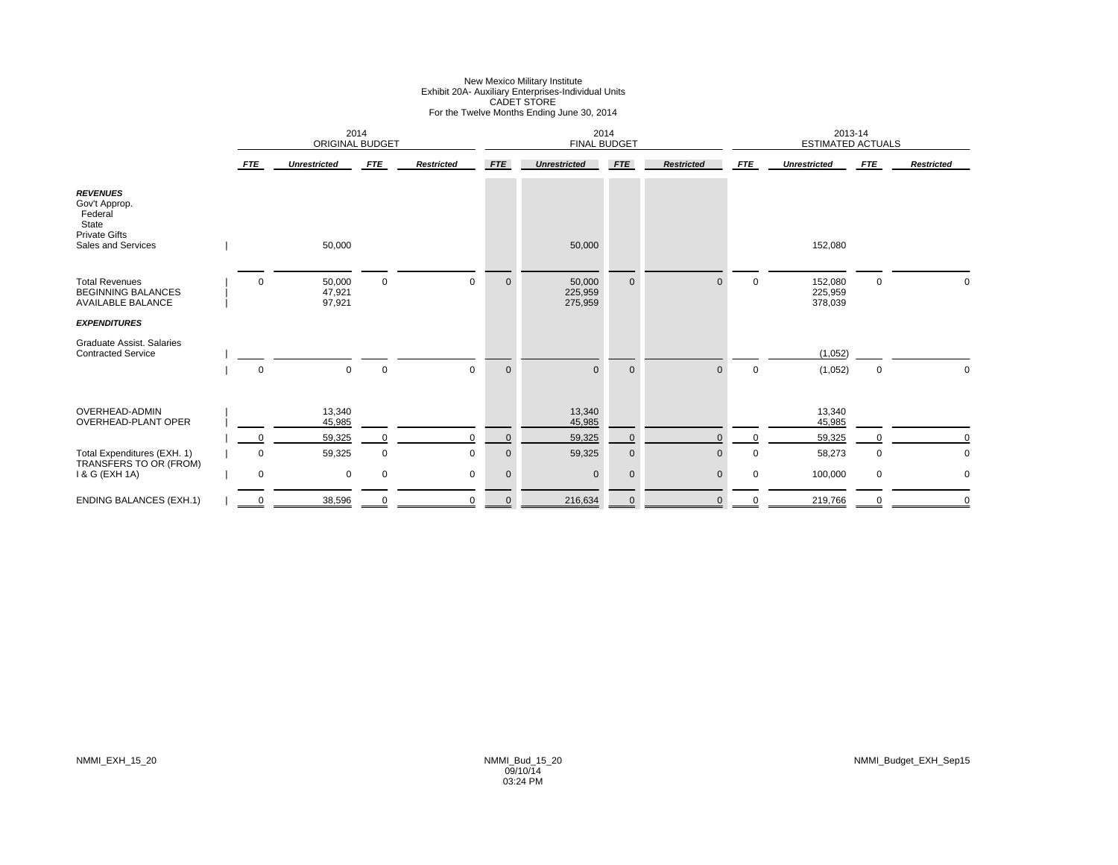# New Mexico Military Institute<br>Exhibit 20A- Auxiliary Enterprises-Individual Units<br>CADET STORE<br>For the Twelve Months Ending June 30, 2014

|                                                                                                    |             | 2014<br>ORIGINAL BUDGET    |             |                   |             | 2014<br><b>FINAL BUDGET</b>  |             |                   |             | 2013-14<br><b>ESTIMATED ACTUALS</b> |             |                   |
|----------------------------------------------------------------------------------------------------|-------------|----------------------------|-------------|-------------------|-------------|------------------------------|-------------|-------------------|-------------|-------------------------------------|-------------|-------------------|
|                                                                                                    | <b>FTE</b>  | <b>Unrestricted</b>        | <b>FTE</b>  | <b>Restricted</b> | <b>FTE</b>  | <b>Unrestricted</b>          | <b>FTE</b>  | <b>Restricted</b> | <b>FTE</b>  | <b>Unrestricted</b>                 | FTE         | <b>Restricted</b> |
| <b>REVENUES</b><br>Gov't Approp.<br>Federal<br>State<br><b>Private Gifts</b><br>Sales and Services |             | 50,000                     |             |                   |             | 50,000                       |             |                   |             | 152,080                             |             |                   |
| <b>Total Revenues</b><br><b>BEGINNING BALANCES</b><br><b>AVAILABLE BALANCE</b>                     | $\Omega$    | 50,000<br>47,921<br>97,921 | 0           | $\mathbf 0$       | $\mathbf 0$ | 50,000<br>225,959<br>275,959 | $\mathbf 0$ | $\Omega$          | $\mathbf 0$ | 152,080<br>225,959<br>378,039       | 0           | 0                 |
| <b>EXPENDITURES</b>                                                                                |             |                            |             |                   |             |                              |             |                   |             |                                     |             |                   |
| <b>Graduate Assist. Salaries</b><br><b>Contracted Service</b>                                      | $\mathbf 0$ | $\mathbf 0$                | $\mathbf 0$ | $\mathbf 0$       | $\mathbf 0$ | $\mathbf{0}$                 | $\mathbf 0$ | $\mathbf{0}$      | $\mathbf 0$ | (1,052)<br>(1,052)                  | 0           | 0                 |
|                                                                                                    |             |                            |             |                   |             |                              |             |                   |             |                                     |             |                   |
| OVERHEAD-ADMIN<br><b>OVERHEAD-PLANT OPER</b>                                                       |             | 13,340<br>45,985           |             |                   |             | 13,340<br>45,985             |             |                   |             | 13,340<br>45,985                    |             |                   |
|                                                                                                    | $\Omega$    | 59,325                     | $\Omega$    | $\Omega$          | $\mathbf 0$ | 59,325                       | $\mathbf 0$ | $\Omega$          | $\mathbf 0$ | 59,325                              |             | $\mathbf 0$       |
| Total Expenditures (EXH. 1)                                                                        | $\mathbf 0$ | 59,325                     | $\mathbf 0$ | $\mathbf 0$       | $\mathbf 0$ | 59,325                       | $\mathbf 0$ | $\Omega$          | 0           | 58,273                              | 0           | $\mathbf 0$       |
| TRANSFERS TO OR (FROM)<br>1 & G (EXH 1A)                                                           | $\mathbf 0$ | 0                          | $\mathbf 0$ | $\mathbf 0$       | $\mathbf 0$ | $\mathbf{0}$                 | $\mathbf 0$ | $\mathbf{0}$      | 0           | 100,000                             | $\mathbf 0$ | $\mathbf 0$       |
| <b>ENDING BALANCES (EXH.1)</b>                                                                     | 0           | 38,596                     |             | 0                 | $\mathbf 0$ | 216,634                      | 0           | $\mathbf{0}$      |             | 219,766                             |             | 0                 |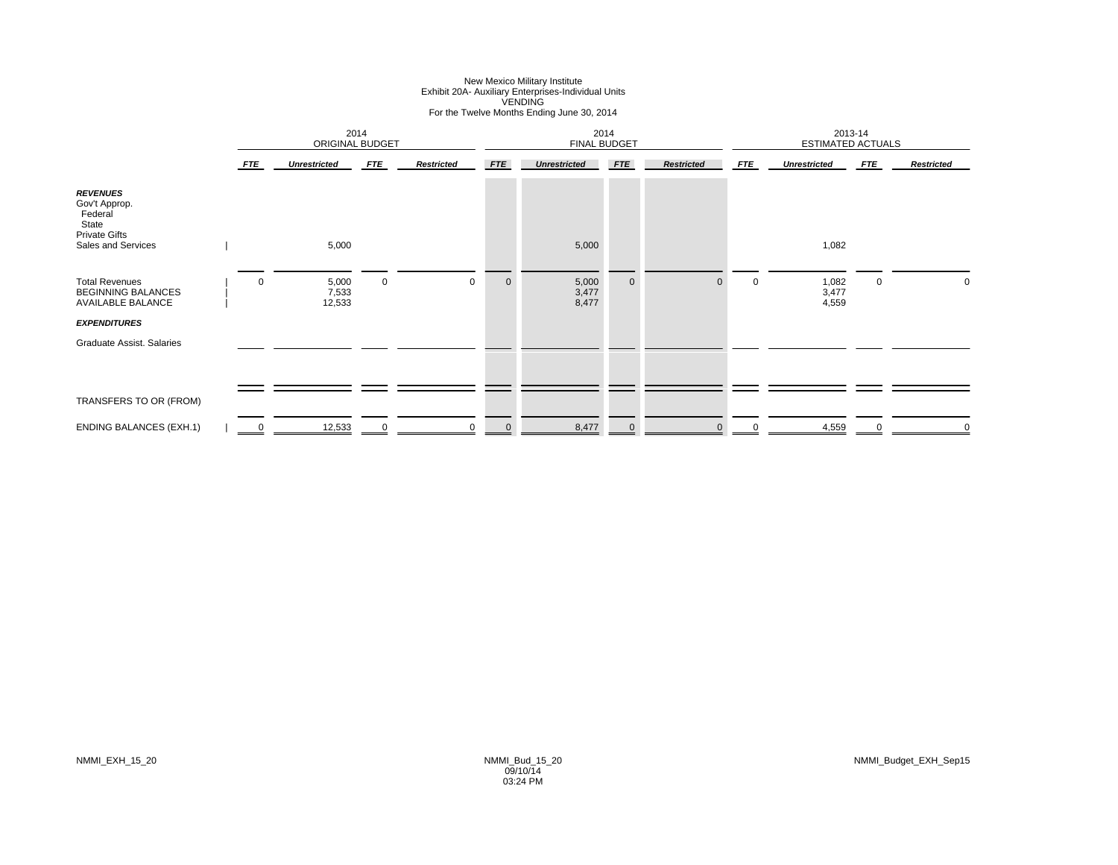### New Mexico Military Institute Exhibit 20A- Auxiliary Enterprises-Individual Units VENDING For the Twelve Months Ending June 30, 2014

|                                                                                                    | 2014<br><b>ORIGINAL BUDGET</b> |                          |             |                   |             | 2014<br><b>FINAL BUDGET</b> |             |                   |             | 2013-14<br><b>ESTIMATED ACTUALS</b> |            |                   |
|----------------------------------------------------------------------------------------------------|--------------------------------|--------------------------|-------------|-------------------|-------------|-----------------------------|-------------|-------------------|-------------|-------------------------------------|------------|-------------------|
|                                                                                                    | <b>FTE</b>                     | <b>Unrestricted</b>      | <b>FTE</b>  | <b>Restricted</b> | <b>FTE</b>  | <b>Unrestricted</b>         | <b>FTE</b>  | <b>Restricted</b> | <b>FTE</b>  | <b>Unrestricted</b>                 | <b>FTE</b> | <b>Restricted</b> |
| <b>REVENUES</b><br>Gov't Approp.<br>Federal<br>State<br><b>Private Gifts</b><br>Sales and Services |                                | 5,000                    |             |                   |             | 5,000                       |             |                   |             | 1,082                               |            |                   |
| <b>Total Revenues</b><br><b>BEGINNING BALANCES</b><br><b>AVAILABLE BALANCE</b>                     | $\mathbf 0$                    | 5,000<br>7,533<br>12,533 | $\mathbf 0$ | 0                 | $\mathbf 0$ | 5,000<br>3,477<br>8,477     | $\mathbf 0$ | $\mathbf{0}$      | $\mathbf 0$ | 1,082<br>3,477<br>4,559             | 0          | 0                 |
| <b>EXPENDITURES</b>                                                                                |                                |                          |             |                   |             |                             |             |                   |             |                                     |            |                   |
| Graduate Assist. Salaries                                                                          |                                |                          |             |                   |             |                             |             |                   |             |                                     |            |                   |
| TRANSFERS TO OR (FROM)                                                                             |                                |                          |             |                   |             |                             |             |                   |             |                                     |            |                   |
| <b>ENDING BALANCES (EXH.1)</b>                                                                     | 0                              | 12,533                   | $\mathbf 0$ | $\mathbf 0$       | $\mathbf 0$ | 8,477                       | $\mathbf 0$ | $\mathbf{0}$      | $\mathbf 0$ | 4,559                               | 0          | $\mathbf 0$       |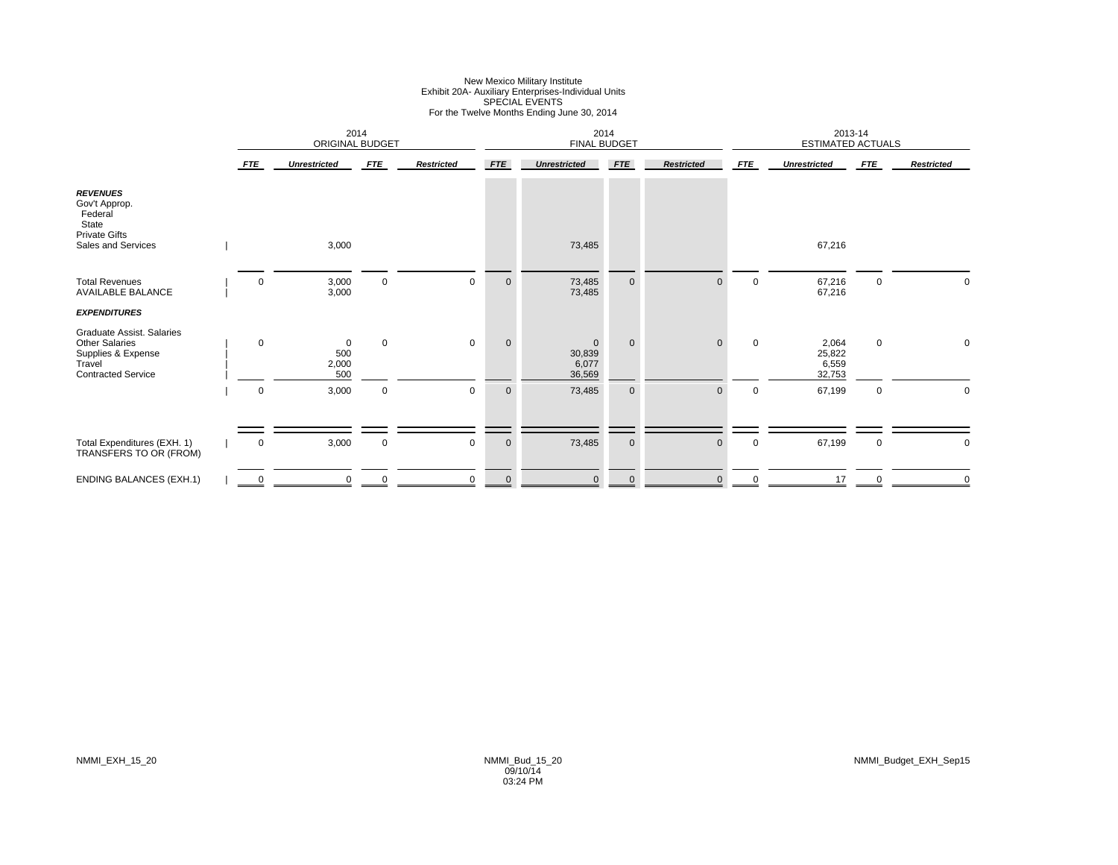# New Mexico Military Institute Exhibit 20A- Auxiliary Enterprises-Individual Units SPECIAL EVENTS For the Twelve Months Ending June 30, 2014

|                                                                                                                        |             | 2014<br>ORIGINAL BUDGET               |             |                   |              | 2014<br><b>FINAL BUDGET</b>               |             |                   |             | 2013-14<br>ESTIMATED ACTUALS       |             |                   |
|------------------------------------------------------------------------------------------------------------------------|-------------|---------------------------------------|-------------|-------------------|--------------|-------------------------------------------|-------------|-------------------|-------------|------------------------------------|-------------|-------------------|
|                                                                                                                        | <b>FTE</b>  | <b>Unrestricted</b>                   | <b>FTE</b>  | <b>Restricted</b> | <b>FTE</b>   | <b>Unrestricted</b>                       | <b>FTE</b>  | <b>Restricted</b> | <b>FTE</b>  | <b>Unrestricted</b>                | <b>FTE</b>  | <b>Restricted</b> |
| <b>REVENUES</b><br>Gov't Approp.<br>Federal<br>State<br><b>Private Gifts</b><br>Sales and Services                     |             | 3,000                                 |             |                   |              | 73,485                                    |             |                   |             | 67,216                             |             |                   |
| <b>Total Revenues</b><br><b>AVAILABLE BALANCE</b>                                                                      | $\mathbf 0$ | 3,000<br>3,000                        | $\mathbf 0$ | $\mathbf 0$       | $\mathbf 0$  | 73,485<br>73,485                          | $\mathbf 0$ | $\mathbf{0}$      | $\mathbf 0$ | 67,216<br>67,216                   | 0           | 0                 |
| <b>EXPENDITURES</b>                                                                                                    |             |                                       |             |                   |              |                                           |             |                   |             |                                    |             |                   |
| <b>Graduate Assist. Salaries</b><br><b>Other Salaries</b><br>Supplies & Expense<br>Travel<br><b>Contracted Service</b> | $\mathbf 0$ | $\overline{0}$<br>500<br>2,000<br>500 | $\mathbf 0$ | $\mathbf 0$       | $\mathbf{0}$ | $\mathbf{0}$<br>30,839<br>6,077<br>36,569 | $\mathbf 0$ | $\mathbf{0}$      | $\mathbf 0$ | 2,064<br>25,822<br>6,559<br>32,753 | 0           | 0                 |
|                                                                                                                        | $\mathbf 0$ | 3,000                                 | $\mathbf 0$ | $\mathbf 0$       | $\mathbf 0$  | 73,485                                    | $\mathbf 0$ | $\mathbf{0}$      | $\mathbf 0$ | 67,199                             | 0           | $\mathbf 0$       |
| Total Expenditures (EXH. 1)<br>TRANSFERS TO OR (FROM)                                                                  | $\mathbf 0$ | 3,000                                 | $\mathbf 0$ | $\mathbf 0$       | $\mathbf 0$  | 73,485                                    | $\mathbf 0$ | $\mathbf{0}$      | 0           | 67,199                             | $\mathbf 0$ | $\mathbf 0$       |
| <b>ENDING BALANCES (EXH.1)</b>                                                                                         | 0           | $\mathbf 0$                           | $\mathbf 0$ | $\mathbf 0$       | $\mathbf 0$  | $\mathbf 0$                               | $\mathbf 0$ | $\mathbf 0$       | 0           | 17                                 | 0           | $\mathbf 0$       |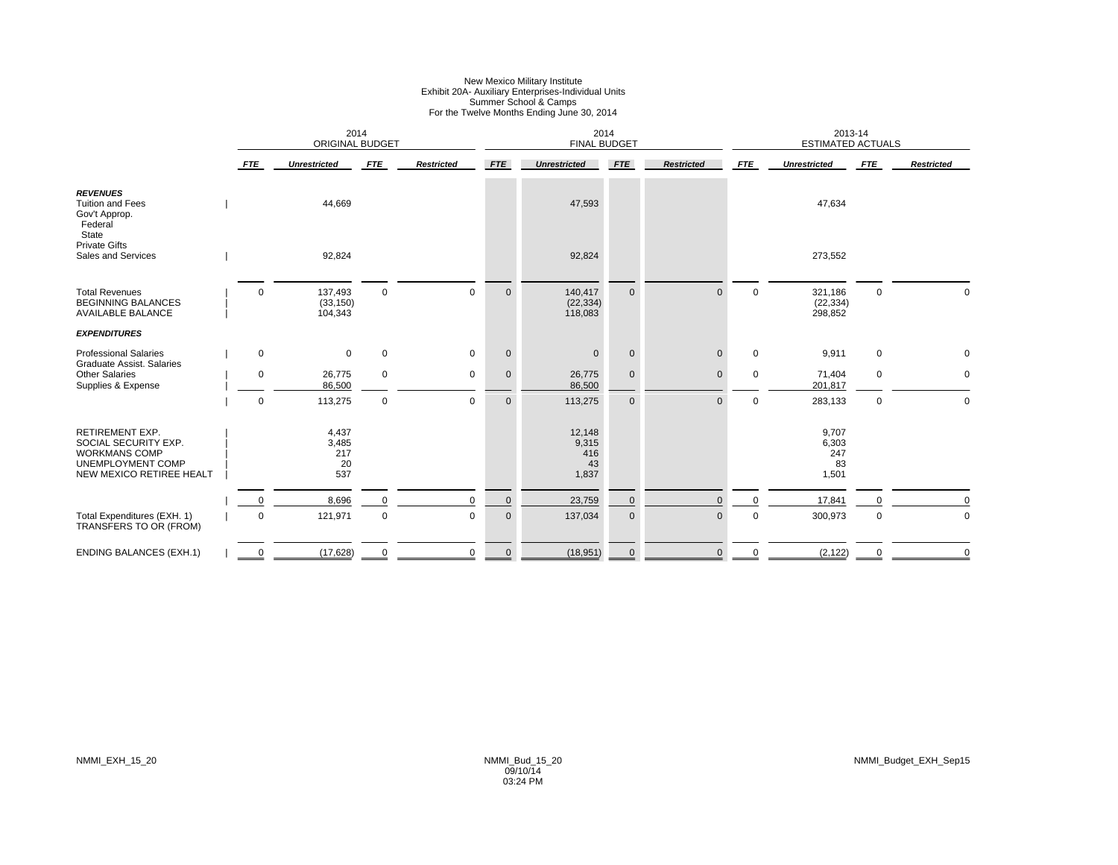# New Mexico Military Institute Exhibit 20A- Auxiliary Enterprises-Individual Units Summer School & Camps For the Twelve Months Ending June 30, 2014

|                                                                                                                         |             | 2014<br><b>ORIGINAL BUDGET</b>     |             |                   |              | 2014<br><b>FINAL BUDGET</b>           |              |                   |             | <b>ESTIMATED ACTUALS</b>             | 2013-14     |                   |
|-------------------------------------------------------------------------------------------------------------------------|-------------|------------------------------------|-------------|-------------------|--------------|---------------------------------------|--------------|-------------------|-------------|--------------------------------------|-------------|-------------------|
|                                                                                                                         | <b>FTE</b>  | <b>Unrestricted</b>                | <b>FTE</b>  | <b>Restricted</b> | <b>FTE</b>   | <b>Unrestricted</b>                   | <b>FTE</b>   | <b>Restricted</b> | <b>FTE</b>  | <b>Unrestricted</b>                  | <b>FTE</b>  | <b>Restricted</b> |
| <b>REVENUES</b><br><b>Tuition and Fees</b><br>Gov't Approp.<br>Federal<br>State                                         |             | 44,669                             |             |                   |              | 47,593                                |              |                   |             | 47,634                               |             |                   |
| <b>Private Gifts</b><br>Sales and Services                                                                              |             | 92,824                             |             |                   |              | 92,824                                |              |                   |             | 273,552                              |             |                   |
| <b>Total Revenues</b><br><b>BEGINNING BALANCES</b><br><b>AVAILABLE BALANCE</b>                                          | $\Omega$    | 137,493<br>(33, 150)<br>104,343    | $\mathbf 0$ | $\mathbf 0$       | $\mathbf 0$  | 140,417<br>(22, 334)<br>118,083       | $\mathbf{0}$ | $\Omega$          | $\mathbf 0$ | 321,186<br>(22, 334)<br>298,852      | $\mathbf 0$ | $\mathbf 0$       |
| <b>EXPENDITURES</b>                                                                                                     |             |                                    |             |                   |              |                                       |              |                   |             |                                      |             |                   |
| <b>Professional Salaries</b><br>Graduate Assist. Salaries                                                               | $\mathbf 0$ | $\mathbf 0$                        | $\mathbf 0$ | $\mathbf 0$       | $\mathbf 0$  | $\mathbf{0}$                          | $\mathbf 0$  | $\mathbf 0$       | $\mathbf 0$ | 9,911                                | 0           | 0                 |
| <b>Other Salaries</b><br>Supplies & Expense                                                                             | $\Omega$    | 26,775<br>86,500                   | $\mathbf 0$ | $\mathbf 0$       | $\mathbf 0$  | 26,775<br>86,500                      | $\mathbf 0$  | $\mathbf{0}$      | $\mathbf 0$ | 71,404<br>201,817                    | 0           | $\mathbf 0$       |
|                                                                                                                         | $\mathbf 0$ | 113,275                            | $\mathbf 0$ | $\mathbf 0$       | $\mathbf{0}$ | 113,275                               | $\mathbf 0$  | $\Omega$          | $\mathbf 0$ | 283,133                              | $\mathbf 0$ | $\mathbf 0$       |
| <b>RETIREMENT EXP.</b><br>SOCIAL SECURITY EXP.<br><b>WORKMANS COMP</b><br>UNEMPLOYMENT COMP<br>NEW MEXICO RETIREE HEALT |             | 4,437<br>3,485<br>217<br>20<br>537 |             |                   |              | 12,148<br>9,315<br>416<br>43<br>1,837 |              |                   |             | 9,707<br>6,303<br>247<br>83<br>1,501 |             |                   |
|                                                                                                                         | $\Omega$    | 8,696                              | $\mathbf 0$ | $\mathbf 0$       | $\mathbf 0$  | 23,759                                | $\mathbf 0$  | $\mathbf{0}$      | $\mathbf 0$ | 17,841                               |             | $\mathbf 0$       |
| Total Expenditures (EXH. 1)<br>TRANSFERS TO OR (FROM)                                                                   | 0           | 121,971                            | $\mathsf 0$ | 0                 | $\mathbf 0$  | 137,034                               | $\pmb{0}$    | $\mathbf 0$       | $\mathbf 0$ | 300,973                              | 0           | $\mathbf 0$       |
| <b>ENDING BALANCES (EXH.1)</b>                                                                                          |             | (17, 628)                          | $\mathbf 0$ | 0                 | $\mathbf 0$  | (18, 951)                             | $\mathbf{0}$ | $\mathbf{0}$      | $\Omega$    | (2, 122)                             | $\Omega$    | $\Omega$          |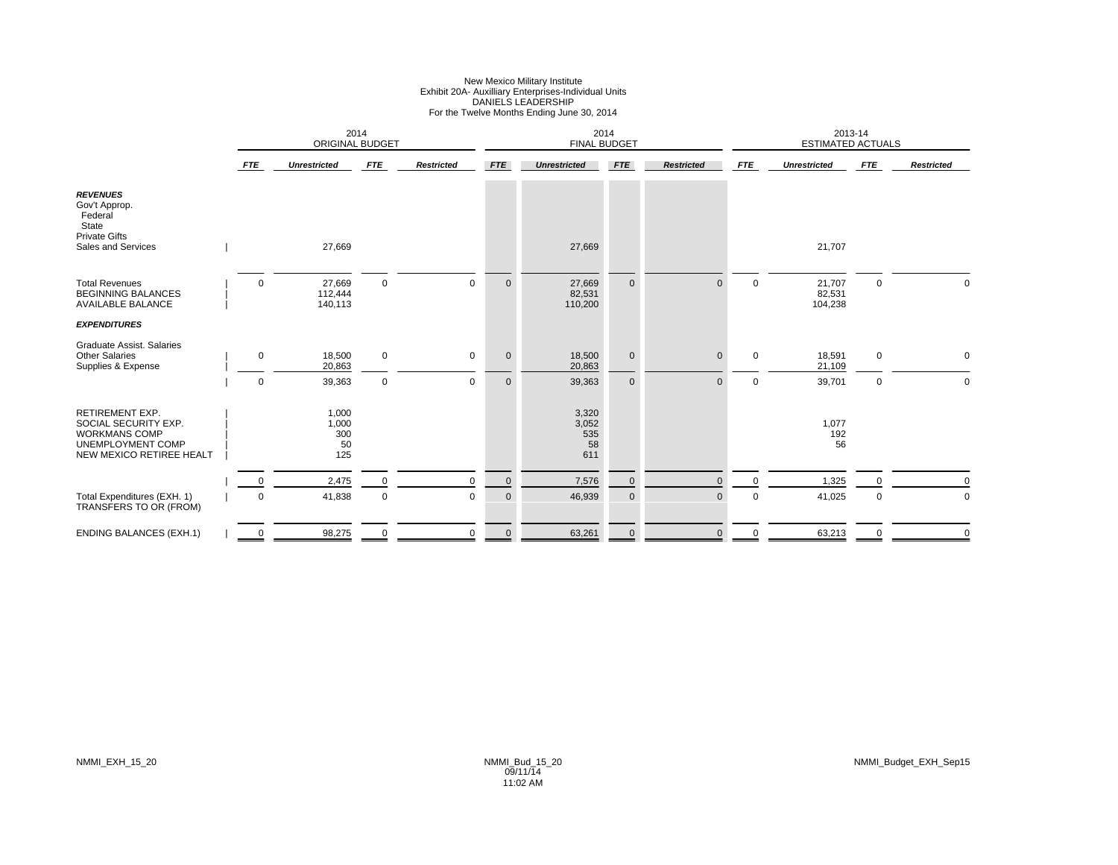# New Mexico Military Institute<br>Exhibit 20A- Auxilliary Enterprises-Individual Units<br>DANIELS LEADERSHIP<br>For the Twelve Months Ending June 30, 2014

|                                                                                                                         |             | <b>ORIGINAL BUDGET</b>             | 2014        |                   |             | 2014<br><b>FINAL BUDGET</b>        |                |                   |             | 2013-14<br><b>ESTIMATED ACTUALS</b> |             |                   |
|-------------------------------------------------------------------------------------------------------------------------|-------------|------------------------------------|-------------|-------------------|-------------|------------------------------------|----------------|-------------------|-------------|-------------------------------------|-------------|-------------------|
|                                                                                                                         | <b>FTE</b>  | <b>Unrestricted</b>                | <b>FTE</b>  | <b>Restricted</b> | <b>FTE</b>  | <b>Unrestricted</b>                | <b>FTE</b>     | <b>Restricted</b> | <b>FTE</b>  | <b>Unrestricted</b>                 | <b>FTE</b>  | <b>Restricted</b> |
| <b>REVENUES</b><br>Gov't Approp.<br>Federal<br>State<br><b>Private Gifts</b>                                            |             |                                    |             |                   |             |                                    |                |                   |             |                                     |             |                   |
| Sales and Services                                                                                                      |             | 27,669                             |             |                   |             | 27,669                             |                |                   |             | 21,707                              |             |                   |
| <b>Total Revenues</b><br><b>BEGINNING BALANCES</b><br><b>AVAILABLE BALANCE</b>                                          | 0           | 27,669<br>112,444<br>140,113       | $\mathbf 0$ | $\mathbf 0$       | $\mathbf 0$ | 27,669<br>82,531<br>110,200        | $\mathbf 0$    | $\mathbf{0}$      | $\mathbf 0$ | 21,707<br>82,531<br>104,238         | 0           | 0                 |
| <b>EXPENDITURES</b>                                                                                                     |             |                                    |             |                   |             |                                    |                |                   |             |                                     |             |                   |
| <b>Graduate Assist, Salaries</b><br><b>Other Salaries</b><br>Supplies & Expense                                         | 0           | 18,500<br>20,863                   | $\mathbf 0$ | $\mathbf 0$       | $\mathbf 0$ | 18,500<br>20,863                   | $\mathbf 0$    | $\mathbf{0}$      | $\mathbf 0$ | 18,591<br>21,109                    | $\mathbf 0$ | $\mathbf 0$       |
|                                                                                                                         | $\mathsf 0$ | 39,363                             | $\mathbf 0$ | 0                 | $\mathbf 0$ | 39,363                             | $\mathbf 0$    | $\mathbf{0}$      | $\mathbf 0$ | 39,701                              | $\mathbf 0$ | $\pmb{0}$         |
| <b>RETIREMENT EXP.</b><br>SOCIAL SECURITY EXP.<br><b>WORKMANS COMP</b><br>UNEMPLOYMENT COMP<br>NEW MEXICO RETIREE HEALT |             | 1,000<br>1,000<br>300<br>50<br>125 |             |                   |             | 3,320<br>3,052<br>535<br>58<br>611 |                |                   |             | 1,077<br>192<br>56                  |             |                   |
|                                                                                                                         | 0           | 2,475                              |             | $\mathbf 0$       | $\mathbf 0$ | 7,576                              | $\pmb{0}$      | $\Omega$          | $\Omega$    | 1,325                               |             | 0                 |
| Total Expenditures (EXH. 1)<br>TRANSFERS TO OR (FROM)                                                                   | 0           | 41,838                             | $\mathbf 0$ | $\mathbf 0$       | $\mathbf 0$ | 46,939                             | $\mathbf 0$    | $\mathbf 0$       | $\mathbf 0$ | 41,025                              | 0           | $\pmb{0}$         |
| <b>ENDING BALANCES (EXH.1)</b>                                                                                          | 0           | 98,275                             | $\mathbf 0$ | $\mathbf 0$       | $\mathbf 0$ | 63,261                             | $\overline{0}$ | $\mathbf{0}$      | $\mathbf 0$ | 63,213                              | $\mathbf 0$ | $\mathbf 0$       |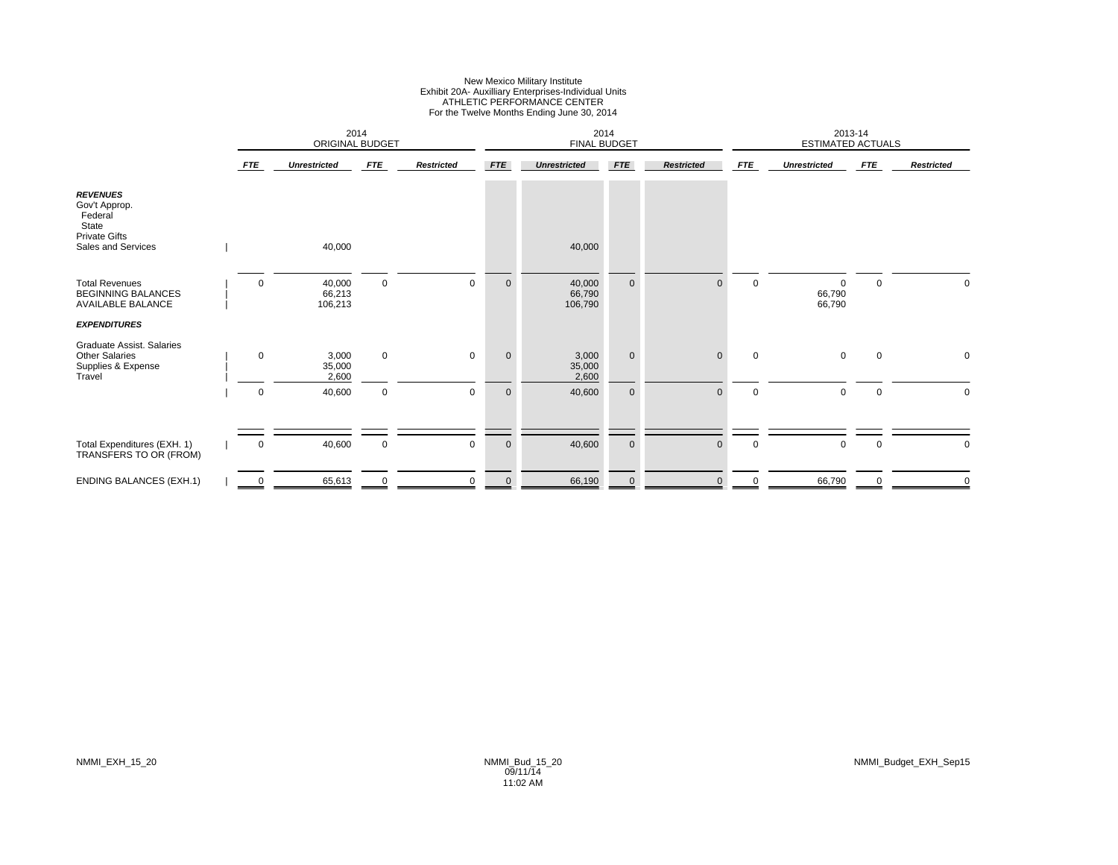# New Mexico Military Institute Exhibit 20A- Auxilliary Enterprises-Individual Units ATHLETIC PERFORMANCE CENTER For the Twelve Months Ending June 30, 2014

|                                                                                                    |             | ORIGINAL BUDGET             | 2014        |                   |              | 2014<br><b>FINAL BUDGET</b> |             |                   |                | 2013-14<br><b>ESTIMATED ACTUALS</b> |             |                   |
|----------------------------------------------------------------------------------------------------|-------------|-----------------------------|-------------|-------------------|--------------|-----------------------------|-------------|-------------------|----------------|-------------------------------------|-------------|-------------------|
|                                                                                                    | <b>FTE</b>  | <b>Unrestricted</b>         | <b>FTE</b>  | <b>Restricted</b> | <b>FTE</b>   | <b>Unrestricted</b>         | <b>FTE</b>  | <b>Restricted</b> | <b>FTE</b>     | <b>Unrestricted</b>                 | <b>FTE</b>  | <b>Restricted</b> |
| <b>REVENUES</b><br>Gov't Approp.<br>Federal<br>State<br><b>Private Gifts</b><br>Sales and Services |             | 40,000                      |             |                   |              | 40,000                      |             |                   |                |                                     |             |                   |
| <b>Total Revenues</b><br><b>BEGINNING BALANCES</b><br>AVAILABLE BALANCE                            | $\mathbf 0$ | 40,000<br>66,213<br>106,213 | 0           | $\mathbf 0$       | $\mathbf 0$  | 40,000<br>66,790<br>106,790 | $\mathbf 0$ | $\mathbf{0}$      | $\overline{0}$ | 0<br>66,790<br>66,790               | $\mathbf 0$ | 0                 |
| <b>EXPENDITURES</b>                                                                                |             |                             |             |                   |              |                             |             |                   |                |                                     |             |                   |
| Graduate Assist. Salaries<br><b>Other Salaries</b><br>Supplies & Expense<br>Travel                 | $\mathbf 0$ | 3,000<br>35,000<br>2,600    | $\mathbf 0$ | $\mathbf 0$       | $\mathbf{0}$ | 3,000<br>35,000<br>2,600    | $\mathbf 0$ | $\mathbf{0}$      | $\mathbf 0$    | $\mathbf 0$                         | $\mathbf 0$ | 0                 |
|                                                                                                    | $\mathbf 0$ | 40,600                      | $\mathbf 0$ | $\mathbf 0$       | $\mathbf 0$  | 40,600                      | $\mathbf 0$ | $\mathbf{0}$      | $\mathbf 0$    | $\mathbf 0$                         | $\mathbf 0$ | $\Omega$          |
|                                                                                                    |             |                             |             |                   |              |                             |             |                   |                |                                     |             |                   |
| Total Expenditures (EXH. 1)<br>TRANSFERS TO OR (FROM)                                              | 0           | 40,600                      | $\mathbf 0$ | $\mathbf 0$       | $\mathbf 0$  | 40,600                      | $\mathbf 0$ | $\mathbf{0}$      | $\mathbf 0$    | 0                                   | 0           | 0                 |
| <b>ENDING BALANCES (EXH.1)</b>                                                                     | 0           | 65,613                      | $\Omega$    | $\mathbf 0$       | $\mathbf 0$  | 66,190                      | $\mathbf 0$ | $\mathbf{0}$      | 0              | 66,790                              | $\Omega$    | $\mathbf 0$       |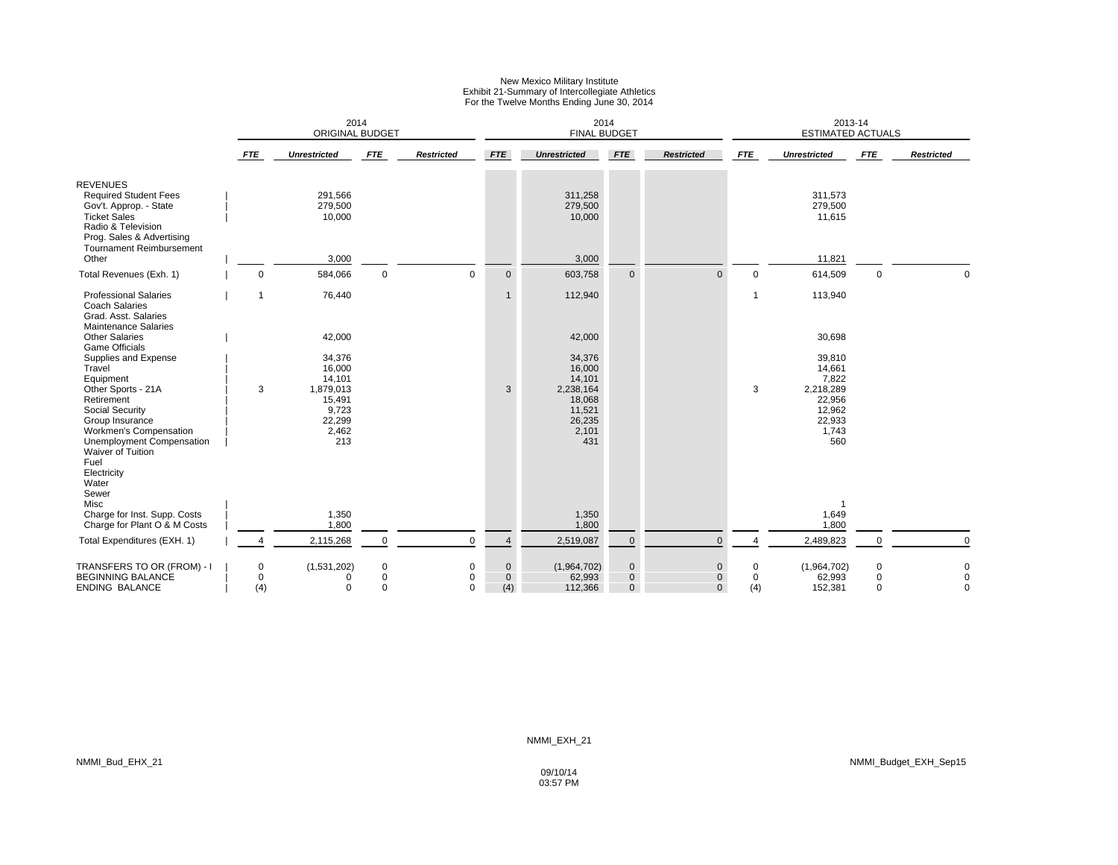### New Mexico Military Institute Exhibit 21-Summary of Intercollegiate Athletics For the Twelve Months Ending June 30, 2014

|                                                                                                                                                                                                       |            |                                                                                      | 2014<br>ORIGINAL BUDGET |                              |                                    | 2014<br><b>FINAL BUDGET</b>                                                           |                                         |                                             |                      | 2013-14<br><b>ESTIMATED ACTUALS</b>                                                  |                           |                                           |
|-------------------------------------------------------------------------------------------------------------------------------------------------------------------------------------------------------|------------|--------------------------------------------------------------------------------------|-------------------------|------------------------------|------------------------------------|---------------------------------------------------------------------------------------|-----------------------------------------|---------------------------------------------|----------------------|--------------------------------------------------------------------------------------|---------------------------|-------------------------------------------|
|                                                                                                                                                                                                       | <b>FTE</b> | <b>Unrestricted</b>                                                                  | <b>FTE</b>              | <b>Restricted</b>            | <b>FTE</b>                         | <b>Unrestricted</b>                                                                   | <b>FTE</b>                              | <b>Restricted</b>                           | <b>FTE</b>           | <b>Unrestricted</b>                                                                  | <b>FTE</b>                | <b>Restricted</b>                         |
| <b>REVENUES</b><br><b>Required Student Fees</b><br>Gov't. Approp. - State<br><b>Ticket Sales</b><br>Radio & Television<br>Prog. Sales & Advertising                                                   |            | 291,566<br>279,500<br>10,000                                                         |                         |                              |                                    | 311,258<br>279,500<br>10,000                                                          |                                         |                                             |                      | 311,573<br>279,500<br>11,615                                                         |                           |                                           |
| Tournament Reimbursement<br>Other                                                                                                                                                                     |            | 3,000                                                                                |                         |                              |                                    | 3,000                                                                                 |                                         |                                             |                      | 11,821                                                                               |                           |                                           |
| Total Revenues (Exh. 1)                                                                                                                                                                               |            | 584,066<br>0                                                                         | $\mathbf 0$             | $\Omega$                     | $\mathbf{0}$                       | 603,758                                                                               | $\mathbf{0}$                            | $\Omega$                                    | $\mathbf 0$          | 614,509                                                                              | $\mathbf 0$               | $\Omega$                                  |
| <b>Professional Salaries</b><br><b>Coach Salaries</b><br>Grad. Asst. Salaries<br><b>Maintenance Salaries</b>                                                                                          | 1          | 76,440                                                                               |                         |                              | $\mathbf{1}$                       | 112,940                                                                               |                                         |                                             | $\mathbf{1}$         | 113,940                                                                              |                           |                                           |
| <b>Other Salaries</b>                                                                                                                                                                                 |            | 42,000                                                                               |                         |                              |                                    | 42,000                                                                                |                                         |                                             |                      | 30,698                                                                               |                           |                                           |
| <b>Game Officials</b><br>Supplies and Expense<br>Travel<br>Equipment<br>Other Sports - 21A<br>Retirement<br>Social Security<br>Group Insurance<br>Workmen's Compensation<br>Unemployment Compensation | 3          | 34,376<br>16,000<br>14,101<br>1,879,013<br>15,491<br>9,723<br>22,299<br>2,462<br>213 |                         |                              | 3                                  | 34,376<br>16,000<br>14,101<br>2,238,164<br>18,068<br>11,521<br>26,235<br>2,101<br>431 |                                         |                                             | 3                    | 39,810<br>14,661<br>7,822<br>2,218,289<br>22,956<br>12,962<br>22,933<br>1,743<br>560 |                           |                                           |
| Waiver of Tuition<br>Fuel<br>Electricity<br>Water<br>Sewer<br>Misc<br>Charge for Inst. Supp. Costs<br>Charge for Plant O & M Costs                                                                    |            | 1,350<br>1,800                                                                       |                         |                              |                                    | 1,350<br>1,800                                                                        |                                         |                                             |                      | 1,649<br>1,800                                                                       |                           |                                           |
| Total Expenditures (EXH. 1)                                                                                                                                                                           | Δ          | 2,115,268                                                                            | $\mathbf 0$             | $\Omega$                     | $\overline{4}$                     | 2,519,087                                                                             | $\mathbf 0$                             | $\mathbf{0}$                                | $\Delta$             | 2,489,823                                                                            |                           | $\mathbf 0$                               |
| TRANSFERS TO OR (FROM) - I<br><b>BEGINNING BALANCE</b><br><b>ENDING BALANCE</b>                                                                                                                       | (4)        | (1,531,202)<br>0<br>0<br><sup>0</sup><br>$\Omega$                                    | 0<br>0<br>$\Omega$      | 0<br>$\mathbf 0$<br>$\Omega$ | $\mathbf 0$<br>$\mathbf{0}$<br>(4) | (1,964,702)<br>62,993<br>112,366                                                      | $\mathbf 0$<br>$\mathbf{0}$<br>$\Omega$ | $\mathbf 0$<br>$\mathbf{0}$<br>$\mathbf{0}$ | 0<br>$\Omega$<br>(4) | (1,964,702)<br>62,993<br>152,381                                                     | 0<br>$\Omega$<br>$\Omega$ | $\mathbf 0$<br>$\mathbf 0$<br>$\mathbf 0$ |

09/10/14 03:57 PM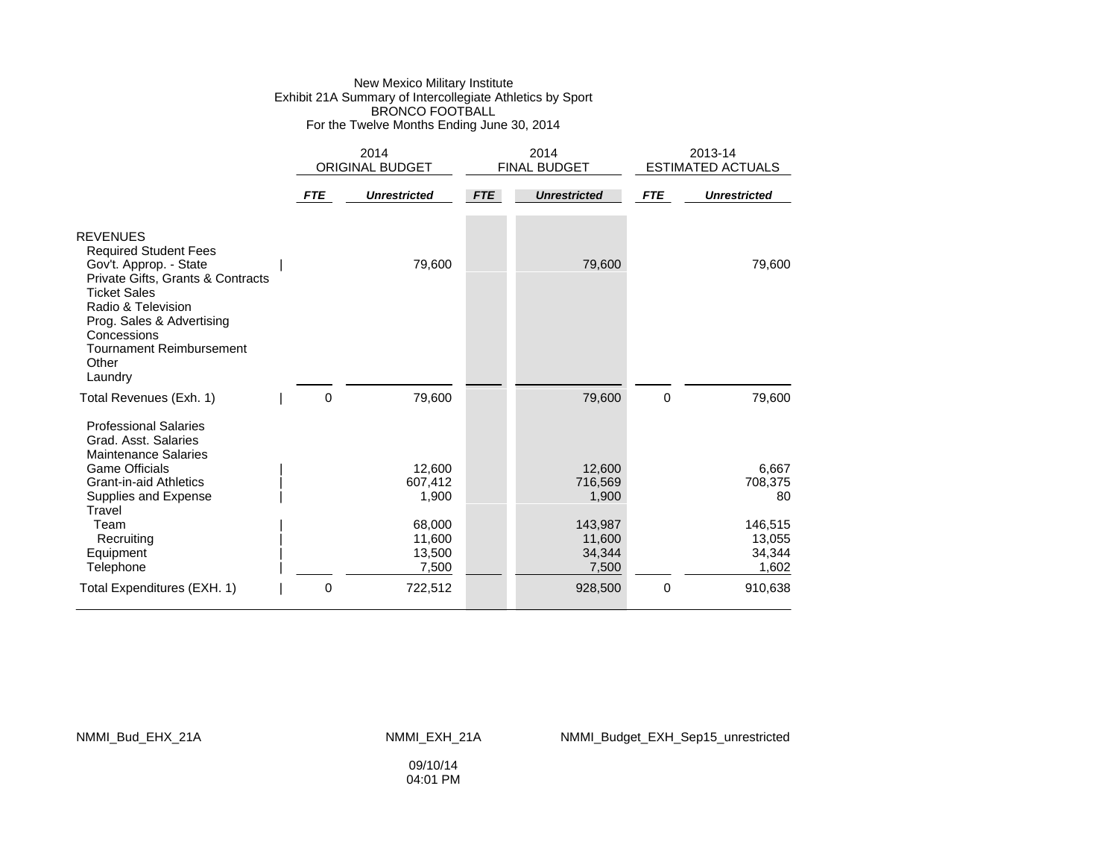### New Mexico Military Institute Exhibit 21A Summary of Intercollegiate Athletics by Sport BRONCO FOOTBALL For the Twelve Months Ending June 30, 2014

|                                                                                                                                                                                          |            | 2014<br><b>ORIGINAL BUDGET</b>      |            | 2014<br><b>FINAL BUDGET</b>          |             | 2013-14<br><b>ESTIMATED ACTUALS</b>  |
|------------------------------------------------------------------------------------------------------------------------------------------------------------------------------------------|------------|-------------------------------------|------------|--------------------------------------|-------------|--------------------------------------|
|                                                                                                                                                                                          | <b>FTE</b> | <b>Unrestricted</b>                 | <b>FTE</b> | <b>Unrestricted</b>                  | <b>FTE</b>  | <b>Unrestricted</b>                  |
| <b>REVENUES</b><br><b>Required Student Fees</b><br>Gov't. Approp. - State<br>Private Gifts, Grants & Contracts<br><b>Ticket Sales</b><br>Radio & Television<br>Prog. Sales & Advertising |            | 79,600                              |            | 79,600                               |             | 79,600                               |
| Concessions<br><b>Tournament Reimbursement</b><br>Other<br>Laundry                                                                                                                       |            |                                     |            |                                      |             |                                      |
| Total Revenues (Exh. 1)<br><b>Professional Salaries</b><br>Grad. Asst. Salaries<br><b>Maintenance Salaries</b>                                                                           | 0          | 79,600                              |            | 79,600                               | $\mathbf 0$ | 79,600                               |
| <b>Game Officials</b><br><b>Grant-in-aid Athletics</b><br>Supplies and Expense<br>Travel                                                                                                 |            | 12.600<br>607,412<br>1,900          |            | 12.600<br>716,569<br>1,900           |             | 6.667<br>708,375<br>80               |
| Team<br>Recruiting<br>Equipment<br>Telephone                                                                                                                                             |            | 68,000<br>11,600<br>13,500<br>7,500 |            | 143,987<br>11,600<br>34,344<br>7,500 |             | 146,515<br>13,055<br>34,344<br>1,602 |
| Total Expenditures (EXH. 1)                                                                                                                                                              | 0          | 722,512                             |            | 928,500                              | $\mathbf 0$ | 910,638                              |

NMMI\_Bud\_EHX\_21A NMMI\_EXH\_21A NMMI\_Budget\_EXH\_Sep15\_unrestricted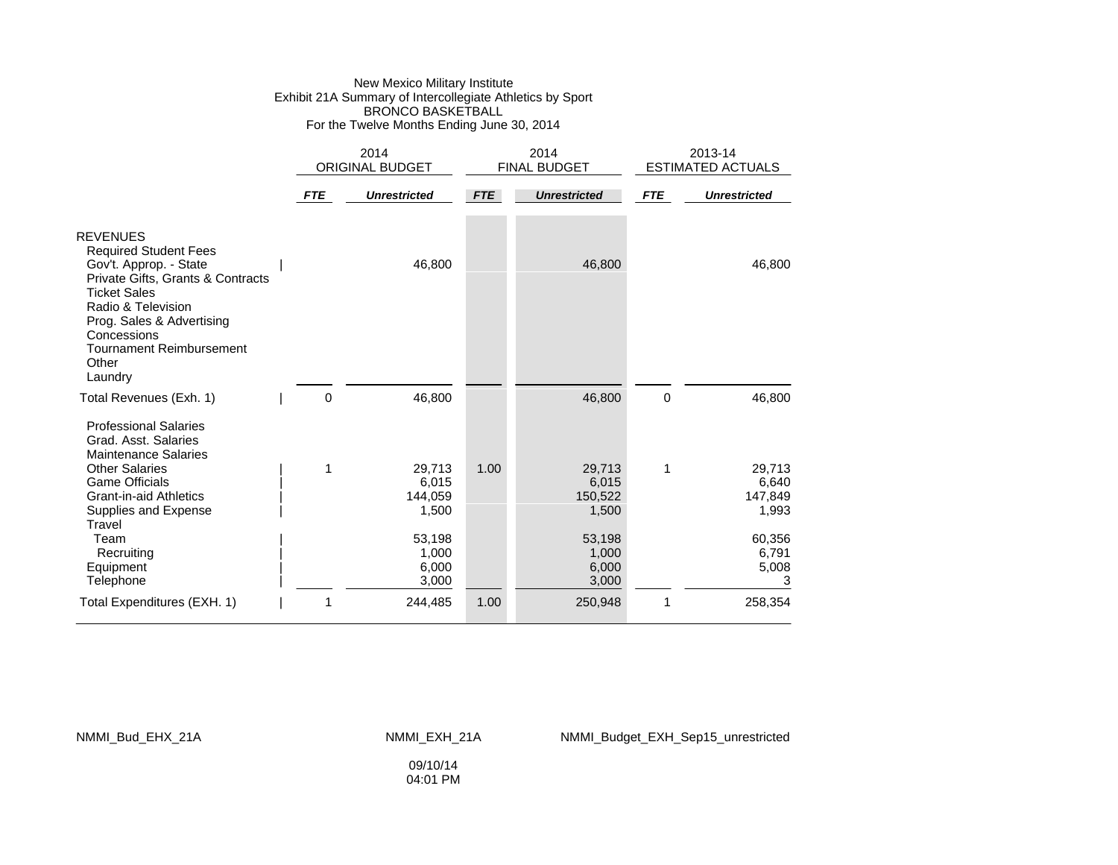### New Mexico Military Institute Exhibit 21A Summary of Intercollegiate Athletics by Sport BRONCO BASKETBALL For the Twelve Months Ending June 30, 2014

|                                                                                                                                                                                                                                                                |            | 2014<br><b>ORIGINAL BUDGET</b>                |            | 2014<br><b>FINAL BUDGET</b>                   |             | 2013-14<br><b>ESTIMATED ACTUALS</b>           |  |
|----------------------------------------------------------------------------------------------------------------------------------------------------------------------------------------------------------------------------------------------------------------|------------|-----------------------------------------------|------------|-----------------------------------------------|-------------|-----------------------------------------------|--|
|                                                                                                                                                                                                                                                                | <b>FTE</b> | <b>Unrestricted</b>                           | <b>FTE</b> | <b>Unrestricted</b>                           | <b>FTE</b>  | <b>Unrestricted</b>                           |  |
| <b>REVENUES</b><br><b>Required Student Fees</b><br>Gov't. Approp. - State<br>Private Gifts, Grants & Contracts<br><b>Ticket Sales</b><br>Radio & Television<br>Prog. Sales & Advertising<br>Concessions<br><b>Tournament Reimbursement</b><br>Other<br>Laundry |            | 46,800                                        |            | 46,800                                        |             | 46,800                                        |  |
| Total Revenues (Exh. 1)                                                                                                                                                                                                                                        | 0          | 46,800                                        |            | 46,800                                        | $\mathbf 0$ | 46,800                                        |  |
| <b>Professional Salaries</b><br>Grad. Asst. Salaries<br><b>Maintenance Salaries</b><br><b>Other Salaries</b><br><b>Game Officials</b><br><b>Grant-in-aid Athletics</b><br>Supplies and Expense<br>Travel<br>Team                                               | 1          | 29,713<br>6,015<br>144,059<br>1,500<br>53,198 | 1.00       | 29,713<br>6,015<br>150,522<br>1,500<br>53,198 | 1           | 29,713<br>6,640<br>147,849<br>1,993<br>60,356 |  |
| Recruiting<br>Equipment<br>Telephone                                                                                                                                                                                                                           |            | 1,000<br>6,000<br>3,000                       |            | 1,000<br>6,000<br>3,000                       |             | 6,791<br>5,008<br>3                           |  |
| Total Expenditures (EXH. 1)                                                                                                                                                                                                                                    | 1          | 244,485                                       | 1.00       | 250,948                                       | 1           | 258,354                                       |  |

#### NMMI\_Bud\_EHX\_21A NMMI\_EXH\_21A NMMI\_Budget\_EXH\_Sep15\_unrestricted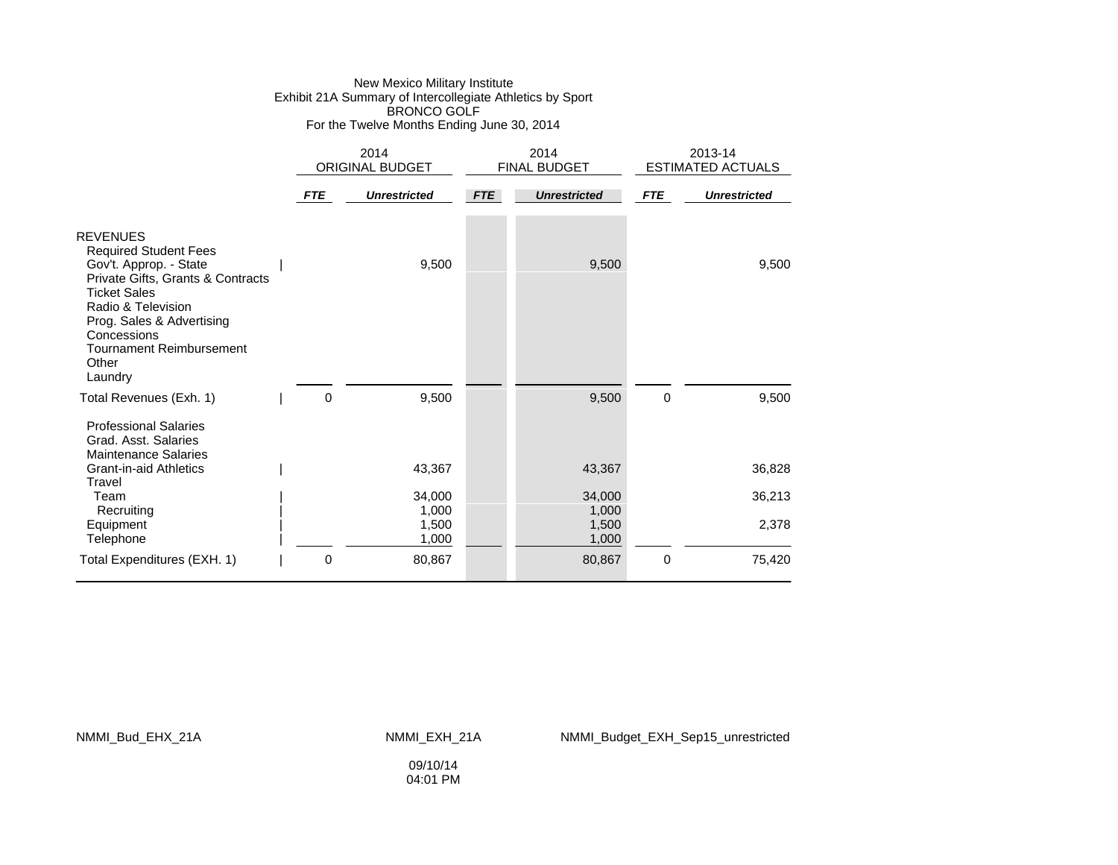### New Mexico Military Institute Exhibit 21A Summary of Intercollegiate Athletics by Sport BRONCO GOLF For the Twelve Months Ending June 30, 2014

|                                                                                                                                                                                                                                                                |            | 2014<br>ORIGINAL BUDGET |            | 2014<br>FINAL BUDGET |             | 2013-14<br><b>ESTIMATED ACTUALS</b> |  |
|----------------------------------------------------------------------------------------------------------------------------------------------------------------------------------------------------------------------------------------------------------------|------------|-------------------------|------------|----------------------|-------------|-------------------------------------|--|
|                                                                                                                                                                                                                                                                | <b>FTE</b> | <b>Unrestricted</b>     | <b>FTE</b> | <b>Unrestricted</b>  | <b>FTE</b>  | <b>Unrestricted</b>                 |  |
| <b>REVENUES</b><br><b>Required Student Fees</b><br>Gov't. Approp. - State<br>Private Gifts, Grants & Contracts<br><b>Ticket Sales</b><br>Radio & Television<br>Prog. Sales & Advertising<br>Concessions<br><b>Tournament Reimbursement</b><br>Other<br>Laundry |            | 9,500                   |            | 9,500                |             | 9,500                               |  |
| Total Revenues (Exh. 1)                                                                                                                                                                                                                                        | 0          | 9,500                   |            | 9,500                | 0           | 9,500                               |  |
| <b>Professional Salaries</b><br>Grad. Asst. Salaries<br><b>Maintenance Salaries</b>                                                                                                                                                                            |            |                         |            |                      |             |                                     |  |
| <b>Grant-in-aid Athletics</b><br>Travel                                                                                                                                                                                                                        |            | 43,367                  |            | 43,367               |             | 36,828                              |  |
| Team<br>Recruiting                                                                                                                                                                                                                                             |            | 34,000<br>1,000         |            | 34,000<br>1,000      |             | 36,213                              |  |
| Equipment<br>Telephone                                                                                                                                                                                                                                         |            | 1,500<br>1,000          |            | 1,500<br>1,000       |             | 2,378                               |  |
| Total Expenditures (EXH. 1)                                                                                                                                                                                                                                    | 0          | 80,867                  |            | 80,867               | $\mathbf 0$ | 75,420                              |  |

NMMI\_Bud\_EHX\_21A NMMI\_EXH\_21A NMMI\_Budget\_EXH\_Sep15\_unrestricted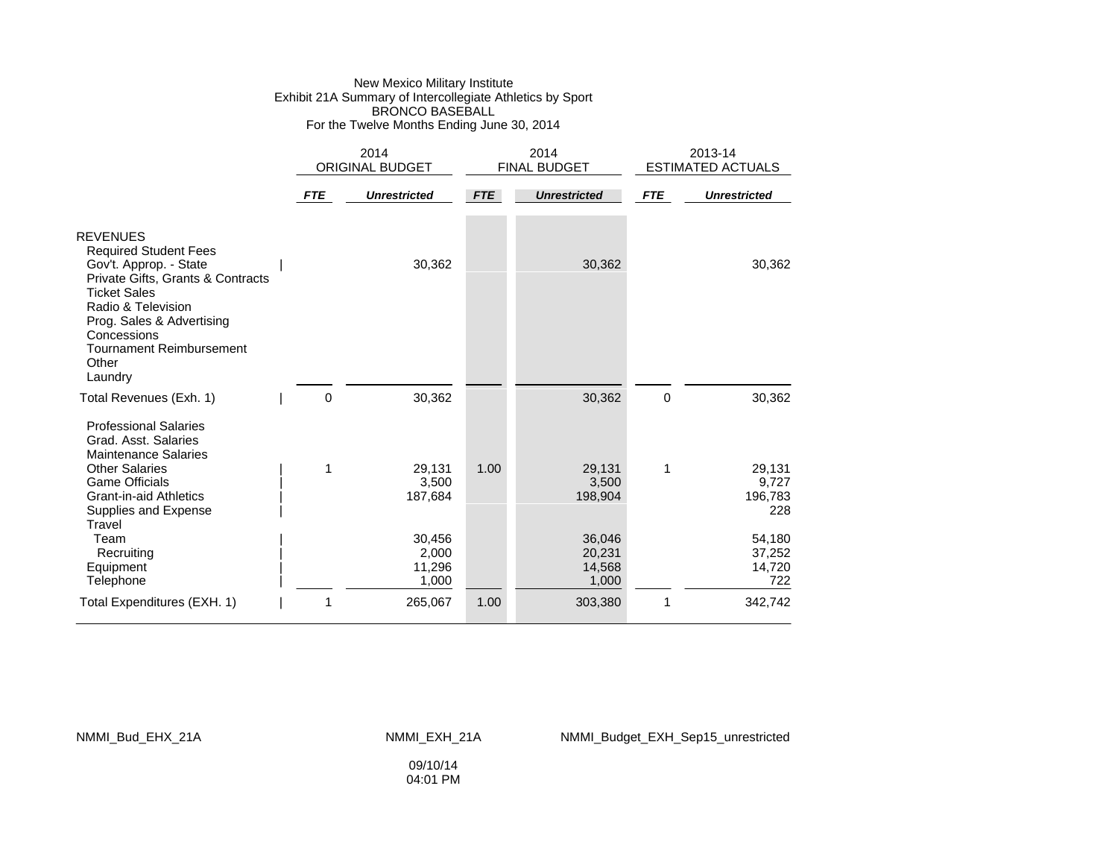#### New Mexico Military Institute Exhibit 21A Summary of Intercollegiate Athletics by Sport BRONCO BASEBALL For the Twelve Months Ending June 30, 2014

|                                                                                                                                                                                                                                                                |            | 2014<br><b>ORIGINAL BUDGET</b>     |            | 2014<br><b>FINAL BUDGET</b>         |            | 2013-14<br><b>ESTIMATED ACTUALS</b> |  |
|----------------------------------------------------------------------------------------------------------------------------------------------------------------------------------------------------------------------------------------------------------------|------------|------------------------------------|------------|-------------------------------------|------------|-------------------------------------|--|
|                                                                                                                                                                                                                                                                | <b>FTE</b> | <b>Unrestricted</b>                | <b>FTE</b> | <b>Unrestricted</b>                 | <b>FTE</b> | <b>Unrestricted</b>                 |  |
| <b>REVENUES</b><br><b>Required Student Fees</b><br>Gov't. Approp. - State<br>Private Gifts, Grants & Contracts<br><b>Ticket Sales</b><br>Radio & Television<br>Prog. Sales & Advertising<br>Concessions<br><b>Tournament Reimbursement</b><br>Other<br>Laundry |            | 30,362                             |            | 30,362                              |            | 30,362                              |  |
| Total Revenues (Exh. 1)                                                                                                                                                                                                                                        | 0          | 30,362                             |            | 30,362                              | 0          | 30,362                              |  |
| <b>Professional Salaries</b><br>Grad. Asst. Salaries<br><b>Maintenance Salaries</b><br><b>Other Salaries</b><br><b>Game Officials</b><br><b>Grant-in-aid Athletics</b><br>Supplies and Expense<br>Travel                                                       | 1          | 29,131<br>3,500<br>187,684         | 1.00       | 29,131<br>3,500<br>198,904          | 1          | 29,131<br>9,727<br>196,783<br>228   |  |
| Team<br>Recruiting<br>Equipment<br>Telephone                                                                                                                                                                                                                   |            | 30,456<br>2,000<br>11,296<br>1,000 |            | 36,046<br>20,231<br>14,568<br>1,000 |            | 54,180<br>37,252<br>14,720<br>722   |  |
| Total Expenditures (EXH. 1)                                                                                                                                                                                                                                    | 1          | 265,067                            | 1.00       | 303,380                             | 1          | 342,742                             |  |

#### NMMI\_Bud\_EHX\_21A NMMI\_EXH\_21A NMMI\_Budget\_EXH\_Sep15\_unrestricted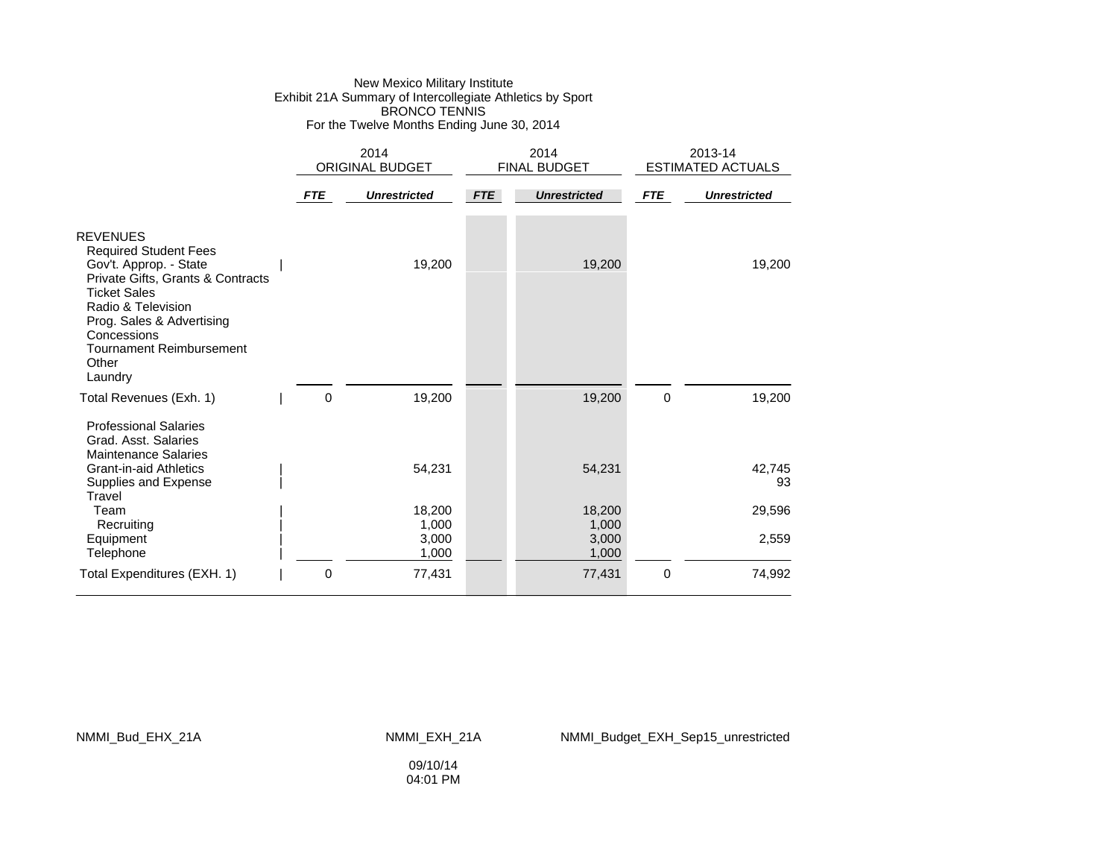### New Mexico Military Institute Exhibit 21A Summary of Intercollegiate Athletics by Sport BRONCO TENNIS For the Twelve Months Ending June 30, 2014

|                                                                                                                                                                                                                                                                |            | 2014<br><b>ORIGINAL BUDGET</b> |            | 2014<br><b>FINAL BUDGET</b> |             | 2013-14<br><b>ESTIMATED ACTUALS</b> |  |
|----------------------------------------------------------------------------------------------------------------------------------------------------------------------------------------------------------------------------------------------------------------|------------|--------------------------------|------------|-----------------------------|-------------|-------------------------------------|--|
|                                                                                                                                                                                                                                                                | <b>FTE</b> | <b>Unrestricted</b>            | <b>FTE</b> | <b>Unrestricted</b>         | <b>FTE</b>  | <b>Unrestricted</b>                 |  |
| <b>REVENUES</b><br><b>Required Student Fees</b><br>Gov't. Approp. - State<br>Private Gifts, Grants & Contracts<br><b>Ticket Sales</b><br>Radio & Television<br>Prog. Sales & Advertising<br>Concessions<br><b>Tournament Reimbursement</b><br>Other<br>Laundry |            | 19,200                         |            | 19,200                      |             | 19,200                              |  |
| Total Revenues (Exh. 1)                                                                                                                                                                                                                                        | 0          | 19,200                         |            | 19,200                      | 0           | 19,200                              |  |
| <b>Professional Salaries</b><br>Grad, Asst. Salaries<br><b>Maintenance Salaries</b><br><b>Grant-in-aid Athletics</b>                                                                                                                                           |            | 54,231                         |            | 54,231                      |             | 42,745                              |  |
| Supplies and Expense<br>Travel                                                                                                                                                                                                                                 |            |                                |            |                             |             | 93                                  |  |
| Team                                                                                                                                                                                                                                                           |            | 18,200                         |            | 18,200                      |             | 29,596                              |  |
| Recruiting<br>Equipment<br>Telephone                                                                                                                                                                                                                           |            | 1,000<br>3,000<br>1,000        |            | 1,000<br>3,000<br>1,000     |             | 2,559                               |  |
| Total Expenditures (EXH. 1)                                                                                                                                                                                                                                    | 0          | 77,431                         |            | 77,431                      | $\mathbf 0$ | 74,992                              |  |

NMMI\_Bud\_EHX\_21A NMMI\_EXH\_21A NMMI\_Budget\_EXH\_Sep15\_unrestricted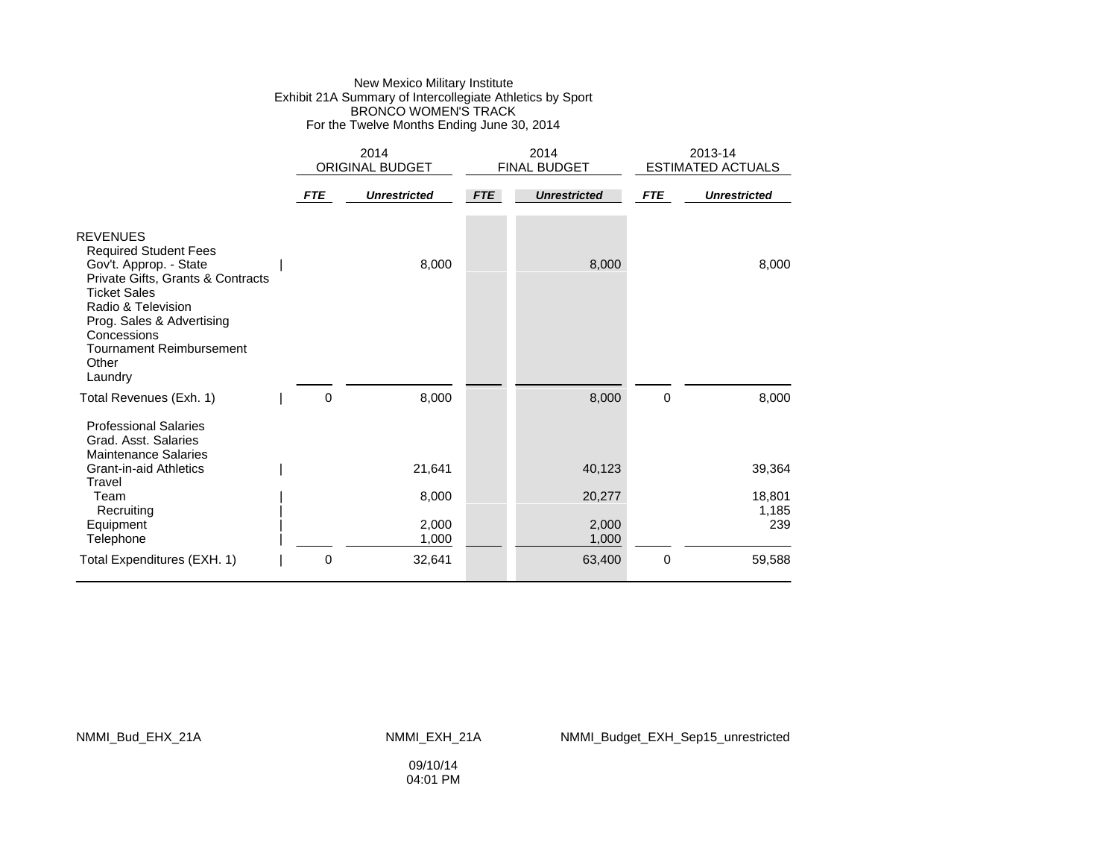### New Mexico Military Institute Exhibit 21A Summary of Intercollegiate Athletics by Sport BRONCO WOMEN'S TRACK For the Twelve Months Ending June 30, 2014

|                                                                                                                                                                                                                                                                | 2014<br>ORIGINAL BUDGET |                     |            | 2014<br><b>FINAL BUDGET</b> |            | 2013-14<br><b>ESTIMATED ACTUALS</b> |  |
|----------------------------------------------------------------------------------------------------------------------------------------------------------------------------------------------------------------------------------------------------------------|-------------------------|---------------------|------------|-----------------------------|------------|-------------------------------------|--|
|                                                                                                                                                                                                                                                                | <b>FTE</b>              | <b>Unrestricted</b> | <b>FTE</b> | <b>Unrestricted</b>         | <b>FTE</b> | <b>Unrestricted</b>                 |  |
| <b>REVENUES</b><br><b>Required Student Fees</b><br>Gov't. Approp. - State<br>Private Gifts, Grants & Contracts<br><b>Ticket Sales</b><br>Radio & Television<br>Prog. Sales & Advertising<br>Concessions<br><b>Tournament Reimbursement</b><br>Other<br>Laundry |                         | 8,000               |            | 8,000                       |            | 8,000                               |  |
| Total Revenues (Exh. 1)                                                                                                                                                                                                                                        | 0                       | 8,000               |            | 8,000                       | 0          | 8,000                               |  |
| <b>Professional Salaries</b><br>Grad. Asst. Salaries<br><b>Maintenance Salaries</b>                                                                                                                                                                            |                         |                     |            |                             |            |                                     |  |
| <b>Grant-in-aid Athletics</b><br>Travel                                                                                                                                                                                                                        |                         | 21,641              |            | 40,123                      |            | 39,364                              |  |
| Team<br>Recruiting                                                                                                                                                                                                                                             |                         | 8,000               |            | 20,277                      |            | 18,801<br>1,185                     |  |
| Equipment                                                                                                                                                                                                                                                      |                         | 2,000               |            | 2,000                       |            | 239                                 |  |
| Telephone                                                                                                                                                                                                                                                      |                         | 1,000               |            | 1,000                       |            |                                     |  |
| Total Expenditures (EXH. 1)                                                                                                                                                                                                                                    | 0                       | 32,641              |            | 63,400                      | 0          | 59,588                              |  |

NMMI\_Bud\_EHX\_21A NMMI\_EXH\_21A NMMI\_Budget\_EXH\_Sep15\_unrestricted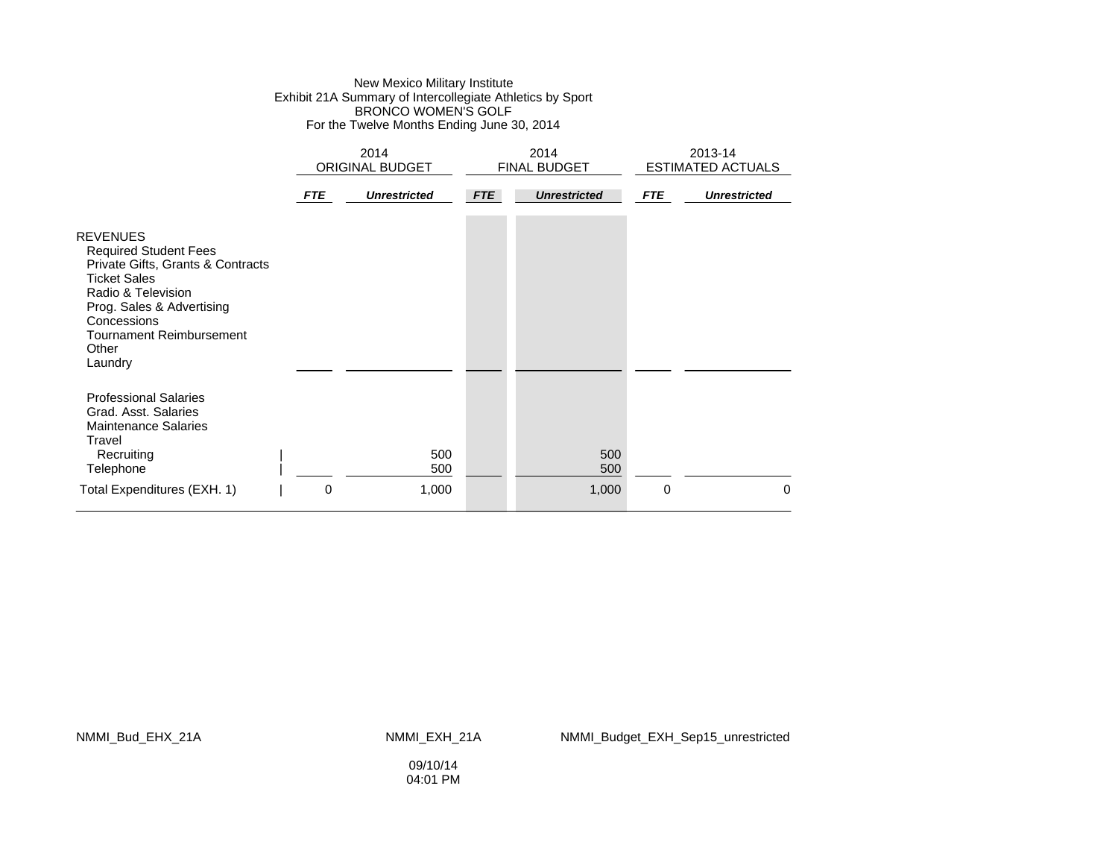### New Mexico Military Institute Exhibit 21A Summary of Intercollegiate Athletics by Sport BRONCO WOMEN'S GOLF For the Twelve Months Ending June 30, 2014

|                                                                                                                                                                                                                               | 2014<br><b>ORIGINAL BUDGET</b> |                     |            | 2014<br>FINAL BUDGET | 2013-14<br><b>ESTIMATED ACTUALS</b> |                     |
|-------------------------------------------------------------------------------------------------------------------------------------------------------------------------------------------------------------------------------|--------------------------------|---------------------|------------|----------------------|-------------------------------------|---------------------|
|                                                                                                                                                                                                                               | <b>FTE</b>                     | <b>Unrestricted</b> | <b>FTE</b> | <b>Unrestricted</b>  | <b>FTE</b>                          | <b>Unrestricted</b> |
| <b>REVENUES</b><br><b>Required Student Fees</b><br>Private Gifts, Grants & Contracts<br><b>Ticket Sales</b><br>Radio & Television<br>Prog. Sales & Advertising<br>Concessions<br>Tournament Reimbursement<br>Other<br>Laundry |                                |                     |            |                      |                                     |                     |
| <b>Professional Salaries</b><br>Grad, Asst. Salaries<br><b>Maintenance Salaries</b><br>Travel<br>Recruiting<br>Telephone<br>Total Expenditures (EXH. 1)                                                                       | 0                              | 500<br>500<br>1,000 |            | 500<br>500<br>1,000  | $\mathbf 0$                         | $\Omega$            |

NMMI\_Bud\_EHX\_21A NMMI\_EXH\_21A NMMI\_Budget\_EXH\_Sep15\_unrestricted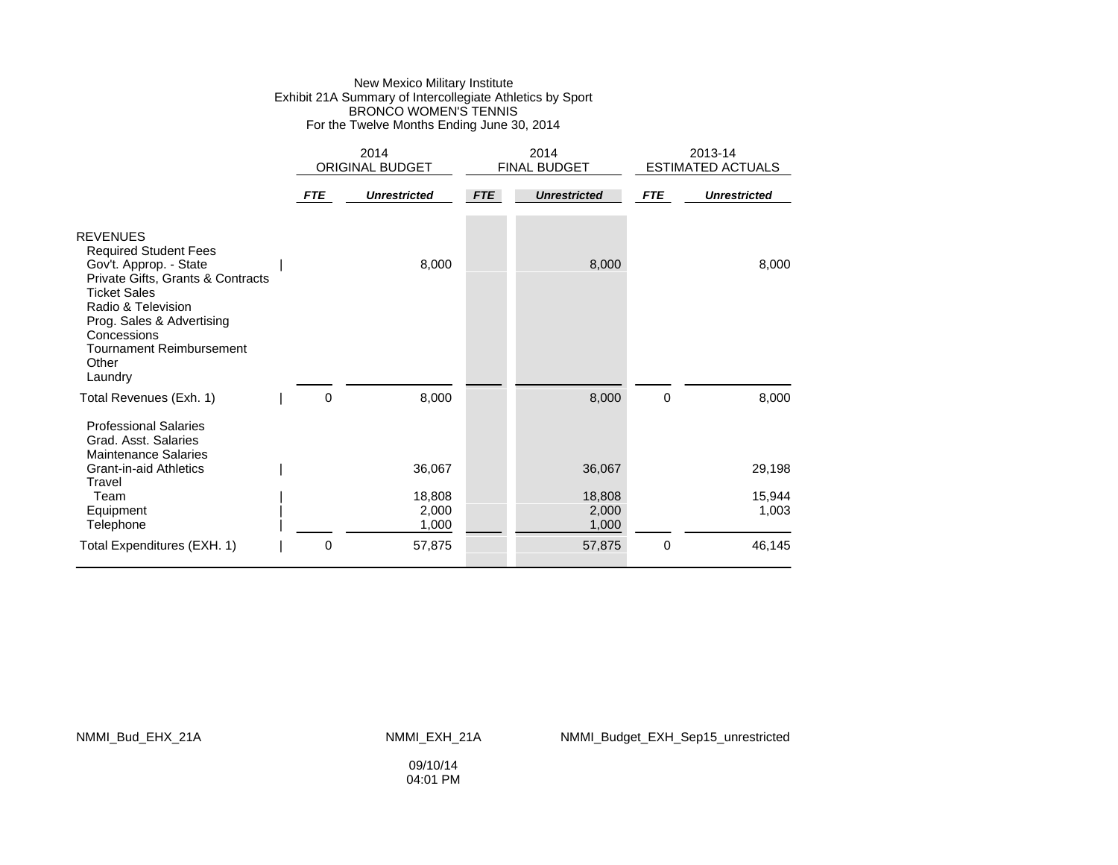### New Mexico Military Institute Exhibit 21A Summary of Intercollegiate Athletics by Sport BRONCO WOMEN'S TENNIS For the Twelve Months Ending June 30, 2014

|                                                                                                                                                                                                                                                                |            | 2014<br>ORIGINAL BUDGET  |            | 2014<br>FINAL BUDGET     |             | 2013-14<br><b>ESTIMATED ACTUALS</b> |  |
|----------------------------------------------------------------------------------------------------------------------------------------------------------------------------------------------------------------------------------------------------------------|------------|--------------------------|------------|--------------------------|-------------|-------------------------------------|--|
|                                                                                                                                                                                                                                                                | <b>FTE</b> | <b>Unrestricted</b>      | <b>FTE</b> | <b>Unrestricted</b>      | <b>FTE</b>  | <b>Unrestricted</b>                 |  |
| <b>REVENUES</b><br><b>Required Student Fees</b><br>Gov't. Approp. - State<br>Private Gifts, Grants & Contracts<br><b>Ticket Sales</b><br>Radio & Television<br>Prog. Sales & Advertising<br>Concessions<br><b>Tournament Reimbursement</b><br>Other<br>Laundry |            | 8,000                    |            | 8,000                    |             | 8,000                               |  |
| Total Revenues (Exh. 1)<br><b>Professional Salaries</b><br>Grad, Asst. Salaries                                                                                                                                                                                |            | 0<br>8,000               |            | 8,000                    | $\mathbf 0$ | 8,000                               |  |
| <b>Maintenance Salaries</b><br><b>Grant-in-aid Athletics</b><br>Travel                                                                                                                                                                                         |            | 36,067                   |            | 36,067                   |             | 29,198                              |  |
| Team<br>Equipment<br>Telephone                                                                                                                                                                                                                                 |            | 18,808<br>2,000<br>1,000 |            | 18,808<br>2,000<br>1,000 |             | 15,944<br>1,003                     |  |
| Total Expenditures (EXH. 1)                                                                                                                                                                                                                                    |            | 0<br>57,875              |            | 57,875                   | 0           | 46,145                              |  |

NMMI\_Bud\_EHX\_21A NMMI\_EXH\_21A NMMI\_Budget\_EXH\_Sep15\_unrestricted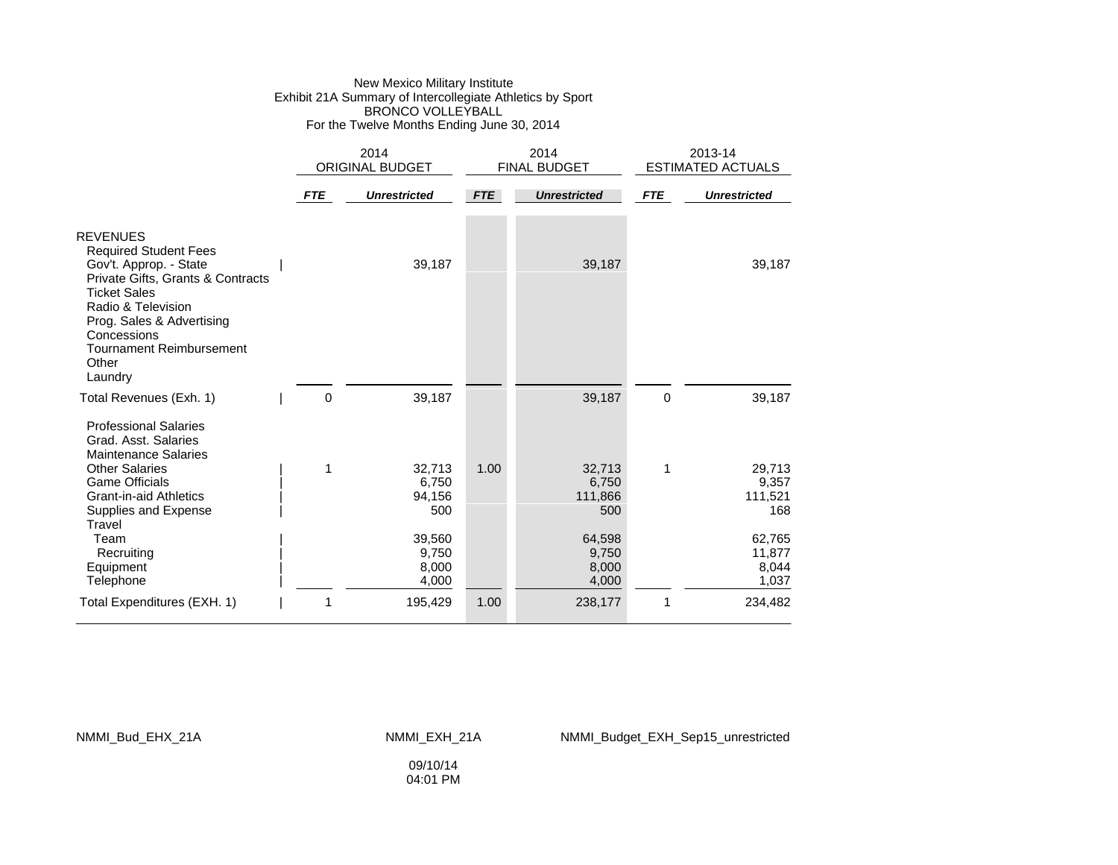### New Mexico Military Institute Exhibit 21A Summary of Intercollegiate Athletics by Sport BRONCO VOLLEYBALL For the Twelve Months Ending June 30, 2014

|                                                                                                                                                                                                                                                                |            | 2014<br><b>ORIGINAL BUDGET</b>             |            | 2014<br><b>FINAL BUDGET</b>                 |             | 2013-14<br><b>ESTIMATED ACTUALS</b>         |  |
|----------------------------------------------------------------------------------------------------------------------------------------------------------------------------------------------------------------------------------------------------------------|------------|--------------------------------------------|------------|---------------------------------------------|-------------|---------------------------------------------|--|
|                                                                                                                                                                                                                                                                | <b>FTE</b> | <b>Unrestricted</b>                        | <b>FTE</b> | <b>Unrestricted</b>                         | <b>FTE</b>  | <b>Unrestricted</b>                         |  |
| <b>REVENUES</b><br><b>Required Student Fees</b><br>Gov't. Approp. - State<br>Private Gifts, Grants & Contracts<br><b>Ticket Sales</b><br>Radio & Television<br>Prog. Sales & Advertising<br>Concessions<br><b>Tournament Reimbursement</b><br>Other<br>Laundry |            | 39,187                                     |            | 39,187                                      |             | 39,187                                      |  |
| Total Revenues (Exh. 1)                                                                                                                                                                                                                                        | 0          | 39,187                                     |            | 39,187                                      | $\mathbf 0$ | 39,187                                      |  |
| <b>Professional Salaries</b><br>Grad. Asst. Salaries<br><b>Maintenance Salaries</b><br><b>Other Salaries</b><br><b>Game Officials</b><br><b>Grant-in-aid Athletics</b><br>Supplies and Expense<br>Travel<br>Team                                               | 1          | 32,713<br>6,750<br>94,156<br>500<br>39,560 | 1.00       | 32,713<br>6,750<br>111,866<br>500<br>64,598 | 1           | 29,713<br>9,357<br>111,521<br>168<br>62,765 |  |
| Recruiting<br>Equipment<br>Telephone                                                                                                                                                                                                                           |            | 9,750<br>8,000<br>4,000                    |            | 9,750<br>8,000<br>4,000                     |             | 11,877<br>8,044<br>1,037                    |  |
| Total Expenditures (EXH. 1)                                                                                                                                                                                                                                    | 1          | 195,429                                    | 1.00       | 238,177                                     | 1           | 234,482                                     |  |

#### NMMI\_Bud\_EHX\_21A NMMI\_EXH\_21A NMMI\_Budget\_EXH\_Sep15\_unrestricted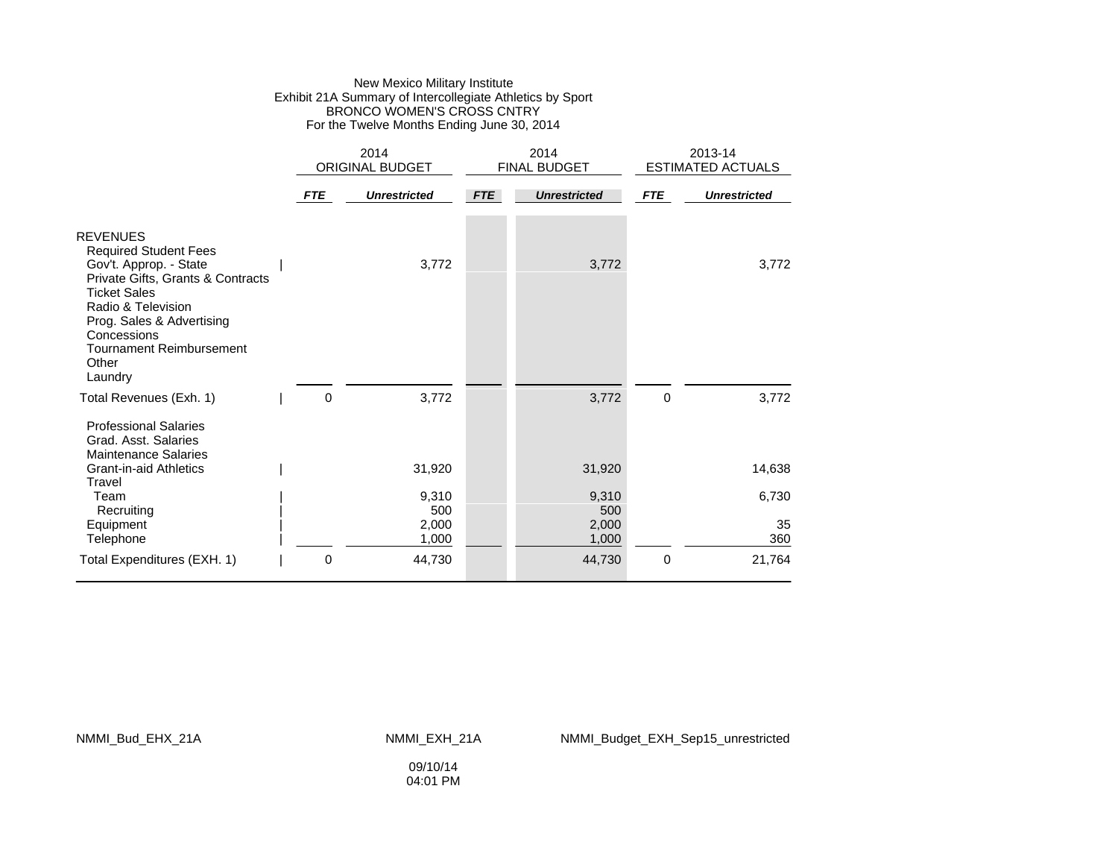### New Mexico Military Institute Exhibit 21A Summary of Intercollegiate Athletics by Sport BRONCO WOMEN'S CROSS CNTRY For the Twelve Months Ending June 30, 2014

|                                                                                                                                                                                                                                                                | 2014<br><b>ORIGINAL BUDGET</b> |                     | 2014<br>FINAL BUDGET |                     | 2013-14<br><b>ESTIMATED ACTUALS</b> |                     |
|----------------------------------------------------------------------------------------------------------------------------------------------------------------------------------------------------------------------------------------------------------------|--------------------------------|---------------------|----------------------|---------------------|-------------------------------------|---------------------|
|                                                                                                                                                                                                                                                                | <b>FTE</b>                     | <b>Unrestricted</b> | <b>FTE</b>           | <b>Unrestricted</b> | <b>FTE</b>                          | <b>Unrestricted</b> |
| <b>REVENUES</b><br><b>Required Student Fees</b><br>Gov't. Approp. - State<br>Private Gifts, Grants & Contracts<br><b>Ticket Sales</b><br>Radio & Television<br>Prog. Sales & Advertising<br>Concessions<br><b>Tournament Reimbursement</b><br>Other<br>Laundry |                                | 3,772               |                      | 3,772               |                                     | 3,772               |
| Total Revenues (Exh. 1)                                                                                                                                                                                                                                        | 0                              | 3,772               |                      | 3,772               | 0                                   | 3,772               |
| <b>Professional Salaries</b><br>Grad. Asst. Salaries<br><b>Maintenance Salaries</b>                                                                                                                                                                            |                                |                     |                      |                     |                                     |                     |
| <b>Grant-in-aid Athletics</b><br>Travel                                                                                                                                                                                                                        |                                | 31,920              |                      | 31,920              |                                     | 14,638              |
| Team<br>Recruiting                                                                                                                                                                                                                                             |                                | 9,310<br>500        |                      | 9,310<br>500        |                                     | 6,730               |
| Equipment                                                                                                                                                                                                                                                      |                                | 2,000               |                      | 2,000               |                                     | 35                  |
| Telephone                                                                                                                                                                                                                                                      |                                | 1,000               |                      | 1,000               |                                     | 360                 |
| Total Expenditures (EXH. 1)                                                                                                                                                                                                                                    | 0                              | 44,730              |                      | 44,730              | $\mathbf 0$                         | 21,764              |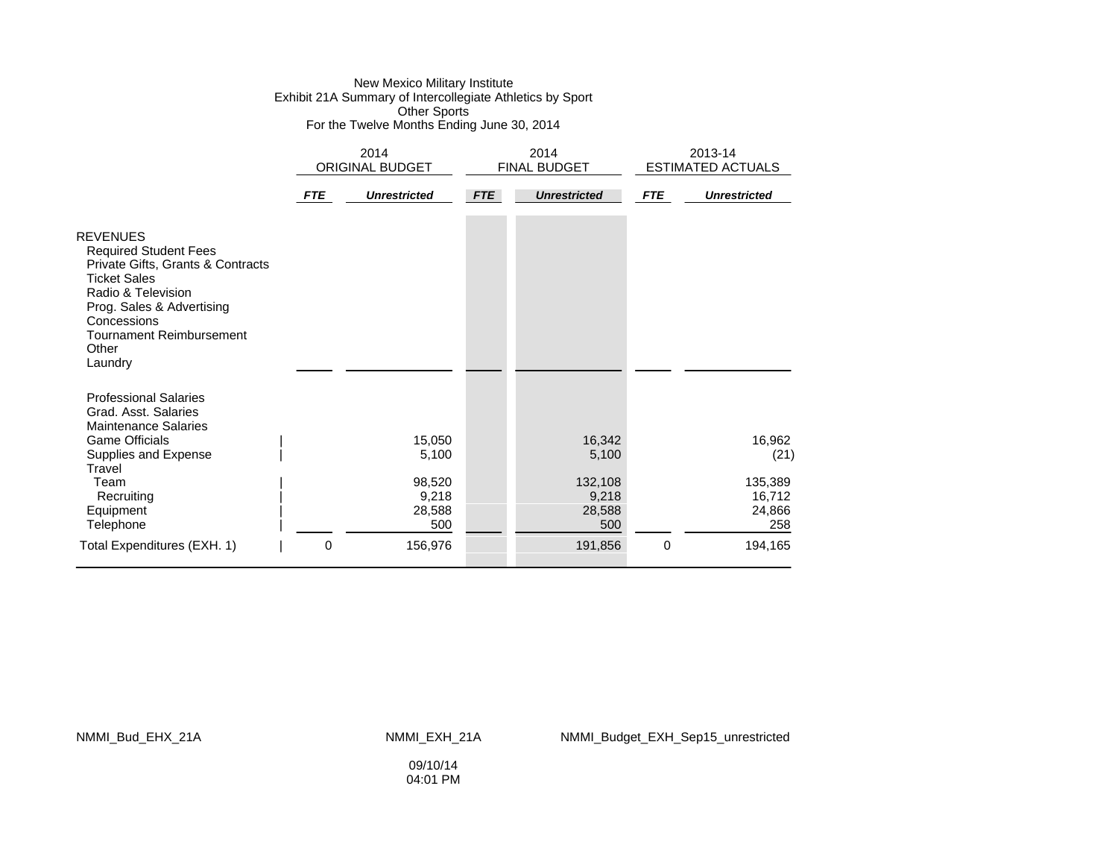#### New Mexico Military Institute Exhibit 21A Summary of Intercollegiate Athletics by Sport Other Sports For the Twelve Months Ending June 30, 2014

|                                                                                                                                                                                                                                      |     | 2014<br><b>ORIGINAL BUDGET</b>                      |            | 2014<br>FINAL BUDGET                                 | 2013-14<br><b>ESTIMATED ACTUALS</b> |                                                      |
|--------------------------------------------------------------------------------------------------------------------------------------------------------------------------------------------------------------------------------------|-----|-----------------------------------------------------|------------|------------------------------------------------------|-------------------------------------|------------------------------------------------------|
|                                                                                                                                                                                                                                      | FTE | <b>Unrestricted</b>                                 | <b>FTE</b> | <b>Unrestricted</b>                                  | <b>FTE</b>                          | <b>Unrestricted</b>                                  |
| <b>REVENUES</b><br><b>Required Student Fees</b><br>Private Gifts, Grants & Contracts<br><b>Ticket Sales</b><br>Radio & Television<br>Prog. Sales & Advertising<br>Concessions<br><b>Tournament Reimbursement</b><br>Other<br>Laundry |     |                                                     |            |                                                      |                                     |                                                      |
| <b>Professional Salaries</b><br>Grad, Asst. Salaries<br><b>Maintenance Salaries</b><br><b>Game Officials</b><br>Supplies and Expense<br>Travel<br>Team<br>Recruiting<br>Equipment                                                    |     | 15,050<br>5,100<br>98,520<br>9,218<br>28,588<br>500 |            | 16,342<br>5,100<br>132,108<br>9,218<br>28,588<br>500 |                                     | 16,962<br>(21)<br>135,389<br>16,712<br>24,866<br>258 |
| Telephone<br>Total Expenditures (EXH. 1)                                                                                                                                                                                             | 0   | 156,976                                             |            | 191,856                                              | $\mathbf 0$                         | 194,165                                              |

NMMI\_Bud\_EHX\_21A NMMI\_EXH\_21A NMMI\_Budget\_EXH\_Sep15\_unrestricted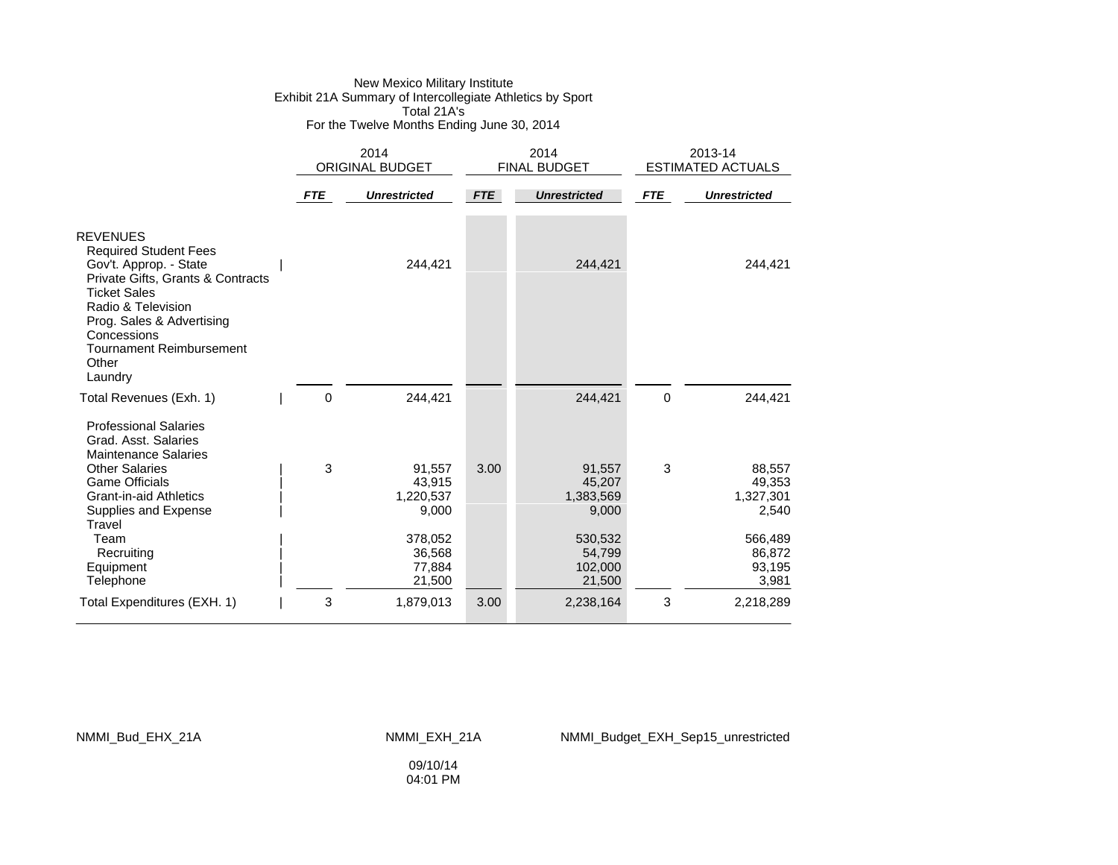### New Mexico Military Institute Exhibit 21A Summary of Intercollegiate Athletics by Sport Total 21A's For the Twelve Months Ending June 30, 2014

|                                                                                                                                                                                                                                                                | 2014<br><b>ORIGINAL BUDGET</b> |                                                                       | 2014<br><b>FINAL BUDGET</b> |                                                                        | 2013-14<br><b>ESTIMATED ACTUALS</b> |                                                                       |
|----------------------------------------------------------------------------------------------------------------------------------------------------------------------------------------------------------------------------------------------------------------|--------------------------------|-----------------------------------------------------------------------|-----------------------------|------------------------------------------------------------------------|-------------------------------------|-----------------------------------------------------------------------|
|                                                                                                                                                                                                                                                                | <b>FTE</b>                     | <b>Unrestricted</b>                                                   | <b>FTE</b>                  | <b>Unrestricted</b>                                                    | <b>FTE</b>                          | <b>Unrestricted</b>                                                   |
| <b>REVENUES</b><br><b>Required Student Fees</b><br>Gov't. Approp. - State<br>Private Gifts, Grants & Contracts<br><b>Ticket Sales</b><br>Radio & Television<br>Prog. Sales & Advertising<br>Concessions<br><b>Tournament Reimbursement</b><br>Other<br>Laundry |                                | 244,421                                                               |                             | 244,421                                                                |                                     | 244,421                                                               |
| Total Revenues (Exh. 1)                                                                                                                                                                                                                                        | 0                              | 244,421                                                               |                             | 244,421                                                                | $\mathbf 0$                         | 244,421                                                               |
| <b>Professional Salaries</b><br>Grad. Asst. Salaries<br><b>Maintenance Salaries</b><br><b>Other Salaries</b><br><b>Game Officials</b><br><b>Grant-in-aid Athletics</b><br>Supplies and Expense<br>Travel<br>Team<br>Recruiting<br>Equipment                    | 3                              | 91,557<br>43,915<br>1,220,537<br>9,000<br>378,052<br>36,568<br>77,884 | 3.00                        | 91,557<br>45,207<br>1,383,569<br>9,000<br>530,532<br>54,799<br>102,000 | 3                                   | 88,557<br>49,353<br>1,327,301<br>2,540<br>566,489<br>86,872<br>93,195 |
| Telephone                                                                                                                                                                                                                                                      |                                | 21,500                                                                |                             | 21,500                                                                 |                                     | 3,981                                                                 |
| Total Expenditures (EXH. 1)                                                                                                                                                                                                                                    | 3                              | 1,879,013                                                             | 3.00                        | 2,238,164                                                              | 3                                   | 2,218,289                                                             |

#### NMMI\_Bud\_EHX\_21A NMMI\_EXH\_21A NMMI\_Budget\_EXH\_Sep15\_unrestricted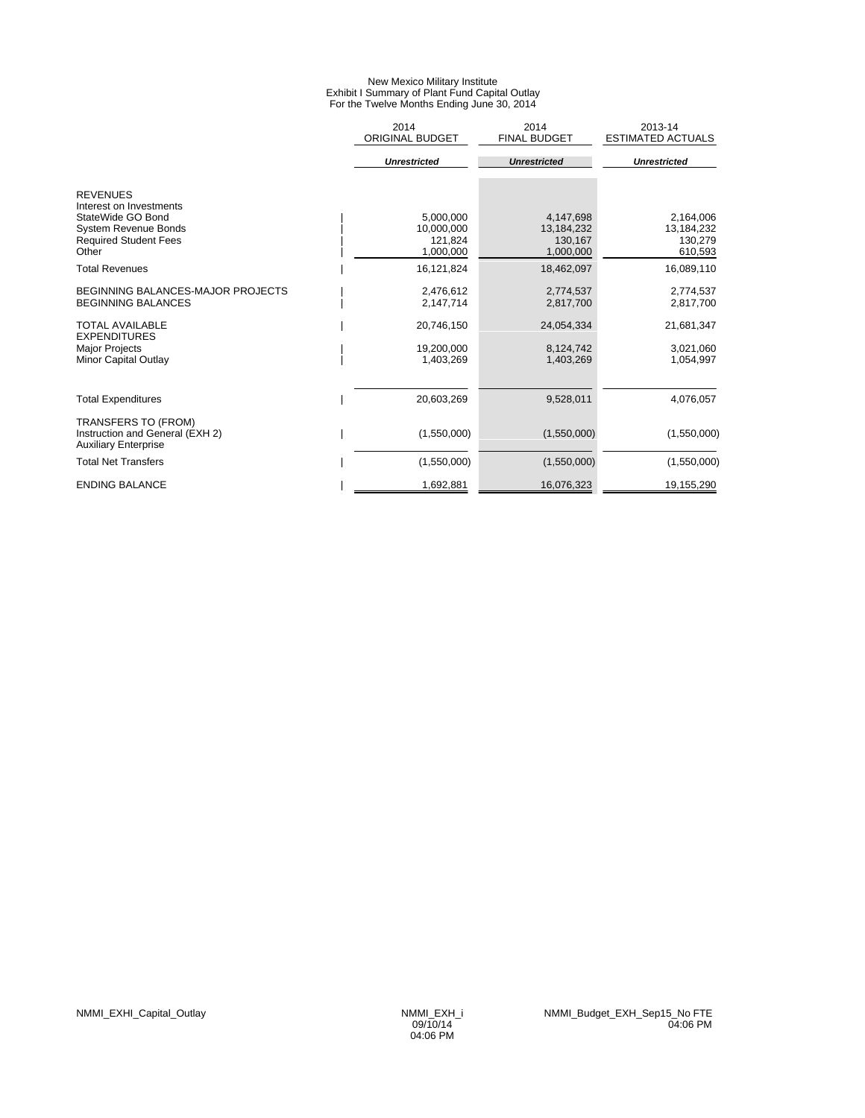#### New Mexico Military Institute Exhibit I Summary of Plant Fund Capital Outlay For the Twelve Months Ending June 30, 2014

|                                                                                                                                         | 2014<br><b>ORIGINAL BUDGET</b>                  | 2014<br><b>FINAL BUDGET</b>                     | 2013-14<br><b>ESTIMATED ACTUALS</b>           |
|-----------------------------------------------------------------------------------------------------------------------------------------|-------------------------------------------------|-------------------------------------------------|-----------------------------------------------|
|                                                                                                                                         | <b>Unrestricted</b>                             | <b>Unrestricted</b>                             | <b>Unrestricted</b>                           |
| <b>REVENUES</b><br>Interest on Investments<br>StateWide GO Bond<br><b>System Revenue Bonds</b><br><b>Required Student Fees</b><br>Other | 5.000.000<br>10,000,000<br>121,824<br>1,000,000 | 4,147,698<br>13,184,232<br>130,167<br>1,000,000 | 2,164,006<br>13,184,232<br>130,279<br>610,593 |
| <b>Total Revenues</b>                                                                                                                   | 16,121,824                                      | 18,462,097                                      | 16,089,110                                    |
| <b>BEGINNING BALANCES-MAJOR PROJECTS</b><br><b>BEGINNING BALANCES</b>                                                                   | 2,476,612<br>2,147,714                          | 2,774,537<br>2,817,700                          | 2,774,537<br>2,817,700                        |
| <b>TOTAL AVAILABLE</b><br><b>EXPENDITURES</b><br><b>Major Projects</b><br><b>Minor Capital Outlay</b>                                   | 20,746,150<br>19,200,000<br>1,403,269           | 24,054,334<br>8,124,742<br>1,403,269            | 21,681,347<br>3,021,060<br>1,054,997          |
| <b>Total Expenditures</b>                                                                                                               | 20,603,269                                      | 9,528,011                                       | 4,076,057                                     |
| TRANSFERS TO (FROM)<br>Instruction and General (EXH 2)<br><b>Auxiliary Enterprise</b>                                                   | (1,550,000)                                     | (1,550,000)                                     | (1,550,000)                                   |
| <b>Total Net Transfers</b>                                                                                                              | (1,550,000)                                     | (1,550,000)                                     | (1,550,000)                                   |
| <b>ENDING BALANCE</b>                                                                                                                   | 1,692,881                                       | 16,076,323                                      | 19,155,290                                    |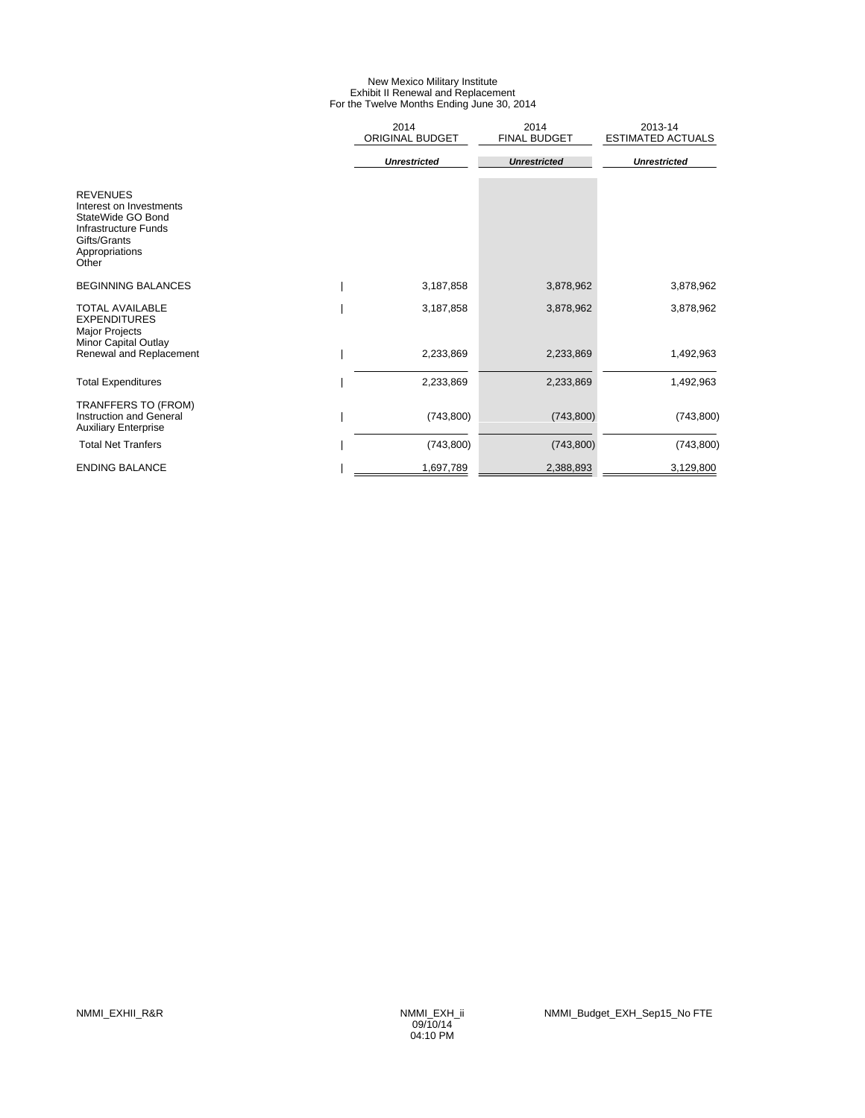### New Mexico Military Institute Exhibit II Renewal and Replacement For the Twelve Months Ending June 30, 2014

|                                                                                                                                    | 2014<br><b>ORIGINAL BUDGET</b> | 2014<br><b>FINAL BUDGET</b> | 2013-14<br><b>ESTIMATED ACTUALS</b> |
|------------------------------------------------------------------------------------------------------------------------------------|--------------------------------|-----------------------------|-------------------------------------|
|                                                                                                                                    | <b>Unrestricted</b>            | <b>Unrestricted</b>         | <b>Unrestricted</b>                 |
| <b>REVENUES</b><br>Interest on Investments<br>StateWide GO Bond<br>Infrastructure Funds<br>Gifts/Grants<br>Appropriations<br>Other |                                |                             |                                     |
| <b>BEGINNING BALANCES</b>                                                                                                          | 3,187,858                      | 3,878,962                   | 3,878,962                           |
| <b>TOTAL AVAILABLE</b><br><b>EXPENDITURES</b><br><b>Major Projects</b>                                                             | 3,187,858                      | 3,878,962                   | 3,878,962                           |
| Minor Capital Outlay<br>Renewal and Replacement                                                                                    | 2,233,869                      | 2,233,869                   | 1,492,963                           |
| <b>Total Expenditures</b>                                                                                                          | 2,233,869                      | 2,233,869                   | 1,492,963                           |
| TRANFFERS TO (FROM)<br><b>Instruction and General</b><br><b>Auxiliary Enterprise</b>                                               | (743, 800)                     | (743, 800)                  | (743, 800)                          |
| <b>Total Net Tranfers</b>                                                                                                          | (743, 800)                     | (743,800)                   | (743, 800)                          |
| <b>ENDING BALANCE</b>                                                                                                              | 1,697,789                      | 2,388,893                   | 3,129,800                           |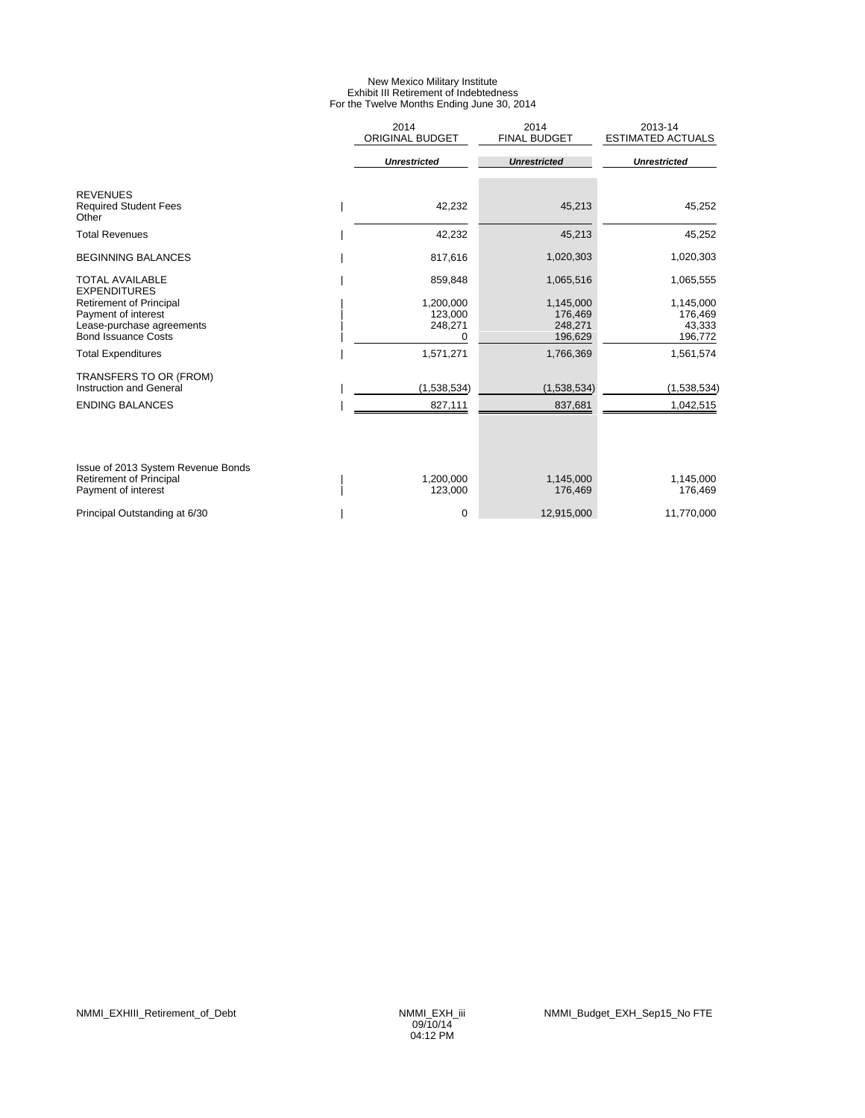### New Mexico Military Institute Exhibit III Retirement of Indebtedness For the Twelve Months Ending June 30, 2014

|                                                          | 2014<br>ORIGINAL BUDGET | 2014<br><b>FINAL BUDGET</b> | 2013-14<br><b>ESTIMATED ACTUALS</b> |
|----------------------------------------------------------|-------------------------|-----------------------------|-------------------------------------|
|                                                          | <b>Unrestricted</b>     | <b>Unrestricted</b>         | <b>Unrestricted</b>                 |
| <b>REVENUES</b><br><b>Required Student Fees</b><br>Other | 42,232                  | 45,213                      | 45,252                              |
| <b>Total Revenues</b>                                    | 42,232                  | 45,213                      | 45,252                              |
| <b>BEGINNING BALANCES</b>                                | 817,616                 | 1,020,303                   | 1,020,303                           |
| <b>TOTAL AVAILABLE</b><br><b>EXPENDITURES</b>            | 859,848                 | 1,065,516                   | 1,065,555                           |
| <b>Retirement of Principal</b>                           | 1,200,000               | 1,145,000                   | 1,145,000                           |
| Payment of interest                                      | 123,000                 | 176,469                     | 176,469                             |
| Lease-purchase agreements<br><b>Bond Issuance Costs</b>  | 248,271<br>0            | 248.271<br>196,629          | 43,333<br>196,772                   |
| <b>Total Expenditures</b>                                | 1,571,271               | 1,766,369                   | 1,561,574                           |
| TRANSFERS TO OR (FROM)                                   |                         |                             |                                     |
| Instruction and General                                  | (1,538,534)             | (1,538,534)                 | (1,538,534)                         |
| <b>ENDING BALANCES</b>                                   | 827,111                 | 837,681                     | 1,042,515                           |
|                                                          |                         |                             |                                     |
| Issue of 2013 System Revenue Bonds                       |                         |                             |                                     |
| <b>Retirement of Principal</b><br>Payment of interest    | 1,200,000<br>123,000    | 1,145,000<br>176,469        | 1,145,000<br>176,469                |
| Principal Outstanding at 6/30                            | 0                       | 12.915.000                  | 11,770,000                          |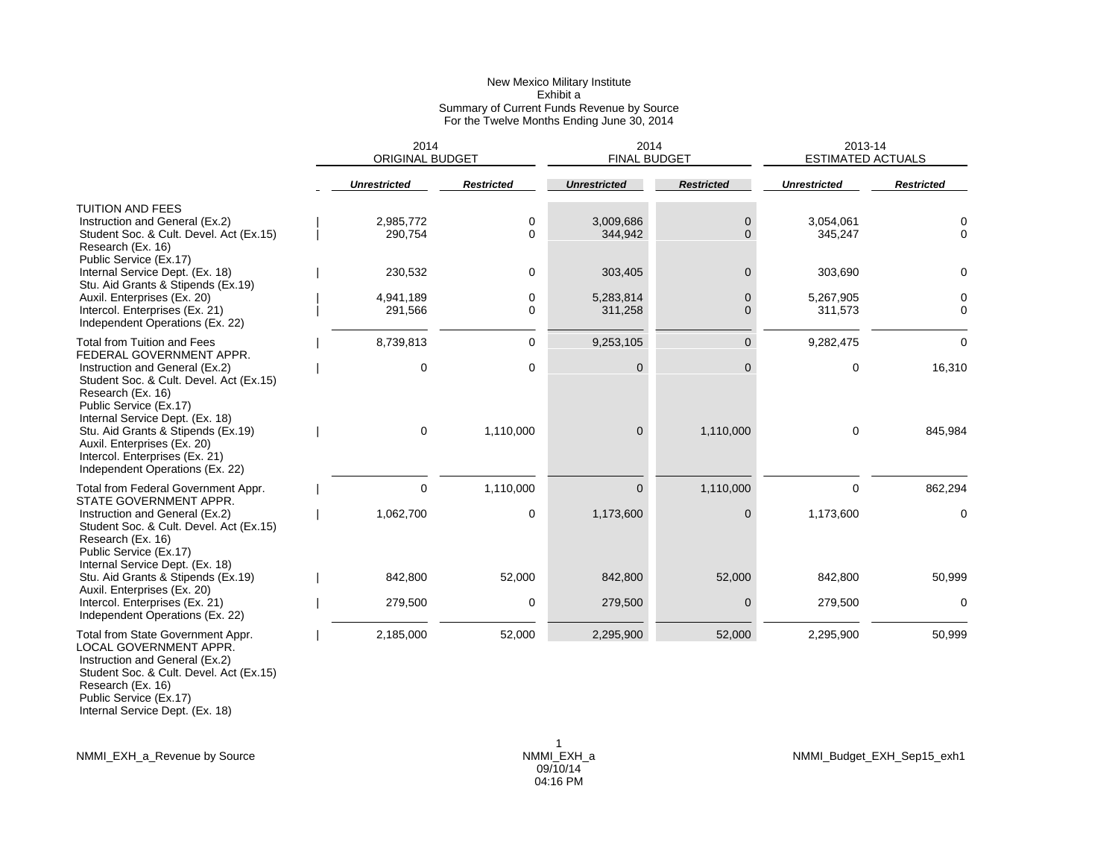|                                                                                                                                                             |                     | 2014<br><b>ORIGINAL BUDGET</b> |                   |                      | 2014<br><b>FINAL BUDGET</b> | 2013-14<br><b>ESTIMATED ACTUALS</b> |                   |  |
|-------------------------------------------------------------------------------------------------------------------------------------------------------------|---------------------|--------------------------------|-------------------|----------------------|-----------------------------|-------------------------------------|-------------------|--|
|                                                                                                                                                             | <b>Unrestricted</b> |                                | <b>Restricted</b> | <b>Unrestricted</b>  | <b>Restricted</b>           | <b>Unrestricted</b>                 | <b>Restricted</b> |  |
| TUITION AND FEES<br>Instruction and General (Ex.2)<br>Student Soc. & Cult. Devel. Act (Ex.15)<br>Research (Ex. 16)                                          |                     | 2,985,772<br>290,754           | 0<br>$\Omega$     | 3,009,686<br>344,942 | 0<br>0                      | 3,054,061<br>345,247                | 0<br>0            |  |
| Public Service (Ex.17)<br>Internal Service Dept. (Ex. 18)<br>Stu. Aid Grants & Stipends (Ex.19)                                                             |                     | 230,532                        | $\mathbf 0$       | 303,405              | 0                           | 303,690                             | 0                 |  |
| Auxil. Enterprises (Ex. 20)<br>Intercol. Enterprises (Ex. 21)<br>Independent Operations (Ex. 22)                                                            |                     | 4,941,189<br>291,566           | 0<br>$\Omega$     | 5,283,814<br>311,258 | 0<br>$\Omega$               | 5,267,905<br>311,573                | 0<br>$\Omega$     |  |
| Total from Tuition and Fees<br>FEDERAL GOVERNMENT APPR.                                                                                                     |                     | 8,739,813                      | 0                 | 9,253,105            | $\overline{0}$              | 9,282,475                           | 0                 |  |
| Instruction and General (Ex.2)<br>Student Soc. & Cult. Devel. Act (Ex.15)<br>Research (Ex. 16)<br>Public Service (Ex.17)<br>Internal Service Dept. (Ex. 18) |                     | $\Omega$                       | 0                 | 0                    | 0                           | 0                                   | 16,310            |  |
| Stu. Aid Grants & Stipends (Ex.19)<br>Auxil. Enterprises (Ex. 20)<br>Intercol. Enterprises (Ex. 21)<br>Independent Operations (Ex. 22)                      |                     | 0                              | 1,110,000         | $\overline{0}$       | 1,110,000                   | 0                                   | 845,984           |  |
| Total from Federal Government Appr.<br>STATE GOVERNMENT APPR.                                                                                               |                     | 0                              | 1,110,000         | $\Omega$             | 1,110,000                   | 0                                   | 862,294           |  |
| Instruction and General (Ex.2)<br>Student Soc. & Cult. Devel. Act (Ex.15)<br>Research (Ex. 16)<br>Public Service (Ex.17)                                    |                     | 1,062,700                      | 0                 | 1,173,600            | 0                           | 1,173,600                           | 0                 |  |
| Internal Service Dept. (Ex. 18)<br>Stu. Aid Grants & Stipends (Ex.19)<br>Auxil. Enterprises (Ex. 20)                                                        |                     | 842.800                        | 52,000            | 842,800              | 52,000                      | 842,800                             | 50,999            |  |
| Intercol. Enterprises (Ex. 21)<br>Independent Operations (Ex. 22)                                                                                           |                     | 279,500                        | 0                 | 279,500              | 0                           | 279,500                             | 0                 |  |
| Total from State Government Appr.<br>LOCAL GOVERNMENT APPR.<br>Instruction and General (Ev 2)                                                               |                     | 2,185,000                      | 52,000            | 2,295,900            | 52,000                      | 2,295,900                           | 50,999            |  |

 Instruction and General (Ex.2) Student Soc. & Cult. Devel. Act (Ex.15) Research (Ex. 16) Public Service (Ex.17)

Internal Service Dept. (Ex. 18)

NMMI\_EXH\_a\_Revenue by Source NMMI\_EXH\_a NMMI\_Budget\_EXH\_Sep15\_exh1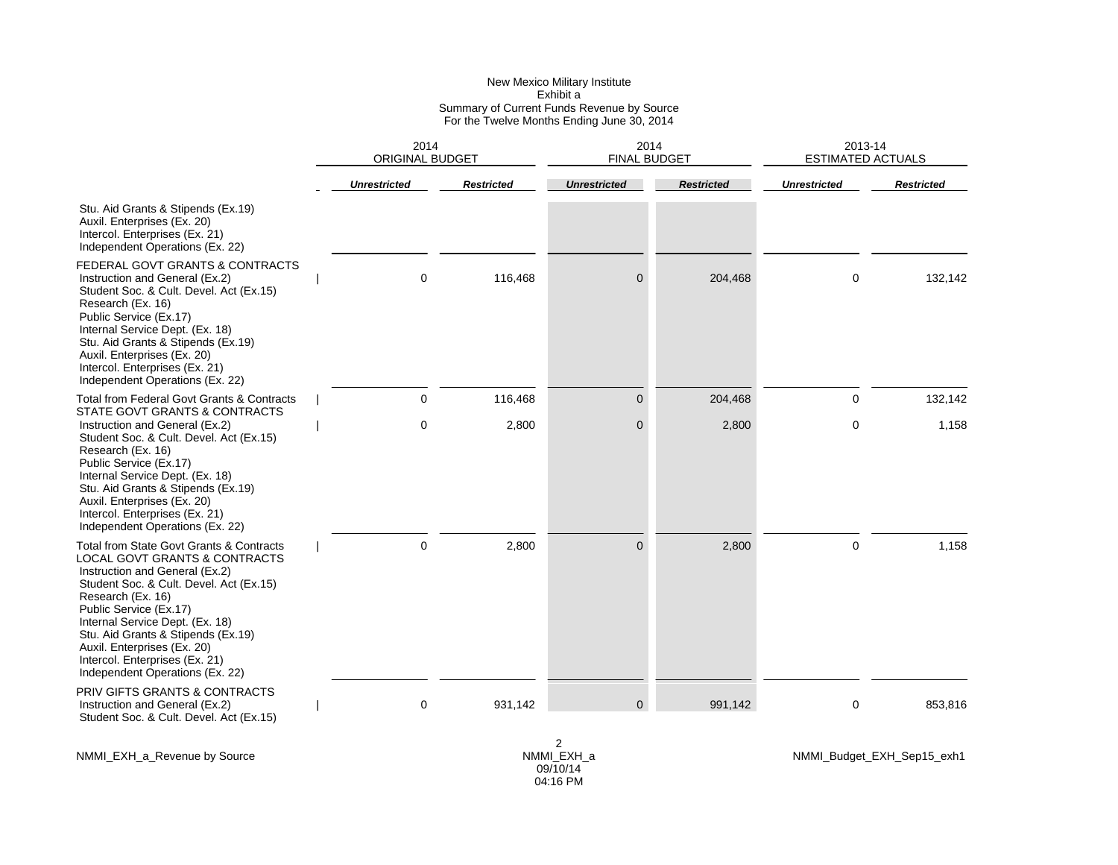|                                                                                                                                                                                                                                                                                                                                                                                               | 2014                | <b>ORIGINAL BUDGET</b> |                     | 2014<br>FINAL BUDGET | 2013-14<br><b>ESTIMATED ACTUALS</b> |                            |
|-----------------------------------------------------------------------------------------------------------------------------------------------------------------------------------------------------------------------------------------------------------------------------------------------------------------------------------------------------------------------------------------------|---------------------|------------------------|---------------------|----------------------|-------------------------------------|----------------------------|
|                                                                                                                                                                                                                                                                                                                                                                                               | <b>Unrestricted</b> | <b>Restricted</b>      | <b>Unrestricted</b> | <b>Restricted</b>    | <b>Unrestricted</b>                 | <b>Restricted</b>          |
| Stu. Aid Grants & Stipends (Ex.19)<br>Auxil. Enterprises (Ex. 20)<br>Intercol. Enterprises (Ex. 21)<br>Independent Operations (Ex. 22)                                                                                                                                                                                                                                                        |                     |                        |                     |                      |                                     |                            |
| FEDERAL GOVT GRANTS & CONTRACTS<br>Instruction and General (Ex.2)<br>Student Soc. & Cult. Devel. Act (Ex.15)<br>Research (Ex. 16)<br>Public Service (Ex.17)<br>Internal Service Dept. (Ex. 18)<br>Stu. Aid Grants & Stipends (Ex.19)<br>Auxil. Enterprises (Ex. 20)<br>Intercol. Enterprises (Ex. 21)<br>Independent Operations (Ex. 22)                                                      | $\Omega$            | 116,468                | $\mathbf 0$         | 204,468              | 0                                   | 132,142                    |
| Total from Federal Govt Grants & Contracts<br><b>STATE GOVT GRANTS &amp; CONTRACTS</b>                                                                                                                                                                                                                                                                                                        | $\mathbf 0$         | 116,468                | $\overline{0}$      | 204,468              | 0                                   | 132,142                    |
| Instruction and General (Ex.2)<br>Student Soc. & Cult. Devel. Act (Ex.15)<br>Research (Ex. 16)<br>Public Service (Ex.17)<br>Internal Service Dept. (Ex. 18)<br>Stu. Aid Grants & Stipends (Ex.19)<br>Auxil. Enterprises (Ex. 20)<br>Intercol. Enterprises (Ex. 21)<br>Independent Operations (Ex. 22)                                                                                         | 0                   | 2,800                  | 0                   | 2,800                | 0                                   | 1,158                      |
| Total from State Govt Grants & Contracts<br><b>LOCAL GOVT GRANTS &amp; CONTRACTS</b><br>Instruction and General (Ex.2)<br>Student Soc. & Cult. Devel. Act (Ex.15)<br>Research (Ex. 16)<br>Public Service (Ex.17)<br>Internal Service Dept. (Ex. 18)<br>Stu. Aid Grants & Stipends (Ex.19)<br>Auxil. Enterprises (Ex. 20)<br>Intercol. Enterprises (Ex. 21)<br>Independent Operations (Ex. 22) | $\Omega$            | 2,800                  | $\Omega$            | 2,800                | 0                                   | 1,158                      |
| PRIV GIFTS GRANTS & CONTRACTS<br>Instruction and General (Ex.2)<br>Student Soc. & Cult. Devel. Act (Ex.15)                                                                                                                                                                                                                                                                                    | 0                   | 931,142                | $\overline{0}$      | 991,142              | 0                                   | 853,816                    |
| NMMI_EXH_a_Revenue by Source                                                                                                                                                                                                                                                                                                                                                                  |                     |                        | 2<br>NMMI_EXH_a     |                      |                                     | NMMI_Budget_EXH_Sep15_exh1 |

09/10/14 04:16 PM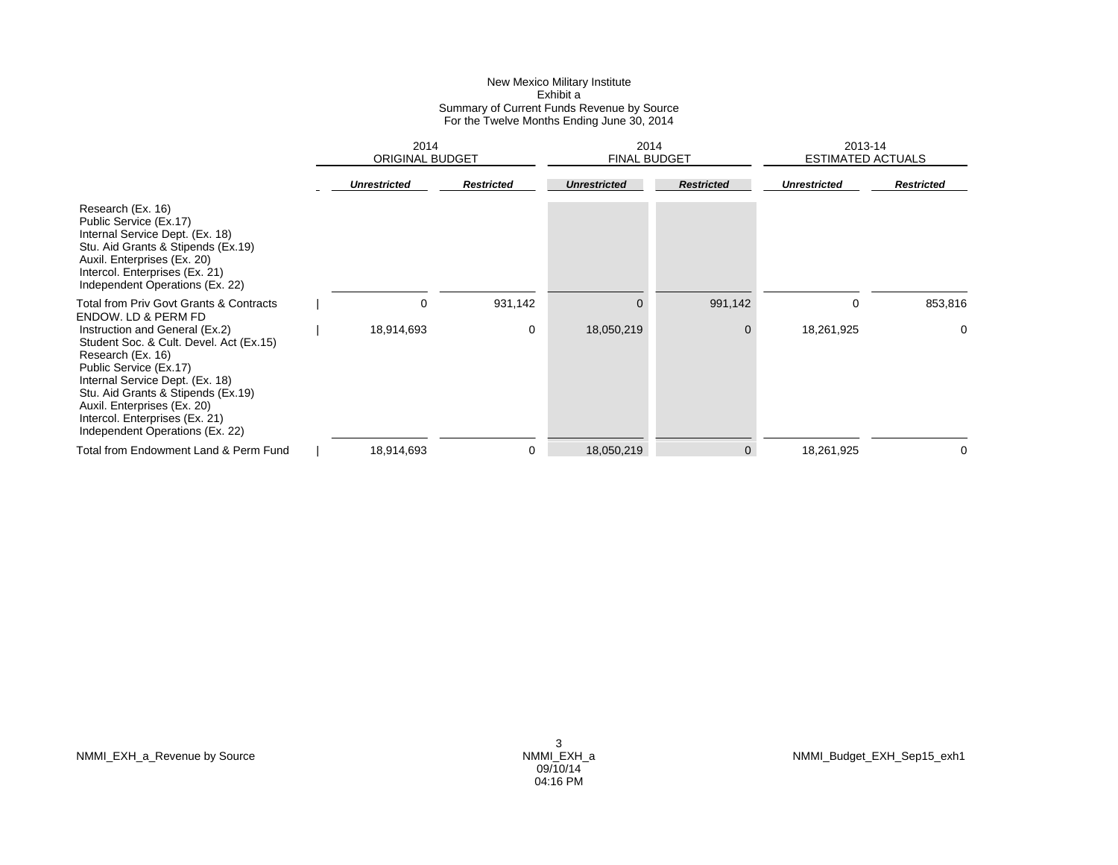|                                                                                                                                                                                                                                                                                                       | 2014<br><b>ORIGINAL BUDGET</b> |                   | 2014<br><b>FINAL BUDGET</b> |                   | 2013-14<br><b>ESTIMATED ACTUALS</b> |                   |
|-------------------------------------------------------------------------------------------------------------------------------------------------------------------------------------------------------------------------------------------------------------------------------------------------------|--------------------------------|-------------------|-----------------------------|-------------------|-------------------------------------|-------------------|
|                                                                                                                                                                                                                                                                                                       | <b>Unrestricted</b>            | <b>Restricted</b> | <b>Unrestricted</b>         | <b>Restricted</b> | <b>Unrestricted</b>                 | <b>Restricted</b> |
| Research (Ex. 16)<br>Public Service (Ex.17)<br>Internal Service Dept. (Ex. 18)<br>Stu. Aid Grants & Stipends (Ex.19)<br>Auxil. Enterprises (Ex. 20)<br>Intercol. Enterprises (Ex. 21)<br>Independent Operations (Ex. 22)                                                                              |                                |                   |                             |                   |                                     |                   |
| Total from Priv Govt Grants & Contracts<br><b>ENDOW. LD &amp; PERM FD</b>                                                                                                                                                                                                                             | 0                              | 931,142           | 0                           | 991,142           | 0                                   | 853,816           |
| Instruction and General (Ex.2)<br>Student Soc. & Cult. Devel. Act (Ex.15)<br>Research (Ex. 16)<br>Public Service (Ex.17)<br>Internal Service Dept. (Ex. 18)<br>Stu. Aid Grants & Stipends (Ex.19)<br>Auxil. Enterprises (Ex. 20)<br>Intercol. Enterprises (Ex. 21)<br>Independent Operations (Ex. 22) | 18,914,693                     | 0                 | 18,050,219                  | $\mathbf 0$       | 18,261,925                          | 0                 |
| Total from Endowment Land & Perm Fund                                                                                                                                                                                                                                                                 | 18,914,693                     | 0                 | 18,050,219                  | $\mathbf 0$       | 18,261,925                          | $\Omega$          |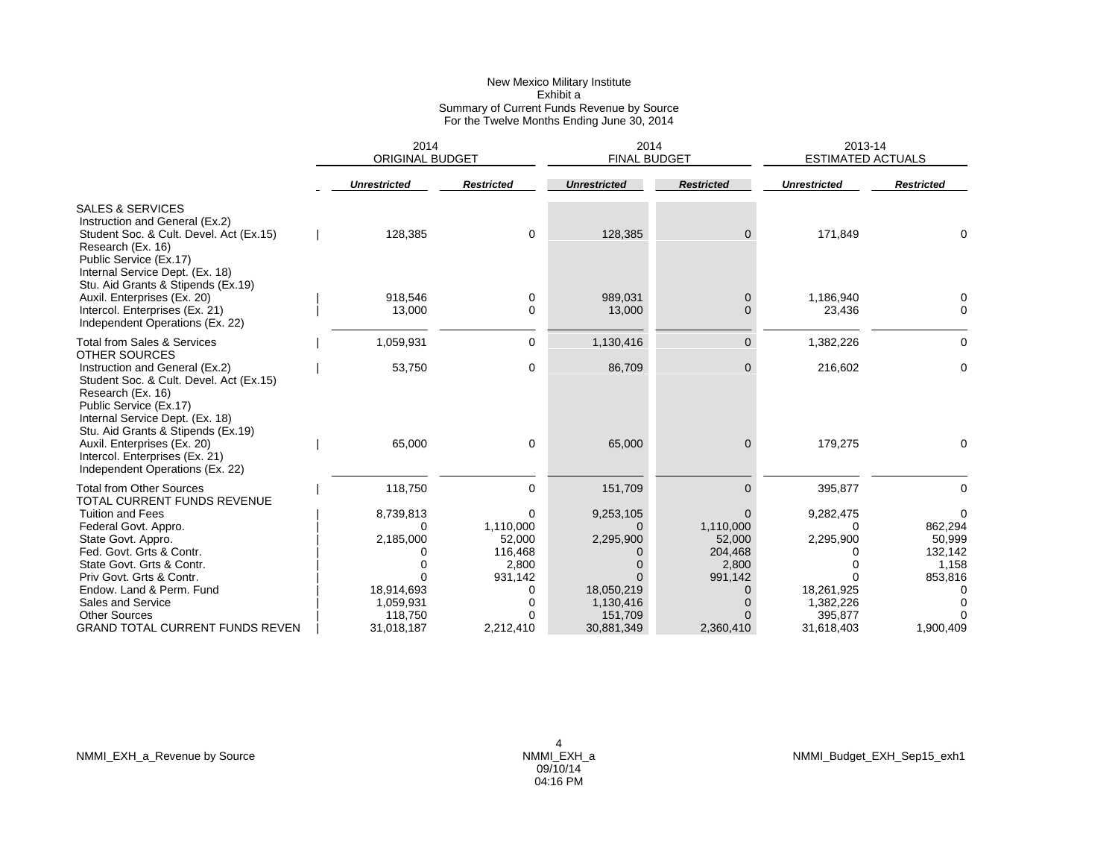|                                                                                                                                                                                                                                                   | 2014<br><b>ORIGINAL BUDGET</b>                   |                                                         | 2014<br><b>FINAL BUDGET</b>                      |                                                                | 2013-14<br><b>ESTIMATED ACTUALS</b>              |                                                       |
|---------------------------------------------------------------------------------------------------------------------------------------------------------------------------------------------------------------------------------------------------|--------------------------------------------------|---------------------------------------------------------|--------------------------------------------------|----------------------------------------------------------------|--------------------------------------------------|-------------------------------------------------------|
|                                                                                                                                                                                                                                                   | <b>Unrestricted</b>                              | <b>Restricted</b>                                       | <b>Unrestricted</b>                              | <b>Restricted</b>                                              | <b>Unrestricted</b>                              | <b>Restricted</b>                                     |
| <b>SALES &amp; SERVICES</b><br>Instruction and General (Ex.2)<br>Student Soc. & Cult. Devel. Act (Ex.15)<br>Research (Ex. 16)<br>Public Service (Ex.17)<br>Internal Service Dept. (Ex. 18)                                                        | 128,385                                          | 0                                                       | 128,385                                          | $\mathbf{0}$                                                   | 171,849                                          | 0                                                     |
| Stu. Aid Grants & Stipends (Ex.19)<br>Auxil. Enterprises (Ex. 20)<br>Intercol. Enterprises (Ex. 21)<br>Independent Operations (Ex. 22)                                                                                                            | 918,546<br>13,000                                | 0<br>0                                                  | 989,031<br>13,000                                | 0<br>$\mathbf{0}$                                              | 1,186,940<br>23,436                              | 0<br>0                                                |
| <b>Total from Sales &amp; Services</b>                                                                                                                                                                                                            | 1,059,931                                        | 0                                                       | 1,130,416                                        | $\overline{0}$                                                 | 1,382,226                                        | 0                                                     |
| OTHER SOURCES<br>Instruction and General (Ex.2)<br>Student Soc. & Cult. Devel. Act (Ex.15)<br>Research (Ex. 16)<br>Public Service (Ex.17)<br>Internal Service Dept. (Ex. 18)<br>Stu. Aid Grants & Stipends (Ex.19)<br>Auxil. Enterprises (Ex. 20) | 53,750<br>65,000                                 | 0<br>0                                                  | 86,709<br>65,000                                 | $\mathbf{0}$<br>$\mathbf 0$                                    | 216,602<br>179,275                               | $\mathbf 0$<br>0                                      |
| Intercol. Enterprises (Ex. 21)<br>Independent Operations (Ex. 22)                                                                                                                                                                                 |                                                  |                                                         |                                                  |                                                                |                                                  |                                                       |
| <b>Total from Other Sources</b><br>TOTAL CURRENT FUNDS REVENUE                                                                                                                                                                                    | 118,750                                          | 0                                                       | 151,709                                          | $\Omega$                                                       | 395,877                                          | $\Omega$                                              |
| <b>Tuition and Fees</b><br>Federal Govt. Appro.<br>State Govt. Appro.<br>Fed. Govt. Grts & Contr.<br>State Govt. Grts & Contr.<br>Priv Govt. Grts & Contr.                                                                                        | 8,739,813<br>∩<br>2,185,000<br>0<br>$\Omega$     | 0<br>1,110,000<br>52,000<br>116,468<br>2,800<br>931,142 | 9,253,105<br>0<br>2,295,900<br>$\Omega$          | $\Omega$<br>1,110,000<br>52,000<br>204,468<br>2,800<br>991,142 | 9,282,475<br>0<br>2,295,900<br>0                 | 0<br>862,294<br>50,999<br>132,142<br>1,158<br>853,816 |
| Endow. Land & Perm. Fund<br>Sales and Service<br><b>Other Sources</b><br><b>GRAND TOTAL CURRENT FUNDS REVEN</b>                                                                                                                                   | 18,914,693<br>1,059,931<br>118,750<br>31,018,187 | 0<br>$\Omega$<br>0<br>2,212,410                         | 18,050,219<br>1,130,416<br>151,709<br>30,881,349 | $\mathbf 0$<br>$\Omega$<br>$\Omega$<br>2,360,410               | 18,261,925<br>1,382,226<br>395,877<br>31,618,403 | $\Omega$<br>$\Omega$<br>1,900,409                     |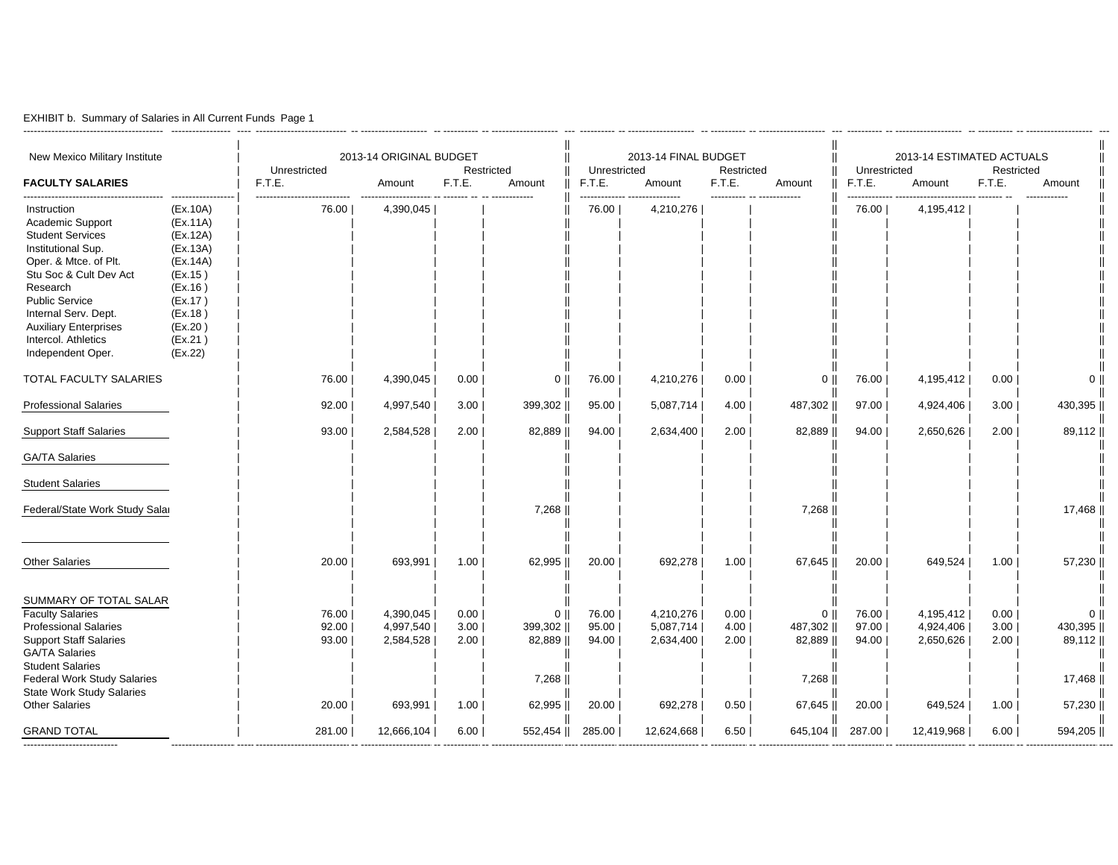|  |  | EXHIBIT b. Summary of Salaries in All Current Funds Page 1 |  |  |  |  |  |
|--|--|------------------------------------------------------------|--|--|--|--|--|
|--|--|------------------------------------------------------------|--|--|--|--|--|

----------------------------------------

| New Mexico Military Institute<br><b>FACULTY SALARIES</b>                                                                                                                                                                                                                     |                                                                                                                                       | Unrestricted<br>F.T.E.           | 2013-14 ORIGINAL BUDGET<br>Amount              | F.T.E.                       | Restricted<br>Amount                                    | Unrestricted<br>F.T.E.           | 2013-14 FINAL BUDGET<br>Amount                 | Restricted<br>F.T.E.         | Amount                                                       | Unrestricted<br>F.T.E.           | 2013-14 ESTIMATED ACTUALS<br>Amount            | Restricted<br>F.T.E.         | Amount                                                       |
|------------------------------------------------------------------------------------------------------------------------------------------------------------------------------------------------------------------------------------------------------------------------------|---------------------------------------------------------------------------------------------------------------------------------------|----------------------------------|------------------------------------------------|------------------------------|---------------------------------------------------------|----------------------------------|------------------------------------------------|------------------------------|--------------------------------------------------------------|----------------------------------|------------------------------------------------|------------------------------|--------------------------------------------------------------|
| Instruction<br>Academic Support<br><b>Student Services</b><br>Institutional Sup.<br>Oper. & Mtce. of Plt.<br>Stu Soc & Cult Dev Act<br>Research<br><b>Public Service</b><br>Internal Serv. Dept.<br><b>Auxiliary Enterprises</b><br>Intercol. Athletics<br>Independent Oper. | (EX.10A)<br>(EX.11A)<br>(EX.12A)<br>(EX.13A)<br>(EX.14A)<br>(EX.15)<br>(EX.16)<br>(EX.17)<br>(EX.18)<br>(EX.20)<br>(EX.21)<br>(EX.22) | 76.00                            | 4,390,045                                      |                              |                                                         | 76.00                            | 4,210,276                                      |                              |                                                              | 76.00                            | 4,195,412                                      |                              |                                                              |
| TOTAL FACULTY SALARIES                                                                                                                                                                                                                                                       |                                                                                                                                       | 76.00                            | 4,390,045                                      | 0.00                         | $0$                                                     | 76.00                            | 4,210,276                                      | 0.00                         | 0 <sup>1</sup>                                               | 76.00                            | 4,195,412                                      | 0.00                         | $0$                                                          |
| <b>Professional Salaries</b>                                                                                                                                                                                                                                                 |                                                                                                                                       | 92.00                            | 4,997,540                                      | 3.00                         | 399,302                                                 | 95.00                            | 5,087,714                                      | 4.00                         | 487,302                                                      | 97.00                            | 4,924,406                                      | 3.00                         | 430,395                                                      |
| <b>Support Staff Salaries</b>                                                                                                                                                                                                                                                |                                                                                                                                       | 93.00                            | 2,584,528                                      | 2.00                         | 82,889                                                  | 94.00                            | 2,634,400                                      | 2.00                         | 82,889                                                       | 94.00                            | 2,650,626                                      | 2.00                         | 89,112                                                       |
| <b>GA/TA Salaries</b>                                                                                                                                                                                                                                                        |                                                                                                                                       |                                  |                                                |                              |                                                         |                                  |                                                |                              |                                                              |                                  |                                                |                              |                                                              |
| <b>Student Salaries</b>                                                                                                                                                                                                                                                      |                                                                                                                                       |                                  |                                                |                              |                                                         |                                  |                                                |                              |                                                              |                                  |                                                |                              |                                                              |
| Federal/State Work Study Salar                                                                                                                                                                                                                                               |                                                                                                                                       |                                  |                                                |                              | 7,268                                                   |                                  |                                                |                              | 7,268                                                        |                                  |                                                |                              | 17,468                                                       |
| <b>Other Salaries</b>                                                                                                                                                                                                                                                        |                                                                                                                                       | 20.00                            | 693,991                                        | 1.00                         | 62,995                                                  | 20.00                            | 692,278                                        | 1.00                         | 67,645                                                       | 20.00                            | 649,524                                        | 1.00                         | 57,230                                                       |
| SUMMARY OF TOTAL SALAR<br><b>Faculty Salaries</b><br><b>Professional Salaries</b><br><b>Support Staff Salaries</b><br><b>GA/TA Salaries</b><br><b>Student Salaries</b><br>Federal Work Study Salaries<br><b>State Work Study Salaries</b><br><b>Other Salaries</b>           |                                                                                                                                       | 76.00<br>92.00<br>93.00<br>20.00 | 4,390,045<br>4,997,540<br>2,584,528<br>693,991 | 0.00<br>3.00<br>2.00<br>1.00 | $0$   <br>399,302   <br>82,889   <br>7,268   <br>62,995 | 76.00<br>95.00<br>94.00<br>20.00 | 4,210,276<br>5,087,714<br>2,634,400<br>692,278 | 0.00<br>4.00<br>2.00<br>0.50 | 0 <sup>1</sup><br>487,302   <br>82,889   <br>7,268<br>67,645 | 76.00<br>97.00<br>94.00<br>20.00 | 4,195,412<br>4,924,406<br>2,650,626<br>649,524 | 0.00<br>3.00<br>2.00<br>1.00 | 0 <sup>1</sup><br>430,395  <br>89,112   <br>17,468<br>57,230 |
| <b>GRAND TOTAL</b>                                                                                                                                                                                                                                                           |                                                                                                                                       | 281.00                           | 12,666,104                                     | 6.00                         | 552,454                                                 | 285.00                           | 12,624,668                                     | 6.50                         | 645,104                                                      | 287.00                           | 12,419,968                                     | 6.00                         | 594,205                                                      |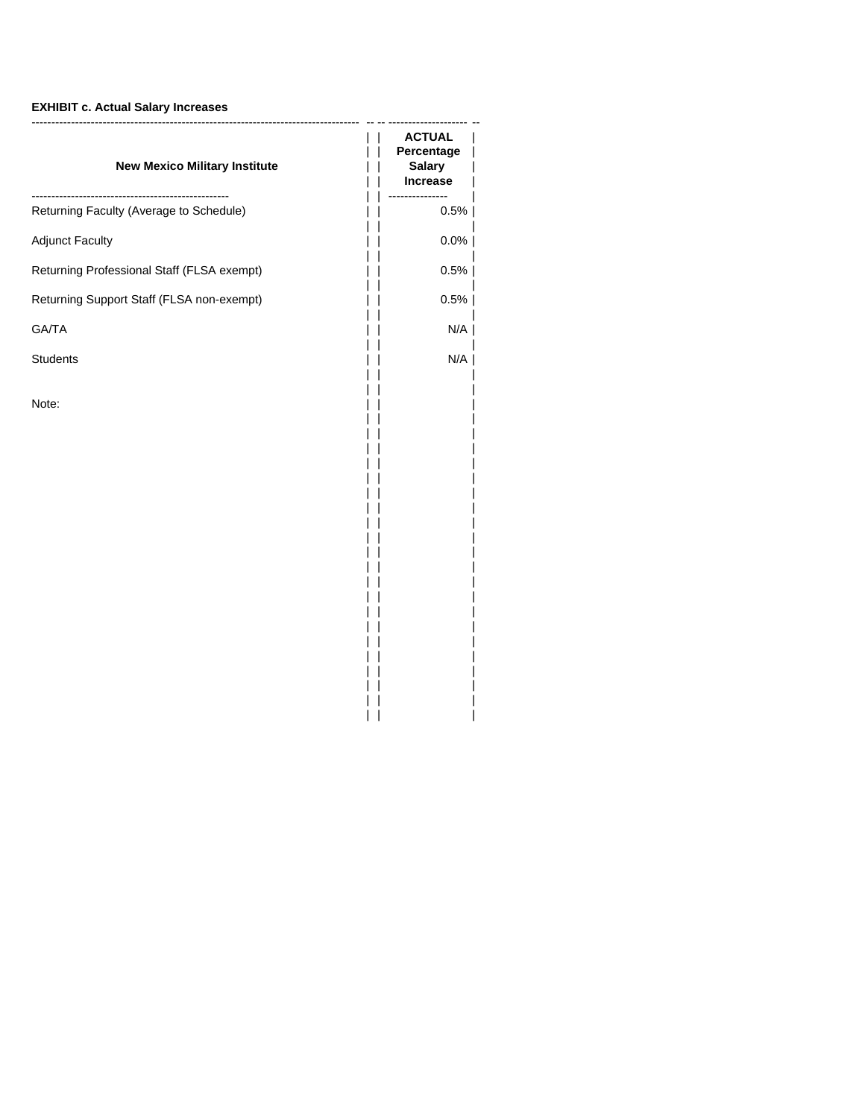## **EXHIBIT c. Actual Salary Increases**

| <b>ACTUAL</b><br>Percentage<br><b>Salary</b><br><b>Increase</b> |
|-----------------------------------------------------------------|
| 0.5%                                                            |
| $0.0\%$                                                         |
| 0.5%                                                            |
| 0.5%                                                            |
| N/A                                                             |
| N/A                                                             |
|                                                                 |
|                                                                 |

|| |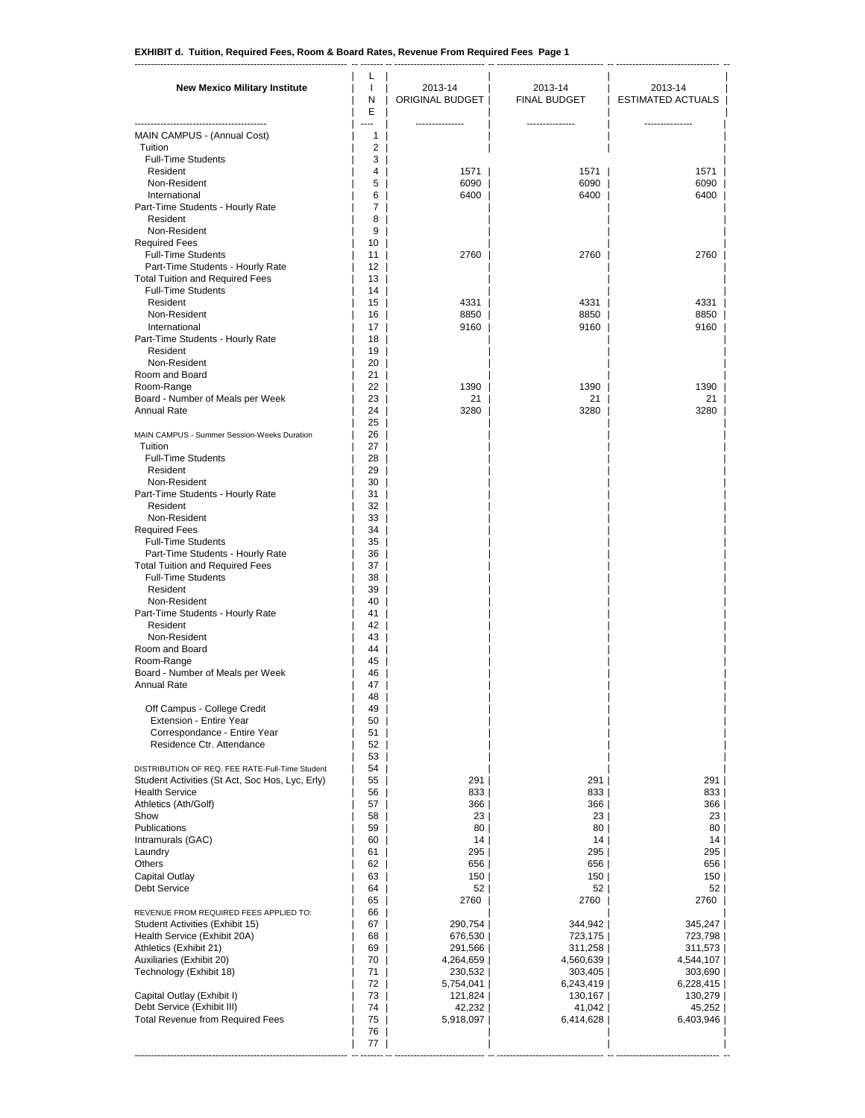------------------------------------------------------------------ -- ------- -- ---------------------------- -- --------------------------------- -- -------------------------------- --

| <br>---------------<br>MAIN CAMPUS - (Annual Cost)<br>1<br>$\overline{2}$<br>Tuition<br><b>Full-Time Students</b><br>3<br>Resident<br>1571  <br>1571<br>4<br>1571<br>Non-Resident<br>5<br>6090<br>6090<br>6<br>6400<br>International<br>6400<br>Part-Time Students - Hourly Rate<br>7<br>8<br>Resident<br>Non-Resident<br>9<br><b>Required Fees</b><br>10<br><b>Full-Time Students</b><br>2760<br>2760<br>2760<br>11<br>Part-Time Students - Hourly Rate<br>12<br><b>Total Tuition and Required Fees</b><br>13<br><b>Full-Time Students</b><br>14<br>Resident<br>15<br>4331<br>4331<br>4331<br>8850<br>Non-Resident<br>16<br>8850<br>17<br>9160<br>9160<br>International<br>Part-Time Students - Hourly Rate<br>18<br>Resident<br>19<br>Non-Resident<br>20<br>Room and Board<br>21<br>22<br>1390<br>1390<br>1390<br>Room-Range<br>Board - Number of Meals per Week<br>23<br>21<br>21<br><b>Annual Rate</b><br>24<br>3280<br>3280<br>25<br>26<br>MAIN CAMPUS - Summer Session-Weeks Duration<br>Tuition<br>27<br><b>Full-Time Students</b><br>28<br>Resident<br>29<br>Non-Resident<br>30<br>Part-Time Students - Hourly Rate<br>31<br>32<br>Resident<br>Non-Resident<br>33<br>34<br><b>Required Fees</b><br><b>Full-Time Students</b><br>35<br>Part-Time Students - Hourly Rate<br>36<br><b>Total Tuition and Required Fees</b><br>37<br><b>Full-Time Students</b><br>38<br>Resident<br>39<br>Non-Resident<br>40<br>Part-Time Students - Hourly Rate<br>41<br>Resident<br>42<br>Non-Resident<br>43 | <b>New Mexico Military Institute</b> | L<br>J.<br>N<br>Ε | 2013-14<br>ORIGINAL BUDGET | 2013-14<br><b>FINAL BUDGET</b> | 2013-14<br>ESTIMATED ACTUALS |
|---------------------------------------------------------------------------------------------------------------------------------------------------------------------------------------------------------------------------------------------------------------------------------------------------------------------------------------------------------------------------------------------------------------------------------------------------------------------------------------------------------------------------------------------------------------------------------------------------------------------------------------------------------------------------------------------------------------------------------------------------------------------------------------------------------------------------------------------------------------------------------------------------------------------------------------------------------------------------------------------------------------------------------------------------------------------------------------------------------------------------------------------------------------------------------------------------------------------------------------------------------------------------------------------------------------------------------------------------------------------------------------------------------------------------------------------------------------------------------------------------|--------------------------------------|-------------------|----------------------------|--------------------------------|------------------------------|
|                                                                                                                                                                                                                                                                                                                                                                                                                                                                                                                                                                                                                                                                                                                                                                                                                                                                                                                                                                                                                                                                                                                                                                                                                                                                                                                                                                                                                                                                                                   |                                      |                   |                            |                                |                              |
|                                                                                                                                                                                                                                                                                                                                                                                                                                                                                                                                                                                                                                                                                                                                                                                                                                                                                                                                                                                                                                                                                                                                                                                                                                                                                                                                                                                                                                                                                                   |                                      |                   |                            |                                |                              |
|                                                                                                                                                                                                                                                                                                                                                                                                                                                                                                                                                                                                                                                                                                                                                                                                                                                                                                                                                                                                                                                                                                                                                                                                                                                                                                                                                                                                                                                                                                   |                                      |                   |                            |                                |                              |
|                                                                                                                                                                                                                                                                                                                                                                                                                                                                                                                                                                                                                                                                                                                                                                                                                                                                                                                                                                                                                                                                                                                                                                                                                                                                                                                                                                                                                                                                                                   |                                      |                   |                            |                                | 6090                         |
|                                                                                                                                                                                                                                                                                                                                                                                                                                                                                                                                                                                                                                                                                                                                                                                                                                                                                                                                                                                                                                                                                                                                                                                                                                                                                                                                                                                                                                                                                                   |                                      |                   |                            |                                | 6400                         |
|                                                                                                                                                                                                                                                                                                                                                                                                                                                                                                                                                                                                                                                                                                                                                                                                                                                                                                                                                                                                                                                                                                                                                                                                                                                                                                                                                                                                                                                                                                   |                                      |                   |                            |                                |                              |
|                                                                                                                                                                                                                                                                                                                                                                                                                                                                                                                                                                                                                                                                                                                                                                                                                                                                                                                                                                                                                                                                                                                                                                                                                                                                                                                                                                                                                                                                                                   |                                      |                   |                            |                                |                              |
|                                                                                                                                                                                                                                                                                                                                                                                                                                                                                                                                                                                                                                                                                                                                                                                                                                                                                                                                                                                                                                                                                                                                                                                                                                                                                                                                                                                                                                                                                                   |                                      |                   |                            |                                |                              |
|                                                                                                                                                                                                                                                                                                                                                                                                                                                                                                                                                                                                                                                                                                                                                                                                                                                                                                                                                                                                                                                                                                                                                                                                                                                                                                                                                                                                                                                                                                   |                                      |                   |                            |                                |                              |
|                                                                                                                                                                                                                                                                                                                                                                                                                                                                                                                                                                                                                                                                                                                                                                                                                                                                                                                                                                                                                                                                                                                                                                                                                                                                                                                                                                                                                                                                                                   |                                      |                   |                            |                                |                              |
|                                                                                                                                                                                                                                                                                                                                                                                                                                                                                                                                                                                                                                                                                                                                                                                                                                                                                                                                                                                                                                                                                                                                                                                                                                                                                                                                                                                                                                                                                                   |                                      |                   |                            |                                |                              |
|                                                                                                                                                                                                                                                                                                                                                                                                                                                                                                                                                                                                                                                                                                                                                                                                                                                                                                                                                                                                                                                                                                                                                                                                                                                                                                                                                                                                                                                                                                   |                                      |                   |                            |                                | 8850                         |
|                                                                                                                                                                                                                                                                                                                                                                                                                                                                                                                                                                                                                                                                                                                                                                                                                                                                                                                                                                                                                                                                                                                                                                                                                                                                                                                                                                                                                                                                                                   |                                      |                   |                            |                                | 9160                         |
|                                                                                                                                                                                                                                                                                                                                                                                                                                                                                                                                                                                                                                                                                                                                                                                                                                                                                                                                                                                                                                                                                                                                                                                                                                                                                                                                                                                                                                                                                                   |                                      |                   |                            |                                |                              |
|                                                                                                                                                                                                                                                                                                                                                                                                                                                                                                                                                                                                                                                                                                                                                                                                                                                                                                                                                                                                                                                                                                                                                                                                                                                                                                                                                                                                                                                                                                   |                                      |                   |                            |                                |                              |
|                                                                                                                                                                                                                                                                                                                                                                                                                                                                                                                                                                                                                                                                                                                                                                                                                                                                                                                                                                                                                                                                                                                                                                                                                                                                                                                                                                                                                                                                                                   |                                      |                   |                            |                                |                              |
|                                                                                                                                                                                                                                                                                                                                                                                                                                                                                                                                                                                                                                                                                                                                                                                                                                                                                                                                                                                                                                                                                                                                                                                                                                                                                                                                                                                                                                                                                                   |                                      |                   |                            |                                | 21                           |
|                                                                                                                                                                                                                                                                                                                                                                                                                                                                                                                                                                                                                                                                                                                                                                                                                                                                                                                                                                                                                                                                                                                                                                                                                                                                                                                                                                                                                                                                                                   |                                      |                   |                            |                                | 3280                         |
|                                                                                                                                                                                                                                                                                                                                                                                                                                                                                                                                                                                                                                                                                                                                                                                                                                                                                                                                                                                                                                                                                                                                                                                                                                                                                                                                                                                                                                                                                                   |                                      |                   |                            |                                |                              |
|                                                                                                                                                                                                                                                                                                                                                                                                                                                                                                                                                                                                                                                                                                                                                                                                                                                                                                                                                                                                                                                                                                                                                                                                                                                                                                                                                                                                                                                                                                   |                                      |                   |                            |                                |                              |
|                                                                                                                                                                                                                                                                                                                                                                                                                                                                                                                                                                                                                                                                                                                                                                                                                                                                                                                                                                                                                                                                                                                                                                                                                                                                                                                                                                                                                                                                                                   |                                      |                   |                            |                                |                              |
|                                                                                                                                                                                                                                                                                                                                                                                                                                                                                                                                                                                                                                                                                                                                                                                                                                                                                                                                                                                                                                                                                                                                                                                                                                                                                                                                                                                                                                                                                                   |                                      |                   |                            |                                |                              |
|                                                                                                                                                                                                                                                                                                                                                                                                                                                                                                                                                                                                                                                                                                                                                                                                                                                                                                                                                                                                                                                                                                                                                                                                                                                                                                                                                                                                                                                                                                   |                                      |                   |                            |                                |                              |
|                                                                                                                                                                                                                                                                                                                                                                                                                                                                                                                                                                                                                                                                                                                                                                                                                                                                                                                                                                                                                                                                                                                                                                                                                                                                                                                                                                                                                                                                                                   |                                      |                   |                            |                                |                              |
|                                                                                                                                                                                                                                                                                                                                                                                                                                                                                                                                                                                                                                                                                                                                                                                                                                                                                                                                                                                                                                                                                                                                                                                                                                                                                                                                                                                                                                                                                                   |                                      |                   |                            |                                |                              |
|                                                                                                                                                                                                                                                                                                                                                                                                                                                                                                                                                                                                                                                                                                                                                                                                                                                                                                                                                                                                                                                                                                                                                                                                                                                                                                                                                                                                                                                                                                   |                                      |                   |                            |                                |                              |
|                                                                                                                                                                                                                                                                                                                                                                                                                                                                                                                                                                                                                                                                                                                                                                                                                                                                                                                                                                                                                                                                                                                                                                                                                                                                                                                                                                                                                                                                                                   |                                      |                   |                            |                                |                              |
|                                                                                                                                                                                                                                                                                                                                                                                                                                                                                                                                                                                                                                                                                                                                                                                                                                                                                                                                                                                                                                                                                                                                                                                                                                                                                                                                                                                                                                                                                                   |                                      |                   |                            |                                |                              |
|                                                                                                                                                                                                                                                                                                                                                                                                                                                                                                                                                                                                                                                                                                                                                                                                                                                                                                                                                                                                                                                                                                                                                                                                                                                                                                                                                                                                                                                                                                   |                                      |                   |                            |                                |                              |
|                                                                                                                                                                                                                                                                                                                                                                                                                                                                                                                                                                                                                                                                                                                                                                                                                                                                                                                                                                                                                                                                                                                                                                                                                                                                                                                                                                                                                                                                                                   |                                      |                   |                            |                                |                              |
|                                                                                                                                                                                                                                                                                                                                                                                                                                                                                                                                                                                                                                                                                                                                                                                                                                                                                                                                                                                                                                                                                                                                                                                                                                                                                                                                                                                                                                                                                                   |                                      |                   |                            |                                |                              |
|                                                                                                                                                                                                                                                                                                                                                                                                                                                                                                                                                                                                                                                                                                                                                                                                                                                                                                                                                                                                                                                                                                                                                                                                                                                                                                                                                                                                                                                                                                   | Room and Board                       | 44                |                            |                                |                              |
| 45<br>Room-Range                                                                                                                                                                                                                                                                                                                                                                                                                                                                                                                                                                                                                                                                                                                                                                                                                                                                                                                                                                                                                                                                                                                                                                                                                                                                                                                                                                                                                                                                                  |                                      |                   |                            |                                |                              |
| Board - Number of Meals per Week<br>46<br><b>Annual Rate</b><br>47                                                                                                                                                                                                                                                                                                                                                                                                                                                                                                                                                                                                                                                                                                                                                                                                                                                                                                                                                                                                                                                                                                                                                                                                                                                                                                                                                                                                                                |                                      |                   |                            |                                |                              |
| 48                                                                                                                                                                                                                                                                                                                                                                                                                                                                                                                                                                                                                                                                                                                                                                                                                                                                                                                                                                                                                                                                                                                                                                                                                                                                                                                                                                                                                                                                                                |                                      |                   |                            |                                |                              |
| Off Campus - College Credit<br>49                                                                                                                                                                                                                                                                                                                                                                                                                                                                                                                                                                                                                                                                                                                                                                                                                                                                                                                                                                                                                                                                                                                                                                                                                                                                                                                                                                                                                                                                 |                                      |                   |                            |                                |                              |
| 50<br>Extension - Entire Year<br>Correspondance - Entire Year<br>51                                                                                                                                                                                                                                                                                                                                                                                                                                                                                                                                                                                                                                                                                                                                                                                                                                                                                                                                                                                                                                                                                                                                                                                                                                                                                                                                                                                                                               |                                      |                   |                            |                                |                              |
| Residence Ctr. Attendance<br>52                                                                                                                                                                                                                                                                                                                                                                                                                                                                                                                                                                                                                                                                                                                                                                                                                                                                                                                                                                                                                                                                                                                                                                                                                                                                                                                                                                                                                                                                   |                                      |                   |                            |                                |                              |
| 53<br>54<br>DISTRIBUTION OF REQ. FEE RATE-Full-Time Student                                                                                                                                                                                                                                                                                                                                                                                                                                                                                                                                                                                                                                                                                                                                                                                                                                                                                                                                                                                                                                                                                                                                                                                                                                                                                                                                                                                                                                       |                                      |                   |                            |                                |                              |
| 291  <br>Student Activities (St Act, Soc Hos, Lyc, Erly)<br>55<br>291                                                                                                                                                                                                                                                                                                                                                                                                                                                                                                                                                                                                                                                                                                                                                                                                                                                                                                                                                                                                                                                                                                                                                                                                                                                                                                                                                                                                                             |                                      |                   |                            |                                | 291                          |
| 833<br><b>Health Service</b><br>56<br>833                                                                                                                                                                                                                                                                                                                                                                                                                                                                                                                                                                                                                                                                                                                                                                                                                                                                                                                                                                                                                                                                                                                                                                                                                                                                                                                                                                                                                                                         |                                      |                   |                            |                                | 833                          |
| Athletics (Ath/Golf)<br>57<br>366<br>366  <br>Show<br>58<br>23 <br>23                                                                                                                                                                                                                                                                                                                                                                                                                                                                                                                                                                                                                                                                                                                                                                                                                                                                                                                                                                                                                                                                                                                                                                                                                                                                                                                                                                                                                             |                                      |                   |                            |                                | 366<br>23                    |
| Publications<br>59<br>80<br>80                                                                                                                                                                                                                                                                                                                                                                                                                                                                                                                                                                                                                                                                                                                                                                                                                                                                                                                                                                                                                                                                                                                                                                                                                                                                                                                                                                                                                                                                    |                                      |                   |                            |                                | 80 <sub>1</sub>              |
| Intramurals (GAC)<br>60<br>14 <br>14 <br>61<br>295<br>295                                                                                                                                                                                                                                                                                                                                                                                                                                                                                                                                                                                                                                                                                                                                                                                                                                                                                                                                                                                                                                                                                                                                                                                                                                                                                                                                                                                                                                         |                                      |                   |                            |                                | 14 <br>295                   |
| Laundry<br>Others<br>62<br>656<br>656                                                                                                                                                                                                                                                                                                                                                                                                                                                                                                                                                                                                                                                                                                                                                                                                                                                                                                                                                                                                                                                                                                                                                                                                                                                                                                                                                                                                                                                             |                                      |                   |                            |                                | 656                          |
| Capital Outlay<br>63  <br>150  <br>150                                                                                                                                                                                                                                                                                                                                                                                                                                                                                                                                                                                                                                                                                                                                                                                                                                                                                                                                                                                                                                                                                                                                                                                                                                                                                                                                                                                                                                                            |                                      |                   |                            |                                | 150                          |
| <b>Debt Service</b><br>52 <br>52 <br>64<br>2760<br>2760<br>65                                                                                                                                                                                                                                                                                                                                                                                                                                                                                                                                                                                                                                                                                                                                                                                                                                                                                                                                                                                                                                                                                                                                                                                                                                                                                                                                                                                                                                     |                                      |                   |                            |                                | 52 <br>2760                  |
| 66<br>REVENUE FROM REQUIRED FEES APPLIED TO:                                                                                                                                                                                                                                                                                                                                                                                                                                                                                                                                                                                                                                                                                                                                                                                                                                                                                                                                                                                                                                                                                                                                                                                                                                                                                                                                                                                                                                                      |                                      |                   |                            |                                |                              |
| Student Activities (Exhibit 15)<br>67<br>290,754<br>344,942                                                                                                                                                                                                                                                                                                                                                                                                                                                                                                                                                                                                                                                                                                                                                                                                                                                                                                                                                                                                                                                                                                                                                                                                                                                                                                                                                                                                                                       |                                      |                   |                            |                                | 345,247                      |
| Health Service (Exhibit 20A)<br>676,530<br>723,175  <br>68<br>Athletics (Exhibit 21)<br>69<br>291,566<br>311,258                                                                                                                                                                                                                                                                                                                                                                                                                                                                                                                                                                                                                                                                                                                                                                                                                                                                                                                                                                                                                                                                                                                                                                                                                                                                                                                                                                                  |                                      |                   |                            |                                | 723,798<br>311,573           |
| Auxiliaries (Exhibit 20)<br>70<br>4,264,659<br>4,560,639                                                                                                                                                                                                                                                                                                                                                                                                                                                                                                                                                                                                                                                                                                                                                                                                                                                                                                                                                                                                                                                                                                                                                                                                                                                                                                                                                                                                                                          |                                      |                   |                            |                                | 4,544,107                    |
| Technology (Exhibit 18)<br>71<br>230,532<br>303,405<br>72<br>5,754,041                                                                                                                                                                                                                                                                                                                                                                                                                                                                                                                                                                                                                                                                                                                                                                                                                                                                                                                                                                                                                                                                                                                                                                                                                                                                                                                                                                                                                            |                                      |                   |                            |                                | 303,690                      |
| 6,243,419  <br>Capital Outlay (Exhibit I)<br>73<br>121,824<br>130,167                                                                                                                                                                                                                                                                                                                                                                                                                                                                                                                                                                                                                                                                                                                                                                                                                                                                                                                                                                                                                                                                                                                                                                                                                                                                                                                                                                                                                             |                                      |                   |                            |                                | 6,228,415<br>130,279         |
| Debt Service (Exhibit III)<br>74<br>42,232  <br>41,042                                                                                                                                                                                                                                                                                                                                                                                                                                                                                                                                                                                                                                                                                                                                                                                                                                                                                                                                                                                                                                                                                                                                                                                                                                                                                                                                                                                                                                            |                                      |                   |                            |                                | 45,252                       |
| <b>Total Revenue from Required Fees</b><br>75<br>5,918,097<br>6,414,628<br>76                                                                                                                                                                                                                                                                                                                                                                                                                                                                                                                                                                                                                                                                                                                                                                                                                                                                                                                                                                                                                                                                                                                                                                                                                                                                                                                                                                                                                     |                                      |                   |                            |                                | 6,403,946                    |
| 77                                                                                                                                                                                                                                                                                                                                                                                                                                                                                                                                                                                                                                                                                                                                                                                                                                                                                                                                                                                                                                                                                                                                                                                                                                                                                                                                                                                                                                                                                                |                                      |                   |                            |                                |                              |